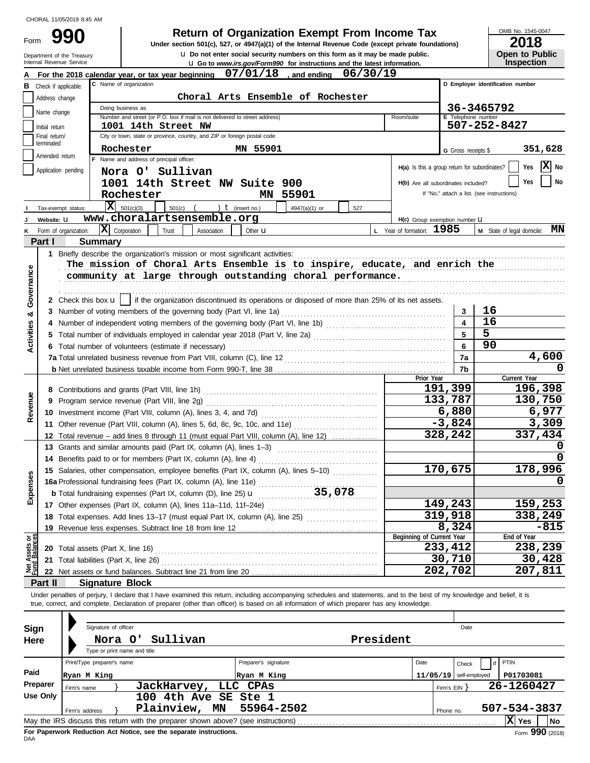Department of the Treasury

Form

**u** Do not enter social security numbers on this form as it may be made public. **Open to Public 990 2018 2018 Depending Solution State of Organization Exempt From Income Tax 2018** 

OMB No. 1545-0047

| 2018                  |
|-----------------------|
| <b>Open to Public</b> |
| <b>Inspection</b>     |

|                                |                 | Internal Revenue Service      |                                                                                                                                                                            |                                         |             |                      | <b>u</b> Go to www.irs.gov/Form990 for instructions and the latest information. |          |           |                                     |                          |       |                                               | <b>Inspection</b>             |        |
|--------------------------------|-----------------|-------------------------------|----------------------------------------------------------------------------------------------------------------------------------------------------------------------------|-----------------------------------------|-------------|----------------------|---------------------------------------------------------------------------------|----------|-----------|-------------------------------------|--------------------------|-------|-----------------------------------------------|-------------------------------|--------|
|                                |                 |                               | For the 2018 calendar year, or tax year beginning                                                                                                                          |                                         |             | 07/01/18             | and ending                                                                      | 06/30/19 |           |                                     |                          |       |                                               |                               |        |
|                                |                 | <b>B</b> Check if applicable: | C Name of organization                                                                                                                                                     |                                         |             |                      |                                                                                 |          |           |                                     |                          |       | D Employer identification number              |                               |        |
|                                | Address change  |                               |                                                                                                                                                                            |                                         |             |                      | Choral Arts Ensemble of Rochester                                               |          |           |                                     |                          |       |                                               |                               |        |
|                                |                 |                               | Doing business as                                                                                                                                                          |                                         |             |                      |                                                                                 |          |           |                                     |                          |       | 36-3465792                                    |                               |        |
|                                | Name change     |                               | Number and street (or P.O. box if mail is not delivered to street address)                                                                                                 |                                         |             |                      |                                                                                 |          |           | Room/suite                          |                          |       | E Telephone number                            |                               |        |
|                                | Initial return  |                               | 1001 14th Street NW                                                                                                                                                        |                                         |             |                      |                                                                                 |          |           |                                     |                          |       | 507-252-8427                                  |                               |        |
|                                | Final return/   |                               | City or town, state or province, country, and ZIP or foreign postal code                                                                                                   |                                         |             |                      |                                                                                 |          |           |                                     |                          |       |                                               |                               |        |
|                                | terminated      |                               | Rochester                                                                                                                                                                  |                                         |             | <b>MN 55901</b>      |                                                                                 |          |           |                                     | G Gross receipts \$      |       |                                               | 351,628                       |        |
|                                | Amended return  |                               | F Name and address of principal officer:                                                                                                                                   |                                         |             |                      |                                                                                 |          |           |                                     |                          |       |                                               |                               |        |
|                                |                 | Application pending           | Nora O' Sullivan                                                                                                                                                           |                                         |             |                      |                                                                                 |          |           |                                     |                          |       | H(a) Is this a group return for subordinates? | Yes                           | X No   |
|                                |                 |                               | 1001 14th Street NW Suite 900                                                                                                                                              |                                         |             |                      |                                                                                 |          |           | H(b) Are all subordinates included? |                          |       |                                               | Yes                           | No     |
|                                |                 |                               | Rochester                                                                                                                                                                  |                                         |             |                      | MN 55901                                                                        |          |           |                                     |                          |       | If "No," attach a list. (see instructions)    |                               |        |
|                                |                 |                               |                                                                                                                                                                            |                                         |             |                      |                                                                                 |          |           |                                     |                          |       |                                               |                               |        |
|                                |                 | Tax-exempt status:            | lxl<br>501(c)(3)                                                                                                                                                           | 501(c) $($ $)$ $($ $)$ $($ (insert no.) |             |                      | 4947(a)(1) or                                                                   | 527      |           |                                     |                          |       |                                               |                               |        |
|                                | Website: U      |                               | www.choralartsensemble.org                                                                                                                                                 |                                         |             |                      |                                                                                 |          |           | H(c) Group exemption number LI      |                          |       |                                               |                               |        |
| ĸ                              |                 | Form of organization:         | $\mathbf{X}$ Corporation                                                                                                                                                   | Trust                                   | Association | Other $\mathbf u$    |                                                                                 |          |           | $L$ Year of formation: $1985$       |                          |       |                                               | M State of legal domicile: MN |        |
|                                | Part I          | <b>Summary</b>                |                                                                                                                                                                            |                                         |             |                      |                                                                                 |          |           |                                     |                          |       |                                               |                               |        |
|                                |                 |                               |                                                                                                                                                                            |                                         |             |                      |                                                                                 |          |           |                                     |                          |       |                                               |                               |        |
|                                |                 |                               | The mission of Choral Arts Ensemble is to inspire, educate, and enrich the                                                                                                 |                                         |             |                      |                                                                                 |          |           |                                     |                          |       |                                               |                               |        |
|                                |                 |                               | community at large through outstanding choral performance.                                                                                                                 |                                         |             |                      |                                                                                 |          |           |                                     |                          |       |                                               |                               |        |
|                                |                 |                               |                                                                                                                                                                            |                                         |             |                      |                                                                                 |          |           |                                     |                          |       |                                               |                               |        |
| Governance                     |                 |                               | 2 Check this box $\mathbf{u}$   if the organization discontinued its operations or disposed of more than 25% of its net assets.                                            |                                         |             |                      |                                                                                 |          |           |                                     |                          |       |                                               |                               |        |
|                                |                 |                               |                                                                                                                                                                            |                                         |             |                      |                                                                                 |          |           |                                     |                          |       | 16                                            |                               |        |
| ಯ                              | 3.              |                               | Number of voting members of the governing body (Part VI, line 1a)                                                                                                          |                                         |             |                      |                                                                                 |          |           |                                     |                          |       |                                               |                               |        |
|                                | 4               |                               |                                                                                                                                                                            |                                         |             |                      |                                                                                 |          |           |                                     |                          |       | 16                                            |                               |        |
| Activities                     | 5.              |                               | Total number of individuals employed in calendar year 2018 (Part V, line 2a) [[[[[[[[[[[[[[[[[[[[[[[[[[[[[[[[                                                              |                                         |             |                      |                                                                                 |          |           |                                     |                          |       | 5                                             |                               |        |
|                                |                 |                               | 6 Total number of volunteers (estimate if necessary)                                                                                                                       |                                         |             |                      |                                                                                 |          |           |                                     |                          | 6     | 90                                            |                               |        |
|                                |                 |                               |                                                                                                                                                                            |                                         |             |                      |                                                                                 |          |           |                                     |                          | 7a    |                                               | 4,600                         |        |
|                                |                 |                               |                                                                                                                                                                            |                                         |             |                      |                                                                                 |          |           |                                     |                          | 7b    |                                               |                               |        |
|                                |                 |                               |                                                                                                                                                                            |                                         |             |                      |                                                                                 |          |           | Prior Year                          |                          |       |                                               | Current Year                  |        |
|                                |                 |                               |                                                                                                                                                                            |                                         |             |                      |                                                                                 |          |           | 191,399                             |                          |       | 196,398                                       |                               |        |
|                                | 9               |                               |                                                                                                                                                                            |                                         |             |                      |                                                                                 |          |           |                                     | 133,787                  |       |                                               | 130,750                       |        |
| Revenue                        |                 |                               |                                                                                                                                                                            |                                         |             |                      |                                                                                 |          |           |                                     | 6,880                    |       |                                               | 6,977                         |        |
|                                |                 |                               | 11 Other revenue (Part VIII, column (A), lines 5, 6d, 8c, 9c, 10c, and 11e)                                                                                                |                                         |             |                      |                                                                                 |          |           |                                     | $-3,824$                 |       |                                               | 3,309                         |        |
|                                |                 |                               | 12 Total revenue – add lines 8 through 11 (must equal Part VIII, column (A), line 12)                                                                                      |                                         |             |                      |                                                                                 |          |           |                                     | 328,242                  |       |                                               | 337,434                       |        |
|                                | 13              |                               | Grants and similar amounts paid (Part IX, column (A), lines 1-3)                                                                                                           |                                         |             |                      |                                                                                 |          |           |                                     |                          |       |                                               |                               |        |
|                                |                 |                               |                                                                                                                                                                            |                                         |             |                      |                                                                                 |          |           |                                     |                          |       |                                               |                               |        |
|                                | 14              |                               | Benefits paid to or for members (Part IX, column (A), line 4)                                                                                                              |                                         |             |                      |                                                                                 |          |           |                                     | 170,675                  |       |                                               | 178,996                       |        |
|                                |                 |                               | 15 Salaries, other compensation, employee benefits (Part IX, column (A), lines 5-10)                                                                                       |                                         |             |                      |                                                                                 |          |           |                                     |                          |       |                                               |                               |        |
| enses                          |                 |                               | 16a Professional fundraising fees (Part IX, column (A), line 11e)                                                                                                          |                                         |             |                      |                                                                                 |          |           |                                     |                          |       |                                               |                               |        |
| Eхр                            |                 |                               | <b>b</b> Total fundraising expenses (Part IX, column (D), line 25) <b>u</b>                                                                                                |                                         |             |                      | 35,078                                                                          |          |           |                                     |                          |       |                                               |                               |        |
|                                |                 |                               | 17 Other expenses (Part IX, column (A), lines 11a-11d, 11f-24e)                                                                                                            |                                         |             |                      |                                                                                 |          |           |                                     | 149,243                  |       |                                               | 159,253                       |        |
|                                |                 |                               | 18 Total expenses. Add lines 13-17 (must equal Part IX, column (A), line 25) [1] [1] Total expenses. Add lines 13-17 (must equal Part IX, column (A), line 25)             |                                         |             |                      |                                                                                 |          |           |                                     | 319,918                  |       |                                               | 338,249                       |        |
|                                | 19              |                               | Revenue less expenses. Subtract line 18 from line 12                                                                                                                       |                                         |             |                      |                                                                                 |          |           |                                     | 8,324                    |       |                                               |                               | $-815$ |
|                                |                 |                               |                                                                                                                                                                            |                                         |             |                      |                                                                                 |          |           | Beginning of Current Year           |                          |       |                                               | End of Year                   |        |
| Net Assets or<br>Fund Balances |                 |                               | <b>20</b> Total assets (Part X, line 16)                                                                                                                                   |                                         |             |                      |                                                                                 |          |           |                                     | 233,412                  |       |                                               | 238,239                       |        |
|                                |                 |                               |                                                                                                                                                                            |                                         |             |                      |                                                                                 |          |           |                                     | 30,710                   |       |                                               | 30,428                        |        |
|                                |                 |                               |                                                                                                                                                                            |                                         |             |                      |                                                                                 |          |           |                                     | 202,702                  |       |                                               | 207,811                       |        |
|                                | Part II         |                               | <b>Signature Block</b>                                                                                                                                                     |                                         |             |                      |                                                                                 |          |           |                                     |                          |       |                                               |                               |        |
|                                |                 |                               | Under penalties of perjury, I declare that I have examined this return, including accompanying schedules and statements, and to the best of my knowledge and belief, it is |                                         |             |                      |                                                                                 |          |           |                                     |                          |       |                                               |                               |        |
|                                |                 |                               | true, correct, and complete. Declaration of preparer (other than officer) is based on all information of which preparer has any knowledge.                                 |                                         |             |                      |                                                                                 |          |           |                                     |                          |       |                                               |                               |        |
|                                |                 |                               |                                                                                                                                                                            |                                         |             |                      |                                                                                 |          |           |                                     |                          |       |                                               |                               |        |
| Sign                           |                 |                               | Signature of officer                                                                                                                                                       |                                         |             |                      |                                                                                 |          |           |                                     |                          | Date  |                                               |                               |        |
|                                |                 |                               |                                                                                                                                                                            |                                         |             |                      |                                                                                 |          |           |                                     |                          |       |                                               |                               |        |
| Here                           |                 |                               | Nora O'                                                                                                                                                                    | Sullivan                                |             |                      |                                                                                 |          | President |                                     |                          |       |                                               |                               |        |
|                                |                 |                               | Type or print name and title                                                                                                                                               |                                         |             |                      |                                                                                 |          |           |                                     |                          |       |                                               |                               |        |
|                                |                 | Print/Type preparer's name    |                                                                                                                                                                            |                                         |             | Preparer's signature |                                                                                 |          |           | Date                                |                          | Check | PTIN                                          |                               |        |
| Paid                           |                 | Ryan M King                   |                                                                                                                                                                            |                                         |             | Ryan M King          |                                                                                 |          |           |                                     | $11/05/19$ self-employed |       |                                               | P01703081                     |        |
|                                | <b>Preparer</b> | Firm's name                   |                                                                                                                                                                            | JackHarvey,                             | LLC         | <b>CPAs</b>          |                                                                                 |          |           |                                     | Firm's $EIN$ }           |       |                                               | 26-1260427                    |        |
|                                | Use Only        |                               |                                                                                                                                                                            | 100 4th Ave SE                          |             | Ste 1                |                                                                                 |          |           |                                     |                          |       |                                               |                               |        |
|                                |                 | Firm's address                |                                                                                                                                                                            | Plainview, MN                           |             | 55964-2502           |                                                                                 |          |           |                                     | Phone no.                |       |                                               | 507-534-3837                  |        |
|                                |                 |                               | May the IRS discuss this return with the preparer shown above? (see instructions)                                                                                          |                                         |             |                      |                                                                                 |          |           |                                     |                          |       |                                               | $ X $ Yes                     | No     |

| Sign     |                                                                                                | Signature of officer         |  |                      |    |                      |  |          |              | Date          |              |  |
|----------|------------------------------------------------------------------------------------------------|------------------------------|--|----------------------|----|----------------------|--|----------|--------------|---------------|--------------|--|
| Here     | President<br>Sullivan<br>Nora O'                                                               |                              |  |                      |    |                      |  |          |              |               |              |  |
|          |                                                                                                | Type or print name and title |  |                      |    |                      |  |          |              |               |              |  |
|          |                                                                                                | Print/Type preparer's name   |  |                      |    | Preparer's signature |  | Date     |              | Check         | <b>PTIN</b>  |  |
| Paid     | Ryan M King                                                                                    |                              |  |                      |    | Ryan M King          |  | 11/05/19 |              | self-employed | P01703081    |  |
| Preparer | Firm's name                                                                                    |                              |  | JackHarvey,          |    | LLC CPAS             |  |          | Firm's $EIN$ |               | 26-1260427   |  |
| Use Only |                                                                                                |                              |  | 100 4th Ave SE Ste 1 |    |                      |  |          |              |               |              |  |
|          |                                                                                                | Firm's address               |  | Plainview,           | МN | 55964-2502           |  |          | Phone no.    |               | 507-534-3837 |  |
|          | хI<br>May the IRS discuss this return with the preparer shown above? (see instructions)<br>Yes |                              |  |                      |    |                      |  |          |              | No.           |              |  |
| DAA      | Form 990 (2018)<br>For Paperwork Reduction Act Notice, see the separate instructions.          |                              |  |                      |    |                      |  |          |              |               |              |  |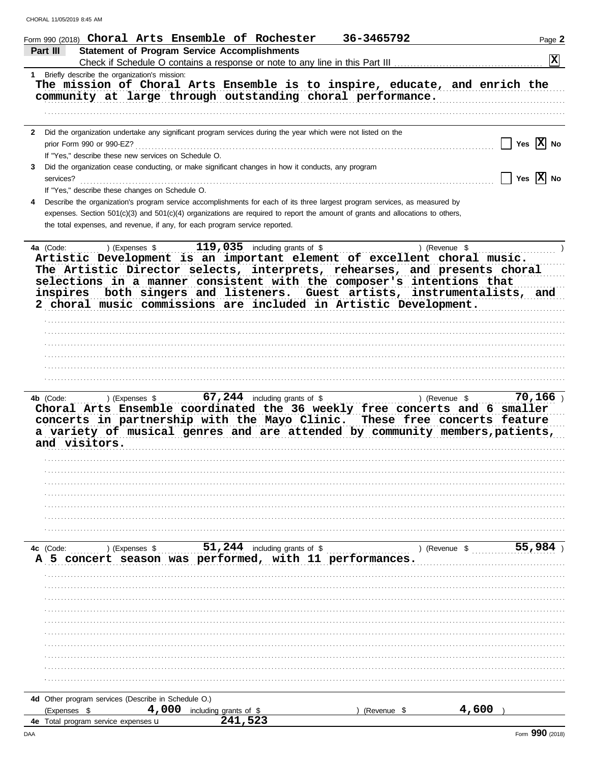| Form 990 (2018) Choral Arts Ensemble of Rochester                                                                                                                                                                                                                 |                                 | 36-3465792  |                                              | Page 2                  |
|-------------------------------------------------------------------------------------------------------------------------------------------------------------------------------------------------------------------------------------------------------------------|---------------------------------|-------------|----------------------------------------------|-------------------------|
| <b>Statement of Program Service Accomplishments</b><br>Part III                                                                                                                                                                                                   |                                 |             |                                              | $\overline{\mathbf{x}}$ |
| Check if Schedule O contains a response or note to any line in this Part III                                                                                                                                                                                      |                                 |             |                                              |                         |
| 1 Briefly describe the organization's mission:<br>The mission of Choral Arts Ensemble is to inspire, educate, and enrich the<br>community at large through outstanding choral performance.                                                                        |                                 |             |                                              |                         |
| 2 Did the organization undertake any significant program services during the year which were not listed on the                                                                                                                                                    |                                 |             |                                              |                         |
| prior Form 990 or 990-EZ?<br>If "Yes," describe these new services on Schedule O.                                                                                                                                                                                 |                                 |             |                                              | Yes $ X $ No            |
| Did the organization cease conducting, or make significant changes in how it conducts, any program<br>3<br>services?                                                                                                                                              |                                 |             |                                              | Yes $ X $ No            |
| If "Yes," describe these changes on Schedule O.<br>Describe the organization's program service accomplishments for each of its three largest program services, as measured by                                                                                     |                                 |             |                                              |                         |
| expenses. Section 501(c)(3) and 501(c)(4) organizations are required to report the amount of grants and allocations to others,<br>the total expenses, and revenue, if any, for each program service reported.                                                     |                                 |             |                                              |                         |
| 4a (Code:<br>) (Expenses \$<br>Artistic Development is an important element of excellent choral music.                                                                                                                                                            | 119,035 including grants of $$$ |             | ) (Revenue \$                                |                         |
| The Artistic Director selects, interprets, rehearses, and presents choral<br>selections in a manner consistent with the composer's intentions that<br>both singers and listeners.<br>inspires<br>2 choral music commissions are included in Artistic Development. |                                 |             | Guest artists, instrumentalists, and         |                         |
|                                                                                                                                                                                                                                                                   |                                 |             |                                              |                         |
|                                                                                                                                                                                                                                                                   |                                 |             |                                              |                         |
|                                                                                                                                                                                                                                                                   |                                 |             |                                              |                         |
|                                                                                                                                                                                                                                                                   |                                 |             |                                              |                         |
|                                                                                                                                                                                                                                                                   |                                 |             |                                              |                         |
| ) (Expenses \$<br>4b (Code:<br>Choral Arts Ensemble coordinated the 36 weekly free concerts and 6 smaller<br>concerts in partnership with the Mayo Clinic.<br>a variety of musical genres and are attended by community members, patients,<br>and visitors.       | 67, 244 including grants of \$  |             | ) (Revenue \$<br>These free concerts feature | 70, 166                 |
|                                                                                                                                                                                                                                                                   |                                 |             |                                              |                         |
|                                                                                                                                                                                                                                                                   |                                 |             |                                              |                         |
|                                                                                                                                                                                                                                                                   |                                 |             |                                              |                         |
|                                                                                                                                                                                                                                                                   |                                 |             |                                              |                         |
| 4c (Code:<br>) (Expenses \$<br>5 concert season was performed, with 11 performances                                                                                                                                                                               | $51,244$ including grants of \$ |             | ) (Revenue \$                                | 55,984                  |
|                                                                                                                                                                                                                                                                   |                                 |             |                                              |                         |
|                                                                                                                                                                                                                                                                   |                                 |             |                                              |                         |
|                                                                                                                                                                                                                                                                   |                                 |             |                                              |                         |
|                                                                                                                                                                                                                                                                   |                                 |             |                                              |                         |
|                                                                                                                                                                                                                                                                   |                                 |             |                                              |                         |
|                                                                                                                                                                                                                                                                   |                                 |             |                                              |                         |
|                                                                                                                                                                                                                                                                   |                                 |             |                                              |                         |
|                                                                                                                                                                                                                                                                   |                                 |             |                                              |                         |
| 4d Other program services (Describe in Schedule O.)<br>4,000 including grants of \$                                                                                                                                                                               |                                 |             | 4,600                                        |                         |
| (Expenses \$<br>4e Total program service expenses u                                                                                                                                                                                                               | -523                            | (Revenue \$ |                                              |                         |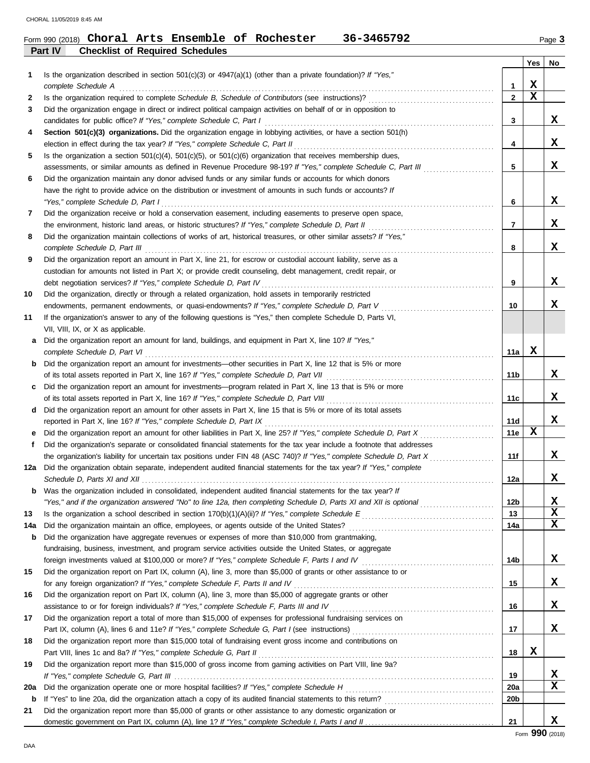## **Part IV Checklist of Required Schedules** Form 990 (2018) Page **3 Choral Arts Ensemble of Rochester 36-3465792**

|     |                                                                                                                                                                                                                                          |                 | Yes         | No          |
|-----|------------------------------------------------------------------------------------------------------------------------------------------------------------------------------------------------------------------------------------------|-----------------|-------------|-------------|
| 1.  | Is the organization described in section $501(c)(3)$ or $4947(a)(1)$ (other than a private foundation)? If "Yes,"                                                                                                                        |                 |             |             |
|     | complete Schedule A                                                                                                                                                                                                                      | 1               | X           |             |
| 2   | Is the organization required to complete Schedule B, Schedule of Contributors (see instructions)?                                                                                                                                        | $\overline{2}$  | $\mathbf x$ |             |
| 3   | Did the organization engage in direct or indirect political campaign activities on behalf of or in opposition to                                                                                                                         | 3               |             | x           |
| 4   | candidates for public office? If "Yes," complete Schedule C, Part I<br>Section 501(c)(3) organizations. Did the organization engage in lobbying activities, or have a section 501(h)                                                     |                 |             |             |
|     | election in effect during the tax year? If "Yes," complete Schedule C, Part II                                                                                                                                                           | 4               |             | X           |
| 5   | Is the organization a section $501(c)(4)$ , $501(c)(5)$ , or $501(c)(6)$ organization that receives membership dues,                                                                                                                     |                 |             |             |
|     | assessments, or similar amounts as defined in Revenue Procedure 98-19? If "Yes," complete Schedule C, Part III                                                                                                                           | 5               |             | X           |
| 6   | Did the organization maintain any donor advised funds or any similar funds or accounts for which donors                                                                                                                                  |                 |             |             |
|     | have the right to provide advice on the distribution or investment of amounts in such funds or accounts? If                                                                                                                              |                 |             |             |
|     | "Yes," complete Schedule D, Part I                                                                                                                                                                                                       | 6               |             | x           |
| 7   | Did the organization receive or hold a conservation easement, including easements to preserve open space,                                                                                                                                |                 |             |             |
|     | the environment, historic land areas, or historic structures? If "Yes," complete Schedule D, Part II                                                                                                                                     | 7               |             | x           |
| 8   | Did the organization maintain collections of works of art, historical treasures, or other similar assets? If "Yes,"                                                                                                                      |                 |             |             |
|     | complete Schedule D, Part III                                                                                                                                                                                                            | 8               |             | X           |
| 9   | Did the organization report an amount in Part X, line 21, for escrow or custodial account liability, serve as a                                                                                                                          |                 |             |             |
|     | custodian for amounts not listed in Part X; or provide credit counseling, debt management, credit repair, or                                                                                                                             |                 |             |             |
|     | debt negotiation services? If "Yes," complete Schedule D, Part IV                                                                                                                                                                        | 9               |             | X           |
| 10  | Did the organization, directly or through a related organization, hold assets in temporarily restricted                                                                                                                                  |                 |             |             |
|     | endowments, permanent endowments, or quasi-endowments? If "Yes," complete Schedule D, Part V                                                                                                                                             | 10              |             | x           |
| 11  | If the organization's answer to any of the following questions is "Yes," then complete Schedule D, Parts VI,                                                                                                                             |                 |             |             |
|     | VII, VIII, IX, or X as applicable.                                                                                                                                                                                                       |                 |             |             |
| a   | Did the organization report an amount for land, buildings, and equipment in Part X, line 10? If "Yes,"                                                                                                                                   |                 |             |             |
|     | complete Schedule D, Part VI                                                                                                                                                                                                             | 11a             | X           |             |
| b   | Did the organization report an amount for investments—other securities in Part X, line 12 that is 5% or more                                                                                                                             |                 |             | X           |
| с   | of its total assets reported in Part X, line 16? If "Yes," complete Schedule D, Part VII<br>Did the organization report an amount for investments—program related in Part X, line 13 that is 5% or more                                  | 11b             |             |             |
|     | of its total assets reported in Part X, line 16? If "Yes," complete Schedule D, Part VIII                                                                                                                                                | 11c             |             | X           |
| d   | Did the organization report an amount for other assets in Part X, line 15 that is 5% or more of its total assets                                                                                                                         |                 |             |             |
|     | reported in Part X, line 16? If "Yes," complete Schedule D, Part IX                                                                                                                                                                      | 11d             |             | X           |
| е   | Did the organization report an amount for other liabilities in Part X, line 25? If "Yes," complete Schedule D, Part X                                                                                                                    | 11e             | $\mathbf x$ |             |
| f   | Did the organization's separate or consolidated financial statements for the tax year include a footnote that addresses                                                                                                                  |                 |             |             |
|     | the organization's liability for uncertain tax positions under FIN 48 (ASC 740)? If "Yes," complete Schedule D, Part X                                                                                                                   | 11f             |             | x           |
| 12a | Did the organization obtain separate, independent audited financial statements for the tax year? If "Yes," complete                                                                                                                      |                 |             |             |
|     | Schedule D, Parts XI and XII $\ldots$ $\ldots$ $\ldots$ $\ldots$                                                                                                                                                                         | 12a             |             | x           |
|     | Was the organization included in consolidated, independent audited financial statements for the tax year? If                                                                                                                             |                 |             |             |
|     | "Yes," and if the organization answered "No" to line 12a, then completing Schedule D, Parts XI and XII is optional                                                                                                                       | 12 <sub>b</sub> |             | X           |
| 13  | Is the organization a school described in section 170(b)(1)(A)(ii)? If "Yes," complete Schedule E<br>Schedule E<br>Manuscription and the Schedule E<br>Manuscription and the Schedule E<br>Manuscription and the Schedule E<br>Manuscrip | 13              |             | X           |
| 14a | Did the organization maintain an office, employees, or agents outside of the United States?                                                                                                                                              | 14a             |             | $\mathbf x$ |
| b   | Did the organization have aggregate revenues or expenses of more than \$10,000 from grantmaking,                                                                                                                                         |                 |             |             |
|     | fundraising, business, investment, and program service activities outside the United States, or aggregate                                                                                                                                |                 |             |             |
|     | foreign investments valued at \$100,000 or more? If "Yes," complete Schedule F, Parts I and IV [[[[[[[[[[[[[[[[                                                                                                                          | 14b             |             | X           |
| 15  | Did the organization report on Part IX, column (A), line 3, more than \$5,000 of grants or other assistance to or                                                                                                                        |                 |             |             |
|     | for any foreign organization? If "Yes," complete Schedule F, Parts II and IV<br>Did the organization report on Part IX, column (A), line 3, more than \$5,000 of aggregate grants or other                                               | 15              |             | X           |
| 16  | assistance to or for foreign individuals? If "Yes," complete Schedule F, Parts III and IV                                                                                                                                                | 16              |             | X           |
| 17  | Did the organization report a total of more than \$15,000 of expenses for professional fundraising services on                                                                                                                           |                 |             |             |
|     |                                                                                                                                                                                                                                          | 17              |             | X           |
| 18  | Did the organization report more than \$15,000 total of fundraising event gross income and contributions on                                                                                                                              |                 |             |             |
|     | Part VIII, lines 1c and 8a? If "Yes," complete Schedule G, Part II                                                                                                                                                                       | 18              | X           |             |
| 19  | Did the organization report more than \$15,000 of gross income from gaming activities on Part VIII, line 9a?                                                                                                                             |                 |             |             |
|     |                                                                                                                                                                                                                                          | 19              |             | X           |
| 20a | Did the organization operate one or more hospital facilities? If "Yes," complete Schedule H                                                                                                                                              | <b>20a</b>      |             | X           |
| b   |                                                                                                                                                                                                                                          | 20b             |             |             |
| 21  | Did the organization report more than \$5,000 of grants or other assistance to any domestic organization or                                                                                                                              |                 |             |             |
|     |                                                                                                                                                                                                                                          | 21              |             | x           |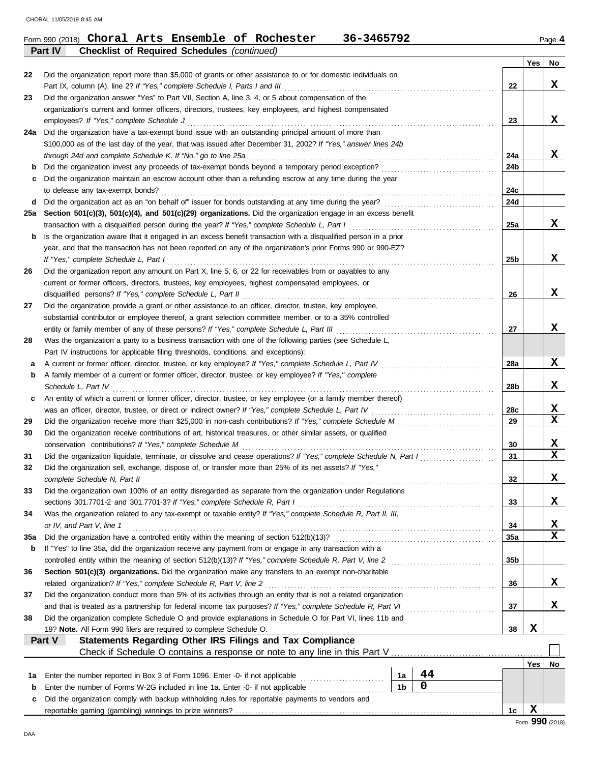|          | 36-3465792<br>Form 990 (2018) Choral Arts Ensemble of Rochester                                                                                                                                                            |                 |     | Page 4      |
|----------|----------------------------------------------------------------------------------------------------------------------------------------------------------------------------------------------------------------------------|-----------------|-----|-------------|
|          | Part IV<br><b>Checklist of Required Schedules (continued)</b>                                                                                                                                                              |                 |     |             |
|          |                                                                                                                                                                                                                            |                 | Yes | No          |
| 22       | Did the organization report more than \$5,000 of grants or other assistance to or for domestic individuals on                                                                                                              |                 |     |             |
|          | Part IX, column (A), line 2? If "Yes," complete Schedule I, Parts I and III                                                                                                                                                | 22              |     | X           |
| 23       | Did the organization answer "Yes" to Part VII, Section A, line 3, 4, or 5 about compensation of the                                                                                                                        |                 |     |             |
|          | organization's current and former officers, directors, trustees, key employees, and highest compensated<br>employees? If "Yes," complete Schedule J                                                                        | 23              |     | X           |
|          | 24a Did the organization have a tax-exempt bond issue with an outstanding principal amount of more than                                                                                                                    |                 |     |             |
|          | \$100,000 as of the last day of the year, that was issued after December 31, 2002? If "Yes," answer lines 24b                                                                                                              |                 |     |             |
|          | through 24d and complete Schedule K. If "No," go to line 25a                                                                                                                                                               | 24a             |     | x           |
| b        | Did the organization invest any proceeds of tax-exempt bonds beyond a temporary period exception?                                                                                                                          | 24b             |     |             |
| c        | Did the organization maintain an escrow account other than a refunding escrow at any time during the year                                                                                                                  |                 |     |             |
|          | to defease any tax-exempt bonds?                                                                                                                                                                                           | 24c             |     |             |
| d        | Did the organization act as an "on behalf of" issuer for bonds outstanding at any time during the year?                                                                                                                    | 24d             |     |             |
| 25а      | Section 501(c)(3), 501(c)(4), and 501(c)(29) organizations. Did the organization engage in an excess benefit                                                                                                               |                 |     |             |
|          | transaction with a disqualified person during the year? If "Yes," complete Schedule L, Part I                                                                                                                              | 25a             |     | x           |
| b        | Is the organization aware that it engaged in an excess benefit transaction with a disqualified person in a prior                                                                                                           |                 |     |             |
|          | year, and that the transaction has not been reported on any of the organization's prior Forms 990 or 990-EZ?                                                                                                               |                 |     |             |
|          | If "Yes," complete Schedule L, Part I                                                                                                                                                                                      | 25 <sub>b</sub> |     | x           |
| 26       | Did the organization report any amount on Part X, line 5, 6, or 22 for receivables from or payables to any                                                                                                                 |                 |     |             |
|          | current or former officers, directors, trustees, key employees, highest compensated employees, or                                                                                                                          |                 |     |             |
|          | disqualified persons? If "Yes," complete Schedule L, Part II                                                                                                                                                               | 26              |     | x           |
| 27       | Did the organization provide a grant or other assistance to an officer, director, trustee, key employee,                                                                                                                   |                 |     |             |
|          | substantial contributor or employee thereof, a grant selection committee member, or to a 35% controlled                                                                                                                    |                 |     |             |
|          | entity or family member of any of these persons? If "Yes," complete Schedule L, Part III                                                                                                                                   | 27              |     | x           |
| 28       | Was the organization a party to a business transaction with one of the following parties (see Schedule L,                                                                                                                  |                 |     |             |
|          | Part IV instructions for applicable filing thresholds, conditions, and exceptions):                                                                                                                                        |                 |     |             |
| а        | A current or former officer, director, trustee, or key employee? If "Yes," complete Schedule L, Part IV                                                                                                                    | 28a             |     | X           |
| b        | A family member of a current or former officer, director, trustee, or key employee? If "Yes," complete                                                                                                                     |                 |     |             |
|          | Schedule L, Part IV                                                                                                                                                                                                        | 28b             |     | x           |
| c        | An entity of which a current or former officer, director, trustee, or key employee (or a family member thereof)                                                                                                            |                 |     | X           |
|          | was an officer, director, trustee, or direct or indirect owner? If "Yes," complete Schedule L, Part IV                                                                                                                     | 28c             |     | x           |
| 29<br>30 | Did the organization receive more than \$25,000 in non-cash contributions? If "Yes," complete Schedule M<br>Did the organization receive contributions of art, historical treasures, or other similar assets, or qualified | 29              |     |             |
|          | conservation contributions? If "Yes," complete Schedule M                                                                                                                                                                  | 30              |     | X           |
| 31       | Did the organization liquidate, terminate, or dissolve and cease operations? If "Yes," complete Schedule N, Part I                                                                                                         | 31              |     | X           |
|          | Did the organization sell, exchange, dispose of, or transfer more than 25% of its net assets? If "Yes,"                                                                                                                    |                 |     |             |
|          | complete Schedule N, Part II                                                                                                                                                                                               | 32              |     | X           |
| 33       | Did the organization own 100% of an entity disregarded as separate from the organization under Regulations                                                                                                                 |                 |     |             |
|          | sections 301.7701-2 and 301.7701-3? If "Yes," complete Schedule R, Part I                                                                                                                                                  | 33              |     | X           |
| 34       | Was the organization related to any tax-exempt or taxable entity? If "Yes," complete Schedule R, Part II, III,                                                                                                             |                 |     |             |
|          | or IV, and Part V, line 1                                                                                                                                                                                                  | 34              |     | X           |
| 35a      | Did the organization have a controlled entity within the meaning of section 512(b)(13)?                                                                                                                                    | 35a             |     | $\mathbf x$ |
| b        | If "Yes" to line 35a, did the organization receive any payment from or engage in any transaction with a                                                                                                                    |                 |     |             |
|          | controlled entity within the meaning of section 512(b)(13)? If "Yes," complete Schedule R, Part V, line 2                                                                                                                  | 35b             |     |             |
| 36       | Section 501(c)(3) organizations. Did the organization make any transfers to an exempt non-charitable                                                                                                                       |                 |     |             |
|          | related organization? If "Yes," complete Schedule R, Part V, line 2                                                                                                                                                        | 36              |     | X           |
| 37       | Did the organization conduct more than 5% of its activities through an entity that is not a related organization                                                                                                           |                 |     |             |
|          | and that is treated as a partnership for federal income tax purposes? If "Yes," complete Schedule R, Part VI                                                                                                               | 37              |     | x           |
| 38       | Did the organization complete Schedule O and provide explanations in Schedule O for Part VI, lines 11b and                                                                                                                 |                 |     |             |
|          | 19? Note. All Form 990 filers are required to complete Schedule O.                                                                                                                                                         | 38              | X   |             |
|          | Part V<br>Statements Regarding Other IRS Filings and Tax Compliance                                                                                                                                                        |                 |     |             |
|          |                                                                                                                                                                                                                            |                 |     |             |
|          |                                                                                                                                                                                                                            |                 | Yes | No          |
| 1а       | 44<br>Enter the number reported in Box 3 of Form 1096. Enter -0- if not applicable<br>1a                                                                                                                                   |                 |     |             |
| b        | $\mathbf 0$<br>1 <sub>b</sub><br>Enter the number of Forms W-2G included in line 1a. Enter -0- if not applicable                                                                                                           |                 |     |             |
| c        | Did the organization comply with backup withholding rules for reportable payments to vendors and                                                                                                                           |                 |     |             |
|          |                                                                                                                                                                                                                            | 1c              | X   |             |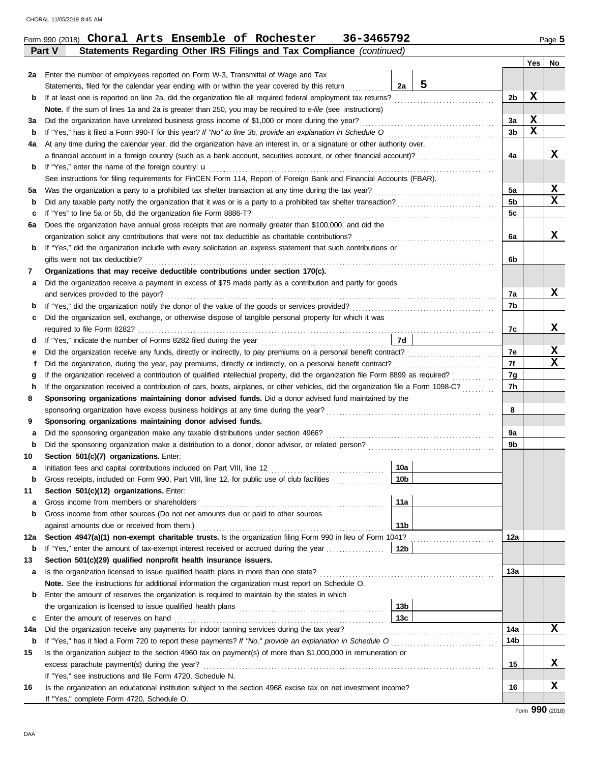|     |                                                                                                                                    |                 |   |                | Yes         | No                      |
|-----|------------------------------------------------------------------------------------------------------------------------------------|-----------------|---|----------------|-------------|-------------------------|
| 2a  | Enter the number of employees reported on Form W-3, Transmittal of Wage and Tax                                                    |                 |   |                |             |                         |
|     | Statements, filed for the calendar year ending with or within the year covered by this return                                      | 2a              | 5 |                |             |                         |
| b   |                                                                                                                                    |                 |   | 2 <sub>b</sub> | $\mathbf X$ |                         |
|     | Note. If the sum of lines 1a and 2a is greater than 250, you may be required to e-file (see instructions)                          |                 |   |                |             |                         |
| За  | Did the organization have unrelated business gross income of \$1,000 or more during the year?                                      |                 |   | За             | X           |                         |
| b   |                                                                                                                                    |                 |   | 3 <sub>b</sub> | $\mathbf x$ |                         |
| 4a  | At any time during the calendar year, did the organization have an interest in, or a signature or other authority over,            |                 |   |                |             |                         |
|     | a financial account in a foreign country (such as a bank account, securities account, or other financial account)?                 |                 |   | 4a             |             | x                       |
| b   | If "Yes," enter the name of the foreign country: <b>u</b>                                                                          |                 |   |                |             |                         |
|     | See instructions for filing requirements for FinCEN Form 114, Report of Foreign Bank and Financial Accounts (FBAR).                |                 |   |                |             |                         |
| 5a  |                                                                                                                                    |                 |   | 5a             |             | X                       |
| b   |                                                                                                                                    |                 |   | 5 <sub>b</sub> |             | $\overline{\mathbf{x}}$ |
| c   | If "Yes" to line 5a or 5b, did the organization file Form 8886-T?                                                                  |                 |   | 5c             |             |                         |
| 6a  | Does the organization have annual gross receipts that are normally greater than \$100,000, and did the                             |                 |   |                |             |                         |
|     |                                                                                                                                    |                 |   | 6а             |             | X                       |
| b   | If "Yes," did the organization include with every solicitation an express statement that such contributions or                     |                 |   |                |             |                         |
|     | gifts were not tax deductible?                                                                                                     |                 |   | 6b             |             |                         |
| 7   | Organizations that may receive deductible contributions under section 170(c).                                                      |                 |   |                |             |                         |
| a   | Did the organization receive a payment in excess of \$75 made partly as a contribution and partly for goods                        |                 |   |                |             |                         |
|     | and services provided to the payor?                                                                                                |                 |   | 7a             |             | X                       |
| b   |                                                                                                                                    |                 |   | 7b             |             |                         |
| c   | Did the organization sell, exchange, or otherwise dispose of tangible personal property for which it was                           |                 |   |                |             |                         |
|     |                                                                                                                                    |                 |   | 7c             |             | x                       |
| d   |                                                                                                                                    | 7d              |   |                |             |                         |
| е   |                                                                                                                                    |                 |   | 7e             |             | X                       |
| f   |                                                                                                                                    |                 |   | 7f             |             | $\overline{\mathbf{x}}$ |
| g   |                                                                                                                                    |                 |   | 7g             |             |                         |
| h   | If the organization received a contribution of cars, boats, airplanes, or other vehicles, did the organization file a Form 1098-C? |                 |   | 7h             |             |                         |
| 8   | Sponsoring organizations maintaining donor advised funds. Did a donor advised fund maintained by the                               |                 |   |                |             |                         |
|     |                                                                                                                                    |                 |   | 8              |             |                         |
| 9   | Sponsoring organizations maintaining donor advised funds.                                                                          |                 |   |                |             |                         |
| a   |                                                                                                                                    |                 |   | 9а             |             |                         |
| b   |                                                                                                                                    |                 |   | 9b             |             |                         |
| 10  | Section 501(c)(7) organizations. Enter:                                                                                            |                 |   |                |             |                         |
| а   |                                                                                                                                    | 10a             |   |                |             |                         |
| b   | Gross receipts, included on Form 990, Part VIII, line 12, for public use of club facilities                                        | 10 <sub>b</sub> |   |                |             |                         |
| 11  | Section 501(c)(12) organizations. Enter:                                                                                           |                 |   |                |             |                         |
| а   | Gross income from members or shareholders                                                                                          | 11a             |   |                |             |                         |
| b   | Gross income from other sources (Do not net amounts due or paid to other sources                                                   |                 |   |                |             |                         |
|     | against amounts due or received from them.)                                                                                        | 11 <sub>b</sub> |   |                |             |                         |
| 12a | Section 4947(a)(1) non-exempt charitable trusts. Is the organization filing Form 990 in lieu of Form 1041?                         |                 |   | 12a            |             |                         |
| b   | If "Yes," enter the amount of tax-exempt interest received or accrued during the year                                              | 12b             |   |                |             |                         |
| 13  | Section 501(c)(29) qualified nonprofit health insurance issuers.                                                                   |                 |   |                |             |                         |
| a   | Is the organization licensed to issue qualified health plans in more than one state?                                               |                 |   | 13а            |             |                         |
|     | Note. See the instructions for additional information the organization must report on Schedule O.                                  |                 |   |                |             |                         |
| b   | Enter the amount of reserves the organization is required to maintain by the states in which                                       |                 |   |                |             |                         |
|     |                                                                                                                                    | 13 <sub>b</sub> |   |                |             |                         |
| c   | Enter the amount of reserves on hand                                                                                               | 13 <sub>c</sub> |   |                |             |                         |
| 14a | Did the organization receive any payments for indoor tanning services during the tax year?                                         |                 |   | 14a            |             | X                       |
| b   |                                                                                                                                    |                 |   | 14b            |             |                         |
| 15  | Is the organization subject to the section 4960 tax on payment(s) of more than \$1,000,000 in remuneration or                      |                 |   |                |             |                         |
|     | excess parachute payment(s) during the year?                                                                                       |                 |   | 15             |             | x                       |
|     | If "Yes," see instructions and file Form 4720, Schedule N.                                                                         |                 |   |                |             |                         |
| 16  | Is the organization an educational institution subject to the section 4968 excise tax on net investment income?                    |                 |   | 16             |             | X                       |
|     | If "Yes," complete Form 4720, Schedule O.                                                                                          |                 |   |                |             |                         |

**Part V Statements Regarding Other IRS Filings and Tax Compliance** *(continued)*

|  |  | Form 990 (2018) Choral Arts Ensemble of Rochester | 36-3465792 | Page 5 |
|--|--|---------------------------------------------------|------------|--------|
|  |  |                                                   |            |        |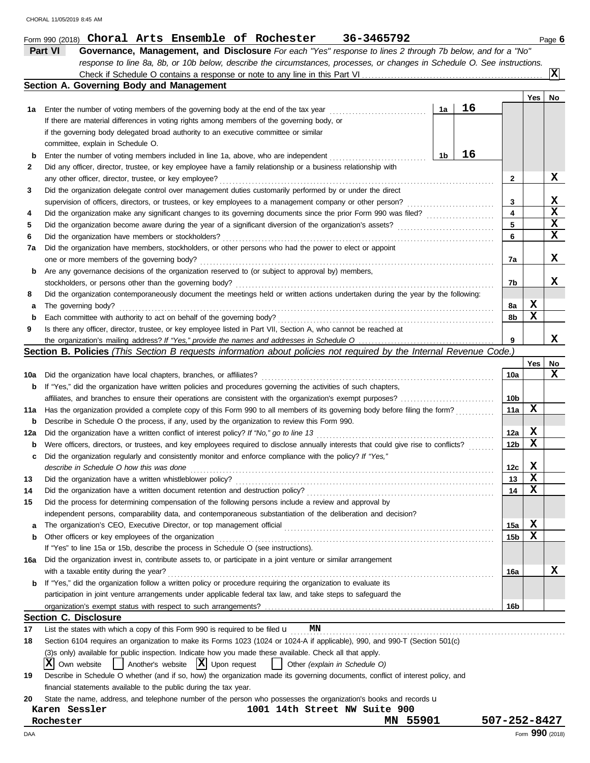|     |                                                                                                                                                                                                                                |    |    |              |                 |        | $ \mathbf{x} $  |
|-----|--------------------------------------------------------------------------------------------------------------------------------------------------------------------------------------------------------------------------------|----|----|--------------|-----------------|--------|-----------------|
|     | Section A. Governing Body and Management                                                                                                                                                                                       |    |    |              |                 |        |                 |
|     |                                                                                                                                                                                                                                |    |    |              |                 | Yes    | No              |
| 1a  | Enter the number of voting members of the governing body at the end of the tax year                                                                                                                                            | 1a | 16 |              |                 |        |                 |
|     | If there are material differences in voting rights among members of the governing body, or                                                                                                                                     |    |    |              |                 |        |                 |
|     | if the governing body delegated broad authority to an executive committee or similar                                                                                                                                           |    |    |              |                 |        |                 |
|     | committee, explain in Schedule O.                                                                                                                                                                                              |    |    |              |                 |        |                 |
| b   | Enter the number of voting members included in line 1a, above, who are independent                                                                                                                                             | 1b | 16 |              |                 |        |                 |
| 2   | Did any officer, director, trustee, or key employee have a family relationship or a business relationship with                                                                                                                 |    |    |              |                 |        |                 |
|     | any other officer, director, trustee, or key employee?                                                                                                                                                                         |    |    |              | 2               |        | x               |
| 3   | Did the organization delegate control over management duties customarily performed by or under the direct                                                                                                                      |    |    |              |                 |        |                 |
|     | supervision of officers, directors, or trustees, or key employees to a management company or other person?                                                                                                                     |    |    |              | 3               |        | X               |
| 4   |                                                                                                                                                                                                                                |    |    |              | 4               |        | $\mathbf x$     |
| 5   |                                                                                                                                                                                                                                |    |    |              | 5               |        | х               |
| 6   | Did the organization have members or stockholders?                                                                                                                                                                             |    |    |              | 6               |        | x               |
| 7a  | Did the organization have members, stockholders, or other persons who had the power to elect or appoint                                                                                                                        |    |    |              |                 |        |                 |
|     | one or more members of the governing body?                                                                                                                                                                                     |    |    |              | 7a              |        | x               |
| b   | Are any governance decisions of the organization reserved to (or subject to approval by) members,                                                                                                                              |    |    |              |                 |        |                 |
|     | stockholders, or persons other than the governing body?                                                                                                                                                                        |    |    |              | 7b              |        | x               |
| 8   | Did the organization contemporaneously document the meetings held or written actions undertaken during the year by the following:                                                                                              |    |    |              |                 |        |                 |
| а   | The governing body?                                                                                                                                                                                                            |    |    |              | 8a              | x      |                 |
| b   |                                                                                                                                                                                                                                |    |    |              | 8b              | x      |                 |
| 9   | Is there any officer, director, trustee, or key employee listed in Part VII, Section A, who cannot be reached at                                                                                                               |    |    |              |                 |        |                 |
|     |                                                                                                                                                                                                                                |    |    |              | 9               |        | x               |
|     | Section B. Policies (This Section B requests information about policies not required by the Internal Revenue Code.)                                                                                                            |    |    |              |                 |        |                 |
|     |                                                                                                                                                                                                                                |    |    |              |                 | Yes    | No              |
| 10a |                                                                                                                                                                                                                                |    |    |              | 10a             |        | x               |
| b   | If "Yes," did the organization have written policies and procedures governing the activities of such chapters,                                                                                                                 |    |    |              |                 |        |                 |
|     |                                                                                                                                                                                                                                |    |    |              | 10 <sub>b</sub> |        |                 |
| 11a | Has the organization provided a complete copy of this Form 990 to all members of its governing body before filing the form?                                                                                                    |    |    |              | 11a             | х      |                 |
| b   | Describe in Schedule O the process, if any, used by the organization to review this Form 990.                                                                                                                                  |    |    |              |                 |        |                 |
| 12a | Did the organization have a written conflict of interest policy? If "No," go to line 13                                                                                                                                        |    |    |              | 12a             | x      |                 |
| b   | Were officers, directors, or trustees, and key employees required to disclose annually interests that could give rise to conflicts?                                                                                            |    |    |              | 12 <sub>b</sub> | х      |                 |
| c   | Did the organization regularly and consistently monitor and enforce compliance with the policy? If "Yes,"                                                                                                                      |    |    |              |                 |        |                 |
|     | describe in Schedule O how this was done                                                                                                                                                                                       |    |    |              | 12c             | x      |                 |
| 13  | Did the organization have a written whistleblower policy?                                                                                                                                                                      |    |    |              | 13              | X<br>X |                 |
| 14  | Did the organization have a written document retention and destruction policy?                                                                                                                                                 |    |    |              | 14              |        |                 |
| 15  | Did the process for determining compensation of the following persons include a review and approval by                                                                                                                         |    |    |              |                 |        |                 |
|     | independent persons, comparability data, and contemporaneous substantiation of the deliberation and decision?                                                                                                                  |    |    |              |                 |        |                 |
| а   | The organization's CEO, Executive Director, or top management official [2010] [2010] [2010] [2010] [2010] [2010] [2010] [2010] [2010] [2010] [2010] [2010] [2010] [2010] [2010] [2010] [2010] [2010] [2010] [2010] [2010] [201 |    |    |              | 15a             | X      |                 |
| b   | Other officers or key employees of the organization                                                                                                                                                                            |    |    |              | 15 <sub>b</sub> | х      |                 |
|     | If "Yes" to line 15a or 15b, describe the process in Schedule O (see instructions).                                                                                                                                            |    |    |              |                 |        |                 |
| 16a | Did the organization invest in, contribute assets to, or participate in a joint venture or similar arrangement                                                                                                                 |    |    |              |                 |        | x               |
|     | with a taxable entity during the year?<br>If "Yes," did the organization follow a written policy or procedure requiring the organization to evaluate its                                                                       |    |    |              | 16a             |        |                 |
| b   | participation in joint venture arrangements under applicable federal tax law, and take steps to safeguard the                                                                                                                  |    |    |              |                 |        |                 |
|     |                                                                                                                                                                                                                                |    |    |              |                 |        |                 |
|     |                                                                                                                                                                                                                                |    |    |              | 16b             |        |                 |
|     | <b>Section C. Disclosure</b>                                                                                                                                                                                                   |    |    |              |                 |        |                 |
| 17  | MΝ<br>List the states with which a copy of this Form 990 is required to be filed $\mathbf u$                                                                                                                                   |    |    |              |                 |        |                 |
| 18  | Section 6104 requires an organization to make its Forms 1023 (1024 or 1024-A if applicable), 990, and 990-T (Section 501(c)                                                                                                    |    |    |              |                 |        |                 |
|     | (3)s only) available for public inspection. Indicate how you made these available. Check all that apply.                                                                                                                       |    |    |              |                 |        |                 |
|     | X<br>$ \mathbf{X} $ Upon request<br>Own website<br>Another's website<br>Other (explain in Schedule O)                                                                                                                          |    |    |              |                 |        |                 |
| 19  | Describe in Schedule O whether (and if so, how) the organization made its governing documents, conflict of interest policy, and                                                                                                |    |    |              |                 |        |                 |
|     | financial statements available to the public during the tax year.                                                                                                                                                              |    |    |              |                 |        |                 |
| 20  | State the name, address, and telephone number of the person who possesses the organization's books and records u                                                                                                               |    |    |              |                 |        |                 |
|     | Karen Sessler<br>1001 14th Street NW Suite 900                                                                                                                                                                                 |    |    |              |                 |        |                 |
|     | MN 55901<br>Rochester                                                                                                                                                                                                          |    |    | 507-252-8427 |                 |        |                 |
| DAA |                                                                                                                                                                                                                                |    |    |              |                 |        | Form 990 (2018) |

**Part VI Governance, Management, and Disclosure** *For each "Yes" response to lines 2 through 7b below, and for a "No"*

*response to line 8a, 8b, or 10b below, describe the circumstances, processes, or changes in Schedule O. See instructions.*

| 36-3465792<br>Form 990 (2018) Choral Arts Ensemble of Rochester | Page 6 |  |  |
|-----------------------------------------------------------------|--------|--|--|
|-----------------------------------------------------------------|--------|--|--|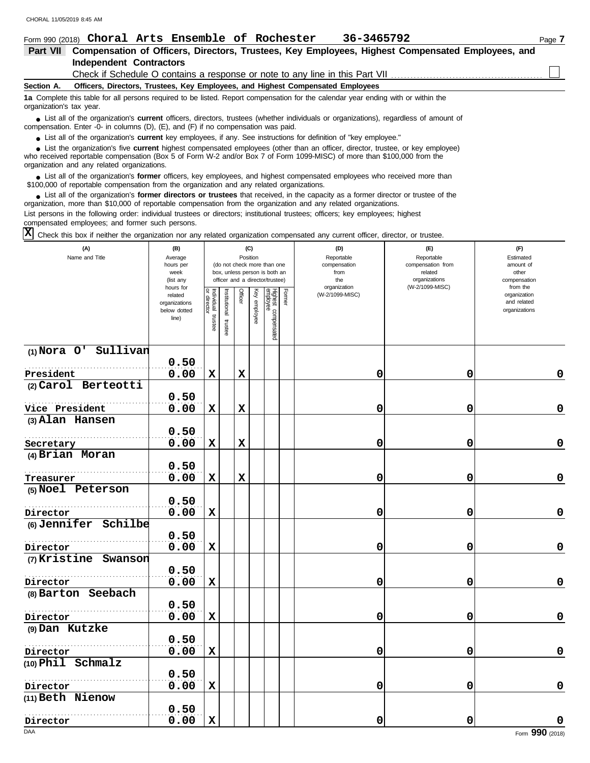|                          | 36-3465792<br>Form 990 (2018) Choral Arts Ensemble of Rochester                                                                                                                                                                    | Page 7 |
|--------------------------|------------------------------------------------------------------------------------------------------------------------------------------------------------------------------------------------------------------------------------|--------|
| <b>Part VII</b>          | Compensation of Officers, Directors, Trustees, Key Employees, Highest Compensated Employees, and                                                                                                                                   |        |
|                          | <b>Independent Contractors</b>                                                                                                                                                                                                     |        |
|                          | Check if Schedule O contains a response or note to any line in this Part VII                                                                                                                                                       |        |
| Section A.               | Officers, Directors, Trustees, Key Employees, and Highest Compensated Employees                                                                                                                                                    |        |
| organization's tax year. | 1a Complete this table for all persons required to be listed. Report compensation for the calendar year ending with or within the                                                                                                  |        |
|                          | • List all of the organization's <b>current</b> officers, directors, trustees (whether individuals or organizations), regardless of amount of<br>compensation. Enter -0- in columns (D), (E), and (F) if no compensation was paid. |        |

● List all of the organization's **current** key employees, if any. See instructions for definition of "key employee."

who received reportable compensation (Box 5 of Form W-2 and/or Box 7 of Form 1099-MISC) of more than \$100,000 from the organization and any related organizations. ■ List the organization's five **current** highest compensated employees (other than an officer, director, trustee, or key employee)<br> **•** Pregiund reportable compensation (Box 5 of Ferm W 2 and/or Box 7 of Ferm 1000 MISC) o

List all of the organization's **former** officers, key employees, and highest compensated employees who received more than • List all of the organization's **former** officers, key employees, and highest compensate \$100,000 of reportable compensation from the organization and any related organizations.

■ List all of the organization's **former directors or trustees** that received, in the capacity as a former director or trustee of the practization more than \$10,000 of reportable compensation from the organization and any organization, more than \$10,000 of reportable compensation from the organization and any related organizations. List persons in the following order: individual trustees or directors; institutional trustees; officers; key employees; highest compensated employees; and former such persons.

 $\overline{X}$  Check this box if neither the organization nor any related organization compensated any current officer, director, or trustee.

| (A)<br>Name and Title | (B)<br>Average<br>hours per<br>week<br>(list any<br>hours for |                                   |                          |             | (C)<br>Position | (do not check more than one<br>box, unless person is both an<br>officer and a director/trustee) |        | (D)<br>Reportable<br>compensation<br>from<br>the<br>organization<br>(W-2/1099-MISC) | (E)<br>Reportable<br>compensation from<br>related<br>organizations<br>(W-2/1099-MISC) | (F)<br>Estimated<br>amount of<br>other<br>compensation<br>from the |
|-----------------------|---------------------------------------------------------------|-----------------------------------|--------------------------|-------------|-----------------|-------------------------------------------------------------------------------------------------|--------|-------------------------------------------------------------------------------------|---------------------------------------------------------------------------------------|--------------------------------------------------------------------|
|                       | related<br>organizations<br>below dotted<br>line)             | Individual trustee<br>or director | Institutional<br>trustee | Officer     | Key<br>employee | Highest compensated<br>employee                                                                 | Former |                                                                                     |                                                                                       | organization<br>and related<br>organizations                       |
| (1) Nora O' Sullivan  | 0.50                                                          |                                   |                          |             |                 |                                                                                                 |        |                                                                                     |                                                                                       |                                                                    |
| President             | 0.00                                                          | $\mathbf x$                       |                          | $\mathbf x$ |                 |                                                                                                 |        | 0                                                                                   | 0                                                                                     | 0                                                                  |
| (2) Carol Berteotti   |                                                               |                                   |                          |             |                 |                                                                                                 |        |                                                                                     |                                                                                       |                                                                    |
|                       | 0.50                                                          |                                   |                          |             |                 |                                                                                                 |        |                                                                                     |                                                                                       |                                                                    |
| Vice President        | 0.00                                                          | $\mathbf x$                       |                          | $\mathbf x$ |                 |                                                                                                 |        | 0                                                                                   | 0                                                                                     | 0                                                                  |
| (3) Alan Hansen       |                                                               |                                   |                          |             |                 |                                                                                                 |        |                                                                                     |                                                                                       |                                                                    |
|                       | 0.50                                                          |                                   |                          |             |                 |                                                                                                 |        |                                                                                     |                                                                                       |                                                                    |
| Secretary             | 0.00                                                          | $\mathbf x$                       |                          | $\mathbf x$ |                 |                                                                                                 |        | 0                                                                                   | 0                                                                                     | 0                                                                  |
| (4) Brian Moran       |                                                               |                                   |                          |             |                 |                                                                                                 |        |                                                                                     |                                                                                       |                                                                    |
|                       | 0.50                                                          |                                   |                          |             |                 |                                                                                                 |        |                                                                                     |                                                                                       |                                                                    |
| Treasurer             | 0.00                                                          | $\mathbf x$                       |                          | $\mathbf x$ |                 |                                                                                                 |        | 0                                                                                   | 0                                                                                     | $\pmb{0}$                                                          |
| (5) Noel Peterson     |                                                               |                                   |                          |             |                 |                                                                                                 |        |                                                                                     |                                                                                       |                                                                    |
|                       | 0.50                                                          |                                   |                          |             |                 |                                                                                                 |        |                                                                                     |                                                                                       |                                                                    |
| Director              | 0.00                                                          | X                                 |                          |             |                 |                                                                                                 |        | 0                                                                                   | 0                                                                                     | 0                                                                  |
| (6) Jennifer Schilbe  |                                                               |                                   |                          |             |                 |                                                                                                 |        |                                                                                     |                                                                                       |                                                                    |
|                       | 0.50                                                          |                                   |                          |             |                 |                                                                                                 |        |                                                                                     |                                                                                       |                                                                    |
| Director              | 0.00                                                          | $\mathbf x$                       |                          |             |                 |                                                                                                 |        | 0                                                                                   | 0                                                                                     | 0                                                                  |
| (7) Kristine Swanson  |                                                               |                                   |                          |             |                 |                                                                                                 |        |                                                                                     |                                                                                       |                                                                    |
|                       | 0.50                                                          |                                   |                          |             |                 |                                                                                                 |        |                                                                                     |                                                                                       |                                                                    |
| Director              | 0.00                                                          | $\mathbf x$                       |                          |             |                 |                                                                                                 |        | 0                                                                                   | 0                                                                                     | $\pmb{0}$                                                          |
| (8) Barton Seebach    |                                                               |                                   |                          |             |                 |                                                                                                 |        |                                                                                     |                                                                                       |                                                                    |
|                       | 0.50                                                          |                                   |                          |             |                 |                                                                                                 |        |                                                                                     |                                                                                       |                                                                    |
| Director              | 0.00                                                          | $\mathbf x$                       |                          |             |                 |                                                                                                 |        | 0                                                                                   | 0                                                                                     | 0                                                                  |
| (9) Dan Kutzke        |                                                               |                                   |                          |             |                 |                                                                                                 |        |                                                                                     |                                                                                       |                                                                    |
|                       | 0.50                                                          |                                   |                          |             |                 |                                                                                                 |        |                                                                                     |                                                                                       |                                                                    |
| Director              | 0.00                                                          | X                                 |                          |             |                 |                                                                                                 |        | 0                                                                                   | 0                                                                                     | $\pmb{0}$                                                          |
| (10) Phil Schmalz     |                                                               |                                   |                          |             |                 |                                                                                                 |        |                                                                                     |                                                                                       |                                                                    |
|                       | 0.50                                                          |                                   |                          |             |                 |                                                                                                 |        |                                                                                     |                                                                                       |                                                                    |
| Director              | 0.00                                                          | $\mathbf x$                       |                          |             |                 |                                                                                                 |        | 0                                                                                   | 0                                                                                     | 0                                                                  |
| (11) Beth Nienow      |                                                               |                                   |                          |             |                 |                                                                                                 |        |                                                                                     |                                                                                       |                                                                    |
|                       | 0.50                                                          |                                   |                          |             |                 |                                                                                                 |        |                                                                                     |                                                                                       |                                                                    |
| Director              | 0.00                                                          | X                                 |                          |             |                 |                                                                                                 |        | 0                                                                                   | 0                                                                                     | $\pmb{0}$                                                          |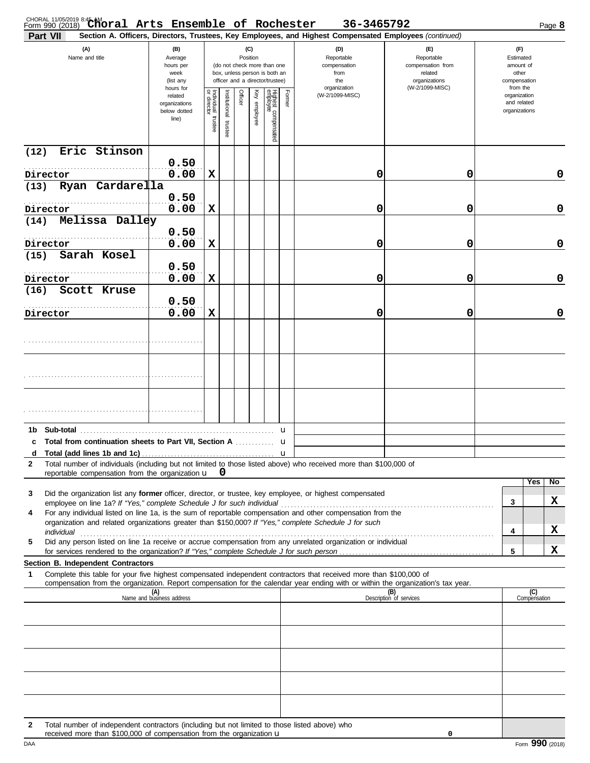| CHORAL 11/05/2019 8:45.4M<br>Form 990 (2018) Choral Arts Ensemble of Rochester<br>Form 990 (2018)                                                                                                                                                                     |                                                               |                         |                         |                 |              |                                                                                                 |        | 36-3465792                                                                                                                                                                 |                                                                                       |  |                                                                    | Page 8              |    |
|-----------------------------------------------------------------------------------------------------------------------------------------------------------------------------------------------------------------------------------------------------------------------|---------------------------------------------------------------|-------------------------|-------------------------|-----------------|--------------|-------------------------------------------------------------------------------------------------|--------|----------------------------------------------------------------------------------------------------------------------------------------------------------------------------|---------------------------------------------------------------------------------------|--|--------------------------------------------------------------------|---------------------|----|
| <b>Part VII</b><br>(A)<br>Name and title                                                                                                                                                                                                                              | (B)<br>Average<br>hours per<br>week<br>(list any<br>hours for |                         |                         | (C)<br>Position |              | (do not check more than one<br>box, unless person is both an<br>officer and a director/trustee) |        | Section A. Officers, Directors, Trustees, Key Employees, and Highest Compensated Employees (continued)<br>(D)<br>Reportable<br>compensation<br>from<br>the<br>organization | (E)<br>Reportable<br>compensation from<br>related<br>organizations<br>(W-2/1099-MISC) |  | (F)<br>Estimated<br>amount of<br>other<br>compensation<br>from the |                     |    |
|                                                                                                                                                                                                                                                                       | related<br>organizations<br>below dotted<br>line)             | Individual 1<br>trustee | nstitutional<br>trustee | Officer         | Key employee | Highest compensated<br>employee                                                                 | Former | (W-2/1099-MISC)                                                                                                                                                            |                                                                                       |  | organization<br>and related<br>organizations                       |                     |    |
| Eric Stinson<br>(12)                                                                                                                                                                                                                                                  |                                                               |                         |                         |                 |              |                                                                                                 |        |                                                                                                                                                                            |                                                                                       |  |                                                                    |                     |    |
| Director                                                                                                                                                                                                                                                              | 0.50<br>0.00                                                  | X                       |                         |                 |              |                                                                                                 |        | 0                                                                                                                                                                          | 0                                                                                     |  |                                                                    |                     | 0  |
| Ryan Cardarella<br>(13)                                                                                                                                                                                                                                               |                                                               |                         |                         |                 |              |                                                                                                 |        |                                                                                                                                                                            |                                                                                       |  |                                                                    |                     |    |
| Director                                                                                                                                                                                                                                                              | 0.50<br>0.00                                                  | X                       |                         |                 |              |                                                                                                 |        | 0                                                                                                                                                                          | 0                                                                                     |  |                                                                    |                     | 0  |
| Melissa Dalley<br>(14)                                                                                                                                                                                                                                                |                                                               |                         |                         |                 |              |                                                                                                 |        |                                                                                                                                                                            |                                                                                       |  |                                                                    |                     |    |
| Director                                                                                                                                                                                                                                                              | 0.50<br>0.00                                                  | X                       |                         |                 |              |                                                                                                 |        | 0                                                                                                                                                                          | 0                                                                                     |  |                                                                    |                     | 0  |
| Sarah Kosel<br>(15)                                                                                                                                                                                                                                                   |                                                               |                         |                         |                 |              |                                                                                                 |        |                                                                                                                                                                            |                                                                                       |  |                                                                    |                     |    |
| Director<br>Scott Kruse<br>(16)                                                                                                                                                                                                                                       | 0.50<br>0.00                                                  | X                       |                         |                 |              |                                                                                                 |        | 0                                                                                                                                                                          | 0                                                                                     |  |                                                                    |                     | 0  |
| Director                                                                                                                                                                                                                                                              | 0.50<br>0.00                                                  | X                       |                         |                 |              |                                                                                                 |        | 0                                                                                                                                                                          | 0                                                                                     |  |                                                                    |                     | 0  |
|                                                                                                                                                                                                                                                                       |                                                               |                         |                         |                 |              |                                                                                                 |        |                                                                                                                                                                            |                                                                                       |  |                                                                    |                     |    |
|                                                                                                                                                                                                                                                                       |                                                               |                         |                         |                 |              |                                                                                                 |        |                                                                                                                                                                            |                                                                                       |  |                                                                    |                     |    |
|                                                                                                                                                                                                                                                                       |                                                               |                         |                         |                 |              |                                                                                                 |        |                                                                                                                                                                            |                                                                                       |  |                                                                    |                     |    |
|                                                                                                                                                                                                                                                                       |                                                               |                         |                         |                 |              |                                                                                                 |        |                                                                                                                                                                            |                                                                                       |  |                                                                    |                     |    |
| Sub-total<br>1b                                                                                                                                                                                                                                                       |                                                               |                         |                         |                 |              |                                                                                                 | u      |                                                                                                                                                                            |                                                                                       |  |                                                                    |                     |    |
| c Total from continuation sheets to Part VII, Section A<br>d                                                                                                                                                                                                          |                                                               |                         |                         |                 |              |                                                                                                 | u      |                                                                                                                                                                            |                                                                                       |  |                                                                    |                     |    |
| Total number of individuals (including but not limited to those listed above) who received more than \$100,000 of<br>2                                                                                                                                                |                                                               |                         |                         |                 |              |                                                                                                 |        |                                                                                                                                                                            |                                                                                       |  |                                                                    |                     |    |
| reportable compensation from the organization $\mathbf u$                                                                                                                                                                                                             |                                                               |                         | 0                       |                 |              |                                                                                                 |        |                                                                                                                                                                            |                                                                                       |  |                                                                    | Yes                 | No |
| Did the organization list any former officer, director, or trustee, key employee, or highest compensated<br>3                                                                                                                                                         |                                                               |                         |                         |                 |              |                                                                                                 |        |                                                                                                                                                                            |                                                                                       |  | 3                                                                  |                     | x  |
| For any individual listed on line 1a, is the sum of reportable compensation and other compensation from the<br>4                                                                                                                                                      |                                                               |                         |                         |                 |              |                                                                                                 |        |                                                                                                                                                                            |                                                                                       |  |                                                                    |                     |    |
| organization and related organizations greater than \$150,000? If "Yes," complete Schedule J for such                                                                                                                                                                 |                                                               |                         |                         |                 |              |                                                                                                 |        |                                                                                                                                                                            |                                                                                       |  | 4                                                                  |                     | X  |
| Did any person listed on line 1a receive or accrue compensation from any unrelated organization or individual<br>5                                                                                                                                                    |                                                               |                         |                         |                 |              |                                                                                                 |        |                                                                                                                                                                            |                                                                                       |  |                                                                    |                     | x  |
| Section B. Independent Contractors                                                                                                                                                                                                                                    |                                                               |                         |                         |                 |              |                                                                                                 |        |                                                                                                                                                                            |                                                                                       |  | 5                                                                  |                     |    |
| Complete this table for your five highest compensated independent contractors that received more than \$100,000 of<br>$\mathbf 1$<br>compensation from the organization. Report compensation for the calendar year ending with or within the organization's tax year. |                                                               |                         |                         |                 |              |                                                                                                 |        |                                                                                                                                                                            |                                                                                       |  |                                                                    |                     |    |
|                                                                                                                                                                                                                                                                       | (A)<br>Name and business address                              |                         |                         |                 |              |                                                                                                 |        |                                                                                                                                                                            | (B)<br>Description of services                                                        |  |                                                                    | (C)<br>Compensation |    |
|                                                                                                                                                                                                                                                                       |                                                               |                         |                         |                 |              |                                                                                                 |        |                                                                                                                                                                            |                                                                                       |  |                                                                    |                     |    |
|                                                                                                                                                                                                                                                                       |                                                               |                         |                         |                 |              |                                                                                                 |        |                                                                                                                                                                            |                                                                                       |  |                                                                    |                     |    |
|                                                                                                                                                                                                                                                                       |                                                               |                         |                         |                 |              |                                                                                                 |        |                                                                                                                                                                            |                                                                                       |  |                                                                    |                     |    |
|                                                                                                                                                                                                                                                                       |                                                               |                         |                         |                 |              |                                                                                                 |        |                                                                                                                                                                            |                                                                                       |  |                                                                    |                     |    |
|                                                                                                                                                                                                                                                                       |                                                               |                         |                         |                 |              |                                                                                                 |        |                                                                                                                                                                            |                                                                                       |  |                                                                    |                     |    |
| Total number of independent contractors (including but not limited to those listed above) who<br>2<br>received more than \$100,000 of compensation from the organization u                                                                                            |                                                               |                         |                         |                 |              |                                                                                                 |        |                                                                                                                                                                            | 0                                                                                     |  |                                                                    |                     |    |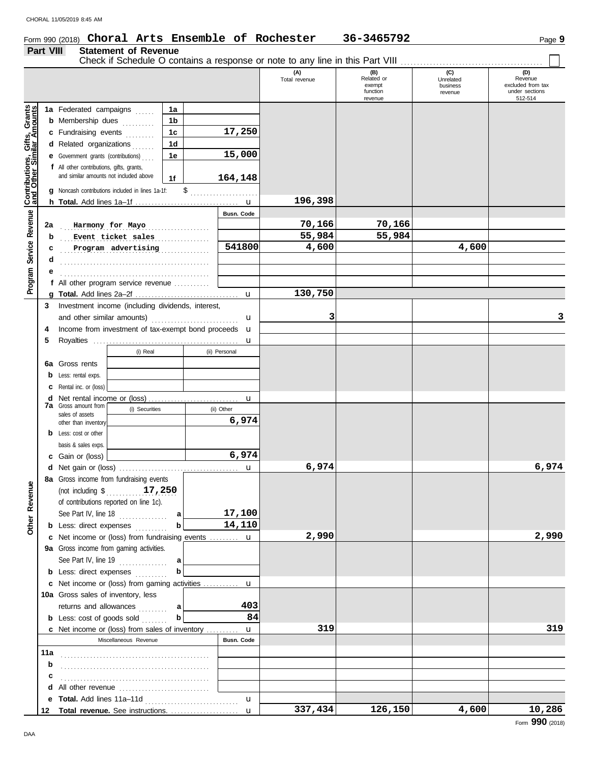## Form 990 (2018) Page **9 Choral Arts Ensemble of Rochester 36-3465792**

## **Part VIII Statement of Revenue**

Check if Schedule O contains a response or note to any line in this Part VIII . . . . . . . . . . . . . . . . . . . . . . . . . . . . . . . . . . . . . . . . . . . .

|                                                           |     |                                                                                                                                                                                        |                  | (A)<br>Total revenue | (B)<br>Related or<br>exempt<br>function<br>revenue | (C)<br>Unrelated<br>business<br>revenue | (D)<br>Revenue<br>excluded from tax<br>under sections<br>512-514 |
|-----------------------------------------------------------|-----|----------------------------------------------------------------------------------------------------------------------------------------------------------------------------------------|------------------|----------------------|----------------------------------------------------|-----------------------------------------|------------------------------------------------------------------|
| Contributions, Gifts, Grants<br>and Other Similar Amounts |     | 1a Federated campaigns<br>1a<br><b>b</b> Membership dues<br>1b<br>1 <sub>c</sub><br>c Fundraising events<br>1d<br>d Related organizations<br>1e<br>e Government grants (contributions) | 17,250<br>15,000 |                      |                                                    |                                         |                                                                  |
|                                                           |     | f All other contributions, gifts, grants,<br>and similar amounts not included above<br>1f<br>\$<br><b>g</b> Noncash contributions included in lines 1a-1f:                             | 164,148          | 196,398              |                                                    |                                         |                                                                  |
|                                                           |     |                                                                                                                                                                                        |                  |                      |                                                    |                                         |                                                                  |
|                                                           |     |                                                                                                                                                                                        | Busn. Code       | 70,166               | 70,166                                             |                                         |                                                                  |
|                                                           | 2a  | Harmony for Mayo<br>.                                                                                                                                                                  |                  | 55,984               | 55,984                                             |                                         |                                                                  |
|                                                           | b   | Event ticket sales                                                                                                                                                                     | 541800           | 4,600                |                                                    | 4,600                                   |                                                                  |
|                                                           | c   | Program advertising                                                                                                                                                                    |                  |                      |                                                    |                                         |                                                                  |
|                                                           | d   |                                                                                                                                                                                        |                  |                      |                                                    |                                         |                                                                  |
|                                                           | е   |                                                                                                                                                                                        |                  |                      |                                                    |                                         |                                                                  |
| Program Service Revenue                                   |     | f All other program service revenue $\ldots$                                                                                                                                           |                  |                      |                                                    |                                         |                                                                  |
|                                                           |     |                                                                                                                                                                                        |                  | 130,750              |                                                    |                                         |                                                                  |
|                                                           | 3   | Investment income (including dividends, interest,                                                                                                                                      |                  |                      |                                                    |                                         |                                                                  |
|                                                           |     |                                                                                                                                                                                        | u                | з                    |                                                    |                                         | 3                                                                |
|                                                           | 4   | Income from investment of tax-exempt bond proceeds <b>u</b>                                                                                                                            |                  |                      |                                                    |                                         |                                                                  |
|                                                           | 5   |                                                                                                                                                                                        | u                |                      |                                                    |                                         |                                                                  |
|                                                           |     | (i) Real                                                                                                                                                                               | (ii) Personal    |                      |                                                    |                                         |                                                                  |
|                                                           |     | 6a Gross rents                                                                                                                                                                         |                  |                      |                                                    |                                         |                                                                  |
|                                                           |     | <b>b</b> Less: rental exps.                                                                                                                                                            |                  |                      |                                                    |                                         |                                                                  |
|                                                           |     | <b>c</b> Rental inc. or (loss)                                                                                                                                                         |                  |                      |                                                    |                                         |                                                                  |
|                                                           | d   |                                                                                                                                                                                        | u                |                      |                                                    |                                         |                                                                  |
|                                                           |     | <b>7a</b> Gross amount from<br>(i) Securities<br>sales of assets                                                                                                                       | (ii) Other       |                      |                                                    |                                         |                                                                  |
|                                                           |     | other than inventory                                                                                                                                                                   | 6,974            |                      |                                                    |                                         |                                                                  |
|                                                           |     | <b>b</b> Less: cost or other                                                                                                                                                           |                  |                      |                                                    |                                         |                                                                  |
|                                                           |     | basis & sales exps.                                                                                                                                                                    |                  |                      |                                                    |                                         |                                                                  |
|                                                           |     | <b>c</b> Gain or (loss)                                                                                                                                                                | 6,974            |                      |                                                    |                                         |                                                                  |
|                                                           |     |                                                                                                                                                                                        |                  | 6,974                |                                                    |                                         | 6,974                                                            |
| enue<br>Other Rev                                         |     | 8a Gross income from fundraising events<br>17,250<br>(not including \$<br>of contributions reported on line 1c).                                                                       | 17,100           |                      |                                                    |                                         |                                                                  |
|                                                           |     | See Part IV, line $18$<br>a<br>b                                                                                                                                                       | 14,110           |                      |                                                    |                                         |                                                                  |
|                                                           |     | <b>b</b> Less: direct expenses                                                                                                                                                         |                  | 2,990                |                                                    |                                         | 2,990                                                            |
|                                                           |     | c Net income or (loss) from fundraising events  u                                                                                                                                      |                  |                      |                                                    |                                         |                                                                  |
|                                                           |     | 9a Gross income from gaming activities.                                                                                                                                                |                  |                      |                                                    |                                         |                                                                  |
|                                                           |     | See Part IV, line $19$<br>a                                                                                                                                                            |                  |                      |                                                    |                                         |                                                                  |
|                                                           |     | $\mathbf b$<br><b>b</b> Less: direct expenses <i>minimals</i>                                                                                                                          |                  |                      |                                                    |                                         |                                                                  |
|                                                           |     | c Net income or (loss) from gaming activities  u                                                                                                                                       |                  |                      |                                                    |                                         |                                                                  |
|                                                           |     | 10a Gross sales of inventory, less                                                                                                                                                     |                  |                      |                                                    |                                         |                                                                  |
|                                                           |     | returns and allowances<br>a                                                                                                                                                            | 403              |                      |                                                    |                                         |                                                                  |
|                                                           |     | b<br><b>b</b> Less: cost of goods sold                                                                                                                                                 | 84               |                      |                                                    |                                         |                                                                  |
|                                                           |     | <b>c</b> Net income or (loss) from sales of inventory                                                                                                                                  | $\mathbf{u}$     | 319                  |                                                    |                                         | 319                                                              |
|                                                           |     | Miscellaneous Revenue                                                                                                                                                                  | Busn. Code       |                      |                                                    |                                         |                                                                  |
|                                                           | 11a |                                                                                                                                                                                        |                  |                      |                                                    |                                         |                                                                  |
|                                                           | b   |                                                                                                                                                                                        |                  |                      |                                                    |                                         |                                                                  |
|                                                           | c   |                                                                                                                                                                                        |                  |                      |                                                    |                                         |                                                                  |
|                                                           | d   | All other revenue                                                                                                                                                                      |                  |                      |                                                    |                                         |                                                                  |
|                                                           |     |                                                                                                                                                                                        | $\mathbf{u}$     |                      |                                                    |                                         |                                                                  |
|                                                           | 12  | Total revenue. See instructions.                                                                                                                                                       | $\mathbf{u}$     | 337,434              | 126,150                                            | 4,600                                   | 10,286                                                           |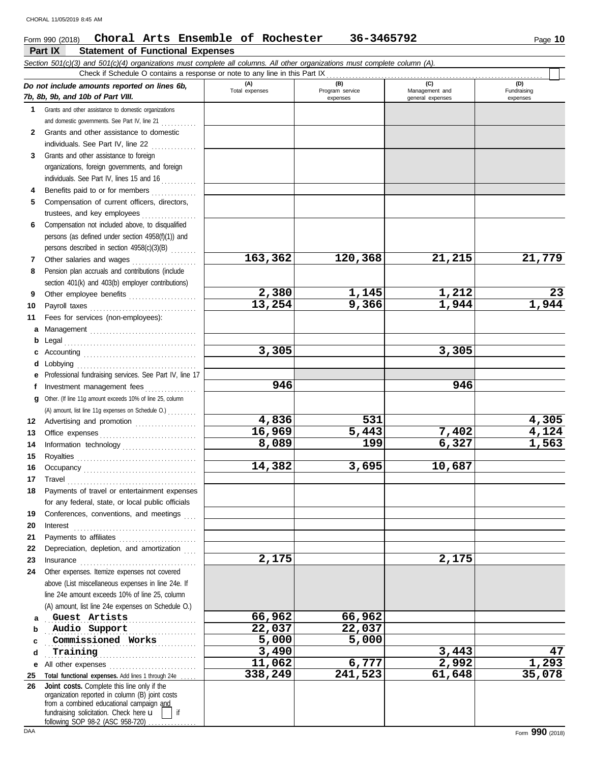## Form 990 (2018) Page **10 Choral Arts Ensemble of Rochester 36-3465792**

|              | Part IX<br><b>Statement of Functional Expenses</b>                                                                         |                       |                                    |                                           |                                |
|--------------|----------------------------------------------------------------------------------------------------------------------------|-----------------------|------------------------------------|-------------------------------------------|--------------------------------|
|              | Section 501(c)(3) and 501(c)(4) organizations must complete all columns. All other organizations must complete column (A). |                       |                                    |                                           |                                |
|              | Check if Schedule O contains a response or note to any line in this Part IX                                                |                       |                                    |                                           |                                |
|              | Do not include amounts reported on lines 6b,<br>7b, 8b, 9b, and 10b of Part VIII.                                          | (A)<br>Total expenses | (B)<br>Program service<br>expenses | (C)<br>Management and<br>general expenses | (D)<br>Fundraising<br>expenses |
| 1            | Grants and other assistance to domestic organizations                                                                      |                       |                                    |                                           |                                |
|              | and domestic governments. See Part IV, line 21                                                                             |                       |                                    |                                           |                                |
| $\mathbf{2}$ | Grants and other assistance to domestic                                                                                    |                       |                                    |                                           |                                |
|              | individuals. See Part IV, line 22                                                                                          |                       |                                    |                                           |                                |
| 3            | Grants and other assistance to foreign                                                                                     |                       |                                    |                                           |                                |
|              | organizations, foreign governments, and foreign                                                                            |                       |                                    |                                           |                                |
|              | individuals. See Part IV, lines 15 and 16                                                                                  |                       |                                    |                                           |                                |
| 4            | Benefits paid to or for members                                                                                            |                       |                                    |                                           |                                |
| 5            | Compensation of current officers, directors,                                                                               |                       |                                    |                                           |                                |
|              | trustees, and key employees                                                                                                |                       |                                    |                                           |                                |
| 6            | Compensation not included above, to disqualified                                                                           |                       |                                    |                                           |                                |
|              | persons (as defined under section 4958(f)(1)) and                                                                          |                       |                                    |                                           |                                |
|              | persons described in section 4958(c)(3)(B)                                                                                 | 163,362               | 120,368                            | 21,215                                    | 21,779                         |
| 7<br>8       | Other salaries and wages<br>Pension plan accruals and contributions (include                                               |                       |                                    |                                           |                                |
|              | section 401(k) and 403(b) employer contributions)                                                                          |                       |                                    |                                           |                                |
| 9            | Other employee benefits                                                                                                    | 2,380                 | <u>1,145</u>                       | <u>1,212</u>                              | 23                             |
| 10           | Payroll taxes                                                                                                              | 13,254                | 9,366                              | 1,944                                     | 1,944                          |
| 11           | Fees for services (non-employees):                                                                                         |                       |                                    |                                           |                                |
| а            |                                                                                                                            |                       |                                    |                                           |                                |
| b            | Legal                                                                                                                      |                       |                                    |                                           |                                |
| c            |                                                                                                                            | 3,305                 |                                    | 3,305                                     |                                |
| d            | obbying                                                                                                                    |                       |                                    |                                           |                                |
| е            | Professional fundraising services. See Part IV, line 17                                                                    |                       |                                    |                                           |                                |
| f            | Investment management fees                                                                                                 | 946                   |                                    | 946                                       |                                |
| a            | Other. (If line 11g amount exceeds 10% of line 25, column                                                                  |                       |                                    |                                           |                                |
|              | (A) amount, list line 11g expenses on Schedule O.)                                                                         |                       |                                    |                                           |                                |
| 12           | Advertising and promotion                                                                                                  | 4,836                 | 531                                |                                           | $\frac{4,305}{4,124}$          |
| 13           | Office expenses                                                                                                            | 16,969                | 5,443                              | 7,402                                     |                                |
| 14           | Information technology                                                                                                     | 8,089                 | 199                                | 6,327                                     | 1,563                          |
| 15           |                                                                                                                            |                       |                                    |                                           |                                |
| 16           |                                                                                                                            | 14,382                | 3,695                              | 10,687                                    |                                |
| 17           | Travel                                                                                                                     |                       |                                    |                                           |                                |
|              | 18 Payments of travel or entertainment expenses                                                                            |                       |                                    |                                           |                                |
|              | for any federal, state, or local public officials                                                                          |                       |                                    |                                           |                                |
| 19           | Conferences, conventions, and meetings                                                                                     |                       |                                    |                                           |                                |
| 20           | Interest                                                                                                                   |                       |                                    |                                           |                                |
| 21           | Payments to affiliates                                                                                                     |                       |                                    |                                           |                                |
| 22<br>23     | Depreciation, depletion, and amortization                                                                                  | 2,175                 |                                    | 2,175                                     |                                |
| 24           | Other expenses. Itemize expenses not covered                                                                               |                       |                                    |                                           |                                |
|              | above (List miscellaneous expenses in line 24e. If                                                                         |                       |                                    |                                           |                                |
|              | line 24e amount exceeds 10% of line 25, column                                                                             |                       |                                    |                                           |                                |
|              | (A) amount, list line 24e expenses on Schedule O.)                                                                         |                       |                                    |                                           |                                |
| a            | Guest Artists                                                                                                              | 66,962                | 66,962                             |                                           |                                |
| b            | Audio Support                                                                                                              | 22,037                | 22,037                             |                                           |                                |
| c            | Commissioned Works                                                                                                         | 5,000                 | 5,000                              |                                           |                                |
| d            | Training                                                                                                                   | 3,490                 |                                    | 3,443                                     | 47                             |
| е            | All other expenses                                                                                                         | 11,062                | 6,777                              | 2,992                                     | 1,293                          |
| 25           | Total functional expenses. Add lines 1 through 24e                                                                         | 338,249               | 241,523                            | 61,648                                    | 35,078                         |
| 26           | Joint costs. Complete this line only if the<br>organization reported in column (B) joint costs                             |                       |                                    |                                           |                                |
|              | from a combined educational campaign and                                                                                   |                       |                                    |                                           |                                |
|              | fundraising solicitation. Check here u<br>if                                                                               |                       |                                    |                                           |                                |
|              | following SOP 98-2 (ASC 958-720)                                                                                           |                       |                                    |                                           |                                |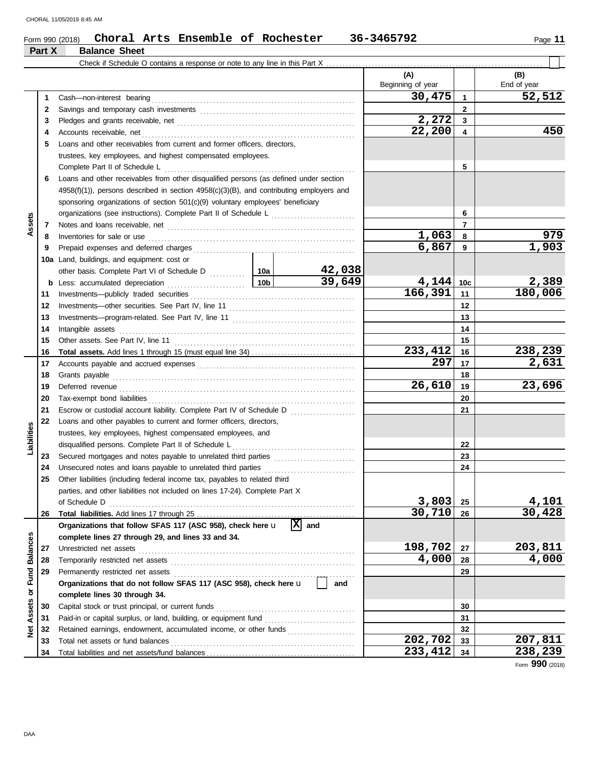|                      |          | Choral Arts Ensemble of Rochester<br>Form 990 (2018)                                                 |                 |                    | 36-3465792               |                              | Page 11                |  |  |  |
|----------------------|----------|------------------------------------------------------------------------------------------------------|-----------------|--------------------|--------------------------|------------------------------|------------------------|--|--|--|
|                      | Part X   | <b>Balance Sheet</b>                                                                                 |                 |                    |                          |                              |                        |  |  |  |
|                      |          |                                                                                                      |                 |                    |                          |                              |                        |  |  |  |
|                      |          |                                                                                                      |                 |                    | (A)<br>Beginning of year |                              | (B)<br>End of year     |  |  |  |
|                      |          |                                                                                                      |                 |                    | 30,475                   |                              | 52,512                 |  |  |  |
|                      | 1        | Cash-non-interest bearing                                                                            |                 |                    |                          | $\mathbf{1}$<br>$\mathbf{2}$ |                        |  |  |  |
|                      | 2        |                                                                                                      |                 |                    | 2,272                    | $\mathbf{3}$                 |                        |  |  |  |
|                      | 3        |                                                                                                      |                 |                    | 22,200                   | $\overline{\mathbf{4}}$      | 450                    |  |  |  |
|                      | 4<br>5   | Accounts receivable, net<br>Loans and other receivables from current and former officers, directors, |                 |                    |                          |                              |                        |  |  |  |
|                      |          | trustees, key employees, and highest compensated employees.                                          |                 |                    |                          |                              |                        |  |  |  |
|                      |          | Complete Part II of Schedule L                                                                       |                 |                    |                          | 5                            |                        |  |  |  |
|                      | 6        | Loans and other receivables from other disqualified persons (as defined under section                |                 |                    |                          |                              |                        |  |  |  |
|                      |          | $4958(f)(1)$ , persons described in section $4958(c)(3)(B)$ , and contributing employers and         |                 |                    |                          |                              |                        |  |  |  |
|                      |          | sponsoring organizations of section 501(c)(9) voluntary employees' beneficiary                       |                 |                    |                          |                              |                        |  |  |  |
|                      |          |                                                                                                      |                 |                    |                          | 6                            |                        |  |  |  |
| Assets               | 7        |                                                                                                      |                 |                    |                          | $\overline{7}$               |                        |  |  |  |
|                      | 8        | Inventories for sale or use                                                                          |                 |                    | 1,063                    | 8                            | 979                    |  |  |  |
|                      | 9        | Prepaid expenses and deferred charges                                                                |                 |                    | 6,867                    | 9                            | 1,903                  |  |  |  |
|                      |          | 10a Land, buildings, and equipment: cost or                                                          |                 |                    |                          |                              |                        |  |  |  |
|                      |          |                                                                                                      |                 | 42,038             |                          |                              |                        |  |  |  |
|                      | b        | Less: accumulated depreciation                                                                       | 10 <sub>b</sub> | 39,649             | $4,144$ 10c              |                              | 2,389                  |  |  |  |
|                      | 11       | Investments-publicly traded securities                                                               |                 |                    | 166,391                  | 11                           | 180,006                |  |  |  |
|                      | 12       |                                                                                                      |                 |                    |                          | 12                           |                        |  |  |  |
|                      | 13       |                                                                                                      |                 |                    |                          |                              |                        |  |  |  |
|                      | 14       | Intangible assets                                                                                    |                 |                    |                          | 14                           |                        |  |  |  |
|                      | 15       | Other assets. See Part IV, line 11                                                                   |                 |                    |                          | 15                           |                        |  |  |  |
|                      | 16       |                                                                                                      |                 |                    | 233,412                  | 16                           | 238,239                |  |  |  |
|                      | 17       |                                                                                                      |                 |                    | 297                      | 17                           | 2,631                  |  |  |  |
|                      | 18       | Grants payable                                                                                       |                 | 18                 |                          |                              |                        |  |  |  |
|                      | 19       |                                                                                                      | 26,610          | 19                 | 23,696                   |                              |                        |  |  |  |
|                      | 20       |                                                                                                      |                 |                    |                          | 20                           |                        |  |  |  |
|                      | 21       |                                                                                                      |                 |                    |                          | 21                           |                        |  |  |  |
|                      | 22       | Loans and other payables to current and former officers, directors,                                  |                 |                    |                          |                              |                        |  |  |  |
|                      |          | trustees, key employees, highest compensated employees, and                                          |                 |                    |                          |                              |                        |  |  |  |
| Liabilities          |          | disqualified persons. Complete Part II of Schedule L                                                 |                 |                    |                          | 22                           |                        |  |  |  |
|                      | 23       | Secured mortgages and notes payable to unrelated third parties                                       |                 |                    |                          | 23                           |                        |  |  |  |
|                      |          | Unsecured notes and loans payable to unrelated third parties                                         |                 |                    |                          | 24                           |                        |  |  |  |
|                      | 25       | Other liabilities (including federal income tax, payables to related third                           |                 |                    |                          |                              |                        |  |  |  |
|                      |          | parties, and other liabilities not included on lines 17-24). Complete Part X                         |                 |                    |                          |                              |                        |  |  |  |
|                      |          | of Schedule D                                                                                        |                 |                    | 3,803                    | 25                           | $\frac{4,101}{30,428}$ |  |  |  |
|                      | 26       |                                                                                                      |                 | $\overline{X}$ and | $\overline{30,710}$ 26   |                              |                        |  |  |  |
|                      |          | Organizations that follow SFAS 117 (ASC 958), check here u                                           |                 |                    |                          |                              |                        |  |  |  |
|                      |          | complete lines 27 through 29, and lines 33 and 34.                                                   |                 |                    | 198,702                  |                              | 203,811                |  |  |  |
| <b>Fund Balances</b> | 27       | Unrestricted net assets                                                                              |                 |                    | 4,000                    | 27<br>28                     | 4,000                  |  |  |  |
|                      | 28<br>29 | Temporarily restricted net assets<br>Permanently restricted net assets                               |                 |                    |                          | 29                           |                        |  |  |  |
|                      |          | Organizations that do not follow SFAS 117 (ASC 958), check here u                                    |                 | and                |                          |                              |                        |  |  |  |
|                      |          | complete lines 30 through 34.                                                                        |                 |                    |                          |                              |                        |  |  |  |
| Assets or            | 30       | Capital stock or trust principal, or current funds                                                   |                 |                    |                          | 30                           |                        |  |  |  |
|                      | 31       |                                                                                                      |                 |                    |                          | 31                           |                        |  |  |  |
| Net                  | 32       | Retained earnings, endowment, accumulated income, or other funds                                     |                 |                    |                          | 32                           |                        |  |  |  |
|                      | 33       | Total net assets or fund balances                                                                    |                 |                    | $\overline{202}$ , 702   | 33                           | 207,811                |  |  |  |
|                      | 34       |                                                                                                      |                 |                    | $233,412$ 34             |                              | 238,239                |  |  |  |

Form **990** (2018)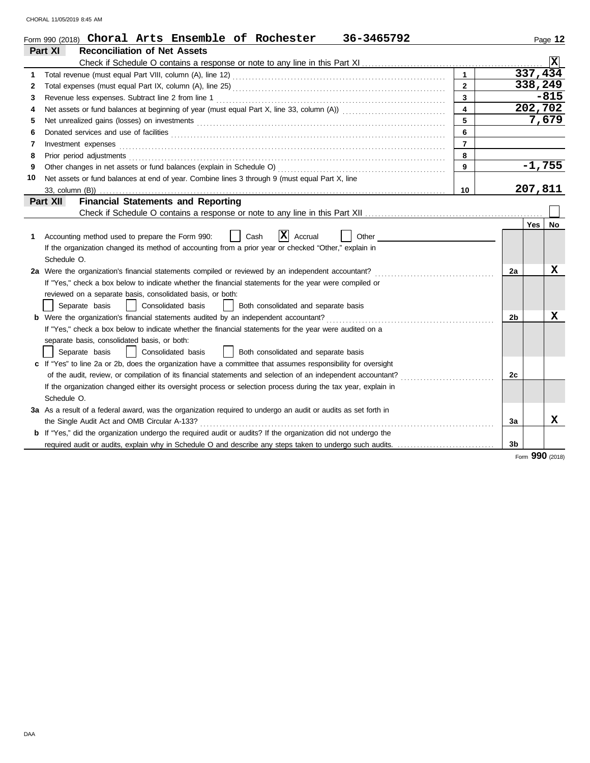|    | Form 990 (2018) Choral Arts Ensemble of Rochester<br>36-3465792                                                            |                         |    |          | Page 12         |
|----|----------------------------------------------------------------------------------------------------------------------------|-------------------------|----|----------|-----------------|
|    | Part XI<br><b>Reconciliation of Net Assets</b>                                                                             |                         |    |          |                 |
|    |                                                                                                                            |                         |    |          | X               |
| 1  |                                                                                                                            | $\mathbf{1}$            |    | 337, 434 |                 |
| 2  |                                                                                                                            | $\mathbf{2}$            |    | 338,249  |                 |
| 3  | Revenue less expenses. Subtract line 2 from line 1                                                                         | $\mathbf{3}$            |    |          | $-815$          |
| 4  |                                                                                                                            | $\overline{\mathbf{4}}$ |    | 202,702  |                 |
| 5  | Net unrealized gains (losses) on investments                                                                               | 5                       |    | 7,679    |                 |
| 6  | Donated services and use of facilities <b>constants and interview of the service of the services</b> and use of facilities | 6                       |    |          |                 |
| 7  | Investment expenses                                                                                                        | $\overline{7}$          |    |          |                 |
| 8  | Prior period adjustments                                                                                                   | 8                       |    |          |                 |
| 9  | Other changes in net assets or fund balances (explain in Schedule O)                                                       | 9                       |    | $-1,755$ |                 |
| 10 | Net assets or fund balances at end of year. Combine lines 3 through 9 (must equal Part X, line                             |                         |    |          |                 |
|    | 33, column (B))                                                                                                            | 10                      |    | 207,811  |                 |
|    | <b>Financial Statements and Reporting</b><br>Part XII                                                                      |                         |    |          |                 |
|    |                                                                                                                            |                         |    |          |                 |
|    |                                                                                                                            |                         |    | Yes      | No              |
| 1  | ΙX<br>Accounting method used to prepare the Form 990:<br>Cash<br>Accrual<br>Other                                          |                         |    |          |                 |
|    | If the organization changed its method of accounting from a prior year or checked "Other," explain in                      |                         |    |          |                 |
|    | Schedule O.                                                                                                                |                         |    |          |                 |
|    | 2a Were the organization's financial statements compiled or reviewed by an independent accountant?                         |                         | 2a |          | x               |
|    | If "Yes," check a box below to indicate whether the financial statements for the year were compiled or                     |                         |    |          |                 |
|    | reviewed on a separate basis, consolidated basis, or both:                                                                 |                         |    |          |                 |
|    | Separate basis<br>Consolidated basis<br>Both consolidated and separate basis                                               |                         |    |          |                 |
|    | <b>b</b> Were the organization's financial statements audited by an independent accountant?                                |                         | 2b |          | х               |
|    | If "Yes," check a box below to indicate whether the financial statements for the year were audited on a                    |                         |    |          |                 |
|    | separate basis, consolidated basis, or both:                                                                               |                         |    |          |                 |
|    | Consolidated basis<br>Both consolidated and separate basis<br>Separate basis                                               |                         |    |          |                 |
|    | c If "Yes" to line 2a or 2b, does the organization have a committee that assumes responsibility for oversight              |                         |    |          |                 |
|    | of the audit, review, or compilation of its financial statements and selection of an independent accountant?               |                         | 2c |          |                 |
|    | If the organization changed either its oversight process or selection process during the tax year, explain in              |                         |    |          |                 |
|    | Schedule O.                                                                                                                |                         |    |          |                 |
|    | 3a As a result of a federal award, was the organization required to undergo an audit or audits as set forth in             |                         |    |          |                 |
|    | the Single Audit Act and OMB Circular A-133?<br>.                                                                          |                         | 3a |          | x.              |
|    | <b>b</b> If "Yes," did the organization undergo the required audit or audits? If the organization did not undergo the      |                         |    |          |                 |
|    |                                                                                                                            |                         | 3b |          |                 |
|    |                                                                                                                            |                         |    |          | Form 990 (2018) |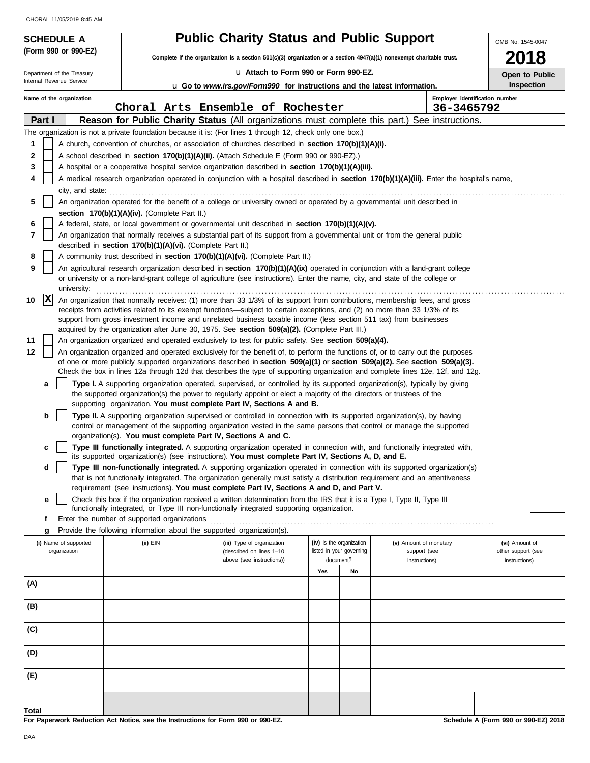| CHORAL 11/05/2019 8:45 AM                                                                                                                                                                                          |                                                                                                                                                                                                                                                                        |                                                                                                                                                                                                                                                                 |                                       |                                                                                                                                            |                                     |  |  |  |
|--------------------------------------------------------------------------------------------------------------------------------------------------------------------------------------------------------------------|------------------------------------------------------------------------------------------------------------------------------------------------------------------------------------------------------------------------------------------------------------------------|-----------------------------------------------------------------------------------------------------------------------------------------------------------------------------------------------------------------------------------------------------------------|---------------------------------------|--------------------------------------------------------------------------------------------------------------------------------------------|-------------------------------------|--|--|--|
| <b>SCHEDULE A</b>                                                                                                                                                                                                  |                                                                                                                                                                                                                                                                        | <b>Public Charity Status and Public Support</b>                                                                                                                                                                                                                 |                                       |                                                                                                                                            | OMB No. 1545-0047                   |  |  |  |
| (Form 990 or 990-EZ)                                                                                                                                                                                               |                                                                                                                                                                                                                                                                        | Complete if the organization is a section 501(c)(3) organization or a section $4947(a)(1)$ nonexempt charitable trust.                                                                                                                                          |                                       |                                                                                                                                            | 2018                                |  |  |  |
| Department of the Treasury                                                                                                                                                                                         |                                                                                                                                                                                                                                                                        | La Attach to Form 990 or Form 990-EZ.                                                                                                                                                                                                                           |                                       |                                                                                                                                            | Open to Public                      |  |  |  |
| Internal Revenue Service                                                                                                                                                                                           |                                                                                                                                                                                                                                                                        | <b>u</b> Go to www.irs.gov/Form990 for instructions and the latest information.                                                                                                                                                                                 |                                       |                                                                                                                                            | Inspection                          |  |  |  |
| Name of the organization                                                                                                                                                                                           |                                                                                                                                                                                                                                                                        |                                                                                                                                                                                                                                                                 |                                       | Employer identification number                                                                                                             |                                     |  |  |  |
|                                                                                                                                                                                                                    |                                                                                                                                                                                                                                                                        | Choral Arts Ensemble of Rochester                                                                                                                                                                                                                               |                                       | 36-3465792                                                                                                                                 |                                     |  |  |  |
| Part I                                                                                                                                                                                                             |                                                                                                                                                                                                                                                                        | The organization is not a private foundation because it is: (For lines 1 through 12, check only one box.)                                                                                                                                                       |                                       | Reason for Public Charity Status (All organizations must complete this part.) See instructions.                                            |                                     |  |  |  |
| 1                                                                                                                                                                                                                  |                                                                                                                                                                                                                                                                        | A church, convention of churches, or association of churches described in section 170(b)(1)(A)(i).                                                                                                                                                              |                                       |                                                                                                                                            |                                     |  |  |  |
| 2                                                                                                                                                                                                                  |                                                                                                                                                                                                                                                                        | A school described in <b>section 170(b)(1)(A)(ii).</b> (Attach Schedule E (Form 990 or 990-EZ).)                                                                                                                                                                |                                       |                                                                                                                                            |                                     |  |  |  |
| 3                                                                                                                                                                                                                  |                                                                                                                                                                                                                                                                        | A hospital or a cooperative hospital service organization described in section 170(b)(1)(A)(iii).                                                                                                                                                               |                                       |                                                                                                                                            |                                     |  |  |  |
| 4                                                                                                                                                                                                                  |                                                                                                                                                                                                                                                                        |                                                                                                                                                                                                                                                                 |                                       | A medical research organization operated in conjunction with a hospital described in section 170(b)(1)(A)(iii). Enter the hospital's name, |                                     |  |  |  |
|                                                                                                                                                                                                                    | city, and state:                                                                                                                                                                                                                                                       |                                                                                                                                                                                                                                                                 |                                       |                                                                                                                                            |                                     |  |  |  |
| 5                                                                                                                                                                                                                  |                                                                                                                                                                                                                                                                        | An organization operated for the benefit of a college or university owned or operated by a governmental unit described in                                                                                                                                       |                                       |                                                                                                                                            |                                     |  |  |  |
| 6                                                                                                                                                                                                                  | section 170(b)(1)(A)(iv). (Complete Part II.)                                                                                                                                                                                                                          | A federal, state, or local government or governmental unit described in section 170(b)(1)(A)(v).                                                                                                                                                                |                                       |                                                                                                                                            |                                     |  |  |  |
| 7                                                                                                                                                                                                                  |                                                                                                                                                                                                                                                                        | An organization that normally receives a substantial part of its support from a governmental unit or from the general public                                                                                                                                    |                                       |                                                                                                                                            |                                     |  |  |  |
|                                                                                                                                                                                                                    | described in section 170(b)(1)(A)(vi). (Complete Part II.)                                                                                                                                                                                                             |                                                                                                                                                                                                                                                                 |                                       |                                                                                                                                            |                                     |  |  |  |
| 8                                                                                                                                                                                                                  |                                                                                                                                                                                                                                                                        | A community trust described in section 170(b)(1)(A)(vi). (Complete Part II.)                                                                                                                                                                                    |                                       |                                                                                                                                            |                                     |  |  |  |
| 9                                                                                                                                                                                                                  |                                                                                                                                                                                                                                                                        | An agricultural research organization described in section 170(b)(1)(A)(ix) operated in conjunction with a land-grant college<br>or university or a non-land-grant college of agriculture (see instructions). Enter the name, city, and state of the college or |                                       |                                                                                                                                            |                                     |  |  |  |
| university:                                                                                                                                                                                                        |                                                                                                                                                                                                                                                                        |                                                                                                                                                                                                                                                                 |                                       |                                                                                                                                            |                                     |  |  |  |
| $ {\bf x} $<br>10                                                                                                                                                                                                  |                                                                                                                                                                                                                                                                        | An organization that normally receives: (1) more than 33 1/3% of its support from contributions, membership fees, and gross                                                                                                                                     |                                       |                                                                                                                                            |                                     |  |  |  |
|                                                                                                                                                                                                                    |                                                                                                                                                                                                                                                                        | receipts from activities related to its exempt functions—subject to certain exceptions, and (2) no more than 33 1/3% of its                                                                                                                                     |                                       |                                                                                                                                            |                                     |  |  |  |
| support from gross investment income and unrelated business taxable income (less section 511 tax) from businesses<br>acquired by the organization after June 30, 1975. See section 509(a)(2). (Complete Part III.) |                                                                                                                                                                                                                                                                        |                                                                                                                                                                                                                                                                 |                                       |                                                                                                                                            |                                     |  |  |  |
| 11                                                                                                                                                                                                                 | An organization organized and operated exclusively to test for public safety. See section 509(a)(4).                                                                                                                                                                   |                                                                                                                                                                                                                                                                 |                                       |                                                                                                                                            |                                     |  |  |  |
| 12                                                                                                                                                                                                                 | An organization organized and operated exclusively for the benefit of, to perform the functions of, or to carry out the purposes                                                                                                                                       |                                                                                                                                                                                                                                                                 |                                       |                                                                                                                                            |                                     |  |  |  |
|                                                                                                                                                                                                                    | of one or more publicly supported organizations described in section $509(a)(1)$ or section $509(a)(2)$ . See section $509(a)(3)$ .<br>Check the box in lines 12a through 12d that describes the type of supporting organization and complete lines 12e, 12f, and 12g. |                                                                                                                                                                                                                                                                 |                                       |                                                                                                                                            |                                     |  |  |  |
| a                                                                                                                                                                                                                  |                                                                                                                                                                                                                                                                        | Type I. A supporting organization operated, supervised, or controlled by its supported organization(s), typically by giving                                                                                                                                     |                                       |                                                                                                                                            |                                     |  |  |  |
|                                                                                                                                                                                                                    |                                                                                                                                                                                                                                                                        | the supported organization(s) the power to regularly appoint or elect a majority of the directors or trustees of the                                                                                                                                            |                                       |                                                                                                                                            |                                     |  |  |  |
|                                                                                                                                                                                                                    |                                                                                                                                                                                                                                                                        | supporting organization. You must complete Part IV, Sections A and B.                                                                                                                                                                                           |                                       |                                                                                                                                            |                                     |  |  |  |
| b                                                                                                                                                                                                                  |                                                                                                                                                                                                                                                                        | Type II. A supporting organization supervised or controlled in connection with its supported organization(s), by having<br>control or management of the supporting organization vested in the same persons that control or manage the supported                 |                                       |                                                                                                                                            |                                     |  |  |  |
|                                                                                                                                                                                                                    |                                                                                                                                                                                                                                                                        | organization(s). You must complete Part IV, Sections A and C.                                                                                                                                                                                                   |                                       |                                                                                                                                            |                                     |  |  |  |
| c                                                                                                                                                                                                                  |                                                                                                                                                                                                                                                                        | Type III functionally integrated. A supporting organization operated in connection with, and functionally integrated with,                                                                                                                                      |                                       |                                                                                                                                            |                                     |  |  |  |
|                                                                                                                                                                                                                    |                                                                                                                                                                                                                                                                        | its supported organization(s) (see instructions). You must complete Part IV, Sections A, D, and E.                                                                                                                                                              |                                       |                                                                                                                                            |                                     |  |  |  |
| d                                                                                                                                                                                                                  |                                                                                                                                                                                                                                                                        | Type III non-functionally integrated. A supporting organization operated in connection with its supported organization(s)<br>that is not functionally integrated. The organization generally must satisfy a distribution requirement and an attentiveness       |                                       |                                                                                                                                            |                                     |  |  |  |
|                                                                                                                                                                                                                    |                                                                                                                                                                                                                                                                        | requirement (see instructions). You must complete Part IV, Sections A and D, and Part V.                                                                                                                                                                        |                                       |                                                                                                                                            |                                     |  |  |  |
| е                                                                                                                                                                                                                  |                                                                                                                                                                                                                                                                        | Check this box if the organization received a written determination from the IRS that it is a Type I, Type II, Type III                                                                                                                                         |                                       |                                                                                                                                            |                                     |  |  |  |
| f                                                                                                                                                                                                                  | Enter the number of supported organizations                                                                                                                                                                                                                            | functionally integrated, or Type III non-functionally integrated supporting organization.                                                                                                                                                                       |                                       |                                                                                                                                            |                                     |  |  |  |
| g                                                                                                                                                                                                                  |                                                                                                                                                                                                                                                                        | Provide the following information about the supported organization(s).                                                                                                                                                                                          |                                       |                                                                                                                                            |                                     |  |  |  |
| (i) Name of supported                                                                                                                                                                                              | (ii) EIN                                                                                                                                                                                                                                                               | (iii) Type of organization                                                                                                                                                                                                                                      | (iv) Is the organization              | (v) Amount of monetary                                                                                                                     | (vi) Amount of                      |  |  |  |
| organization                                                                                                                                                                                                       |                                                                                                                                                                                                                                                                        | (described on lines 1-10<br>above (see instructions))                                                                                                                                                                                                           | listed in your governing<br>document? | support (see<br>instructions)                                                                                                              | other support (see<br>instructions) |  |  |  |
|                                                                                                                                                                                                                    |                                                                                                                                                                                                                                                                        |                                                                                                                                                                                                                                                                 | Yes<br>No                             |                                                                                                                                            |                                     |  |  |  |
| (A)                                                                                                                                                                                                                |                                                                                                                                                                                                                                                                        |                                                                                                                                                                                                                                                                 |                                       |                                                                                                                                            |                                     |  |  |  |
|                                                                                                                                                                                                                    |                                                                                                                                                                                                                                                                        |                                                                                                                                                                                                                                                                 |                                       |                                                                                                                                            |                                     |  |  |  |
| (B)                                                                                                                                                                                                                |                                                                                                                                                                                                                                                                        |                                                                                                                                                                                                                                                                 |                                       |                                                                                                                                            |                                     |  |  |  |
|                                                                                                                                                                                                                    |                                                                                                                                                                                                                                                                        |                                                                                                                                                                                                                                                                 |                                       |                                                                                                                                            |                                     |  |  |  |
| (C)                                                                                                                                                                                                                |                                                                                                                                                                                                                                                                        |                                                                                                                                                                                                                                                                 |                                       |                                                                                                                                            |                                     |  |  |  |
| (D)                                                                                                                                                                                                                |                                                                                                                                                                                                                                                                        |                                                                                                                                                                                                                                                                 |                                       |                                                                                                                                            |                                     |  |  |  |
|                                                                                                                                                                                                                    |                                                                                                                                                                                                                                                                        |                                                                                                                                                                                                                                                                 |                                       |                                                                                                                                            |                                     |  |  |  |
| (E)                                                                                                                                                                                                                |                                                                                                                                                                                                                                                                        |                                                                                                                                                                                                                                                                 |                                       |                                                                                                                                            |                                     |  |  |  |
|                                                                                                                                                                                                                    |                                                                                                                                                                                                                                                                        |                                                                                                                                                                                                                                                                 |                                       |                                                                                                                                            |                                     |  |  |  |
|                                                                                                                                                                                                                    |                                                                                                                                                                                                                                                                        |                                                                                                                                                                                                                                                                 |                                       |                                                                                                                                            |                                     |  |  |  |

**For Paperwork Reduction Act Notice, see the Instructions for Form 990 or 990-EZ.**

**Schedule A (Form 990 or 990-EZ) 2018**

**Total**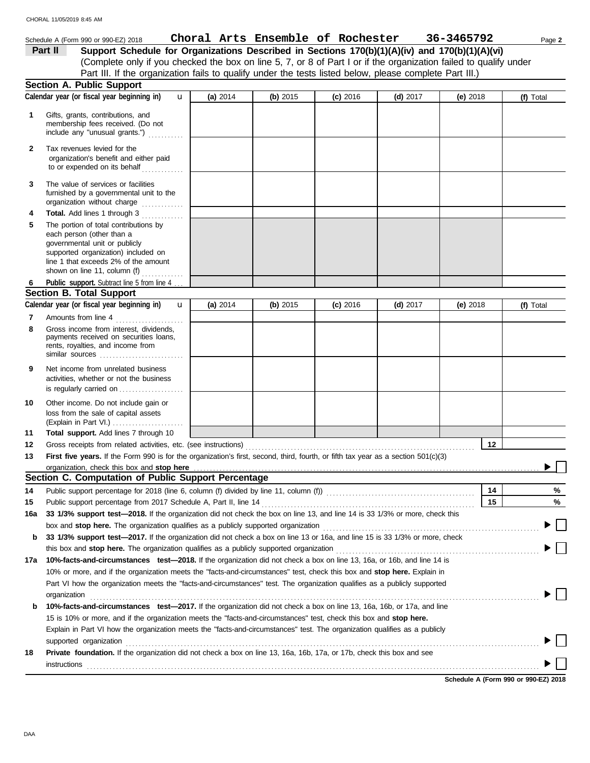|              | Schedule A (Form 990 or 990-EZ) 2018                                                                                                                                                                                        |            | Choral Arts Ensemble of Rochester |            |            | 36-3465792 | Page 2    |
|--------------|-----------------------------------------------------------------------------------------------------------------------------------------------------------------------------------------------------------------------------|------------|-----------------------------------|------------|------------|------------|-----------|
|              | Support Schedule for Organizations Described in Sections 170(b)(1)(A)(iv) and 170(b)(1)(A)(vi)<br>Part II                                                                                                                   |            |                                   |            |            |            |           |
|              | (Complete only if you checked the box on line 5, 7, or 8 of Part I or if the organization failed to qualify under                                                                                                           |            |                                   |            |            |            |           |
|              | Part III. If the organization fails to qualify under the tests listed below, please complete Part III.)                                                                                                                     |            |                                   |            |            |            |           |
|              | <b>Section A. Public Support</b>                                                                                                                                                                                            |            |                                   |            |            |            |           |
|              | Calendar year (or fiscal year beginning in)<br>$\mathbf{u}$                                                                                                                                                                 | (a) 2014   | $(b)$ 2015                        | $(c)$ 2016 | $(d)$ 2017 | (e) $2018$ | (f) Total |
| 1            | Gifts, grants, contributions, and<br>membership fees received. (Do not<br>include any "unusual grants.")                                                                                                                    |            |                                   |            |            |            |           |
| $\mathbf{2}$ | Tax revenues levied for the<br>organization's benefit and either paid<br>to or expended on its behalf                                                                                                                       |            |                                   |            |            |            |           |
| 3            | The value of services or facilities<br>furnished by a governmental unit to the<br>organization without charge                                                                                                               |            |                                   |            |            |            |           |
| 4            | Total. Add lines 1 through 3                                                                                                                                                                                                |            |                                   |            |            |            |           |
| 5            | The portion of total contributions by<br>each person (other than a<br>governmental unit or publicly<br>supported organization) included on<br>line 1 that exceeds 2% of the amount<br>shown on line 11, column (f) $\ldots$ |            |                                   |            |            |            |           |
| 6            | Public support. Subtract line 5 from line 4                                                                                                                                                                                 |            |                                   |            |            |            |           |
|              | <b>Section B. Total Support</b>                                                                                                                                                                                             |            |                                   |            |            |            |           |
|              | Calendar year (or fiscal year beginning in)<br>$\mathbf{u}$                                                                                                                                                                 | (a) $2014$ | (b) $2015$                        | $(c)$ 2016 | $(d)$ 2017 | (e) $2018$ | (f) Total |
| 7<br>8       | Amounts from line 4<br>Gross income from interest, dividends,<br>payments received on securities loans,<br>rents, royalties, and income from<br>similar sources                                                             |            |                                   |            |            |            |           |
| 9            | Net income from unrelated business<br>activities, whether or not the business<br>is regularly carried on                                                                                                                    |            |                                   |            |            |            |           |
| 10<br>11     | Other income. Do not include gain or<br>loss from the sale of capital assets<br>Total support. Add lines 7 through 10                                                                                                       |            |                                   |            |            |            |           |
| 12           |                                                                                                                                                                                                                             |            |                                   |            |            | $12 \,$    |           |
| 13           | First five years. If the Form 990 is for the organization's first, second, third, fourth, or fifth tax year as a section 501(c)(3)                                                                                          |            |                                   |            |            |            |           |
|              | organization, check this box and stop here                                                                                                                                                                                  |            |                                   |            |            |            | ▶         |
|              | Section C. Computation of Public Support Percentage                                                                                                                                                                         |            |                                   |            |            |            |           |
| 14           | Public support percentage for 2018 (line 6, column (f) divided by line 11, column (f)) [[[[[[[[[[[[[[[[[[[[[[                                                                                                               |            |                                   |            |            | 14         | %         |
| 15           |                                                                                                                                                                                                                             |            |                                   |            |            | 15         | %         |
| 16a          | 33 1/3% support test-2018. If the organization did not check the box on line 13, and line 14 is 33 1/3% or more, check this                                                                                                 |            |                                   |            |            |            |           |
|              |                                                                                                                                                                                                                             |            |                                   |            |            |            |           |
| b            | 33 1/3% support test-2017. If the organization did not check a box on line 13 or 16a, and line 15 is 33 1/3% or more, check                                                                                                 |            |                                   |            |            |            |           |
|              |                                                                                                                                                                                                                             |            |                                   |            |            |            |           |
| 17a          | 10%-facts-and-circumstances test-2018. If the organization did not check a box on line 13, 16a, or 16b, and line 14 is                                                                                                      |            |                                   |            |            |            |           |
|              | 10% or more, and if the organization meets the "facts-and-circumstances" test, check this box and stop here. Explain in                                                                                                     |            |                                   |            |            |            |           |
|              | Part VI how the organization meets the "facts-and-circumstances" test. The organization qualifies as a publicly supported                                                                                                   |            |                                   |            |            |            |           |
|              | organization                                                                                                                                                                                                                |            |                                   |            |            |            |           |
| b            | 10%-facts-and-circumstances test-2017. If the organization did not check a box on line 13, 16a, 16b, or 17a, and line                                                                                                       |            |                                   |            |            |            |           |
|              | 15 is 10% or more, and if the organization meets the "facts-and-circumstances" test, check this box and stop here.                                                                                                          |            |                                   |            |            |            |           |
|              | Explain in Part VI how the organization meets the "facts-and-circumstances" test. The organization qualifies as a publicly                                                                                                  |            |                                   |            |            |            |           |
|              | supported organization                                                                                                                                                                                                      |            |                                   |            |            |            |           |
| 18           | Private foundation. If the organization did not check a box on line 13, 16a, 16b, 17a, or 17b, check this box and see<br><b>instructions</b>                                                                                |            |                                   |            |            |            |           |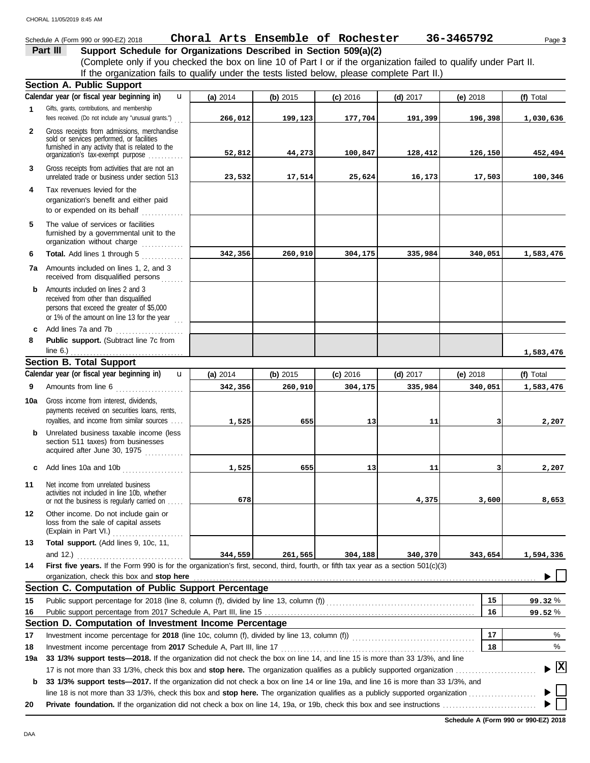|              | Schedule A (Form 990 or 990-EZ) 2018                                                                                                                                              | Choral Arts Ensemble of Rochester |          |            |            | 36-3465792 | Page 3                                      |
|--------------|-----------------------------------------------------------------------------------------------------------------------------------------------------------------------------------|-----------------------------------|----------|------------|------------|------------|---------------------------------------------|
|              | Support Schedule for Organizations Described in Section 509(a)(2)<br>Part III                                                                                                     |                                   |          |            |            |            |                                             |
|              | (Complete only if you checked the box on line 10 of Part I or if the organization failed to qualify under Part II.                                                                |                                   |          |            |            |            |                                             |
|              | If the organization fails to qualify under the tests listed below, please complete Part II.)                                                                                      |                                   |          |            |            |            |                                             |
|              | Section A. Public Support                                                                                                                                                         |                                   |          |            |            |            |                                             |
|              | Calendar year (or fiscal year beginning in)<br>$\mathbf{u}$                                                                                                                       | (a) 2014                          | (b) 2015 | $(c)$ 2016 | $(d)$ 2017 | (e) 2018   | (f) Total                                   |
| $\mathbf{1}$ | Gifts, grants, contributions, and membership<br>fees received. (Do not include any "unusual grants.")                                                                             | 266,012                           | 199,123  | 177,704    | 191,399    | 196,398    | 1,030,636                                   |
| $\mathbf{2}$ | Gross receipts from admissions, merchandise<br>sold or services performed, or facilities<br>furnished in any activity that is related to the<br>organization's tax-exempt purpose | 52,812                            | 44,273   | 100,847    | 128,412    | 126,150    | 452,494                                     |
| 3            | Gross receipts from activities that are not an<br>unrelated trade or business under section 513                                                                                   | 23,532                            | 17,514   | 25,624     | 16,173     | 17,503     | 100,346                                     |
| 4            | Tax revenues levied for the<br>organization's benefit and either paid<br>to or expended on its behalf                                                                             |                                   |          |            |            |            |                                             |
| 5            | The value of services or facilities<br>furnished by a governmental unit to the<br>organization without charge                                                                     |                                   |          |            |            |            |                                             |
| 6            | Total. Add lines 1 through 5                                                                                                                                                      | 342,356                           | 260,910  | 304,175    | 335,984    | 340,051    | 1,583,476                                   |
|              | 7a Amounts included on lines 1, 2, and 3<br>received from disqualified persons                                                                                                    |                                   |          |            |            |            |                                             |
| b            | Amounts included on lines 2 and 3<br>received from other than disqualified<br>persons that exceed the greater of \$5,000<br>or 1% of the amount on line 13 for the year           |                                   |          |            |            |            |                                             |
| c            | Add lines 7a and 7b                                                                                                                                                               |                                   |          |            |            |            |                                             |
| 8            | Public support. (Subtract line 7c from<br>line $6.$ )                                                                                                                             |                                   |          |            |            |            | 1,583,476                                   |
|              | <b>Section B. Total Support</b>                                                                                                                                                   |                                   |          |            |            |            |                                             |
|              | Calendar year (or fiscal year beginning in)<br>$\mathbf{u}$                                                                                                                       | (a) 2014                          | (b) 2015 | $(c)$ 2016 | (d) $2017$ | (e) 2018   | (f) Total                                   |
| 9            | Amounts from line 6                                                                                                                                                               | 342,356                           | 260,910  | 304,175    | 335,984    | 340,051    | 1,583,476                                   |
| 10a          | Gross income from interest, dividends,<br>payments received on securities loans, rents,<br>royalties, and income from similar sources                                             | 1,525                             | 655      | 13         | 11         | 3          | 2,207                                       |
| b            | Unrelated business taxable income (less<br>section 511 taxes) from businesses<br>acquired after June 30, 1975                                                                     |                                   |          |            |            |            |                                             |
| c            |                                                                                                                                                                                   | 1,525                             | 655      | 13         | 11         |            | 2,207                                       |
| 11           | Net income from unrelated business<br>activities not included in line 10b, whether<br>or not the business is regularly carried on                                                 | 678                               |          |            | 4,375      | 3,600      | 8,653                                       |
| 12           | Other income. Do not include gain or<br>loss from the sale of capital assets<br>(Explain in Part VI.)                                                                             |                                   |          |            |            |            |                                             |
| 13           | Total support. (Add lines 9, 10c, 11,                                                                                                                                             | 344,559                           | 261,565  | 304,188    | 340,370    | 343,654    | 1,594,336                                   |
| 14           | First five years. If the Form 990 is for the organization's first, second, third, fourth, or fifth tax year as a section 501(c)(3)                                                |                                   |          |            |            |            |                                             |
|              | organization, check this box and stop here                                                                                                                                        |                                   |          |            |            |            |                                             |
|              | Section C. Computation of Public Support Percentage                                                                                                                               |                                   |          |            |            |            |                                             |
| 15           |                                                                                                                                                                                   |                                   |          |            |            | 15         | 99.32%                                      |
| 16           | Section D. Computation of Investment Income Percentage                                                                                                                            |                                   |          |            |            | 16         | 99.52%                                      |
|              |                                                                                                                                                                                   |                                   |          |            |            | 17         | %                                           |
| 17<br>18     | Investment income percentage from 2017 Schedule A, Part III, line 17                                                                                                              |                                   |          |            |            | 18         | %                                           |
| 19a          | 33 1/3% support tests-2018. If the organization did not check the box on line 14, and line 15 is more than 33 1/3%, and line                                                      |                                   |          |            |            |            |                                             |
|              |                                                                                                                                                                                   |                                   |          |            |            |            | $\blacktriangleright$ $\overline{\text{X}}$ |
| b            | 33 1/3% support tests—2017. If the organization did not check a box on line 14 or line 19a, and line 16 is more than 33 1/3%, and                                                 |                                   |          |            |            |            |                                             |
| 20           |                                                                                                                                                                                   |                                   |          |            |            |            |                                             |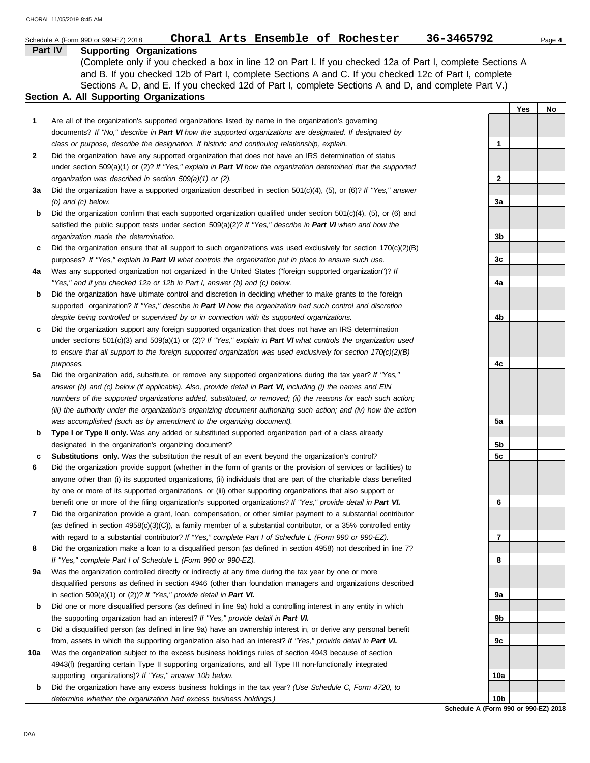|              | Choral Arts Ensemble of Rochester<br>Schedule A (Form 990 or 990-EZ) 2018                                           | 36-3465792      | Page 4 |
|--------------|---------------------------------------------------------------------------------------------------------------------|-----------------|--------|
|              | <b>Supporting Organizations</b><br>Part IV                                                                          |                 |        |
|              | (Complete only if you checked a box in line 12 on Part I. If you checked 12a of Part I, complete Sections A         |                 |        |
|              | and B. If you checked 12b of Part I, complete Sections A and C. If you checked 12c of Part I, complete              |                 |        |
|              | Sections A, D, and E. If you checked 12d of Part I, complete Sections A and D, and complete Part V.)                |                 |        |
|              | Section A. All Supporting Organizations                                                                             |                 |        |
|              |                                                                                                                     | <b>Yes</b>      | No     |
| $\mathbf{1}$ | Are all of the organization's supported organizations listed by name in the organization's governing                |                 |        |
|              | documents? If "No," describe in Part VI how the supported organizations are designated. If designated by            |                 |        |
|              | class or purpose, describe the designation. If historic and continuing relationship, explain.                       | 1               |        |
| $\mathbf{2}$ | Did the organization have any supported organization that does not have an IRS determination of status              |                 |        |
|              | under section $509(a)(1)$ or (2)? If "Yes," explain in Part VI how the organization determined that the supported   |                 |        |
|              | organization was described in section 509(a)(1) or (2).                                                             | 2               |        |
| За           | Did the organization have a supported organization described in section $501(c)(4)$ , (5), or (6)? If "Yes," answer |                 |        |
|              | $(b)$ and $(c)$ below.                                                                                              | За              |        |
| b            | Did the organization confirm that each supported organization qualified under section $501(c)(4)$ , (5), or (6) and |                 |        |
|              | satisfied the public support tests under section $509(a)(2)?$ If "Yes," describe in Part VI when and how the        |                 |        |
|              | organization made the determination.                                                                                | 3b              |        |
| c            | Did the organization ensure that all support to such organizations was used exclusively for section $170(c)(2)(B)$  |                 |        |
|              | purposes? If "Yes," explain in Part VI what controls the organization put in place to ensure such use.              | 3c              |        |
| 4a           | Was any supported organization not organized in the United States ("foreign supported organization")? If            |                 |        |
|              | "Yes," and if you checked 12a or 12b in Part I, answer (b) and (c) below.                                           | 4a              |        |
| b            | Did the organization have ultimate control and discretion in deciding whether to make grants to the foreign         |                 |        |
|              | supported organization? If "Yes," describe in Part VI how the organization had such control and discretion          |                 |        |
|              | despite being controlled or supervised by or in connection with its supported organizations.                        | 4b              |        |
| c            | Did the organization support any foreign supported organization that does not have an IRS determination             |                 |        |
|              | under sections $501(c)(3)$ and $509(a)(1)$ or (2)? If "Yes," explain in Part VI what controls the organization used |                 |        |
|              | to ensure that all support to the foreign supported organization was used exclusively for section $170(c)(2)(B)$    |                 |        |
|              | purposes.                                                                                                           | 4c              |        |
| 5a           | Did the organization add, substitute, or remove any supported organizations during the tax year? If "Yes,"          |                 |        |
|              | answer (b) and (c) below (if applicable). Also, provide detail in Part VI, including (i) the names and EIN          |                 |        |
|              | numbers of the supported organizations added, substituted, or removed; (ii) the reasons for each such action;       |                 |        |
|              | (iii) the authority under the organization's organizing document authorizing such action; and (iv) how the action   |                 |        |
|              | was accomplished (such as by amendment to the organizing document).                                                 | 5a              |        |
| b            | Type I or Type II only. Was any added or substituted supported organization part of a class already                 |                 |        |
|              | designated in the organization's organizing document?                                                               | 5b              |        |
| c            | Substitutions only. Was the substitution the result of an event beyond the organization's control?                  | 5 <sub>c</sub>  |        |
| 6            | Did the organization provide support (whether in the form of grants or the provision of services or facilities) to  |                 |        |
|              | anyone other than (i) its supported organizations, (ii) individuals that are part of the charitable class benefited |                 |        |
|              | by one or more of its supported organizations, or (iii) other supporting organizations that also support or         |                 |        |
|              | benefit one or more of the filing organization's supported organizations? If "Yes," provide detail in Part VI.      | 6               |        |
| 7            | Did the organization provide a grant, loan, compensation, or other similar payment to a substantial contributor     |                 |        |
|              | (as defined in section $4958(c)(3)(C)$ ), a family member of a substantial contributor, or a 35% controlled entity  |                 |        |
|              | with regard to a substantial contributor? If "Yes," complete Part I of Schedule L (Form 990 or 990-EZ).             | 7               |        |
| 8            | Did the organization make a loan to a disqualified person (as defined in section 4958) not described in line 7?     |                 |        |
|              | If "Yes," complete Part I of Schedule L (Form 990 or 990-EZ).                                                       | 8               |        |
| 9a           | Was the organization controlled directly or indirectly at any time during the tax year by one or more               |                 |        |
|              | disqualified persons as defined in section 4946 (other than foundation managers and organizations described         |                 |        |
|              | in section 509(a)(1) or (2))? If "Yes," provide detail in Part VI.                                                  | 9а              |        |
| b            | Did one or more disqualified persons (as defined in line 9a) hold a controlling interest in any entity in which     |                 |        |
|              | the supporting organization had an interest? If "Yes," provide detail in Part VI.                                   | 9b              |        |
| c            | Did a disqualified person (as defined in line 9a) have an ownership interest in, or derive any personal benefit     |                 |        |
|              | from, assets in which the supporting organization also had an interest? If "Yes," provide detail in Part VI.        | 9с              |        |
| 10a          | Was the organization subject to the excess business holdings rules of section 4943 because of section               |                 |        |
|              | 4943(f) (regarding certain Type II supporting organizations, and all Type III non-functionally integrated           |                 |        |
|              | supporting organizations)? If "Yes," answer 10b below.                                                              | 10a             |        |
| b            | Did the organization have any excess business holdings in the tax year? (Use Schedule C, Form 4720, to              |                 |        |
|              | determine whether the organization had excess business holdings.)                                                   | 10 <sub>b</sub> |        |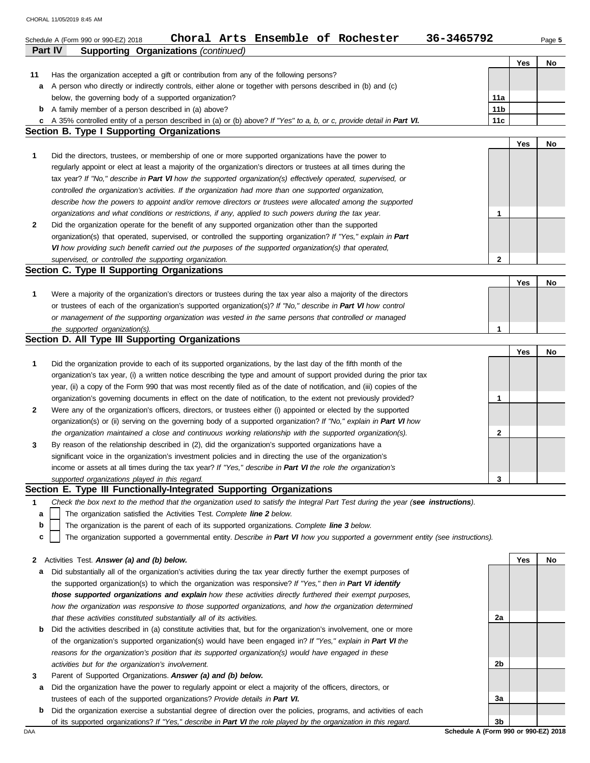|              | Choral Arts Ensemble of Rochester<br>Schedule A (Form 990 or 990-EZ) 2018                                                         | 36-3465792                                 |            | Page 5 |
|--------------|-----------------------------------------------------------------------------------------------------------------------------------|--------------------------------------------|------------|--------|
| Part IV      | <b>Supporting Organizations (continued)</b>                                                                                       |                                            |            |        |
|              |                                                                                                                                   |                                            | <b>Yes</b> | No     |
| 11           | Has the organization accepted a gift or contribution from any of the following persons?                                           |                                            |            |        |
| а            | A person who directly or indirectly controls, either alone or together with persons described in (b) and (c)                      |                                            |            |        |
|              | below, the governing body of a supported organization?                                                                            | 11a                                        |            |        |
|              | <b>b</b> A family member of a person described in (a) above?                                                                      | 11 <sub>b</sub>                            |            |        |
|              | c A 35% controlled entity of a person described in (a) or (b) above? If "Yes" to a, b, or c, provide detail in Part VI.           | 11c                                        |            |        |
|              | Section B. Type I Supporting Organizations                                                                                        |                                            |            |        |
|              |                                                                                                                                   |                                            | <b>Yes</b> | No     |
| $\mathbf{1}$ | Did the directors, trustees, or membership of one or more supported organizations have the power to                               |                                            |            |        |
|              | regularly appoint or elect at least a majority of the organization's directors or trustees at all times during the                |                                            |            |        |
|              | tax year? If "No," describe in Part VI how the supported organization(s) effectively operated, supervised, or                     |                                            |            |        |
|              | controlled the organization's activities. If the organization had more than one supported organization,                           |                                            |            |        |
|              | describe how the powers to appoint and/or remove directors or trustees were allocated among the supported                         |                                            |            |        |
|              | organizations and what conditions or restrictions, if any, applied to such powers during the tax year.                            | 1                                          |            |        |
| 2            | Did the organization operate for the benefit of any supported organization other than the supported                               |                                            |            |        |
|              | organization(s) that operated, supervised, or controlled the supporting organization? If "Yes," explain in Part                   |                                            |            |        |
|              | VI how providing such benefit carried out the purposes of the supported organization(s) that operated,                            |                                            |            |        |
|              | supervised, or controlled the supporting organization.                                                                            | $\mathbf 2$                                |            |        |
|              | Section C. Type II Supporting Organizations                                                                                       |                                            |            |        |
|              |                                                                                                                                   |                                            | Yes        | No     |
| 1            | Were a majority of the organization's directors or trustees during the tax year also a majority of the directors                  |                                            |            |        |
|              | or trustees of each of the organization's supported organization(s)? If "No," describe in Part VI how control                     |                                            |            |        |
|              | or management of the supporting organization was vested in the same persons that controlled or managed                            |                                            |            |        |
|              | the supported organization(s).                                                                                                    | 1                                          |            |        |
|              | Section D. All Type III Supporting Organizations                                                                                  |                                            |            |        |
|              |                                                                                                                                   |                                            | Yes        | No     |
| $\mathbf{1}$ | Did the organization provide to each of its supported organizations, by the last day of the fifth month of the                    |                                            |            |        |
|              | organization's tax year, (i) a written notice describing the type and amount of support provided during the prior tax             |                                            |            |        |
|              | year, (ii) a copy of the Form 990 that was most recently filed as of the date of notification, and (iii) copies of the            |                                            |            |        |
|              | organization's governing documents in effect on the date of notification, to the extent not previously provided?                  | 1                                          |            |        |
| 2            | Were any of the organization's officers, directors, or trustees either (i) appointed or elected by the supported                  |                                            |            |        |
|              | organization(s) or (ii) serving on the governing body of a supported organization? If "No," explain in Part VI how                |                                            |            |        |
|              | the organization maintained a close and continuous working relationship with the supported organization(s).                       | $\mathbf{2}$                               |            |        |
| 3            | By reason of the relationship described in (2), did the organization's supported organizations have a                             |                                            |            |        |
|              | significant voice in the organization's investment policies and in directing the use of the organization's                        |                                            |            |        |
|              | income or assets at all times during the tax year? If "Yes," describe in Part VI the role the organization's                      |                                            |            |        |
|              | supported organizations played in this regard.                                                                                    | 3                                          |            |        |
|              | Section E. Type III Functionally-Integrated Supporting Organizations                                                              |                                            |            |        |
| 1            | Check the box next to the method that the organization used to satisfy the Integral Part Test during the year (see instructions). |                                            |            |        |
| a            | The organization satisfied the Activities Test. Complete line 2 below.                                                            |                                            |            |        |
| b            | The organization is the parent of each of its supported organizations. Complete line 3 below.                                     |                                            |            |        |
| c            | The organization supported a governmental entity. Describe in Part VI how you supported a government entity (see instructions).   |                                            |            |        |
|              |                                                                                                                                   |                                            |            |        |
| 2            | Activities Test. Answer (a) and (b) below.                                                                                        |                                            | Yes        | No     |
| а            | Did substantially all of the organization's activities during the tax year directly further the exempt purposes of                |                                            |            |        |
|              | the supported organization(s) to which the organization was responsive? If "Yes," then in Part VI identify                        |                                            |            |        |
|              | those supported organizations and explain how these activities directly furthered their exempt purposes,                          |                                            |            |        |
|              | how the organization was responsive to those supported organizations, and how the organization determined                         |                                            |            |        |
|              | that these activities constituted substantially all of its activities.                                                            | 2a                                         |            |        |
| b            | Did the activities described in (a) constitute activities that, but for the organization's involvement, one or more               |                                            |            |        |
|              | of the organization's supported organization(s) would have been engaged in? If "Yes," explain in Part VI the                      |                                            |            |        |
|              | reasons for the organization's position that its supported organization(s) would have engaged in these                            |                                            |            |        |
|              | activities but for the organization's involvement.                                                                                | 2b                                         |            |        |
| 3            | Parent of Supported Organizations. Answer (a) and (b) below.                                                                      |                                            |            |        |
| а            | Did the organization have the power to regularly appoint or elect a majority of the officers, directors, or                       |                                            |            |        |
|              | trustees of each of the supported organizations? Provide details in Part VI.                                                      | За                                         |            |        |
| b            | Did the organization exercise a substantial degree of direction over the policies, programs, and activities of each               |                                            |            |        |
| DAA          | of its supported organizations? If "Yes," describe in Part VI the role played by the organization in this regard.                 | 3b<br>Schedule A (Form 990 or 990-EZ) 2018 |            |        |
|              |                                                                                                                                   |                                            |            |        |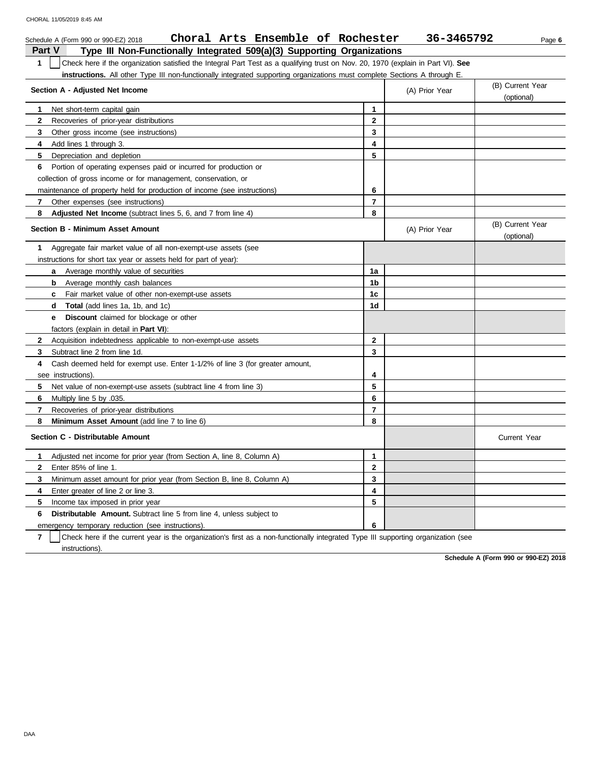| Choral Arts Ensemble of Rochester<br>Schedule A (Form 990 or 990-EZ) 2018                                                                                                                                                                                          |                | 36-3465792     | Page 6                         |
|--------------------------------------------------------------------------------------------------------------------------------------------------------------------------------------------------------------------------------------------------------------------|----------------|----------------|--------------------------------|
| <b>Part V</b><br>Type III Non-Functionally Integrated 509(a)(3) Supporting Organizations                                                                                                                                                                           |                |                |                                |
| Check here if the organization satisfied the Integral Part Test as a qualifying trust on Nov. 20, 1970 (explain in Part VI). See<br>1<br>instructions. All other Type III non-functionally integrated supporting organizations must complete Sections A through E. |                |                |                                |
| Section A - Adjusted Net Income                                                                                                                                                                                                                                    |                | (A) Prior Year | (B) Current Year<br>(optional) |
| 1.<br>Net short-term capital gain                                                                                                                                                                                                                                  | $\mathbf{1}$   |                |                                |
| 2<br>Recoveries of prior-year distributions                                                                                                                                                                                                                        | $\mathbf{2}$   |                |                                |
| 3<br>Other gross income (see instructions)                                                                                                                                                                                                                         | 3              |                |                                |
| 4<br>Add lines 1 through 3.                                                                                                                                                                                                                                        | 4              |                |                                |
| 5<br>Depreciation and depletion                                                                                                                                                                                                                                    | 5              |                |                                |
| 6<br>Portion of operating expenses paid or incurred for production or                                                                                                                                                                                              |                |                |                                |
| collection of gross income or for management, conservation, or                                                                                                                                                                                                     |                |                |                                |
| maintenance of property held for production of income (see instructions)                                                                                                                                                                                           | 6              |                |                                |
| 7<br>Other expenses (see instructions)                                                                                                                                                                                                                             | $\overline{7}$ |                |                                |
| 8<br><b>Adjusted Net Income</b> (subtract lines 5, 6, and 7 from line 4)                                                                                                                                                                                           | 8              |                |                                |
| <b>Section B - Minimum Asset Amount</b>                                                                                                                                                                                                                            |                | (A) Prior Year | (B) Current Year<br>(optional) |
| 1<br>Aggregate fair market value of all non-exempt-use assets (see                                                                                                                                                                                                 |                |                |                                |
| instructions for short tax year or assets held for part of year):                                                                                                                                                                                                  |                |                |                                |
| Average monthly value of securities<br>a                                                                                                                                                                                                                           | 1a             |                |                                |
| Average monthly cash balances<br>b                                                                                                                                                                                                                                 | 1b             |                |                                |
| c Fair market value of other non-exempt-use assets                                                                                                                                                                                                                 | 1c             |                |                                |
| <b>Total</b> (add lines 1a, 1b, and 1c)<br>d                                                                                                                                                                                                                       | 1d             |                |                                |
| Discount claimed for blockage or other<br>е                                                                                                                                                                                                                        |                |                |                                |
| factors (explain in detail in <b>Part VI)</b> :                                                                                                                                                                                                                    |                |                |                                |
| $\mathbf{2}$<br>Acquisition indebtedness applicable to non-exempt-use assets                                                                                                                                                                                       | $\overline{2}$ |                |                                |
| 3<br>Subtract line 2 from line 1d.                                                                                                                                                                                                                                 | 3              |                |                                |
| 4<br>Cash deemed held for exempt use. Enter 1-1/2% of line 3 (for greater amount,                                                                                                                                                                                  |                |                |                                |
| see instructions)                                                                                                                                                                                                                                                  | 4              |                |                                |
| 5<br>Net value of non-exempt-use assets (subtract line 4 from line 3)                                                                                                                                                                                              | 5              |                |                                |
| 6<br>Multiply line 5 by .035.                                                                                                                                                                                                                                      | 6              |                |                                |
| 7<br>Recoveries of prior-year distributions                                                                                                                                                                                                                        | $\overline{7}$ |                |                                |
| 8<br><b>Minimum Asset Amount (add line 7 to line 6)</b>                                                                                                                                                                                                            | 8              |                |                                |
| Section C - Distributable Amount                                                                                                                                                                                                                                   |                |                | <b>Current Year</b>            |
| Adjusted net income for prior year (from Section A, line 8, Column A)<br>1                                                                                                                                                                                         | $\mathbf{1}$   |                |                                |
| $\mathbf{2}$<br>Enter 85% of line 1.                                                                                                                                                                                                                               | $\overline{2}$ |                |                                |
| 3<br>Minimum asset amount for prior year (from Section B, line 8, Column A)                                                                                                                                                                                        | 3              |                |                                |
| 4<br>Enter greater of line 2 or line 3.                                                                                                                                                                                                                            | 4              |                |                                |
| 5<br>Income tax imposed in prior year                                                                                                                                                                                                                              | 5              |                |                                |
| 6<br><b>Distributable Amount.</b> Subtract line 5 from line 4, unless subject to                                                                                                                                                                                   |                |                |                                |
| emergency temporary reduction (see instructions).                                                                                                                                                                                                                  | 6              |                |                                |

**7** .<br>instructions). Check here if the current year is the organization's first as a non-functionally integrated Type III supporting organization (see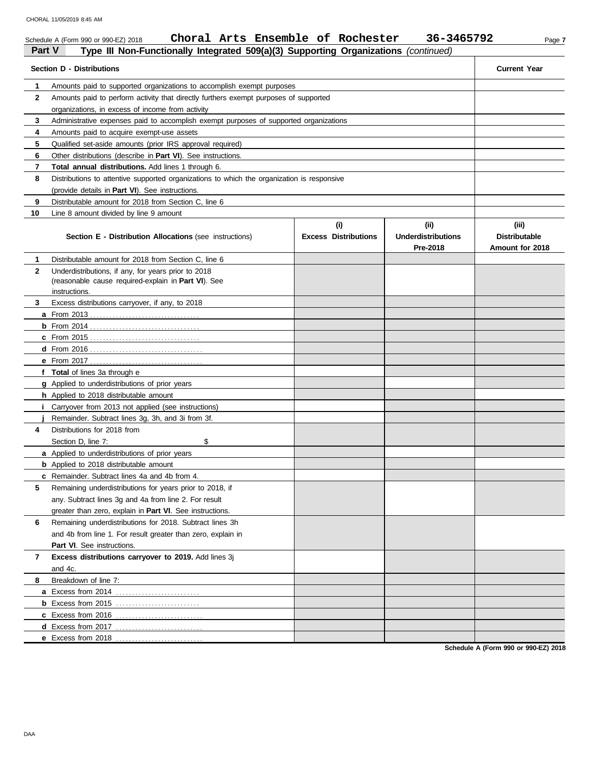|              | Choral Arts Ensemble of Rochester<br>Schedule A (Form 990 or 990-EZ) 2018                  |                             | 36-3465792                            | Page 7                                  |
|--------------|--------------------------------------------------------------------------------------------|-----------------------------|---------------------------------------|-----------------------------------------|
| Part V       | Type III Non-Functionally Integrated 509(a)(3) Supporting Organizations (continued)        |                             |                                       |                                         |
|              | Section D - Distributions                                                                  |                             |                                       | <b>Current Year</b>                     |
| 1.           | Amounts paid to supported organizations to accomplish exempt purposes                      |                             |                                       |                                         |
| $\mathbf{2}$ | Amounts paid to perform activity that directly furthers exempt purposes of supported       |                             |                                       |                                         |
|              | organizations, in excess of income from activity                                           |                             |                                       |                                         |
| 3            | Administrative expenses paid to accomplish exempt purposes of supported organizations      |                             |                                       |                                         |
| 4            | Amounts paid to acquire exempt-use assets                                                  |                             |                                       |                                         |
| 5            | Qualified set-aside amounts (prior IRS approval required)                                  |                             |                                       |                                         |
| 6            | Other distributions (describe in Part VI). See instructions.                               |                             |                                       |                                         |
| 7            | Total annual distributions. Add lines 1 through 6.                                         |                             |                                       |                                         |
| 8            | Distributions to attentive supported organizations to which the organization is responsive |                             |                                       |                                         |
|              | (provide details in Part VI). See instructions.                                            |                             |                                       |                                         |
| 9            | Distributable amount for 2018 from Section C, line 6                                       |                             |                                       |                                         |
| 10           | Line 8 amount divided by line 9 amount                                                     |                             |                                       |                                         |
|              |                                                                                            | (i)                         | (ii)                                  | (iii)                                   |
|              | <b>Section E - Distribution Allocations (see instructions)</b>                             | <b>Excess Distributions</b> | <b>Underdistributions</b><br>Pre-2018 | <b>Distributable</b><br>Amount for 2018 |
| 1.           | Distributable amount for 2018 from Section C, line 6                                       |                             |                                       |                                         |
| $\mathbf{2}$ | Underdistributions, if any, for years prior to 2018                                        |                             |                                       |                                         |
|              | (reasonable cause required-explain in Part VI). See                                        |                             |                                       |                                         |
|              | instructions.                                                                              |                             |                                       |                                         |
| 3            | Excess distributions carryover, if any, to 2018                                            |                             |                                       |                                         |
|              |                                                                                            |                             |                                       |                                         |
|              |                                                                                            |                             |                                       |                                         |
|              |                                                                                            |                             |                                       |                                         |
|              |                                                                                            |                             |                                       |                                         |
|              |                                                                                            |                             |                                       |                                         |
|              | f Total of lines 3a through e                                                              |                             |                                       |                                         |
|              | <b>g</b> Applied to underdistributions of prior years                                      |                             |                                       |                                         |
|              | h Applied to 2018 distributable amount                                                     |                             |                                       |                                         |
|              | <i>i</i> Carryover from 2013 not applied (see instructions)                                |                             |                                       |                                         |
|              | Remainder. Subtract lines 3g, 3h, and 3i from 3f.                                          |                             |                                       |                                         |
| 4            | Distributions for 2018 from                                                                |                             |                                       |                                         |
|              | \$<br>Section D, line 7:                                                                   |                             |                                       |                                         |
|              | <b>a</b> Applied to underdistributions of prior years                                      |                             |                                       |                                         |
|              | <b>b</b> Applied to 2018 distributable amount                                              |                             |                                       |                                         |
|              | c Remainder. Subtract lines 4a and 4b from 4.                                              |                             |                                       |                                         |
| 5            | Remaining underdistributions for years prior to 2018, if                                   |                             |                                       |                                         |
|              | any. Subtract lines 3g and 4a from line 2. For result                                      |                             |                                       |                                         |
|              | greater than zero, explain in Part VI. See instructions.                                   |                             |                                       |                                         |
| 6            | Remaining underdistributions for 2018. Subtract lines 3h                                   |                             |                                       |                                         |
|              | and 4b from line 1. For result greater than zero, explain in                               |                             |                                       |                                         |
|              | Part VI. See instructions.                                                                 |                             |                                       |                                         |
| 7            | Excess distributions carryover to 2019. Add lines 3j                                       |                             |                                       |                                         |
|              | and 4c.                                                                                    |                             |                                       |                                         |
| 8            | Breakdown of line 7:                                                                       |                             |                                       |                                         |
|              |                                                                                            |                             |                                       |                                         |
|              |                                                                                            |                             |                                       |                                         |
|              |                                                                                            |                             |                                       |                                         |
|              | <b>e</b> Excess from 2018                                                                  |                             |                                       |                                         |
|              |                                                                                            |                             |                                       |                                         |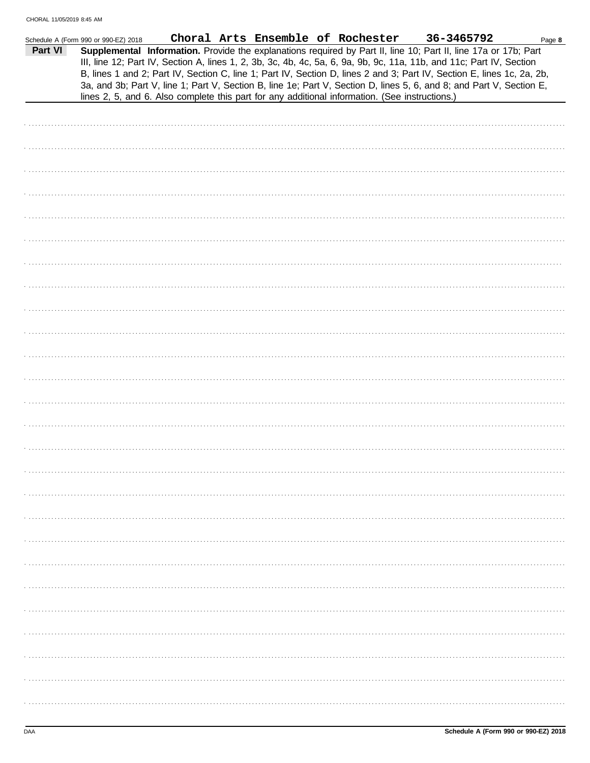| Part VI | Schedule A (Form 990 or 990-EZ) 2018                                                           |  |  | Choral Arts Ensemble of Rochester | 36-3465792<br>Supplemental Information. Provide the explanations required by Part II, line 10; Part II, line 17a or 17b; Part<br>III, line 12; Part IV, Section A, lines 1, 2, 3b, 3c, 4b, 4c, 5a, 6, 9a, 9b, 9c, 11a, 11b, and 11c; Part IV, Section<br>B, lines 1 and 2; Part IV, Section C, line 1; Part IV, Section D, lines 2 and 3; Part IV, Section E, lines 1c, 2a, 2b, | Page 8 |
|---------|------------------------------------------------------------------------------------------------|--|--|-----------------------------------|---------------------------------------------------------------------------------------------------------------------------------------------------------------------------------------------------------------------------------------------------------------------------------------------------------------------------------------------------------------------------------|--------|
|         | lines 2, 5, and 6. Also complete this part for any additional information. (See instructions.) |  |  |                                   | 3a, and 3b; Part V, line 1; Part V, Section B, line 1e; Part V, Section D, lines 5, 6, and 8; and Part V, Section E,                                                                                                                                                                                                                                                            |        |
|         |                                                                                                |  |  |                                   |                                                                                                                                                                                                                                                                                                                                                                                 |        |
|         |                                                                                                |  |  |                                   |                                                                                                                                                                                                                                                                                                                                                                                 |        |
|         |                                                                                                |  |  |                                   |                                                                                                                                                                                                                                                                                                                                                                                 |        |
|         |                                                                                                |  |  |                                   |                                                                                                                                                                                                                                                                                                                                                                                 |        |
|         |                                                                                                |  |  |                                   |                                                                                                                                                                                                                                                                                                                                                                                 |        |
|         |                                                                                                |  |  |                                   |                                                                                                                                                                                                                                                                                                                                                                                 |        |
|         |                                                                                                |  |  |                                   |                                                                                                                                                                                                                                                                                                                                                                                 |        |
|         |                                                                                                |  |  |                                   |                                                                                                                                                                                                                                                                                                                                                                                 |        |
|         |                                                                                                |  |  |                                   |                                                                                                                                                                                                                                                                                                                                                                                 |        |
|         |                                                                                                |  |  |                                   |                                                                                                                                                                                                                                                                                                                                                                                 |        |
|         |                                                                                                |  |  |                                   |                                                                                                                                                                                                                                                                                                                                                                                 |        |
|         |                                                                                                |  |  |                                   |                                                                                                                                                                                                                                                                                                                                                                                 |        |
|         |                                                                                                |  |  |                                   |                                                                                                                                                                                                                                                                                                                                                                                 |        |
|         |                                                                                                |  |  |                                   |                                                                                                                                                                                                                                                                                                                                                                                 |        |
|         |                                                                                                |  |  |                                   |                                                                                                                                                                                                                                                                                                                                                                                 |        |
|         |                                                                                                |  |  |                                   |                                                                                                                                                                                                                                                                                                                                                                                 |        |
|         |                                                                                                |  |  |                                   |                                                                                                                                                                                                                                                                                                                                                                                 |        |
|         |                                                                                                |  |  |                                   |                                                                                                                                                                                                                                                                                                                                                                                 |        |
|         |                                                                                                |  |  |                                   |                                                                                                                                                                                                                                                                                                                                                                                 |        |
|         |                                                                                                |  |  |                                   |                                                                                                                                                                                                                                                                                                                                                                                 |        |
|         |                                                                                                |  |  |                                   |                                                                                                                                                                                                                                                                                                                                                                                 |        |
|         |                                                                                                |  |  |                                   |                                                                                                                                                                                                                                                                                                                                                                                 |        |
|         |                                                                                                |  |  |                                   |                                                                                                                                                                                                                                                                                                                                                                                 |        |
|         |                                                                                                |  |  |                                   |                                                                                                                                                                                                                                                                                                                                                                                 |        |
|         |                                                                                                |  |  |                                   |                                                                                                                                                                                                                                                                                                                                                                                 |        |
|         |                                                                                                |  |  |                                   |                                                                                                                                                                                                                                                                                                                                                                                 |        |
|         |                                                                                                |  |  |                                   |                                                                                                                                                                                                                                                                                                                                                                                 |        |
|         |                                                                                                |  |  |                                   |                                                                                                                                                                                                                                                                                                                                                                                 |        |
|         |                                                                                                |  |  |                                   |                                                                                                                                                                                                                                                                                                                                                                                 |        |
|         |                                                                                                |  |  |                                   |                                                                                                                                                                                                                                                                                                                                                                                 |        |
|         |                                                                                                |  |  |                                   |                                                                                                                                                                                                                                                                                                                                                                                 |        |
|         |                                                                                                |  |  |                                   |                                                                                                                                                                                                                                                                                                                                                                                 |        |
|         |                                                                                                |  |  |                                   |                                                                                                                                                                                                                                                                                                                                                                                 |        |
|         |                                                                                                |  |  |                                   |                                                                                                                                                                                                                                                                                                                                                                                 |        |
|         |                                                                                                |  |  |                                   |                                                                                                                                                                                                                                                                                                                                                                                 |        |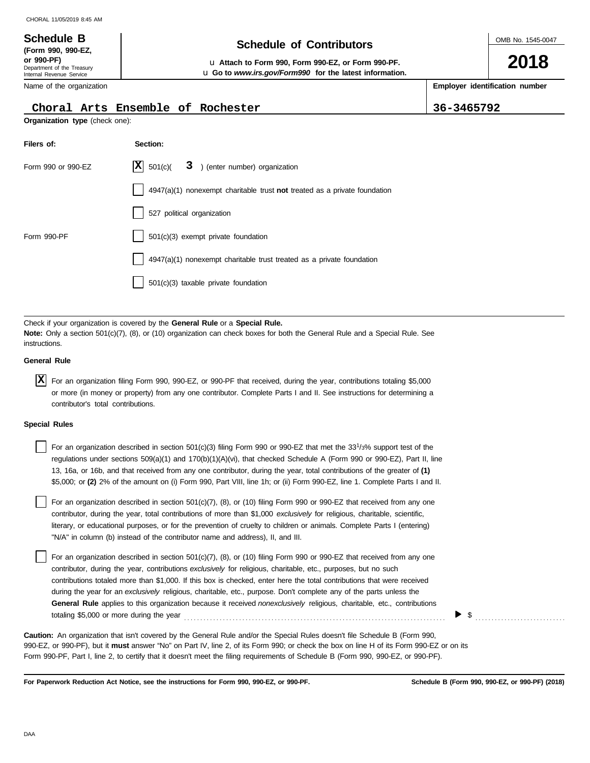### OMB No. 1545-0047 Department of the Treasury Internal Revenue Service Name of the organization **2018 Schedule of Contributors Schedule B (Form 990, 990-EZ, or 990-PF)** u **Attach to Form 990, Form 990-EZ, or Form 990-PF. Employer identification number** u **Go to** *www.irs.gov/Form990* **for the latest information.**

### **Choral Arts Ensemble of Rochester 36-3465792**

**Organization type** (check one):

| Filers of:         | Section:                                                                  |
|--------------------|---------------------------------------------------------------------------|
| Form 990 or 990-EZ | $ \mathbf{X} $ 501(c)( $3$ ) (enter number) organization                  |
|                    | 4947(a)(1) nonexempt charitable trust not treated as a private foundation |
|                    | 527 political organization                                                |
| Form 990-PF        | 501(c)(3) exempt private foundation                                       |
|                    | 4947(a)(1) nonexempt charitable trust treated as a private foundation     |

501(c)(3) taxable private foundation

Check if your organization is covered by the **General Rule** or a **Special Rule. Note:** Only a section 501(c)(7), (8), or (10) organization can check boxes for both the General Rule and a Special Rule. See instructions.

### **General Rule**

For an organization filing Form 990, 990-EZ, or 990-PF that received, during the year, contributions totaling \$5,000 **X** or more (in money or property) from any one contributor. Complete Parts I and II. See instructions for determining a contributor's total contributions.

### **Special Rules**

For an organization described in section 501(c)(3) filing Form 990 or 990-EZ that met the 331/3% support test of the regulations under sections 509(a)(1) and 170(b)(1)(A)(vi), that checked Schedule A (Form 990 or 990-EZ), Part II, line 13, 16a, or 16b, and that received from any one contributor, during the year, total contributions of the greater of **(1)** \$5,000; or **(2)** 2% of the amount on (i) Form 990, Part VIII, line 1h; or (ii) Form 990-EZ, line 1. Complete Parts I and II.

literary, or educational purposes, or for the prevention of cruelty to children or animals. Complete Parts I (entering) For an organization described in section 501(c)(7), (8), or (10) filing Form 990 or 990-EZ that received from any one contributor, during the year, total contributions of more than \$1,000 *exclusively* for religious, charitable, scientific, "N/A" in column (b) instead of the contributor name and address), II, and III.

For an organization described in section 501(c)(7), (8), or (10) filing Form 990 or 990-EZ that received from any one contributor, during the year, contributions *exclusively* for religious, charitable, etc., purposes, but no such contributions totaled more than \$1,000. If this box is checked, enter here the total contributions that were received during the year for an *exclusively* religious, charitable, etc., purpose. Don't complete any of the parts unless the **General Rule** applies to this organization because it received *nonexclusively* religious, charitable, etc., contributions totaling \$5,000 or more during the year . . . . . . . . . . . . . . . . . . . . . . . . . . . . . . . . . . . . . . . . . . . . . . . . . . . . . . . . . . . . . . . . . . . . . . . . . . . . . . . . .

990-EZ, or 990-PF), but it **must** answer "No" on Part IV, line 2, of its Form 990; or check the box on line H of its Form 990-EZ or on its Form 990-PF, Part I, line 2, to certify that it doesn't meet the filing requirements of Schedule B (Form 990, 990-EZ, or 990-PF). **Caution:** An organization that isn't covered by the General Rule and/or the Special Rules doesn't file Schedule B (Form 990,

**For Paperwork Reduction Act Notice, see the instructions for Form 990, 990-EZ, or 990-PF.**

\$ . . . . . . . . . . . . . . . . . . . . . . . . . . . .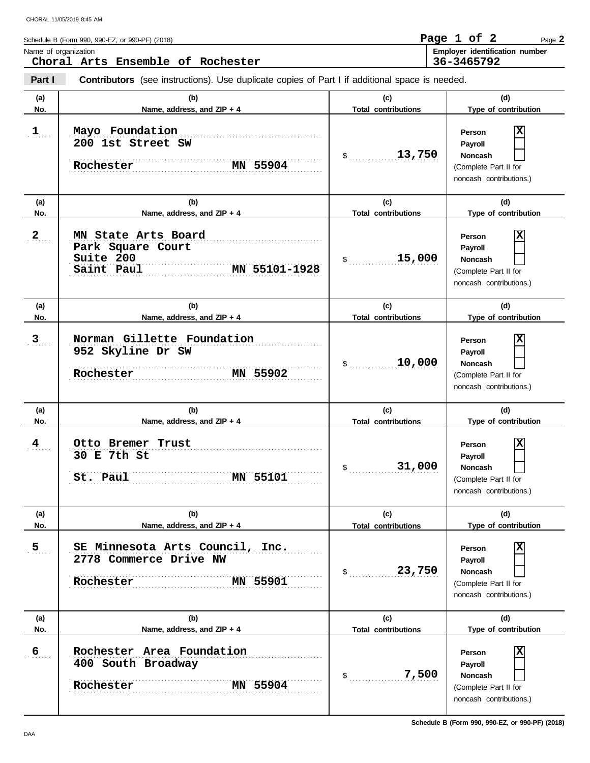| Name of organization | Schedule B (Form 990, 990-EZ, or 990-PF) (2018)<br>Choral Arts Ensemble of Rochester                  |                                   | Page 1 of 2<br>Page 2<br>Employer identification number<br>36-3465792                                              |  |  |
|----------------------|-------------------------------------------------------------------------------------------------------|-----------------------------------|--------------------------------------------------------------------------------------------------------------------|--|--|
| Part I               | <b>Contributors</b> (see instructions). Use duplicate copies of Part I if additional space is needed. |                                   |                                                                                                                    |  |  |
| (a)<br>No.           | (b)<br>Name, address, and ZIP + 4                                                                     | (c)<br><b>Total contributions</b> | (d)<br>Type of contribution                                                                                        |  |  |
| $\mathbf{1}$         | Mayo Foundation<br>200 1st Street SW<br>Rochester<br>MN 55904                                         | 13,750<br>$\mathfrak s$           | X<br>Person<br>Payroll<br><b>Noncash</b><br>(Complete Part II for<br>noncash contributions.)                       |  |  |
| (a)<br>No.           | (b)<br>Name, address, and ZIP + 4                                                                     | (c)<br><b>Total contributions</b> | (d)<br>Type of contribution                                                                                        |  |  |
| $\mathbf{2}$         | MN State Arts Board<br>Park Square Court<br>Suite 200<br>MN 55101-1928<br>Saint Paul                  | 15,000<br>$\frac{1}{2}$           | $\overline{\mathbf{x}}$<br>Person<br>Payroll<br><b>Noncash</b><br>(Complete Part II for<br>noncash contributions.) |  |  |
| (a)<br>No.           | (b)<br>Name, address, and ZIP + 4                                                                     | (c)<br><b>Total contributions</b> | (d)<br>Type of contribution                                                                                        |  |  |
| $\mathbf{3}$         | Norman Gillette Foundation<br>952 Skyline Dr SW<br>Rochester<br>MN 55902                              | 10,000<br>\$                      | $\overline{\mathbf{x}}$<br>Person<br>Payroll<br><b>Noncash</b><br>(Complete Part II for<br>noncash contributions.) |  |  |
| (a)<br>No.           | (b)<br>Name, address, and ZIP + 4                                                                     | (c)<br><b>Total contributions</b> | (d)<br>Type of contribution                                                                                        |  |  |
| 4                    | Otto Bremer Trust<br>30 E 7th St<br>MN 55101<br>St. Paul                                              | 31,000<br>\$                      | $\overline{\mathbf{x}}$<br>Person<br>Payroll<br>Noncash<br>(Complete Part II for<br>noncash contributions.)        |  |  |
| (a)<br>No.           | (b)<br>Name, address, and ZIP + 4                                                                     | (c)<br><b>Total contributions</b> | (d)<br>Type of contribution                                                                                        |  |  |
| 5                    | SE Minnesota Arts Council, Inc.<br>2778 Commerce Drive NW<br>MN 55901<br>Rochester                    | 23,750<br>$\sim$                  | $\overline{\mathbf{x}}$<br>Person<br>Payroll<br>Noncash<br>(Complete Part II for<br>noncash contributions.)        |  |  |
| (a)<br>No.           | (b)<br>Name, address, and ZIP + 4                                                                     | (c)<br><b>Total contributions</b> | (d)<br>Type of contribution                                                                                        |  |  |
| 6                    | Rochester Area Foundation<br>400 South Broadway<br>Rochester<br>MN 55904                              | 7,500<br>$\mathsf{\$}$            | $\overline{\mathbf{x}}$<br>Person<br>Payroll<br><b>Noncash</b><br>(Complete Part II for<br>noncash contributions.) |  |  |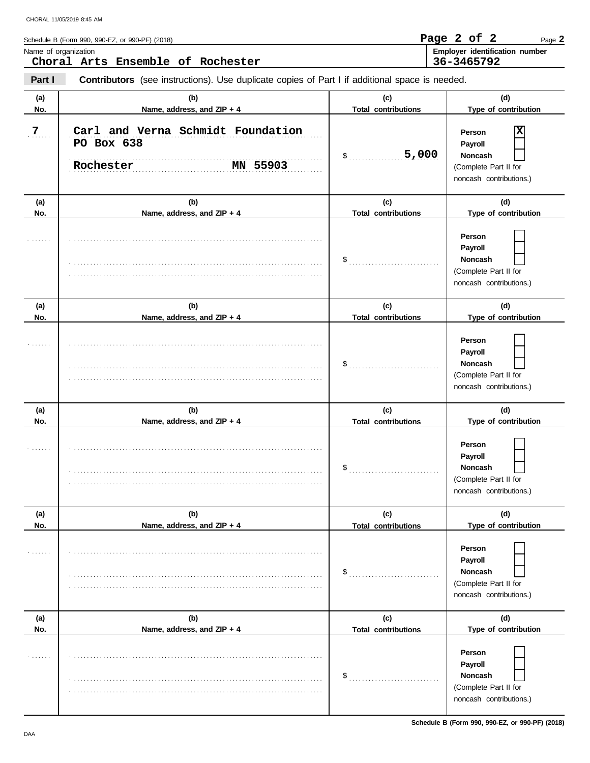|                      | Schedule B (Form 990, 990-EZ, or 990-PF) (2018)                                                |                                   | Page 2 of 2<br>Page 2                                                            |  |
|----------------------|------------------------------------------------------------------------------------------------|-----------------------------------|----------------------------------------------------------------------------------|--|
| Name of organization | Choral Arts Ensemble of Rochester                                                              |                                   | Employer identification number<br>36-3465792                                     |  |
| Part I               | Contributors (see instructions). Use duplicate copies of Part I if additional space is needed. |                                   |                                                                                  |  |
| (a)<br>No.           | (b)<br>Name, address, and ZIP + 4                                                              | (c)<br><b>Total contributions</b> | (d)<br>Type of contribution                                                      |  |
| $\overline{Z}$       | Carl and Verna Schmidt Foundation<br>PO Box 638<br>Rochester<br>MN 55903                       | 5,000<br>\$                       | Person<br>Payroll<br>Noncash<br>(Complete Part II for<br>noncash contributions.) |  |
| (a)                  | (b)                                                                                            | (c)                               | (d)                                                                              |  |
| No.                  | Name, address, and ZIP + 4                                                                     | <b>Total contributions</b>        | Type of contribution                                                             |  |
|                      |                                                                                                | \$                                | Person<br>Payroll<br>Noncash<br>(Complete Part II for<br>noncash contributions.) |  |
| (a)                  | (b)                                                                                            | (c)                               | (d)                                                                              |  |
| No.                  | Name, address, and ZIP + 4                                                                     | <b>Total contributions</b>        | Type of contribution                                                             |  |
|                      |                                                                                                | \$                                | Person<br>Payroll<br>Noncash<br>(Complete Part II for<br>noncash contributions.) |  |
| (a)                  | (b)                                                                                            | (c)                               | (d)                                                                              |  |
| No.                  | Name, address, and ZIP + 4                                                                     | <b>Total contributions</b>        | Type of contribution                                                             |  |
|                      |                                                                                                | $\mathsf{S}_{\alpha}$             | Person<br>Payroll<br>Noncash<br>(Complete Part II for<br>noncash contributions.) |  |
| (a)                  | (b)                                                                                            | (c)                               | (d)                                                                              |  |
| No.                  | Name, address, and ZIP + 4                                                                     | <b>Total contributions</b>        | Type of contribution                                                             |  |
|                      |                                                                                                | \$                                | Person<br>Payroll<br>Noncash<br>(Complete Part II for<br>noncash contributions.) |  |
| (a)<br>No.           | (b)<br>Name, address, and ZIP + 4                                                              | (c)<br><b>Total contributions</b> | (d)<br>Type of contribution                                                      |  |
|                      |                                                                                                | \$                                | Person<br>Payroll<br>Noncash<br>(Complete Part II for<br>noncash contributions.) |  |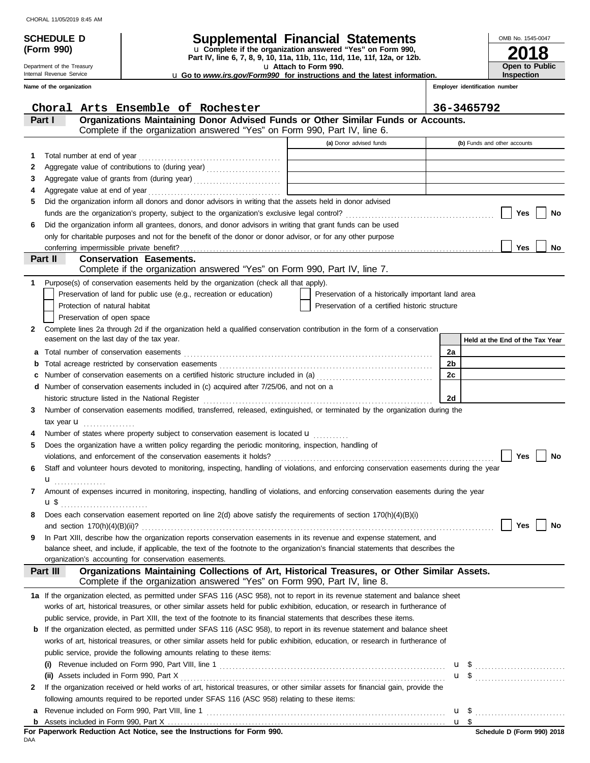# **SCHEDULE D Supplemental Financial Statements**

**Part IV, line 6, 7, 8, 9, 10, 11a, 11b, 11c, 11d, 11e, 11f, 12a, or 12b.** u **Complete if the organization answered "Yes" on Form 990,**

u **Attach to Form 990.** 

u **Go to** *www.irs.gov/Form990* **for instructions and the latest information.**

Internal Revenue Service **Name of the organization**

Department of the Treasury

**(Form 990)**

|    | Choral Arts Ensemble of Rochester                                                                                                                                                                                |                                                    | 36-3465792                      |
|----|------------------------------------------------------------------------------------------------------------------------------------------------------------------------------------------------------------------|----------------------------------------------------|---------------------------------|
|    | Organizations Maintaining Donor Advised Funds or Other Similar Funds or Accounts.<br>Part I<br>Complete if the organization answered "Yes" on Form 990, Part IV, line 6.                                         |                                                    |                                 |
|    |                                                                                                                                                                                                                  | (a) Donor advised funds                            | (b) Funds and other accounts    |
| 1. |                                                                                                                                                                                                                  |                                                    |                                 |
| 2  | Aggregate value of contributions to (during year)                                                                                                                                                                |                                                    |                                 |
| 3  |                                                                                                                                                                                                                  |                                                    |                                 |
| 4  |                                                                                                                                                                                                                  |                                                    |                                 |
| 5  | Did the organization inform all donors and donor advisors in writing that the assets held in donor advised                                                                                                       |                                                    |                                 |
|    |                                                                                                                                                                                                                  |                                                    | Yes<br>No                       |
| 6  | Did the organization inform all grantees, donors, and donor advisors in writing that grant funds can be used                                                                                                     |                                                    |                                 |
|    | only for charitable purposes and not for the benefit of the donor or donor advisor, or for any other purpose                                                                                                     |                                                    |                                 |
|    | conferring impermissible private benefit?                                                                                                                                                                        |                                                    | <b>Yes</b><br>No                |
|    | <b>Conservation Easements.</b><br>Part II<br>Complete if the organization answered "Yes" on Form 990, Part IV, line 7.                                                                                           |                                                    |                                 |
| 1. | Purpose(s) of conservation easements held by the organization (check all that apply).                                                                                                                            |                                                    |                                 |
|    | Preservation of land for public use (e.g., recreation or education)                                                                                                                                              | Preservation of a historically important land area |                                 |
|    | Protection of natural habitat                                                                                                                                                                                    | Preservation of a certified historic structure     |                                 |
|    | Preservation of open space                                                                                                                                                                                       |                                                    |                                 |
| 2  | Complete lines 2a through 2d if the organization held a qualified conservation contribution in the form of a conservation                                                                                        |                                                    |                                 |
|    | easement on the last day of the tax year.                                                                                                                                                                        |                                                    | Held at the End of the Tax Year |
| а  |                                                                                                                                                                                                                  |                                                    | 2a                              |
| b  |                                                                                                                                                                                                                  |                                                    | 2 <sub>b</sub>                  |
| с  | Number of conservation easements on a certified historic structure included in (a) [[[[[ [ [ a]]]                                                                                                                |                                                    | 2c                              |
| d  | Number of conservation easements included in (c) acquired after 7/25/06, and not on a                                                                                                                            |                                                    |                                 |
|    | historic structure listed in the National Register                                                                                                                                                               |                                                    | 2d                              |
| 3  | Number of conservation easements modified, transferred, released, extinguished, or terminated by the organization during the                                                                                     |                                                    |                                 |
|    | tax year $\mathbf u$                                                                                                                                                                                             |                                                    |                                 |
|    | Number of states where property subject to conservation easement is located <b>u</b>                                                                                                                             |                                                    |                                 |
| 5  | Does the organization have a written policy regarding the periodic monitoring, inspection, handling of                                                                                                           |                                                    | No                              |
|    | violations, and enforcement of the conservation easements it holds?<br>Staff and volunteer hours devoted to monitoring, inspecting, handling of violations, and enforcing conservation easements during the year |                                                    | Yes                             |
| 6  |                                                                                                                                                                                                                  |                                                    |                                 |
| 7  | <b>u</b><br>Amount of expenses incurred in monitoring, inspecting, handling of violations, and enforcing conservation easements during the year                                                                  |                                                    |                                 |
|    |                                                                                                                                                                                                                  |                                                    |                                 |
| 8  | Does each conservation easement reported on line 2(d) above satisfy the requirements of section 170(h)(4)(B)(i)                                                                                                  |                                                    |                                 |
|    |                                                                                                                                                                                                                  |                                                    | Yes<br>No                       |
| 9  | In Part XIII, describe how the organization reports conservation easements in its revenue and expense statement, and                                                                                             |                                                    |                                 |
|    | balance sheet, and include, if applicable, the text of the footnote to the organization's financial statements that describes the                                                                                |                                                    |                                 |
|    | organization's accounting for conservation easements.                                                                                                                                                            |                                                    |                                 |
|    | Organizations Maintaining Collections of Art, Historical Treasures, or Other Similar Assets.<br>Part III<br>Complete if the organization answered "Yes" on Form 990, Part IV, line 8.                            |                                                    |                                 |
|    | 1a If the organization elected, as permitted under SFAS 116 (ASC 958), not to report in its revenue statement and balance sheet                                                                                  |                                                    |                                 |
|    | works of art, historical treasures, or other similar assets held for public exhibition, education, or research in furtherance of                                                                                 |                                                    |                                 |
|    | public service, provide, in Part XIII, the text of the footnote to its financial statements that describes these items.                                                                                          |                                                    |                                 |
| b  | If the organization elected, as permitted under SFAS 116 (ASC 958), to report in its revenue statement and balance sheet                                                                                         |                                                    |                                 |
|    | works of art, historical treasures, or other similar assets held for public exhibition, education, or research in furtherance of                                                                                 |                                                    |                                 |
|    | public service, provide the following amounts relating to these items:                                                                                                                                           |                                                    |                                 |
|    | (i)                                                                                                                                                                                                              |                                                    |                                 |
|    | (ii)                                                                                                                                                                                                             |                                                    |                                 |
| 2  | If the organization received or held works of art, historical treasures, or other similar assets for financial gain, provide the                                                                                 |                                                    |                                 |
|    | following amounts required to be reported under SFAS 116 (ASC 958) relating to these items:                                                                                                                      |                                                    |                                 |
| а  |                                                                                                                                                                                                                  |                                                    |                                 |
| b  |                                                                                                                                                                                                                  |                                                    | u <sub>s</sub>                  |

**2018**

**Open to Public Inspection**

OMB No. 1545-0047

**Employer identification**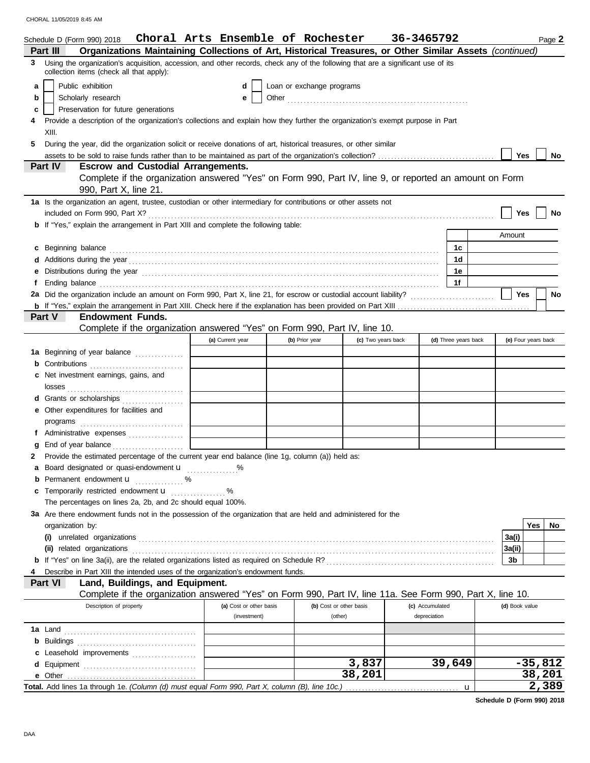|   | Schedule D (Form 990) 2018                                                                                                                                                                                                           | Choral Arts Ensemble of Rochester |  |                           |                    | 36-3465792      |                      | Page 2              |  |
|---|--------------------------------------------------------------------------------------------------------------------------------------------------------------------------------------------------------------------------------------|-----------------------------------|--|---------------------------|--------------------|-----------------|----------------------|---------------------|--|
|   | Organizations Maintaining Collections of Art, Historical Treasures, or Other Similar Assets (continued)<br>Part III                                                                                                                  |                                   |  |                           |                    |                 |                      |                     |  |
| 3 | Using the organization's acquisition, accession, and other records, check any of the following that are a significant use of its<br>collection items (check all that apply):                                                         |                                   |  |                           |                    |                 |                      |                     |  |
| a | Public exhibition                                                                                                                                                                                                                    | d                                 |  | Loan or exchange programs |                    |                 |                      |                     |  |
| b | Scholarly research                                                                                                                                                                                                                   | е                                 |  |                           |                    |                 |                      |                     |  |
| c | Preservation for future generations                                                                                                                                                                                                  |                                   |  |                           |                    |                 |                      |                     |  |
| 4 | Provide a description of the organization's collections and explain how they further the organization's exempt purpose in Part<br>XIII.                                                                                              |                                   |  |                           |                    |                 |                      |                     |  |
|   |                                                                                                                                                                                                                                      |                                   |  |                           |                    |                 |                      |                     |  |
| 5 | During the year, did the organization solicit or receive donations of art, historical treasures, or other similar                                                                                                                    |                                   |  |                           |                    |                 |                      | Yes<br><b>No</b>    |  |
|   | Part IV<br><b>Escrow and Custodial Arrangements.</b>                                                                                                                                                                                 |                                   |  |                           |                    |                 |                      |                     |  |
|   | Complete if the organization answered "Yes" on Form 990, Part IV, line 9, or reported an amount on Form                                                                                                                              |                                   |  |                           |                    |                 |                      |                     |  |
|   | 990, Part X, line 21.                                                                                                                                                                                                                |                                   |  |                           |                    |                 |                      |                     |  |
|   | 1a Is the organization an agent, trustee, custodian or other intermediary for contributions or other assets not                                                                                                                      |                                   |  |                           |                    |                 |                      |                     |  |
|   |                                                                                                                                                                                                                                      |                                   |  |                           |                    |                 |                      | Yes<br>No           |  |
|   | b If "Yes," explain the arrangement in Part XIII and complete the following table:                                                                                                                                                   |                                   |  |                           |                    |                 |                      |                     |  |
|   |                                                                                                                                                                                                                                      |                                   |  |                           |                    |                 |                      | Amount              |  |
|   | c Beginning balance <b>contract the contract of the contract of the contract of the contract of the contract of the contract of the contract of the contract of the contract of the contract of the contract of the contract of </b> |                                   |  |                           |                    |                 | 1с                   |                     |  |
|   |                                                                                                                                                                                                                                      |                                   |  |                           |                    |                 | 1d                   |                     |  |
|   |                                                                                                                                                                                                                                      |                                   |  |                           |                    |                 | 1e                   |                     |  |
|   |                                                                                                                                                                                                                                      |                                   |  |                           |                    |                 | 1f                   |                     |  |
|   | 2a Did the organization include an amount on Form 990, Part X, line 21, for escrow or custodial account liability?                                                                                                                   |                                   |  |                           |                    |                 |                      | <b>Yes</b><br>No    |  |
|   | <b>Endowment Funds.</b><br><b>Part V</b>                                                                                                                                                                                             |                                   |  |                           |                    |                 |                      |                     |  |
|   | Complete if the organization answered "Yes" on Form 990, Part IV, line 10.                                                                                                                                                           |                                   |  |                           |                    |                 |                      |                     |  |
|   |                                                                                                                                                                                                                                      | (a) Current year                  |  | (b) Prior year            | (c) Two years back |                 | (d) Three years back | (e) Four years back |  |
|   | 1a Beginning of year balance                                                                                                                                                                                                         |                                   |  |                           |                    |                 |                      |                     |  |
|   |                                                                                                                                                                                                                                      |                                   |  |                           |                    |                 |                      |                     |  |
|   | c Net investment earnings, gains, and                                                                                                                                                                                                |                                   |  |                           |                    |                 |                      |                     |  |
|   |                                                                                                                                                                                                                                      |                                   |  |                           |                    |                 |                      |                     |  |
|   | d Grants or scholarships                                                                                                                                                                                                             |                                   |  |                           |                    |                 |                      |                     |  |
|   | e Other expenditures for facilities and                                                                                                                                                                                              |                                   |  |                           |                    |                 |                      |                     |  |
|   |                                                                                                                                                                                                                                      |                                   |  |                           |                    |                 |                      |                     |  |
|   | f Administrative expenses                                                                                                                                                                                                            |                                   |  |                           |                    |                 |                      |                     |  |
|   |                                                                                                                                                                                                                                      |                                   |  |                           |                    |                 |                      |                     |  |
| 2 | Provide the estimated percentage of the current year end balance (line 1g, column (a)) held as:                                                                                                                                      |                                   |  |                           |                    |                 |                      |                     |  |
|   | a Board designated or quasi-endowment <b>u</b>                                                                                                                                                                                       |                                   |  |                           |                    |                 |                      |                     |  |
|   | <b>b</b> Permanent endowment <b>u</b> %                                                                                                                                                                                              |                                   |  |                           |                    |                 |                      |                     |  |
|   | c Temporarily restricted endowment <b>u</b>                                                                                                                                                                                          | %                                 |  |                           |                    |                 |                      |                     |  |
|   | The percentages on lines 2a, 2b, and 2c should equal 100%.                                                                                                                                                                           |                                   |  |                           |                    |                 |                      |                     |  |
|   | 3a Are there endowment funds not in the possession of the organization that are held and administered for the                                                                                                                        |                                   |  |                           |                    |                 |                      |                     |  |
|   | organization by:                                                                                                                                                                                                                     |                                   |  |                           |                    |                 |                      | Yes<br>No           |  |
|   |                                                                                                                                                                                                                                      |                                   |  |                           |                    |                 |                      | 3a(i)               |  |
|   |                                                                                                                                                                                                                                      |                                   |  |                           |                    |                 |                      | 3a(ii)              |  |
|   |                                                                                                                                                                                                                                      |                                   |  |                           |                    |                 |                      | 3b                  |  |
|   | Describe in Part XIII the intended uses of the organization's endowment funds.                                                                                                                                                       |                                   |  |                           |                    |                 |                      |                     |  |
|   | Land, Buildings, and Equipment.<br><b>Part VI</b><br>Complete if the organization answered "Yes" on Form 990, Part IV, line 11a. See Form 990, Part X, line 10.                                                                      |                                   |  |                           |                    |                 |                      |                     |  |
|   | Description of property                                                                                                                                                                                                              | (a) Cost or other basis           |  | (b) Cost or other basis   |                    | (c) Accumulated |                      | (d) Book value      |  |
|   |                                                                                                                                                                                                                                      | (investment)                      |  | (other)                   |                    | depreciation    |                      |                     |  |
|   |                                                                                                                                                                                                                                      |                                   |  |                           |                    |                 |                      |                     |  |
|   |                                                                                                                                                                                                                                      |                                   |  |                           |                    |                 |                      |                     |  |
|   | c Leasehold improvements                                                                                                                                                                                                             |                                   |  |                           |                    |                 |                      |                     |  |
|   |                                                                                                                                                                                                                                      |                                   |  |                           | 3,837              |                 | 39,649               | $-35,812$           |  |
|   | e Other                                                                                                                                                                                                                              |                                   |  |                           | 38,201             |                 |                      | 38,201              |  |
|   | Total. Add lines 1a through 1e. (Column (d) must equal Form 990, Part X, column (B), line 10c.)                                                                                                                                      |                                   |  |                           |                    |                 | u                    | 2,389               |  |
|   |                                                                                                                                                                                                                                      |                                   |  |                           |                    |                 |                      |                     |  |

**Schedule D (Form 990) 2018**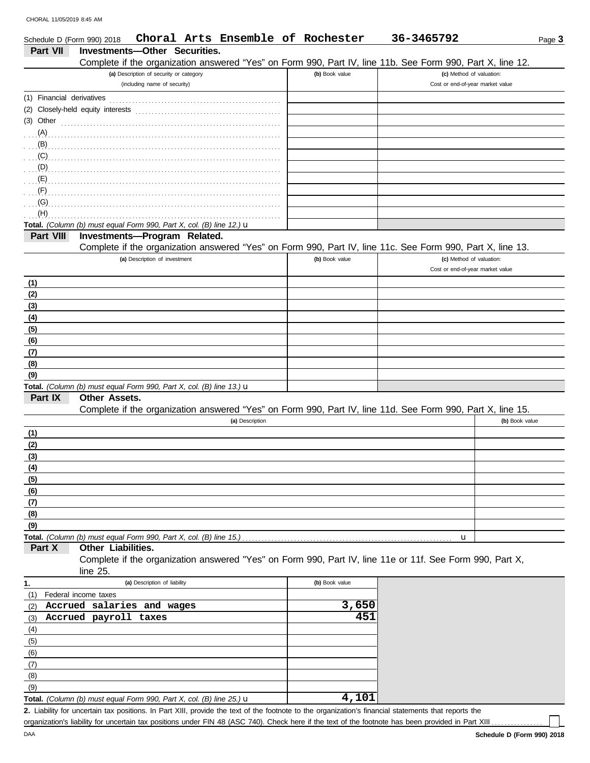| Schedule D (Form 990) 2018 |                                                                                |                                         |                 | Choral Arts Ensemble of Rochester | 36-3465792                                                                                                 | Page 3         |
|----------------------------|--------------------------------------------------------------------------------|-----------------------------------------|-----------------|-----------------------------------|------------------------------------------------------------------------------------------------------------|----------------|
| <b>Part VII</b>            | Investments-Other Securities.                                                  |                                         |                 |                                   |                                                                                                            |                |
|                            |                                                                                |                                         |                 |                                   | Complete if the organization answered "Yes" on Form 990, Part IV, line 11b. See Form 990, Part X, line 12. |                |
|                            |                                                                                | (a) Description of security or category |                 | (b) Book value                    | (c) Method of valuation:                                                                                   |                |
|                            |                                                                                | (including name of security)            |                 |                                   | Cost or end-of-year market value                                                                           |                |
| (1) Financial derivatives  |                                                                                |                                         |                 |                                   |                                                                                                            |                |
|                            | (2) Closely-held equity interests                                              |                                         |                 |                                   |                                                                                                            |                |
| $(3)$ Other                |                                                                                |                                         |                 |                                   |                                                                                                            |                |
| (A)                        |                                                                                |                                         |                 |                                   |                                                                                                            |                |
| (B)                        |                                                                                |                                         |                 |                                   |                                                                                                            |                |
| (C)                        |                                                                                |                                         |                 |                                   |                                                                                                            |                |
| (D)                        |                                                                                |                                         |                 |                                   |                                                                                                            |                |
| (E)                        |                                                                                |                                         |                 |                                   |                                                                                                            |                |
| (F)                        |                                                                                |                                         |                 |                                   |                                                                                                            |                |
| (G)                        |                                                                                |                                         |                 |                                   |                                                                                                            |                |
| (H)                        |                                                                                |                                         |                 |                                   |                                                                                                            |                |
|                            | Total. (Column (b) must equal Form 990, Part X, col. (B) line 12.) $\mathbf u$ |                                         |                 |                                   |                                                                                                            |                |
| Part VIII                  | Investments-Program Related.                                                   |                                         |                 |                                   |                                                                                                            |                |
|                            |                                                                                |                                         |                 |                                   | Complete if the organization answered "Yes" on Form 990, Part IV, line 11c. See Form 990, Part X, line 13. |                |
|                            |                                                                                | (a) Description of investment           |                 | (b) Book value                    | (c) Method of valuation:                                                                                   |                |
|                            |                                                                                |                                         |                 |                                   | Cost or end-of-year market value                                                                           |                |
| (1)                        |                                                                                |                                         |                 |                                   |                                                                                                            |                |
| (2)                        |                                                                                |                                         |                 |                                   |                                                                                                            |                |
| (3)                        |                                                                                |                                         |                 |                                   |                                                                                                            |                |
| (4)                        |                                                                                |                                         |                 |                                   |                                                                                                            |                |
| (5)                        |                                                                                |                                         |                 |                                   |                                                                                                            |                |
| (6)                        |                                                                                |                                         |                 |                                   |                                                                                                            |                |
| (7)                        |                                                                                |                                         |                 |                                   |                                                                                                            |                |
| (8)                        |                                                                                |                                         |                 |                                   |                                                                                                            |                |
| (9)                        | Total. (Column (b) must equal Form 990, Part X, col. (B) line 13.) u           |                                         |                 |                                   |                                                                                                            |                |
| Part IX                    | <b>Other Assets.</b>                                                           |                                         |                 |                                   |                                                                                                            |                |
|                            |                                                                                |                                         |                 |                                   | Complete if the organization answered "Yes" on Form 990, Part IV, line 11d. See Form 990, Part X, line 15. |                |
|                            |                                                                                |                                         | (a) Description |                                   |                                                                                                            | (b) Book value |
| (1)                        |                                                                                |                                         |                 |                                   |                                                                                                            |                |
| (2)                        |                                                                                |                                         |                 |                                   |                                                                                                            |                |
| (3)                        |                                                                                |                                         |                 |                                   |                                                                                                            |                |
| (4)                        |                                                                                |                                         |                 |                                   |                                                                                                            |                |
| (5)                        |                                                                                |                                         |                 |                                   |                                                                                                            |                |
| (6)                        |                                                                                |                                         |                 |                                   |                                                                                                            |                |
| (7)                        |                                                                                |                                         |                 |                                   |                                                                                                            |                |
| (8)                        |                                                                                |                                         |                 |                                   |                                                                                                            |                |
| (9)                        |                                                                                |                                         |                 |                                   |                                                                                                            |                |
|                            | Total. (Column (b) must equal Form 990, Part X, col. (B) line 15.)             |                                         |                 |                                   | u                                                                                                          |                |
| Part X                     | Other Liabilities.                                                             |                                         |                 |                                   |                                                                                                            |                |
|                            |                                                                                |                                         |                 |                                   | Complete if the organization answered "Yes" on Form 990, Part IV, line 11e or 11f. See Form 990, Part X,   |                |
|                            | line 25.                                                                       |                                         |                 |                                   |                                                                                                            |                |
| 1.                         |                                                                                | (a) Description of liability            |                 | (b) Book value                    |                                                                                                            |                |
| (1)                        | Federal income taxes                                                           |                                         |                 |                                   |                                                                                                            |                |
| (2)                        | Accrued salaries and wages                                                     |                                         |                 | 3,650                             |                                                                                                            |                |
| (3)                        | Accrued payroll taxes                                                          |                                         |                 | 451                               |                                                                                                            |                |
| (4)                        |                                                                                |                                         |                 |                                   |                                                                                                            |                |
| (5)                        |                                                                                |                                         |                 |                                   |                                                                                                            |                |
| (6)                        |                                                                                |                                         |                 |                                   |                                                                                                            |                |
| (7)                        |                                                                                |                                         |                 |                                   |                                                                                                            |                |
| (8)                        |                                                                                |                                         |                 |                                   |                                                                                                            |                |
| (9)                        |                                                                                |                                         |                 |                                   |                                                                                                            |                |

Liability for uncertain tax positions. In Part XIII, provide the text of the footnote to the organization's financial statements that reports the **2.**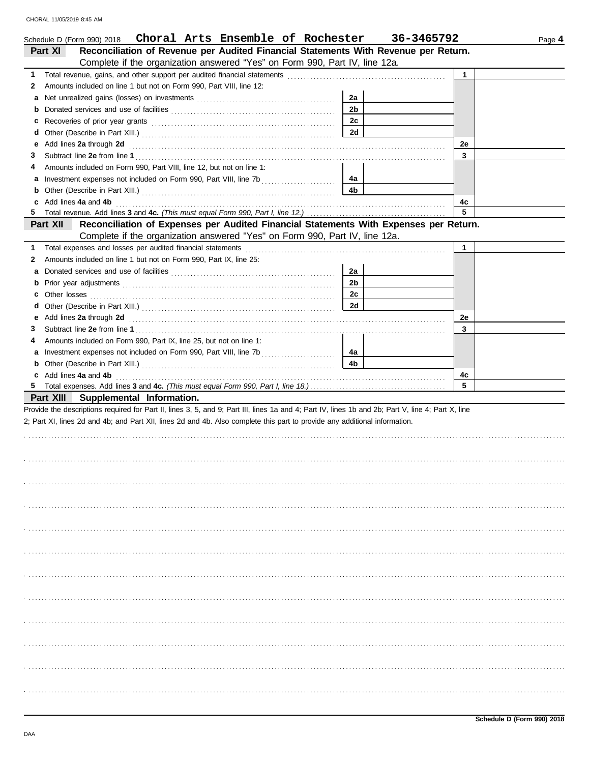|    | Choral Arts Ensemble of Rochester<br>Schedule D (Form 990) 2018                                                                                                                                                                      |                | 36-3465792 |              | Page 4 |
|----|--------------------------------------------------------------------------------------------------------------------------------------------------------------------------------------------------------------------------------------|----------------|------------|--------------|--------|
|    | Reconciliation of Revenue per Audited Financial Statements With Revenue per Return.<br>Part XI                                                                                                                                       |                |            |              |        |
|    | Complete if the organization answered "Yes" on Form 990, Part IV, line 12a.                                                                                                                                                          |                |            |              |        |
| 1. |                                                                                                                                                                                                                                      |                |            | $\mathbf{1}$ |        |
| 2  | Amounts included on line 1 but not on Form 990, Part VIII, line 12:                                                                                                                                                                  |                |            |              |        |
| а  |                                                                                                                                                                                                                                      | 2a             |            |              |        |
| b  |                                                                                                                                                                                                                                      | 2 <sub>b</sub> |            |              |        |
| c  |                                                                                                                                                                                                                                      | 2c             |            |              |        |
| d  |                                                                                                                                                                                                                                      | 2d             |            |              |        |
| е  | Add lines 2a through 2d [11] Add [12] Add lines 2a through 2d [12] Add lines 2a through 2d [12] Add lines 2a through 2d                                                                                                              |                |            | 2e           |        |
| 3  |                                                                                                                                                                                                                                      |                |            | 3            |        |
| 4  | Amounts included on Form 990, Part VIII, line 12, but not on line 1:                                                                                                                                                                 |                |            |              |        |
| а  |                                                                                                                                                                                                                                      | 4a             |            |              |        |
| b  |                                                                                                                                                                                                                                      | 4 <sub>b</sub> |            |              |        |
| c  | Add lines 4a and 4b <b>contract and 4b</b> and 4b and 200 minutes are the contract of the contract of the contract of the contract of the contract of the contract of the contract of the contract of the contract of the contract   |                |            | 4c           |        |
| 5  |                                                                                                                                                                                                                                      |                |            | 5            |        |
|    | Reconciliation of Expenses per Audited Financial Statements With Expenses per Return.<br>Part XII                                                                                                                                    |                |            |              |        |
|    | Complete if the organization answered "Yes" on Form 990, Part IV, line 12a.                                                                                                                                                          |                |            |              |        |
| 1. |                                                                                                                                                                                                                                      |                |            | $\mathbf{1}$ |        |
| 2  | Amounts included on line 1 but not on Form 990, Part IX, line 25:                                                                                                                                                                    |                |            |              |        |
| а  |                                                                                                                                                                                                                                      | 2a             |            |              |        |
| b  |                                                                                                                                                                                                                                      | 2 <sub>b</sub> |            |              |        |
|    | Other losses <b>contract to the contract of the contract of the contract of the contract of the contract of the contract of the contract of the contract of the contract of the contract of the contract of the contract of the </b> | 2c             |            |              |        |
|    |                                                                                                                                                                                                                                      | 2d             |            |              |        |
| е  |                                                                                                                                                                                                                                      |                |            | 2е           |        |
| 3  |                                                                                                                                                                                                                                      |                |            | 3            |        |
| 4  | Amounts included on Form 990, Part IX, line 25, but not on line 1:                                                                                                                                                                   |                |            |              |        |
| а  |                                                                                                                                                                                                                                      | 4a             |            |              |        |
| b  |                                                                                                                                                                                                                                      | 4 <sub>b</sub> |            |              |        |
| c  | Add lines 4a and 4b <b>contract and 4b</b> and 4b and the contract of the contract of the contract of the contract of the contract of the contract of the contract of the contract of the contract of the contract of the contract   |                |            | 4с           |        |
|    |                                                                                                                                                                                                                                      |                |            | 5            |        |
|    | Part XIII Supplemental Information.                                                                                                                                                                                                  |                |            |              |        |
|    | Provide the descriptions required for Part II, lines 3, 5, and 9; Part III, lines 1a and 4; Part IV, lines 1b and 2b; Part V, line 4; Part X, line                                                                                   |                |            |              |        |
|    | 2; Part XI, lines 2d and 4b; and Part XII, lines 2d and 4b. Also complete this part to provide any additional information.                                                                                                           |                |            |              |        |
|    |                                                                                                                                                                                                                                      |                |            |              |        |
|    |                                                                                                                                                                                                                                      |                |            |              |        |
|    |                                                                                                                                                                                                                                      |                |            |              |        |
|    |                                                                                                                                                                                                                                      |                |            |              |        |
|    |                                                                                                                                                                                                                                      |                |            |              |        |
|    |                                                                                                                                                                                                                                      |                |            |              |        |
|    |                                                                                                                                                                                                                                      |                |            |              |        |
|    |                                                                                                                                                                                                                                      |                |            |              |        |
|    |                                                                                                                                                                                                                                      |                |            |              |        |
|    |                                                                                                                                                                                                                                      |                |            |              |        |
|    |                                                                                                                                                                                                                                      |                |            |              |        |
|    |                                                                                                                                                                                                                                      |                |            |              |        |
|    |                                                                                                                                                                                                                                      |                |            |              |        |
|    |                                                                                                                                                                                                                                      |                |            |              |        |
|    |                                                                                                                                                                                                                                      |                |            |              |        |
|    |                                                                                                                                                                                                                                      |                |            |              |        |
|    |                                                                                                                                                                                                                                      |                |            |              |        |
|    |                                                                                                                                                                                                                                      |                |            |              |        |
|    |                                                                                                                                                                                                                                      |                |            |              |        |
|    |                                                                                                                                                                                                                                      |                |            |              |        |
|    |                                                                                                                                                                                                                                      |                |            |              |        |
|    |                                                                                                                                                                                                                                      |                |            |              |        |
|    |                                                                                                                                                                                                                                      |                |            |              |        |
|    |                                                                                                                                                                                                                                      |                |            |              |        |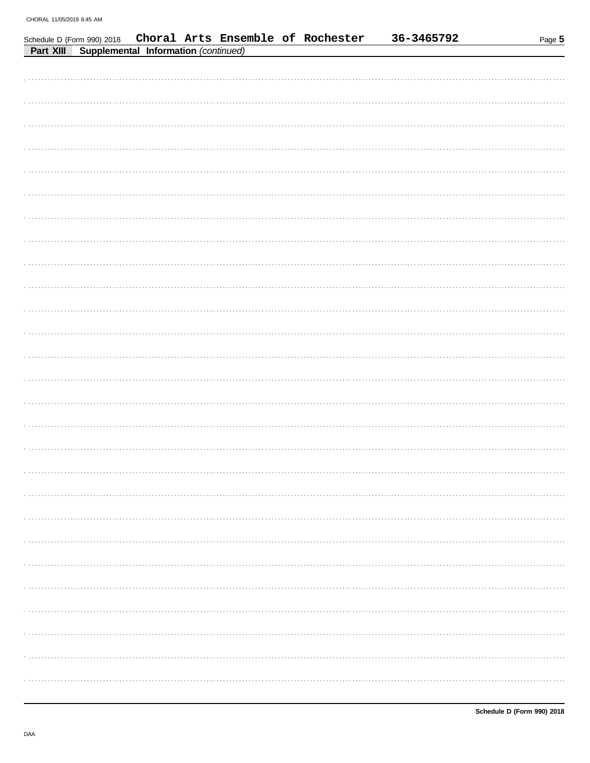|           |                                      |  | Schedule D (Form 990) 2018 Choral Arts Ensemble of Rochester | 36-3465792 | Page 5 |
|-----------|--------------------------------------|--|--------------------------------------------------------------|------------|--------|
| Part XIII | Supplemental Information (continued) |  |                                                              |            |        |
|           |                                      |  |                                                              |            |        |
|           |                                      |  |                                                              |            |        |
|           |                                      |  |                                                              |            |        |
|           |                                      |  |                                                              |            |        |
|           |                                      |  |                                                              |            |        |
|           |                                      |  |                                                              |            |        |
|           |                                      |  |                                                              |            |        |
|           |                                      |  |                                                              |            |        |
|           |                                      |  |                                                              |            |        |
|           |                                      |  |                                                              |            |        |
|           |                                      |  |                                                              |            |        |
|           |                                      |  |                                                              |            |        |
|           |                                      |  |                                                              |            |        |
|           |                                      |  |                                                              |            |        |
|           |                                      |  |                                                              |            |        |
|           |                                      |  |                                                              |            |        |
|           |                                      |  |                                                              |            |        |
|           |                                      |  |                                                              |            |        |
|           |                                      |  |                                                              |            |        |
|           |                                      |  |                                                              |            |        |
|           |                                      |  |                                                              |            |        |
|           |                                      |  |                                                              |            |        |
|           |                                      |  |                                                              |            |        |
|           |                                      |  |                                                              |            |        |
|           |                                      |  |                                                              |            |        |
|           |                                      |  |                                                              |            |        |
|           |                                      |  |                                                              |            |        |
|           |                                      |  |                                                              |            |        |
|           |                                      |  |                                                              |            |        |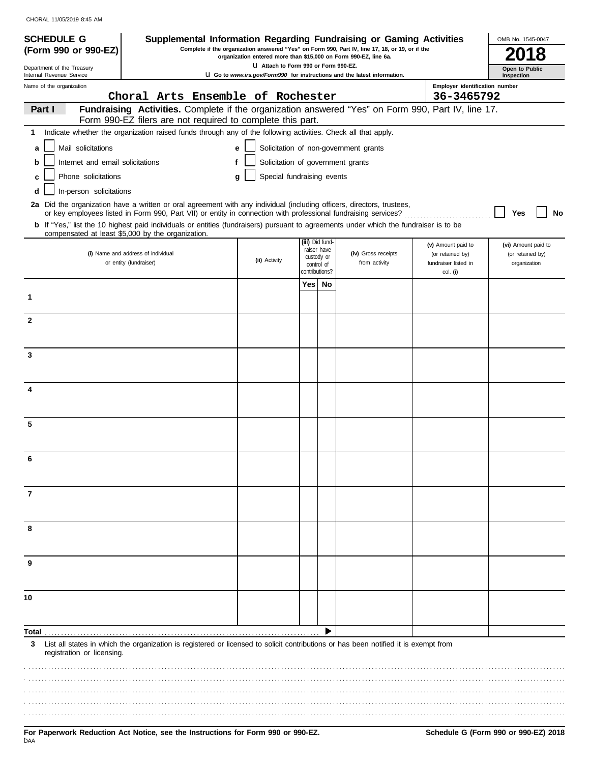| <b>SCHEDULE G</b>                                                                                                                                                                                                                                                                                                                                                                        |                                                                                                                                                                     |                              |  |                            |  |                                | Supplemental Information Regarding Fundraising or Gaming Activities                                |                                        | OMB No. 1545-0047                       |  |
|------------------------------------------------------------------------------------------------------------------------------------------------------------------------------------------------------------------------------------------------------------------------------------------------------------------------------------------------------------------------------------------|---------------------------------------------------------------------------------------------------------------------------------------------------------------------|------------------------------|--|----------------------------|--|--------------------------------|----------------------------------------------------------------------------------------------------|----------------------------------------|-----------------------------------------|--|
| (Form 990 or 990-EZ)                                                                                                                                                                                                                                                                                                                                                                     | Complete if the organization answered "Yes" on Form 990, Part IV, line 17, 18, or 19, or if the<br>organization entered more than \$15,000 on Form 990-EZ, line 6a. |                              |  |                            |  |                                |                                                                                                    |                                        |                                         |  |
| Department of the Treasury                                                                                                                                                                                                                                                                                                                                                               |                                                                                                                                                                     | Open to Public<br>Inspection |  |                            |  |                                |                                                                                                    |                                        |                                         |  |
| Internal Revenue Service<br>Name of the organization                                                                                                                                                                                                                                                                                                                                     | U Go to www.irs.gov/Form990 for instructions and the latest information.<br>Employer identification number<br>Choral Arts Ensemble of Rochester<br>36-3465792       |                              |  |                            |  |                                |                                                                                                    |                                        |                                         |  |
| Part I                                                                                                                                                                                                                                                                                                                                                                                   |                                                                                                                                                                     |                              |  |                            |  |                                | Fundraising Activities. Complete if the organization answered "Yes" on Form 990, Part IV, line 17. |                                        |                                         |  |
|                                                                                                                                                                                                                                                                                                                                                                                          | Form 990-EZ filers are not required to complete this part.                                                                                                          |                              |  |                            |  |                                |                                                                                                    |                                        |                                         |  |
| Indicate whether the organization raised funds through any of the following activities. Check all that apply.<br>1.                                                                                                                                                                                                                                                                      |                                                                                                                                                                     |                              |  |                            |  |                                |                                                                                                    |                                        |                                         |  |
| Mail solicitations<br>a                                                                                                                                                                                                                                                                                                                                                                  |                                                                                                                                                                     | e                            |  |                            |  |                                | Solicitation of non-government grants                                                              |                                        |                                         |  |
| Solicitation of government grants<br>Internet and email solicitations<br>b                                                                                                                                                                                                                                                                                                               |                                                                                                                                                                     |                              |  |                            |  |                                |                                                                                                    |                                        |                                         |  |
| Phone solicitations<br>c                                                                                                                                                                                                                                                                                                                                                                 |                                                                                                                                                                     | a                            |  | Special fundraising events |  |                                |                                                                                                    |                                        |                                         |  |
| In-person solicitations                                                                                                                                                                                                                                                                                                                                                                  |                                                                                                                                                                     |                              |  |                            |  |                                |                                                                                                    |                                        |                                         |  |
| 2a Did the organization have a written or oral agreement with any individual (including officers, directors, trustees,<br>or key employees listed in Form 990, Part VII) or entity in connection with professional fundraising services?<br><b>b</b> If "Yes," list the 10 highest paid individuals or entities (fundraisers) pursuant to agreements under which the fundraiser is to be |                                                                                                                                                                     |                              |  |                            |  |                                |                                                                                                    |                                        | Yes<br>No                               |  |
| compensated at least \$5,000 by the organization.                                                                                                                                                                                                                                                                                                                                        |                                                                                                                                                                     |                              |  |                            |  |                                |                                                                                                    |                                        |                                         |  |
|                                                                                                                                                                                                                                                                                                                                                                                          | (i) Name and address of individual                                                                                                                                  |                              |  |                            |  | (iii) Did fund-<br>raiser have | (iv) Gross receipts                                                                                | (v) Amount paid to<br>(or retained by) | (vi) Amount paid to<br>(or retained by) |  |
|                                                                                                                                                                                                                                                                                                                                                                                          | or entity (fundraiser)                                                                                                                                              |                              |  | (ii) Activity              |  | custody or<br>control of       | from activity                                                                                      | fundraiser listed in                   | organization                            |  |
|                                                                                                                                                                                                                                                                                                                                                                                          |                                                                                                                                                                     |                              |  |                            |  | contributions?<br>Yes   No     |                                                                                                    | col. (i)                               |                                         |  |
| 1                                                                                                                                                                                                                                                                                                                                                                                        |                                                                                                                                                                     |                              |  |                            |  |                                |                                                                                                    |                                        |                                         |  |
|                                                                                                                                                                                                                                                                                                                                                                                          |                                                                                                                                                                     |                              |  |                            |  |                                |                                                                                                    |                                        |                                         |  |
| $\mathbf{2}$                                                                                                                                                                                                                                                                                                                                                                             |                                                                                                                                                                     |                              |  |                            |  |                                |                                                                                                    |                                        |                                         |  |
|                                                                                                                                                                                                                                                                                                                                                                                          |                                                                                                                                                                     |                              |  |                            |  |                                |                                                                                                    |                                        |                                         |  |
| 3                                                                                                                                                                                                                                                                                                                                                                                        |                                                                                                                                                                     |                              |  |                            |  |                                |                                                                                                    |                                        |                                         |  |
|                                                                                                                                                                                                                                                                                                                                                                                          |                                                                                                                                                                     |                              |  |                            |  |                                |                                                                                                    |                                        |                                         |  |
|                                                                                                                                                                                                                                                                                                                                                                                          |                                                                                                                                                                     |                              |  |                            |  |                                |                                                                                                    |                                        |                                         |  |
|                                                                                                                                                                                                                                                                                                                                                                                          |                                                                                                                                                                     |                              |  |                            |  |                                |                                                                                                    |                                        |                                         |  |
| 5                                                                                                                                                                                                                                                                                                                                                                                        |                                                                                                                                                                     |                              |  |                            |  |                                |                                                                                                    |                                        |                                         |  |
|                                                                                                                                                                                                                                                                                                                                                                                          |                                                                                                                                                                     |                              |  |                            |  |                                |                                                                                                    |                                        |                                         |  |
|                                                                                                                                                                                                                                                                                                                                                                                          |                                                                                                                                                                     |                              |  |                            |  |                                |                                                                                                    |                                        |                                         |  |
|                                                                                                                                                                                                                                                                                                                                                                                          |                                                                                                                                                                     |                              |  |                            |  |                                |                                                                                                    |                                        |                                         |  |
| 7                                                                                                                                                                                                                                                                                                                                                                                        |                                                                                                                                                                     |                              |  |                            |  |                                |                                                                                                    |                                        |                                         |  |
|                                                                                                                                                                                                                                                                                                                                                                                          |                                                                                                                                                                     |                              |  |                            |  |                                |                                                                                                    |                                        |                                         |  |
| 8                                                                                                                                                                                                                                                                                                                                                                                        |                                                                                                                                                                     |                              |  |                            |  |                                |                                                                                                    |                                        |                                         |  |
|                                                                                                                                                                                                                                                                                                                                                                                          |                                                                                                                                                                     |                              |  |                            |  |                                |                                                                                                    |                                        |                                         |  |
| 9                                                                                                                                                                                                                                                                                                                                                                                        |                                                                                                                                                                     |                              |  |                            |  |                                |                                                                                                    |                                        |                                         |  |
|                                                                                                                                                                                                                                                                                                                                                                                          |                                                                                                                                                                     |                              |  |                            |  |                                |                                                                                                    |                                        |                                         |  |
| 10                                                                                                                                                                                                                                                                                                                                                                                       |                                                                                                                                                                     |                              |  |                            |  |                                |                                                                                                    |                                        |                                         |  |
|                                                                                                                                                                                                                                                                                                                                                                                          |                                                                                                                                                                     |                              |  |                            |  |                                |                                                                                                    |                                        |                                         |  |
|                                                                                                                                                                                                                                                                                                                                                                                          |                                                                                                                                                                     |                              |  |                            |  |                                |                                                                                                    |                                        |                                         |  |
| Total                                                                                                                                                                                                                                                                                                                                                                                    |                                                                                                                                                                     |                              |  |                            |  |                                |                                                                                                    |                                        |                                         |  |
| List all states in which the organization is registered or licensed to solicit contributions or has been notified it is exempt from<br>3<br>registration or licensing.                                                                                                                                                                                                                   |                                                                                                                                                                     |                              |  |                            |  |                                |                                                                                                    |                                        |                                         |  |
|                                                                                                                                                                                                                                                                                                                                                                                          |                                                                                                                                                                     |                              |  |                            |  |                                |                                                                                                    |                                        |                                         |  |
|                                                                                                                                                                                                                                                                                                                                                                                          |                                                                                                                                                                     |                              |  |                            |  |                                |                                                                                                    |                                        |                                         |  |
|                                                                                                                                                                                                                                                                                                                                                                                          |                                                                                                                                                                     |                              |  |                            |  |                                |                                                                                                    |                                        |                                         |  |
|                                                                                                                                                                                                                                                                                                                                                                                          |                                                                                                                                                                     |                              |  |                            |  |                                |                                                                                                    |                                        |                                         |  |

.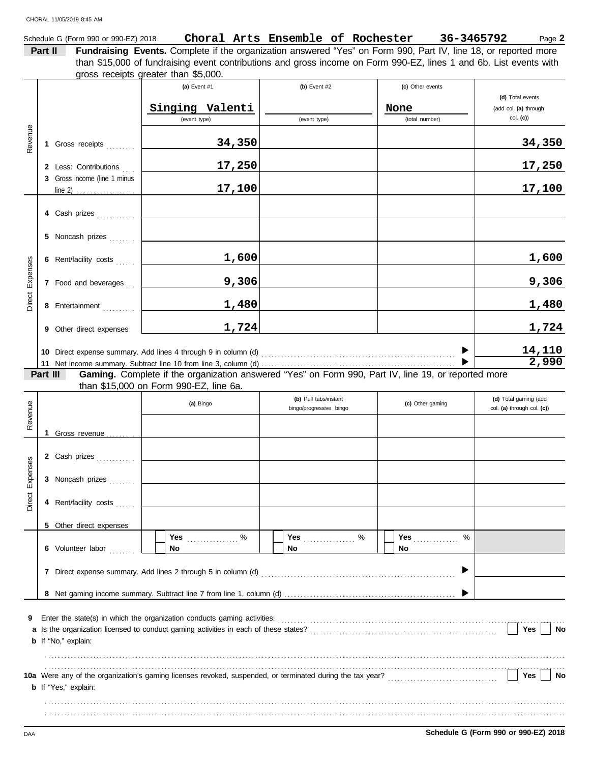|                 |         | Schedule G (Form 990 or 990-EZ) 2018 |                                                                                                                                                                                                                        | Choral Arts Ensemble of Rochester |                        | 36-3465792       | Page 2                            |
|-----------------|---------|--------------------------------------|------------------------------------------------------------------------------------------------------------------------------------------------------------------------------------------------------------------------|-----------------------------------|------------------------|------------------|-----------------------------------|
|                 | Part II |                                      | Fundraising Events. Complete if the organization answered "Yes" on Form 990, Part IV, line 18, or reported more                                                                                                        |                                   |                        |                  |                                   |
|                 |         |                                      | than \$15,000 of fundraising event contributions and gross income on Form 990-EZ, lines 1 and 6b. List events with                                                                                                     |                                   |                        |                  |                                   |
|                 |         |                                      | gross receipts greater than \$5,000.                                                                                                                                                                                   |                                   |                        |                  |                                   |
|                 |         |                                      | (a) Event #1                                                                                                                                                                                                           | (b) Event #2                      | (c) Other events       |                  |                                   |
|                 |         |                                      | Singing Valenti                                                                                                                                                                                                        |                                   |                        |                  | (d) Total events                  |
|                 |         |                                      | (event type)                                                                                                                                                                                                           | (event type)                      | None<br>(total number) |                  | (add col. (a) through<br>col. (c) |
|                 |         |                                      |                                                                                                                                                                                                                        |                                   |                        |                  |                                   |
| Revenue         |         | 1 Gross receipts                     | 34,350                                                                                                                                                                                                                 |                                   |                        |                  | 34,350                            |
|                 |         |                                      |                                                                                                                                                                                                                        |                                   |                        |                  |                                   |
|                 |         | 2 Less: Contributions                | 17,250                                                                                                                                                                                                                 |                                   |                        |                  | 17,250                            |
|                 |         | 3 Gross income (line 1 minus         |                                                                                                                                                                                                                        |                                   |                        |                  |                                   |
|                 |         |                                      | 17,100                                                                                                                                                                                                                 |                                   |                        |                  | 17,100                            |
|                 |         |                                      |                                                                                                                                                                                                                        |                                   |                        |                  |                                   |
|                 |         | 4 Cash prizes                        |                                                                                                                                                                                                                        |                                   |                        |                  |                                   |
|                 |         |                                      |                                                                                                                                                                                                                        |                                   |                        |                  |                                   |
|                 |         | 5 Noncash prizes                     |                                                                                                                                                                                                                        |                                   |                        |                  |                                   |
|                 |         | 6 Rent/facility costs                | 1,600                                                                                                                                                                                                                  |                                   |                        |                  | 1,600                             |
|                 |         |                                      |                                                                                                                                                                                                                        |                                   |                        |                  |                                   |
|                 |         | 7 Food and beverages                 | 9,306                                                                                                                                                                                                                  |                                   |                        |                  | 9,306                             |
| Direct Expenses |         |                                      |                                                                                                                                                                                                                        |                                   |                        |                  |                                   |
|                 |         | 8 Entertainment                      | 1,480                                                                                                                                                                                                                  |                                   |                        |                  | 1,480                             |
|                 |         |                                      |                                                                                                                                                                                                                        |                                   |                        |                  |                                   |
|                 |         | 9 Other direct expenses              | 1,724                                                                                                                                                                                                                  |                                   |                        |                  | 1,724                             |
|                 |         |                                      |                                                                                                                                                                                                                        |                                   |                        |                  | 14,110                            |
|                 |         |                                      |                                                                                                                                                                                                                        |                                   |                        |                  | 2,990                             |
|                 |         | Part III                             | Gaming. Complete if the organization answered "Yes" on Form 990, Part IV, line 19, or reported more                                                                                                                    |                                   |                        |                  |                                   |
|                 |         |                                      | than \$15,000 on Form 990-EZ, line 6a.                                                                                                                                                                                 |                                   |                        |                  |                                   |
|                 |         |                                      | (a) Bingo                                                                                                                                                                                                              | (b) Pull tabs/instant             |                        | (c) Other gaming | (d) Total gaming (add             |
| Revenue         |         |                                      |                                                                                                                                                                                                                        | bingo/progressive bingo           |                        |                  | col. (a) through col. (c))        |
|                 |         |                                      |                                                                                                                                                                                                                        |                                   |                        |                  |                                   |
|                 |         | Gross revenue                        |                                                                                                                                                                                                                        |                                   |                        |                  |                                   |
|                 |         | 2 Cash prizes                        |                                                                                                                                                                                                                        |                                   |                        |                  |                                   |
| ses             |         |                                      |                                                                                                                                                                                                                        |                                   |                        |                  |                                   |
| Expens          |         | 3 Noncash prizes                     |                                                                                                                                                                                                                        |                                   |                        |                  |                                   |
|                 |         |                                      |                                                                                                                                                                                                                        |                                   |                        |                  |                                   |
| Direct          |         | 4 Rent/facility costs                |                                                                                                                                                                                                                        |                                   |                        |                  |                                   |
|                 |         |                                      |                                                                                                                                                                                                                        |                                   |                        |                  |                                   |
|                 |         | 5 Other direct expenses              |                                                                                                                                                                                                                        |                                   |                        |                  |                                   |
|                 |         |                                      | %<br>Yes<br>No                                                                                                                                                                                                         | <b>Yes</b><br>No                  | $\%$<br>Yes            | %                |                                   |
|                 |         | 6 Volunteer labor                    |                                                                                                                                                                                                                        |                                   | No.                    |                  |                                   |
|                 |         |                                      |                                                                                                                                                                                                                        |                                   |                        |                  |                                   |
|                 |         |                                      |                                                                                                                                                                                                                        |                                   |                        |                  |                                   |
|                 |         |                                      |                                                                                                                                                                                                                        |                                   |                        |                  |                                   |
|                 |         |                                      |                                                                                                                                                                                                                        |                                   |                        |                  |                                   |
| 9               |         |                                      |                                                                                                                                                                                                                        |                                   |                        |                  |                                   |
|                 |         |                                      |                                                                                                                                                                                                                        |                                   |                        |                  | Yes<br>No                         |
|                 |         | <b>b</b> If "No," explain:           |                                                                                                                                                                                                                        |                                   |                        |                  |                                   |
|                 |         |                                      |                                                                                                                                                                                                                        |                                   |                        |                  |                                   |
|                 |         |                                      | 10a Were any of the organization's gaming licenses revoked, suspended, or terminated during the tax year?<br>10a Were any of the organization's gaming licenses revoked, suspended, or terminated during the tax year? |                                   |                        |                  | Yes<br>No                         |
|                 |         | <b>b</b> If "Yes," explain:          |                                                                                                                                                                                                                        |                                   |                        |                  |                                   |
|                 |         |                                      |                                                                                                                                                                                                                        |                                   |                        |                  |                                   |
|                 |         |                                      |                                                                                                                                                                                                                        |                                   |                        |                  |                                   |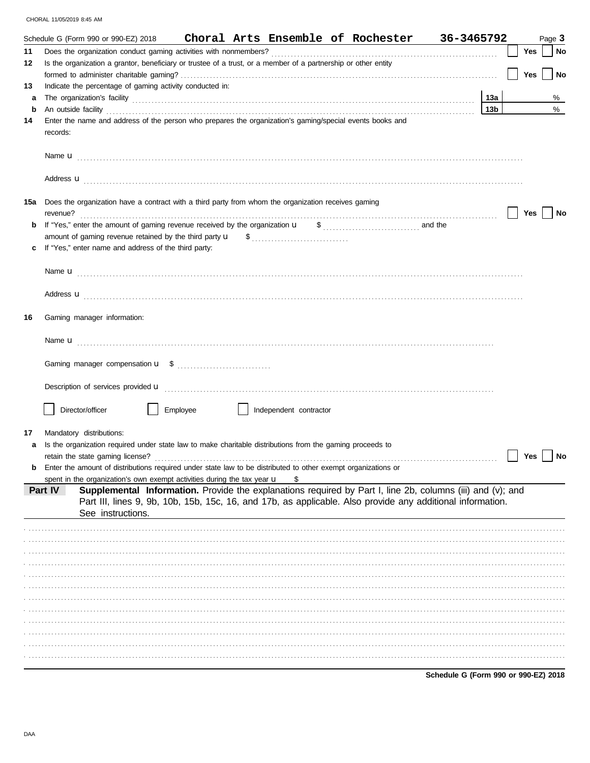| Does the organization conduct gaming activities with nonmembers?<br>No<br>11<br>Yes<br>Is the organization a grantor, beneficiary or trustee of a trust, or a member of a partnership or other entity<br>12<br>No<br>Yes<br>Indicate the percentage of gaming activity conducted in:<br>13<br>The organization's facility encourance and contact the contact of the contact of the contact of the contact of the contact of the contact of the contact of the contact of the contact of the contact of the contact of the co<br>13а<br>%<br>a<br>%<br>13 <sub>b</sub><br>An outside facility <b>contained a set of the contract of the contract of the contract of the contract of the contract of the contract of the contract of the contract of the contract of the contract of the contract of the co</b><br>b<br>Enter the name and address of the person who prepares the organization's gaming/special events books and<br>14<br>records:<br>Address <b>u</b><br>Does the organization have a contract with a third party from whom the organization receives gaming<br>15a<br>Yes<br>No<br>revenue?<br>b<br>If "Yes," enter name and address of the third party:<br>c<br>Address <b>u</b><br>Gaming manager information:<br>16<br>Director/officer<br>Employee<br>Independent contractor<br>Mandatory distributions:<br>17<br>Is the organization required under state law to make charitable distributions from the gaming proceeds to<br>retain the state gaming license?<br>No<br>Yes<br>Enter the amount of distributions required under state law to be distributed to other exempt organizations or<br>b<br>spent in the organization's own exempt activities during the tax year $\mathbf u$<br>\$<br>Supplemental Information. Provide the explanations required by Part I, line 2b, columns (iii) and (v); and<br>Part IV<br>Part III, lines 9, 9b, 10b, 15b, 15c, 16, and 17b, as applicable. Also provide any additional information.<br>See instructions. | Schedule G (Form 990 or 990-EZ) 2018 |  |  | Choral Arts Ensemble of Rochester | 36-3465792 | Page 3 |
|-------------------------------------------------------------------------------------------------------------------------------------------------------------------------------------------------------------------------------------------------------------------------------------------------------------------------------------------------------------------------------------------------------------------------------------------------------------------------------------------------------------------------------------------------------------------------------------------------------------------------------------------------------------------------------------------------------------------------------------------------------------------------------------------------------------------------------------------------------------------------------------------------------------------------------------------------------------------------------------------------------------------------------------------------------------------------------------------------------------------------------------------------------------------------------------------------------------------------------------------------------------------------------------------------------------------------------------------------------------------------------------------------------------------------------------------------------------------------------------------------------------------------------------------------------------------------------------------------------------------------------------------------------------------------------------------------------------------------------------------------------------------------------------------------------------------------------------------------------------------------------------------------------------------------------------------------------------------------------|--------------------------------------|--|--|-----------------------------------|------------|--------|
|                                                                                                                                                                                                                                                                                                                                                                                                                                                                                                                                                                                                                                                                                                                                                                                                                                                                                                                                                                                                                                                                                                                                                                                                                                                                                                                                                                                                                                                                                                                                                                                                                                                                                                                                                                                                                                                                                                                                                                               |                                      |  |  |                                   |            |        |
|                                                                                                                                                                                                                                                                                                                                                                                                                                                                                                                                                                                                                                                                                                                                                                                                                                                                                                                                                                                                                                                                                                                                                                                                                                                                                                                                                                                                                                                                                                                                                                                                                                                                                                                                                                                                                                                                                                                                                                               |                                      |  |  |                                   |            |        |
|                                                                                                                                                                                                                                                                                                                                                                                                                                                                                                                                                                                                                                                                                                                                                                                                                                                                                                                                                                                                                                                                                                                                                                                                                                                                                                                                                                                                                                                                                                                                                                                                                                                                                                                                                                                                                                                                                                                                                                               |                                      |  |  |                                   |            |        |
|                                                                                                                                                                                                                                                                                                                                                                                                                                                                                                                                                                                                                                                                                                                                                                                                                                                                                                                                                                                                                                                                                                                                                                                                                                                                                                                                                                                                                                                                                                                                                                                                                                                                                                                                                                                                                                                                                                                                                                               |                                      |  |  |                                   |            |        |
|                                                                                                                                                                                                                                                                                                                                                                                                                                                                                                                                                                                                                                                                                                                                                                                                                                                                                                                                                                                                                                                                                                                                                                                                                                                                                                                                                                                                                                                                                                                                                                                                                                                                                                                                                                                                                                                                                                                                                                               |                                      |  |  |                                   |            |        |
|                                                                                                                                                                                                                                                                                                                                                                                                                                                                                                                                                                                                                                                                                                                                                                                                                                                                                                                                                                                                                                                                                                                                                                                                                                                                                                                                                                                                                                                                                                                                                                                                                                                                                                                                                                                                                                                                                                                                                                               |                                      |  |  |                                   |            |        |
|                                                                                                                                                                                                                                                                                                                                                                                                                                                                                                                                                                                                                                                                                                                                                                                                                                                                                                                                                                                                                                                                                                                                                                                                                                                                                                                                                                                                                                                                                                                                                                                                                                                                                                                                                                                                                                                                                                                                                                               |                                      |  |  |                                   |            |        |
|                                                                                                                                                                                                                                                                                                                                                                                                                                                                                                                                                                                                                                                                                                                                                                                                                                                                                                                                                                                                                                                                                                                                                                                                                                                                                                                                                                                                                                                                                                                                                                                                                                                                                                                                                                                                                                                                                                                                                                               |                                      |  |  |                                   |            |        |
|                                                                                                                                                                                                                                                                                                                                                                                                                                                                                                                                                                                                                                                                                                                                                                                                                                                                                                                                                                                                                                                                                                                                                                                                                                                                                                                                                                                                                                                                                                                                                                                                                                                                                                                                                                                                                                                                                                                                                                               |                                      |  |  |                                   |            |        |
|                                                                                                                                                                                                                                                                                                                                                                                                                                                                                                                                                                                                                                                                                                                                                                                                                                                                                                                                                                                                                                                                                                                                                                                                                                                                                                                                                                                                                                                                                                                                                                                                                                                                                                                                                                                                                                                                                                                                                                               |                                      |  |  |                                   |            |        |
|                                                                                                                                                                                                                                                                                                                                                                                                                                                                                                                                                                                                                                                                                                                                                                                                                                                                                                                                                                                                                                                                                                                                                                                                                                                                                                                                                                                                                                                                                                                                                                                                                                                                                                                                                                                                                                                                                                                                                                               |                                      |  |  |                                   |            |        |
|                                                                                                                                                                                                                                                                                                                                                                                                                                                                                                                                                                                                                                                                                                                                                                                                                                                                                                                                                                                                                                                                                                                                                                                                                                                                                                                                                                                                                                                                                                                                                                                                                                                                                                                                                                                                                                                                                                                                                                               |                                      |  |  |                                   |            |        |
|                                                                                                                                                                                                                                                                                                                                                                                                                                                                                                                                                                                                                                                                                                                                                                                                                                                                                                                                                                                                                                                                                                                                                                                                                                                                                                                                                                                                                                                                                                                                                                                                                                                                                                                                                                                                                                                                                                                                                                               |                                      |  |  |                                   |            |        |
|                                                                                                                                                                                                                                                                                                                                                                                                                                                                                                                                                                                                                                                                                                                                                                                                                                                                                                                                                                                                                                                                                                                                                                                                                                                                                                                                                                                                                                                                                                                                                                                                                                                                                                                                                                                                                                                                                                                                                                               |                                      |  |  |                                   |            |        |
|                                                                                                                                                                                                                                                                                                                                                                                                                                                                                                                                                                                                                                                                                                                                                                                                                                                                                                                                                                                                                                                                                                                                                                                                                                                                                                                                                                                                                                                                                                                                                                                                                                                                                                                                                                                                                                                                                                                                                                               |                                      |  |  |                                   |            |        |
|                                                                                                                                                                                                                                                                                                                                                                                                                                                                                                                                                                                                                                                                                                                                                                                                                                                                                                                                                                                                                                                                                                                                                                                                                                                                                                                                                                                                                                                                                                                                                                                                                                                                                                                                                                                                                                                                                                                                                                               |                                      |  |  |                                   |            |        |
|                                                                                                                                                                                                                                                                                                                                                                                                                                                                                                                                                                                                                                                                                                                                                                                                                                                                                                                                                                                                                                                                                                                                                                                                                                                                                                                                                                                                                                                                                                                                                                                                                                                                                                                                                                                                                                                                                                                                                                               |                                      |  |  |                                   |            |        |
|                                                                                                                                                                                                                                                                                                                                                                                                                                                                                                                                                                                                                                                                                                                                                                                                                                                                                                                                                                                                                                                                                                                                                                                                                                                                                                                                                                                                                                                                                                                                                                                                                                                                                                                                                                                                                                                                                                                                                                               |                                      |  |  |                                   |            |        |
|                                                                                                                                                                                                                                                                                                                                                                                                                                                                                                                                                                                                                                                                                                                                                                                                                                                                                                                                                                                                                                                                                                                                                                                                                                                                                                                                                                                                                                                                                                                                                                                                                                                                                                                                                                                                                                                                                                                                                                               |                                      |  |  |                                   |            |        |
|                                                                                                                                                                                                                                                                                                                                                                                                                                                                                                                                                                                                                                                                                                                                                                                                                                                                                                                                                                                                                                                                                                                                                                                                                                                                                                                                                                                                                                                                                                                                                                                                                                                                                                                                                                                                                                                                                                                                                                               |                                      |  |  |                                   |            |        |
|                                                                                                                                                                                                                                                                                                                                                                                                                                                                                                                                                                                                                                                                                                                                                                                                                                                                                                                                                                                                                                                                                                                                                                                                                                                                                                                                                                                                                                                                                                                                                                                                                                                                                                                                                                                                                                                                                                                                                                               |                                      |  |  |                                   |            |        |
|                                                                                                                                                                                                                                                                                                                                                                                                                                                                                                                                                                                                                                                                                                                                                                                                                                                                                                                                                                                                                                                                                                                                                                                                                                                                                                                                                                                                                                                                                                                                                                                                                                                                                                                                                                                                                                                                                                                                                                               |                                      |  |  |                                   |            |        |
|                                                                                                                                                                                                                                                                                                                                                                                                                                                                                                                                                                                                                                                                                                                                                                                                                                                                                                                                                                                                                                                                                                                                                                                                                                                                                                                                                                                                                                                                                                                                                                                                                                                                                                                                                                                                                                                                                                                                                                               |                                      |  |  |                                   |            |        |
|                                                                                                                                                                                                                                                                                                                                                                                                                                                                                                                                                                                                                                                                                                                                                                                                                                                                                                                                                                                                                                                                                                                                                                                                                                                                                                                                                                                                                                                                                                                                                                                                                                                                                                                                                                                                                                                                                                                                                                               |                                      |  |  |                                   |            |        |
|                                                                                                                                                                                                                                                                                                                                                                                                                                                                                                                                                                                                                                                                                                                                                                                                                                                                                                                                                                                                                                                                                                                                                                                                                                                                                                                                                                                                                                                                                                                                                                                                                                                                                                                                                                                                                                                                                                                                                                               |                                      |  |  |                                   |            |        |
|                                                                                                                                                                                                                                                                                                                                                                                                                                                                                                                                                                                                                                                                                                                                                                                                                                                                                                                                                                                                                                                                                                                                                                                                                                                                                                                                                                                                                                                                                                                                                                                                                                                                                                                                                                                                                                                                                                                                                                               |                                      |  |  |                                   |            |        |
|                                                                                                                                                                                                                                                                                                                                                                                                                                                                                                                                                                                                                                                                                                                                                                                                                                                                                                                                                                                                                                                                                                                                                                                                                                                                                                                                                                                                                                                                                                                                                                                                                                                                                                                                                                                                                                                                                                                                                                               |                                      |  |  |                                   |            |        |
|                                                                                                                                                                                                                                                                                                                                                                                                                                                                                                                                                                                                                                                                                                                                                                                                                                                                                                                                                                                                                                                                                                                                                                                                                                                                                                                                                                                                                                                                                                                                                                                                                                                                                                                                                                                                                                                                                                                                                                               |                                      |  |  |                                   |            |        |
|                                                                                                                                                                                                                                                                                                                                                                                                                                                                                                                                                                                                                                                                                                                                                                                                                                                                                                                                                                                                                                                                                                                                                                                                                                                                                                                                                                                                                                                                                                                                                                                                                                                                                                                                                                                                                                                                                                                                                                               |                                      |  |  |                                   |            |        |
|                                                                                                                                                                                                                                                                                                                                                                                                                                                                                                                                                                                                                                                                                                                                                                                                                                                                                                                                                                                                                                                                                                                                                                                                                                                                                                                                                                                                                                                                                                                                                                                                                                                                                                                                                                                                                                                                                                                                                                               |                                      |  |  |                                   |            |        |
|                                                                                                                                                                                                                                                                                                                                                                                                                                                                                                                                                                                                                                                                                                                                                                                                                                                                                                                                                                                                                                                                                                                                                                                                                                                                                                                                                                                                                                                                                                                                                                                                                                                                                                                                                                                                                                                                                                                                                                               |                                      |  |  |                                   |            |        |
|                                                                                                                                                                                                                                                                                                                                                                                                                                                                                                                                                                                                                                                                                                                                                                                                                                                                                                                                                                                                                                                                                                                                                                                                                                                                                                                                                                                                                                                                                                                                                                                                                                                                                                                                                                                                                                                                                                                                                                               |                                      |  |  |                                   |            |        |
|                                                                                                                                                                                                                                                                                                                                                                                                                                                                                                                                                                                                                                                                                                                                                                                                                                                                                                                                                                                                                                                                                                                                                                                                                                                                                                                                                                                                                                                                                                                                                                                                                                                                                                                                                                                                                                                                                                                                                                               |                                      |  |  |                                   |            |        |
|                                                                                                                                                                                                                                                                                                                                                                                                                                                                                                                                                                                                                                                                                                                                                                                                                                                                                                                                                                                                                                                                                                                                                                                                                                                                                                                                                                                                                                                                                                                                                                                                                                                                                                                                                                                                                                                                                                                                                                               |                                      |  |  |                                   |            |        |
|                                                                                                                                                                                                                                                                                                                                                                                                                                                                                                                                                                                                                                                                                                                                                                                                                                                                                                                                                                                                                                                                                                                                                                                                                                                                                                                                                                                                                                                                                                                                                                                                                                                                                                                                                                                                                                                                                                                                                                               |                                      |  |  |                                   |            |        |
|                                                                                                                                                                                                                                                                                                                                                                                                                                                                                                                                                                                                                                                                                                                                                                                                                                                                                                                                                                                                                                                                                                                                                                                                                                                                                                                                                                                                                                                                                                                                                                                                                                                                                                                                                                                                                                                                                                                                                                               |                                      |  |  |                                   |            |        |
|                                                                                                                                                                                                                                                                                                                                                                                                                                                                                                                                                                                                                                                                                                                                                                                                                                                                                                                                                                                                                                                                                                                                                                                                                                                                                                                                                                                                                                                                                                                                                                                                                                                                                                                                                                                                                                                                                                                                                                               |                                      |  |  |                                   |            |        |
|                                                                                                                                                                                                                                                                                                                                                                                                                                                                                                                                                                                                                                                                                                                                                                                                                                                                                                                                                                                                                                                                                                                                                                                                                                                                                                                                                                                                                                                                                                                                                                                                                                                                                                                                                                                                                                                                                                                                                                               |                                      |  |  |                                   |            |        |
|                                                                                                                                                                                                                                                                                                                                                                                                                                                                                                                                                                                                                                                                                                                                                                                                                                                                                                                                                                                                                                                                                                                                                                                                                                                                                                                                                                                                                                                                                                                                                                                                                                                                                                                                                                                                                                                                                                                                                                               |                                      |  |  |                                   |            |        |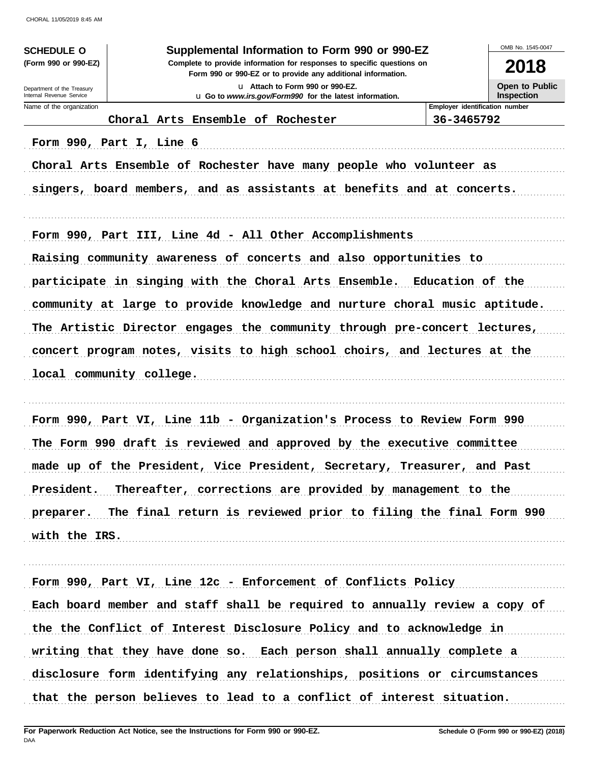| <b>SCHEDULE O</b><br>(Form 990 or 990-EZ)<br>Department of the Treasury<br>Internal Revenue Service | Supplemental Information to Form 990 or 990-EZ<br>Complete to provide information for responses to specific questions on<br>Form 990 or 990-EZ or to provide any additional information.<br>u Attach to Form 990 or 990-EZ.<br>u Go to www.irs.gov/Form990 for the latest information. |                                              |  |  |  |  |  |  |
|-----------------------------------------------------------------------------------------------------|----------------------------------------------------------------------------------------------------------------------------------------------------------------------------------------------------------------------------------------------------------------------------------------|----------------------------------------------|--|--|--|--|--|--|
| Name of the organization                                                                            | Choral Arts Ensemble of Rochester                                                                                                                                                                                                                                                      | Employer identification number<br>36-3465792 |  |  |  |  |  |  |
|                                                                                                     | Form 990, Part I, Line 6<br>Choral Arts Ensemble of Rochester have many people who volunteer as                                                                                                                                                                                        |                                              |  |  |  |  |  |  |
|                                                                                                     | singers, board members, and as assistants at benefits and at concerts.<br>Form 990, Part III, Line 4d - All Other Accomplishments                                                                                                                                                      |                                              |  |  |  |  |  |  |
|                                                                                                     | Raising community awareness of concerts and also opportunities to                                                                                                                                                                                                                      |                                              |  |  |  |  |  |  |
|                                                                                                     | participate in singing with the Choral Arts Ensemble. Education of the                                                                                                                                                                                                                 |                                              |  |  |  |  |  |  |
|                                                                                                     | community at large to provide knowledge and nurture choral music aptitude.                                                                                                                                                                                                             |                                              |  |  |  |  |  |  |
|                                                                                                     | The Artistic Director engages the community through pre-concert lectures,                                                                                                                                                                                                              |                                              |  |  |  |  |  |  |
|                                                                                                     | concert program notes, visits to high school choirs, and lectures at the                                                                                                                                                                                                               |                                              |  |  |  |  |  |  |
|                                                                                                     | local community college.                                                                                                                                                                                                                                                               |                                              |  |  |  |  |  |  |
|                                                                                                     |                                                                                                                                                                                                                                                                                        |                                              |  |  |  |  |  |  |
|                                                                                                     | Form 990, Part VI, Line 11b - Organization's Process to Review Form 990                                                                                                                                                                                                                |                                              |  |  |  |  |  |  |
|                                                                                                     | The Form 990 draft is reviewed and approved by the executive committee                                                                                                                                                                                                                 |                                              |  |  |  |  |  |  |
|                                                                                                     | made up of the President, Vice President, Secretary, Treasurer, and Past                                                                                                                                                                                                               |                                              |  |  |  |  |  |  |
|                                                                                                     | President. Thereafter, corrections are provided by management to the                                                                                                                                                                                                                   |                                              |  |  |  |  |  |  |
|                                                                                                     | preparer. The final return is reviewed prior to filing the final Form 990                                                                                                                                                                                                              |                                              |  |  |  |  |  |  |
| with the IRS.                                                                                       |                                                                                                                                                                                                                                                                                        |                                              |  |  |  |  |  |  |
|                                                                                                     | Form 990, Part VI, Line 12c - Enforcement of Conflicts Policy                                                                                                                                                                                                                          |                                              |  |  |  |  |  |  |
|                                                                                                     | Each board member and staff shall be required to annually review a copy of                                                                                                                                                                                                             |                                              |  |  |  |  |  |  |
|                                                                                                     | the the Conflict of Interest Disclosure Policy and to acknowledge in                                                                                                                                                                                                                   |                                              |  |  |  |  |  |  |
|                                                                                                     | writing that they have done so. Each person shall annually complete a                                                                                                                                                                                                                  |                                              |  |  |  |  |  |  |
|                                                                                                     | disclosure form identifying any relationships, positions or circumstances                                                                                                                                                                                                              |                                              |  |  |  |  |  |  |
|                                                                                                     |                                                                                                                                                                                                                                                                                        |                                              |  |  |  |  |  |  |
|                                                                                                     | that the person believes to lead to a conflict of interest situation.                                                                                                                                                                                                                  |                                              |  |  |  |  |  |  |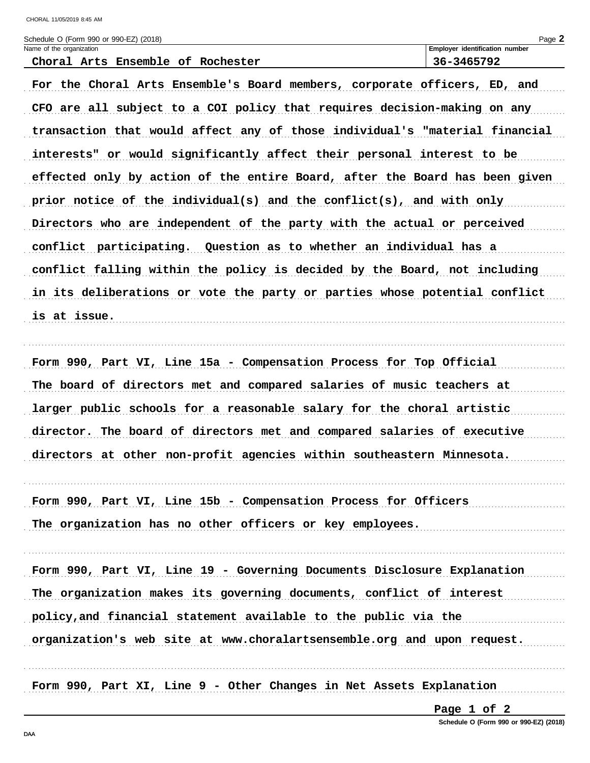| CHORAL 11/05/2019 8:45 AM                                                   |                                              |  |  |  |  |  |  |  |  |  |  |
|-----------------------------------------------------------------------------|----------------------------------------------|--|--|--|--|--|--|--|--|--|--|
| Schedule O (Form 990 or 990-EZ) (2018)                                      | Page 2                                       |  |  |  |  |  |  |  |  |  |  |
| Name of the organization<br>Choral Arts Ensemble of Rochester               | Employer identification number<br>36-3465792 |  |  |  |  |  |  |  |  |  |  |
| For the Choral Arts Ensemble's Board members, corporate officers, ED, and   |                                              |  |  |  |  |  |  |  |  |  |  |
| CFO are all subject to a COI policy that requires decision-making on any    |                                              |  |  |  |  |  |  |  |  |  |  |
| transaction that would affect any of those individual's "material financial |                                              |  |  |  |  |  |  |  |  |  |  |
| interests" or would significantly affect their personal interest to be      |                                              |  |  |  |  |  |  |  |  |  |  |
| effected only by action of the entire Board, after the Board has been given |                                              |  |  |  |  |  |  |  |  |  |  |
| prior notice of the individual(s) and the conflict(s), and with only        |                                              |  |  |  |  |  |  |  |  |  |  |
| Directors who are independent of the party with the actual or perceived     |                                              |  |  |  |  |  |  |  |  |  |  |
| conflict participating. Question as to whether an individual has a          |                                              |  |  |  |  |  |  |  |  |  |  |
| conflict falling within the policy is decided by the Board, not including   |                                              |  |  |  |  |  |  |  |  |  |  |
| in its deliberations or vote the party or parties whose potential conflict  |                                              |  |  |  |  |  |  |  |  |  |  |
| is at issue.                                                                |                                              |  |  |  |  |  |  |  |  |  |  |
| Form 990, Part VI, Line 15a - Compensation Process for Top Official         |                                              |  |  |  |  |  |  |  |  |  |  |
| The board of directors met and compared salaries of music teachers at       |                                              |  |  |  |  |  |  |  |  |  |  |
| larger public schools for a reasonable salary for the choral artistic       |                                              |  |  |  |  |  |  |  |  |  |  |
| director. The board of directors met and compared salaries of executive     |                                              |  |  |  |  |  |  |  |  |  |  |
| directors at other non-profit agencies within southeastern Minnesota.       |                                              |  |  |  |  |  |  |  |  |  |  |
| Form 990, Part VI, Line 15b - Compensation Process for Officers             |                                              |  |  |  |  |  |  |  |  |  |  |
| The organization has no other officers or key employees.                    |                                              |  |  |  |  |  |  |  |  |  |  |
| Form 990, Part VI, Line 19 - Governing Documents Disclosure Explanation     |                                              |  |  |  |  |  |  |  |  |  |  |
| The organization makes its governing documents, conflict of interest        |                                              |  |  |  |  |  |  |  |  |  |  |
| policy, and financial statement available to the public via the             |                                              |  |  |  |  |  |  |  |  |  |  |
| organization's web site at www.choralartsensemble.org and upon request.     |                                              |  |  |  |  |  |  |  |  |  |  |

Form 990, Part XI, Line 9 - Other Changes in Net Assets Explanation . . . . . . . . . . . . . . . . . .

Page 1 of 2

Schedule O (Form 990 or 990-EZ) (2018)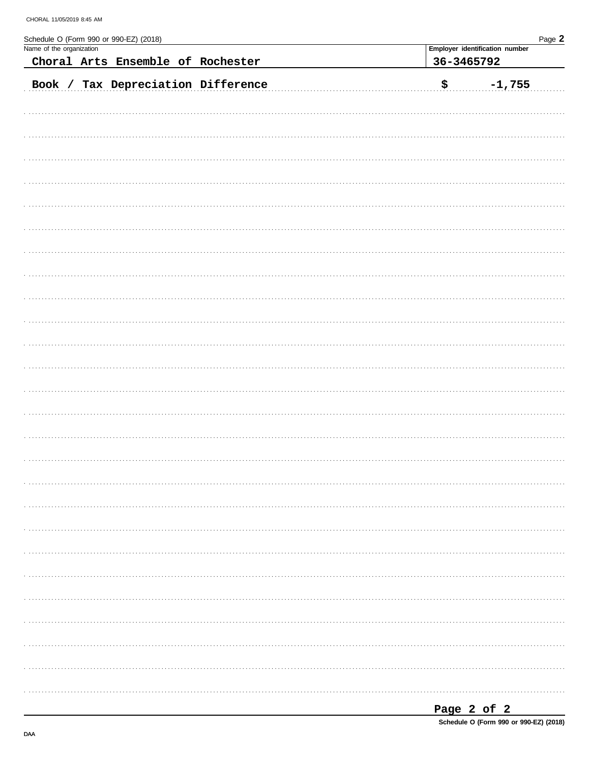| Schedule O (Form 990 or 990-EZ) (2018)<br>Name of the organization | Page 2<br>Employer identification number |
|--------------------------------------------------------------------|------------------------------------------|
| Choral Arts Ensemble of Rochester                                  | 36-3465792                               |
| Book / Tax Depreciation Difference                                 | $\boldsymbol{\mathsf{S}}$<br>$-1,755$    |
|                                                                    |                                          |
|                                                                    |                                          |
|                                                                    |                                          |
|                                                                    |                                          |
|                                                                    |                                          |
|                                                                    |                                          |
|                                                                    |                                          |
|                                                                    |                                          |
|                                                                    |                                          |
|                                                                    |                                          |
|                                                                    |                                          |
|                                                                    |                                          |
|                                                                    |                                          |
|                                                                    |                                          |
|                                                                    |                                          |
|                                                                    |                                          |
|                                                                    |                                          |
|                                                                    |                                          |
|                                                                    |                                          |
|                                                                    |                                          |
|                                                                    |                                          |
|                                                                    |                                          |
|                                                                    |                                          |
|                                                                    |                                          |
|                                                                    |                                          |
|                                                                    |                                          |
|                                                                    | Page 2 of 2                              |

Schedule O (Form 990 or 990-EZ) (2018)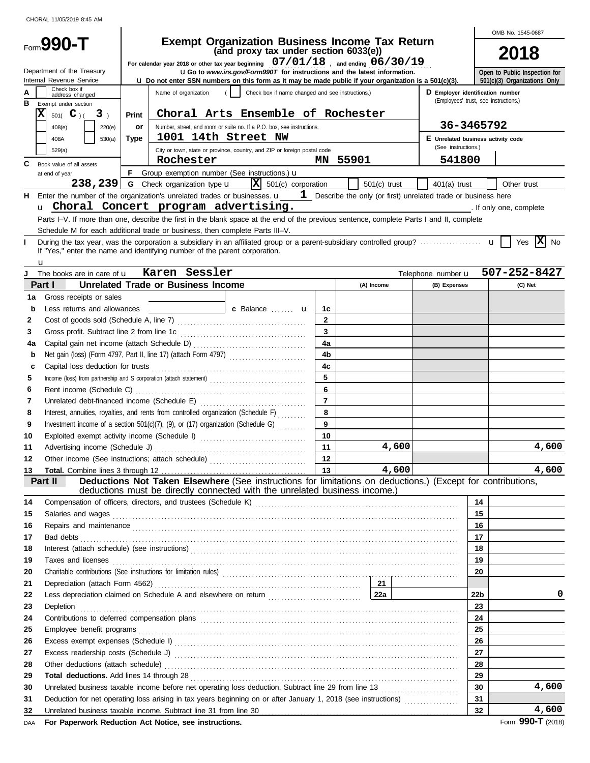|     |                                                                              |              |                                                                  |                                                                                                                                                                                                                                |                         |                |       |                                                                                  |                 | OMB No. 1545-0687             |  |
|-----|------------------------------------------------------------------------------|--------------|------------------------------------------------------------------|--------------------------------------------------------------------------------------------------------------------------------------------------------------------------------------------------------------------------------|-------------------------|----------------|-------|----------------------------------------------------------------------------------|-----------------|-------------------------------|--|
|     | Form 990-T                                                                   |              |                                                                  | <b>Exempt Organization Business Income Tax Return</b><br>(and proxy tax under section 6033(e))                                                                                                                                 |                         |                |       |                                                                                  | 2018            |                               |  |
|     | Department of the Treasury                                                   |              |                                                                  | For calendar year 2018 or other tax year beginning $07/01/18$ , and ending $06/30/19$<br><b>uGo</b> to www.irs.gov/Form990T for instructions and the latest information.                                                       |                         |                |       |                                                                                  |                 | Open to Public Inspection for |  |
|     | Internal Revenue Service                                                     |              |                                                                  | $\bf{u}$ Do not enter SSN numbers on this form as it may be made public if your organization is a 501(c)(3).                                                                                                                   |                         |                |       |                                                                                  |                 | 501(c)(3) Organizations Only  |  |
|     | Check box if<br>address changed                                              |              | Name of organization                                             | Check box if name changed and see instructions.)                                                                                                                                                                               |                         |                |       | D Employer identification number                                                 |                 |                               |  |
| в   | Exempt under section                                                         |              |                                                                  |                                                                                                                                                                                                                                |                         |                |       | (Employees' trust, see instructions.)                                            |                 |                               |  |
|     | x<br>3 <sub>1</sub><br>501( $C$ )(                                           | <b>Print</b> |                                                                  | Choral Arts Ensemble of Rochester                                                                                                                                                                                              |                         |                |       |                                                                                  |                 |                               |  |
|     | 408(e)<br>220(e)                                                             | or           |                                                                  | Number, street, and room or suite no. If a P.O. box, see instructions.                                                                                                                                                         |                         |                |       | 36-3465792                                                                       |                 |                               |  |
|     | 530(a)<br>408A                                                               | <b>Type</b>  | 1001 14th Street NW                                              |                                                                                                                                                                                                                                |                         |                |       | E Unrelated business activity code                                               |                 |                               |  |
|     | 529(a)                                                                       |              |                                                                  | City or town, state or province, country, and ZIP or foreign postal code                                                                                                                                                       |                         |                |       | (See instructions.)                                                              |                 |                               |  |
| C   | Book value of all assets                                                     |              | Rochester                                                        |                                                                                                                                                                                                                                |                         | MN 55901       |       | 541800                                                                           |                 |                               |  |
|     | at end of year                                                               |              | F Group exemption number (See instructions.) u                   |                                                                                                                                                                                                                                |                         |                |       |                                                                                  |                 |                               |  |
|     |                                                                              |              | $238,239$ G Check organization type $\mathbf u$                  | $ \mathbf{X} $ 501(c) corporation                                                                                                                                                                                              |                         | $501(c)$ trust |       | $401(a)$ trust                                                                   |                 | Other trust                   |  |
| н   |                                                                              |              |                                                                  | Enter the number of the organization's unrelated trades or businesses. $\mathbf{u} = 1$ Describe the only (or first) unrelated trade or business here                                                                          |                         |                |       |                                                                                  |                 |                               |  |
|     | u Choral Concert program advertising.                                        |              |                                                                  |                                                                                                                                                                                                                                |                         |                |       | and the complete of the complete of the complete of the complete of the complete |                 |                               |  |
|     |                                                                              |              |                                                                  | Parts I-V. If more than one, describe the first in the blank space at the end of the previous sentence, complete Parts I and II, complete                                                                                      |                         |                |       |                                                                                  |                 |                               |  |
|     | Schedule M for each additional trade or business, then complete Parts III-V. |              |                                                                  |                                                                                                                                                                                                                                |                         |                |       |                                                                                  |                 |                               |  |
| L   | If "Yes," enter the name and identifying number of the parent corporation.   |              |                                                                  |                                                                                                                                                                                                                                |                         |                |       |                                                                                  |                 | $\vert x \vert$<br>Yes<br>No  |  |
|     | u                                                                            |              |                                                                  |                                                                                                                                                                                                                                |                         |                |       |                                                                                  |                 |                               |  |
| J   | The books are in care of <b>u</b>                                            |              | Karen Sessler                                                    |                                                                                                                                                                                                                                |                         |                |       | Telephone number u                                                               |                 | 507-252-8427                  |  |
|     | Part I                                                                       |              | <b>Unrelated Trade or Business Income</b>                        |                                                                                                                                                                                                                                |                         | (A) Income     |       | (B) Expenses                                                                     |                 | (C) Net                       |  |
| 1a  | Gross receipts or sales                                                      |              |                                                                  |                                                                                                                                                                                                                                |                         |                |       |                                                                                  |                 |                               |  |
| b   | Less returns and allowances                                                  |              |                                                                  | $\vert$ c Balance $\ldots$ $\mathbf u$                                                                                                                                                                                         | 1с                      |                |       |                                                                                  |                 |                               |  |
| 2   |                                                                              |              |                                                                  |                                                                                                                                                                                                                                | $\overline{2}$          |                |       |                                                                                  |                 |                               |  |
| 3   |                                                                              |              |                                                                  |                                                                                                                                                                                                                                | $\overline{\mathbf{3}}$ |                |       |                                                                                  |                 |                               |  |
| 4a  |                                                                              |              |                                                                  |                                                                                                                                                                                                                                | 4a                      |                |       |                                                                                  |                 |                               |  |
| b   |                                                                              |              |                                                                  | Net gain (loss) (Form 4797, Part II, line 17) (attach Form 4797)                                                                                                                                                               | 4b                      |                |       |                                                                                  |                 |                               |  |
| c   |                                                                              |              |                                                                  |                                                                                                                                                                                                                                | 4c                      |                |       |                                                                                  |                 |                               |  |
| 5   |                                                                              |              |                                                                  |                                                                                                                                                                                                                                | 5                       |                |       |                                                                                  |                 |                               |  |
| 6   |                                                                              |              |                                                                  |                                                                                                                                                                                                                                | 6                       |                |       |                                                                                  |                 |                               |  |
| 7   |                                                                              |              |                                                                  |                                                                                                                                                                                                                                | $\overline{7}$          |                |       |                                                                                  |                 |                               |  |
| 8   |                                                                              |              |                                                                  | Interest, annuities, royalties, and rents from controlled organization (Schedule F)                                                                                                                                            | 8                       |                |       |                                                                                  |                 |                               |  |
| 9   |                                                                              |              |                                                                  | Investment income of a section 501(c)(7), (9), or (17) organization (Schedule G)                                                                                                                                               | 9                       |                |       |                                                                                  |                 |                               |  |
| 10  |                                                                              |              |                                                                  | Exploited exempt activity income (Schedule I)                                                                                                                                                                                  | 10                      |                |       |                                                                                  |                 |                               |  |
| 11  |                                                                              |              |                                                                  |                                                                                                                                                                                                                                | 11                      |                | 4,600 |                                                                                  |                 | 4,600                         |  |
| 12  |                                                                              |              |                                                                  | Other income (See instructions; attach schedule)                                                                                                                                                                               | 12                      |                |       |                                                                                  |                 |                               |  |
| 13  |                                                                              |              |                                                                  |                                                                                                                                                                                                                                | 13                      |                | 4,600 |                                                                                  |                 | 4,600                         |  |
|     | Part II                                                                      |              |                                                                  | Deductions Not Taken Elsewhere (See instructions for limitations on deductions.) (Except for contributions,<br>deductions must be directly connected with the unrelated business income.)                                      |                         |                |       |                                                                                  |                 |                               |  |
| 14  |                                                                              |              |                                                                  | Compensation of officers, directors, and trustees (Schedule K) [11] Compensation of officers, directors, and trustees (Schedule K) [11] [12] Compensation of officers, directors, and trustees (Schedule K) [12] [12] [12] [12 |                         |                |       |                                                                                  | 14              |                               |  |
| 15  |                                                                              |              |                                                                  |                                                                                                                                                                                                                                |                         |                |       |                                                                                  | 15              |                               |  |
| 16  |                                                                              |              |                                                                  | Repairs and maintenance contains and maintenance contains and maintenance of the state of the state of the state of the state of the state of the state of the state of the state of the state of the state of the state of th |                         |                |       |                                                                                  | 16              |                               |  |
| 17  | Bad debts                                                                    |              |                                                                  |                                                                                                                                                                                                                                |                         |                |       |                                                                                  | 17              |                               |  |
| 18  |                                                                              |              |                                                                  |                                                                                                                                                                                                                                |                         |                |       |                                                                                  | 18              |                               |  |
| 19  | Taxes and licenses                                                           |              |                                                                  |                                                                                                                                                                                                                                |                         |                |       |                                                                                  | 19              |                               |  |
| 20  |                                                                              |              |                                                                  |                                                                                                                                                                                                                                |                         |                |       |                                                                                  | 20              |                               |  |
| 21  |                                                                              |              |                                                                  |                                                                                                                                                                                                                                |                         | 21 I           |       |                                                                                  |                 |                               |  |
| 22  |                                                                              |              |                                                                  |                                                                                                                                                                                                                                |                         |                |       |                                                                                  | 22 <sub>b</sub> | 0                             |  |
| 23  | Depletion                                                                    |              |                                                                  |                                                                                                                                                                                                                                |                         |                |       |                                                                                  | 23              |                               |  |
| 24  |                                                                              |              |                                                                  | Contributions to deferred compensation plans entertainment and the contributions of deferred compensation plans                                                                                                                |                         |                |       |                                                                                  | 24              |                               |  |
| 25  |                                                                              |              |                                                                  |                                                                                                                                                                                                                                |                         |                |       |                                                                                  | 25              |                               |  |
| 26  |                                                                              |              |                                                                  | Excess exempt expenses (Schedule I) Material Constant Constant Constant Constant Constant Constant Constant Constant Constant Constant Constant Constant Constant Constant Constant Constant Constant Constant Constant Consta |                         |                |       |                                                                                  | 26              |                               |  |
| 27  |                                                                              |              |                                                                  |                                                                                                                                                                                                                                |                         |                |       |                                                                                  | 27              |                               |  |
| 28  |                                                                              |              |                                                                  | Other deductions (attach schedule) Material Constant (at the schedule of the schedule of the schedule of the schedule of the schedule of the schedule of the schedule of the schedule of the schedule of the schedule of the s |                         |                |       |                                                                                  | 28              |                               |  |
| 29  | Total deductions. Add lines 14 through 28                                    |              |                                                                  |                                                                                                                                                                                                                                |                         |                |       |                                                                                  | 29              |                               |  |
| 30  |                                                                              |              |                                                                  |                                                                                                                                                                                                                                |                         |                |       |                                                                                  | 30              | 4,600                         |  |
| 31  |                                                                              |              |                                                                  | Deduction for net operating loss arising in tax years beginning on or after January 1, 2018 (see instructions)                                                                                                                 |                         |                |       |                                                                                  | 31              |                               |  |
| 32  |                                                                              |              | Unrelated business taxable income. Subtract line 31 from line 30 |                                                                                                                                                                                                                                |                         |                |       |                                                                                  | 32              | 4,600                         |  |
| DAA |                                                                              |              | For Paperwork Reduction Act Notice, see instructions.            |                                                                                                                                                                                                                                |                         |                |       |                                                                                  |                 | Form 990-T (2018)             |  |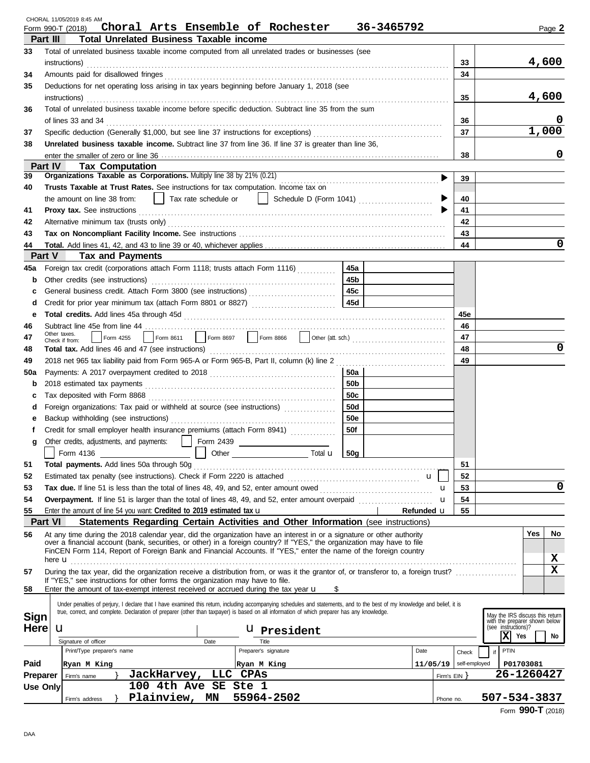|                 | CHORAL 11/05/2019 8:45 AM<br>Choral Arts Ensemble of Rochester<br>Form 990-T (2018)                                                                                                                                                                                                                                       |                 | 36-3465792 |            |                |               |           |           | Page 2                                                                                  |
|-----------------|---------------------------------------------------------------------------------------------------------------------------------------------------------------------------------------------------------------------------------------------------------------------------------------------------------------------------|-----------------|------------|------------|----------------|---------------|-----------|-----------|-----------------------------------------------------------------------------------------|
| Part III        | <b>Total Unrelated Business Taxable income</b>                                                                                                                                                                                                                                                                            |                 |            |            |                |               |           |           |                                                                                         |
| 33              | Total of unrelated business taxable income computed from all unrelated trades or businesses (see                                                                                                                                                                                                                          |                 |            |            |                |               |           |           |                                                                                         |
|                 | instructions)                                                                                                                                                                                                                                                                                                             |                 |            |            |                | 33            |           |           | 4,600                                                                                   |
| 34              | Amounts paid for disallowed fringes                                                                                                                                                                                                                                                                                       |                 |            |            |                | 34            |           |           |                                                                                         |
| 35              | Deductions for net operating loss arising in tax years beginning before January 1, 2018 (see                                                                                                                                                                                                                              |                 |            |            |                |               |           |           |                                                                                         |
|                 | instructions)                                                                                                                                                                                                                                                                                                             |                 |            |            |                | 35            |           |           | 4,600                                                                                   |
| 36              | Total of unrelated business taxable income before specific deduction. Subtract line 35 from the sum                                                                                                                                                                                                                       |                 |            |            |                |               |           |           |                                                                                         |
|                 | of lines 33 and 34                                                                                                                                                                                                                                                                                                        |                 |            |            |                | 36            |           |           |                                                                                         |
| 37              |                                                                                                                                                                                                                                                                                                                           |                 |            |            |                | 37            |           |           | 1,000                                                                                   |
| 38              | Unrelated business taxable income. Subtract line 37 from line 36. If line 37 is greater than line 36,                                                                                                                                                                                                                     |                 |            |            |                |               |           |           |                                                                                         |
|                 |                                                                                                                                                                                                                                                                                                                           |                 |            |            |                | 38            |           |           | 0                                                                                       |
| Part IV         | <b>Tax Computation</b>                                                                                                                                                                                                                                                                                                    |                 |            |            |                |               |           |           |                                                                                         |
| 39              | <b>Organizations Taxable as Corporations.</b> Multiply line 38 by 21% (0.21)                                                                                                                                                                                                                                              |                 |            |            |                | 39            |           |           |                                                                                         |
| 40              | Trusts Taxable at Trust Rates. See instructions for tax computation. Income tax on                                                                                                                                                                                                                                        |                 |            |            |                |               |           |           |                                                                                         |
|                 | $\vert$ Tax rate schedule or $\vert$<br>the amount on line 38 from:                                                                                                                                                                                                                                                       |                 |            |            |                | 40            |           |           |                                                                                         |
| 41              |                                                                                                                                                                                                                                                                                                                           |                 |            |            |                | 41            |           |           |                                                                                         |
| 42              |                                                                                                                                                                                                                                                                                                                           |                 |            |            |                | 42            |           |           |                                                                                         |
| 43              |                                                                                                                                                                                                                                                                                                                           |                 |            |            |                | 43<br>44      |           |           | 0                                                                                       |
| 44<br>Part V    | <b>Tax and Payments</b>                                                                                                                                                                                                                                                                                                   |                 |            |            |                |               |           |           |                                                                                         |
| 45a             | Foreign tax credit (corporations attach Form 1118; trusts attach Form 1116)                                                                                                                                                                                                                                               | 45a             |            |            |                |               |           |           |                                                                                         |
| b               | Other credits (see instructions)                                                                                                                                                                                                                                                                                          | 45b             |            |            |                |               |           |           |                                                                                         |
| c               |                                                                                                                                                                                                                                                                                                                           | 45c             |            |            |                |               |           |           |                                                                                         |
| d               |                                                                                                                                                                                                                                                                                                                           | 45d             |            |            |                |               |           |           |                                                                                         |
| e               |                                                                                                                                                                                                                                                                                                                           |                 |            |            |                | 45e           |           |           |                                                                                         |
| 46              |                                                                                                                                                                                                                                                                                                                           |                 |            |            |                | 46            |           |           |                                                                                         |
| 47              | Other taxes.<br>Check if from:                                                                                                                                                                                                                                                                                            |                 |            |            |                | 47            |           |           |                                                                                         |
| 48              | Total tax. Add lines 46 and 47 (see instructions) Material Construction Constant Constant Construction Constant                                                                                                                                                                                                           |                 |            |            |                | 48            |           |           | 0                                                                                       |
| 49              |                                                                                                                                                                                                                                                                                                                           |                 |            |            |                | 49            |           |           |                                                                                         |
| 50a             |                                                                                                                                                                                                                                                                                                                           | 50a             |            |            |                |               |           |           |                                                                                         |
| b               |                                                                                                                                                                                                                                                                                                                           | 50 <sub>b</sub> |            |            |                |               |           |           |                                                                                         |
| c               | Tax deposited with Form 8868                                                                                                                                                                                                                                                                                              | 50c             |            |            |                |               |           |           |                                                                                         |
| d               | Foreign organizations: Tax paid or withheld at source (see instructions) [[[[[[[[[[[[[[[[[[[[[[[[[[]]]]]]]]]]                                                                                                                                                                                                             | <b>50d</b>      |            |            |                |               |           |           |                                                                                         |
| е               |                                                                                                                                                                                                                                                                                                                           | <b>50e</b>      |            |            |                |               |           |           |                                                                                         |
|                 | Credit for small employer health insurance premiums (attach Form 8941) [                                                                                                                                                                                                                                                  | 50f             |            |            |                |               |           |           |                                                                                         |
| q               | Other credits, adjustments, and payments:<br>Form 2439                                                                                                                                                                                                                                                                    |                 |            |            |                |               |           |           |                                                                                         |
|                 | Form 4136                                                                                                                                                                                                                                                                                                                 |                 |            |            |                |               |           |           |                                                                                         |
| 51              | Total payments. Add lines 50a through 50g                                                                                                                                                                                                                                                                                 |                 |            |            |                | 51            |           |           |                                                                                         |
| 52              |                                                                                                                                                                                                                                                                                                                           |                 |            |            |                | 52            |           |           |                                                                                         |
| 53              | Tax due. If line 51 is less than the total of lines 48, 49, and 52, enter amount owed <i>[[[[[[[[[[[[[[[[[[[[[]]]]</i>                                                                                                                                                                                                    |                 |            |            |                | 53            |           |           | 0                                                                                       |
| 54              | Overpayment. If line 51 is larger than the total of lines 48, 49, and 52, enter amount overpaid <i>communition</i>                                                                                                                                                                                                        |                 |            |            | u              | 54            |           |           |                                                                                         |
| 55              | Enter the amount of line 54 you want: Credited to 2019 estimated tax $\mathbf u$                                                                                                                                                                                                                                          |                 |            | Refunded u |                | 55            |           |           |                                                                                         |
| <b>Part VI</b>  | Statements Regarding Certain Activities and Other Information (see instructions)                                                                                                                                                                                                                                          |                 |            |            |                |               |           |           |                                                                                         |
| 56              | At any time during the 2018 calendar year, did the organization have an interest in or a signature or other authority<br>over a financial account (bank, securities, or other) in a foreign country? If "YES," the organization may have to file                                                                          |                 |            |            |                |               |           |           | Yes<br>No                                                                               |
|                 | FinCEN Form 114, Report of Foreign Bank and Financial Accounts. If "YES," enter the name of the foreign country                                                                                                                                                                                                           |                 |            |            |                |               |           |           |                                                                                         |
|                 | here <b>u</b>                                                                                                                                                                                                                                                                                                             |                 |            |            |                |               |           |           | x                                                                                       |
| 57              | During the tax year, did the organization receive a distribution from, or was it the grantor of, or transferor to, a foreign trust?                                                                                                                                                                                       |                 |            |            |                |               |           |           | $\overline{\mathbf{x}}$                                                                 |
| 58              | If "YES," see instructions for other forms the organization may have to file.<br>Enter the amount of tax-exempt interest received or accrued during the tax year <b>u</b><br>\$                                                                                                                                           |                 |            |            |                |               |           |           |                                                                                         |
|                 |                                                                                                                                                                                                                                                                                                                           |                 |            |            |                |               |           |           |                                                                                         |
|                 | Under penalties of perjury, I declare that I have examined this return, including accompanying schedules and statements, and to the best of my knowledge and belief, it is<br>true, correct, and complete. Declaration of preparer (other than taxpayer) is based on all information of which preparer has any knowledge. |                 |            |            |                |               |           |           |                                                                                         |
| <b>Sign</b>     |                                                                                                                                                                                                                                                                                                                           |                 |            |            |                |               |           |           | May the IRS discuss this return<br>with the preparer shown below<br>(see instructions)? |
| <b>Here</b>     | u<br>U President                                                                                                                                                                                                                                                                                                          |                 |            |            |                |               | X <br>Yes | No        |                                                                                         |
|                 | Signature of officer<br>Title<br>Date                                                                                                                                                                                                                                                                                     |                 |            |            |                |               |           |           |                                                                                         |
|                 | Preparer's signature<br>Print/Type preparer's name                                                                                                                                                                                                                                                                        |                 |            | Date       |                | Check         | if        | PTIN      |                                                                                         |
| Paid            | Ryan M King<br>Ryan M King                                                                                                                                                                                                                                                                                                |                 |            | 11/05/19   |                | self-employed |           | P01703081 |                                                                                         |
| Preparer        | JackHarvey, LLC CPAs<br>Firm's name                                                                                                                                                                                                                                                                                       |                 |            |            | Firm's $EIN$ } |               |           |           | 26-1260427                                                                              |
| <b>Use Only</b> | 100 4th Ave SE Ste 1                                                                                                                                                                                                                                                                                                      |                 |            |            |                |               |           |           |                                                                                         |
|                 | Plainview, MN<br>55964-2502<br>Firm's address                                                                                                                                                                                                                                                                             |                 |            |            | Phone no.      |               |           |           | 507-534-3837                                                                            |

|  | Form 990-T (2018) |  |
|--|-------------------|--|
|--|-------------------|--|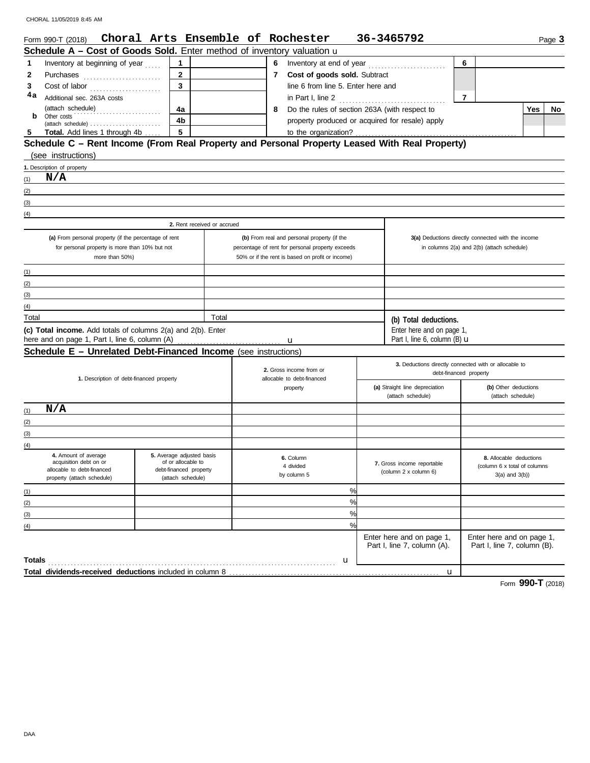|               | Form 990-T (2018)                                                                             | Choral Arts Ensemble of Rochester            |                                                  |   |                                                  |   | 36-3465792                                            |                                                    | Page 3            |  |
|---------------|-----------------------------------------------------------------------------------------------|----------------------------------------------|--------------------------------------------------|---|--------------------------------------------------|---|-------------------------------------------------------|----------------------------------------------------|-------------------|--|
|               | Schedule A - Cost of Goods Sold. Enter method of inventory valuation u                        |                                              |                                                  |   |                                                  |   |                                                       |                                                    |                   |  |
| 1             | Inventory at beginning of year                                                                | 1                                            |                                                  |   |                                                  |   |                                                       | 6                                                  |                   |  |
| 2             |                                                                                               | $\mathbf{2}$                                 |                                                  |   | 7 Cost of goods sold. Subtract                   |   |                                                       |                                                    |                   |  |
| 3             | Cost of labor                                                                                 | $\overline{\mathbf{3}}$                      |                                                  |   | line 6 from line 5. Enter here and               |   |                                                       |                                                    |                   |  |
| 4а            | Additional sec. 263A costs                                                                    |                                              |                                                  |   |                                                  |   |                                                       | $\overline{7}$                                     |                   |  |
|               | (attach schedule)                                                                             | 4a                                           |                                                  | 8 | Do the rules of section 263A (with respect to    |   |                                                       |                                                    | <b>Yes</b><br>No. |  |
| b             | .<br>Other costs                                                                              | 4b                                           |                                                  |   | property produced or acquired for resale) apply  |   |                                                       |                                                    |                   |  |
| 5             | (attach schedule)<br><b>Total.</b> Add lines 1 through 4b                                     | 5                                            |                                                  |   | to the organization?                             |   |                                                       |                                                    |                   |  |
|               | Schedule C - Rent Income (From Real Property and Personal Property Leased With Real Property) |                                              |                                                  |   |                                                  |   |                                                       |                                                    |                   |  |
|               | (see instructions)                                                                            |                                              |                                                  |   |                                                  |   |                                                       |                                                    |                   |  |
|               | 1. Description of property                                                                    |                                              |                                                  |   |                                                  |   |                                                       |                                                    |                   |  |
| (1)           | N/A                                                                                           |                                              |                                                  |   |                                                  |   |                                                       |                                                    |                   |  |
| (2)           |                                                                                               |                                              |                                                  |   |                                                  |   |                                                       |                                                    |                   |  |
| (3)           |                                                                                               |                                              |                                                  |   |                                                  |   |                                                       |                                                    |                   |  |
| (4)           |                                                                                               |                                              |                                                  |   |                                                  |   |                                                       |                                                    |                   |  |
|               |                                                                                               | 2. Rent received or accrued                  |                                                  |   |                                                  |   |                                                       |                                                    |                   |  |
|               | (a) From personal property (if the percentage of rent                                         |                                              |                                                  |   | (b) From real and personal property (if the      |   |                                                       | 3(a) Deductions directly connected with the income |                   |  |
|               | for personal property is more than 10% but not                                                |                                              |                                                  |   | percentage of rent for personal property exceeds |   |                                                       | in columns 2(a) and 2(b) (attach schedule)         |                   |  |
|               | more than 50%)                                                                                |                                              | 50% or if the rent is based on profit or income) |   |                                                  |   |                                                       |                                                    |                   |  |
| (1)           |                                                                                               |                                              |                                                  |   |                                                  |   |                                                       |                                                    |                   |  |
| (2)           |                                                                                               |                                              |                                                  |   |                                                  |   |                                                       |                                                    |                   |  |
| (3)           |                                                                                               |                                              |                                                  |   |                                                  |   |                                                       |                                                    |                   |  |
| (4)           |                                                                                               |                                              |                                                  |   |                                                  |   |                                                       |                                                    |                   |  |
| Total         |                                                                                               |                                              | Total                                            |   |                                                  |   |                                                       |                                                    |                   |  |
|               | (c) Total income. Add totals of columns 2(a) and 2(b). Enter                                  |                                              |                                                  |   |                                                  |   | (b) Total deductions.<br>Enter here and on page 1,    |                                                    |                   |  |
|               | here and on page 1, Part I, line 6, column (A)                                                |                                              |                                                  |   |                                                  |   | Part I, line 6, column $(B)$ $\mathbf u$              |                                                    |                   |  |
|               | Schedule E - Unrelated Debt-Financed Income (see instructions)                                |                                              |                                                  |   |                                                  |   |                                                       |                                                    |                   |  |
|               |                                                                                               |                                              |                                                  |   |                                                  |   | 3. Deductions directly connected with or allocable to |                                                    |                   |  |
|               |                                                                                               |                                              |                                                  |   | 2. Gross income from or                          |   |                                                       | debt-financed property                             |                   |  |
|               | 1. Description of debt-financed property                                                      |                                              |                                                  |   | allocable to debt-financed<br>property           |   | (a) Straight line depreciation                        | (b) Other deductions                               |                   |  |
|               |                                                                                               |                                              |                                                  |   |                                                  |   | (attach schedule)                                     | (attach schedule)                                  |                   |  |
| (1)           | N/A                                                                                           |                                              |                                                  |   |                                                  |   |                                                       |                                                    |                   |  |
| (2)           |                                                                                               |                                              |                                                  |   |                                                  |   |                                                       |                                                    |                   |  |
| (3)           |                                                                                               |                                              |                                                  |   |                                                  |   |                                                       |                                                    |                   |  |
| (4)           |                                                                                               |                                              |                                                  |   |                                                  |   |                                                       |                                                    |                   |  |
|               | 4. Amount of average                                                                          | 5. Average adjusted basis                    |                                                  |   | 6. Column                                        |   |                                                       | 8. Allocable deductions                            |                   |  |
|               | acquisition debt on or<br>allocable to debt-financed                                          | of or allocable to<br>debt-financed property |                                                  |   | 4 divided                                        |   | 7. Gross income reportable                            | (column 6 x total of columns                       |                   |  |
|               | property (attach schedule)                                                                    | (attach schedule)                            |                                                  |   | by column 5                                      |   | (column 2 x column 6)                                 | $3(a)$ and $3(b)$ )                                |                   |  |
| (1)           |                                                                                               |                                              |                                                  |   | %                                                |   |                                                       |                                                    |                   |  |
| (2)           |                                                                                               |                                              |                                                  |   |                                                  | % |                                                       |                                                    |                   |  |
| (3)           |                                                                                               |                                              |                                                  |   |                                                  | % |                                                       |                                                    |                   |  |
| (4)           |                                                                                               |                                              |                                                  |   |                                                  | % |                                                       |                                                    |                   |  |
|               |                                                                                               |                                              |                                                  |   |                                                  |   | Enter here and on page 1,                             | Enter here and on page 1,                          |                   |  |
|               |                                                                                               |                                              |                                                  |   |                                                  |   | Part I, line 7, column (A).                           | Part I, line 7, column (B).                        |                   |  |
| <b>Totals</b> |                                                                                               |                                              |                                                  |   | u                                                |   |                                                       |                                                    |                   |  |
|               |                                                                                               |                                              |                                                  |   |                                                  |   | u                                                     |                                                    |                   |  |
|               |                                                                                               |                                              |                                                  |   |                                                  |   |                                                       |                                                    |                   |  |

Form **990-T** (2018)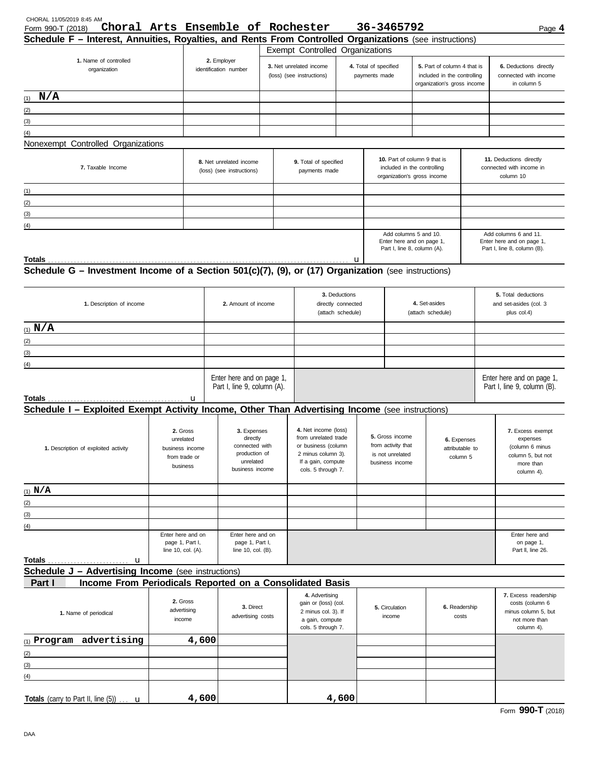| CHORAL 11/05/2019 8:45 AM<br>Form 990-T (2018)                                                            |                                                                       | Choral Arts Ensemble of Rochester                                                          |  |                                                                                                                                       |                                        |  | 36-3465792                                                                   |                                                                                            |                                                                  | Page 4                                                                                          |  |
|-----------------------------------------------------------------------------------------------------------|-----------------------------------------------------------------------|--------------------------------------------------------------------------------------------|--|---------------------------------------------------------------------------------------------------------------------------------------|----------------------------------------|--|------------------------------------------------------------------------------|--------------------------------------------------------------------------------------------|------------------------------------------------------------------|-------------------------------------------------------------------------------------------------|--|
| Schedule F - Interest, Annuities, Royalties, and Rents From Controlled Organizations (see instructions)   |                                                                       |                                                                                            |  |                                                                                                                                       |                                        |  |                                                                              |                                                                                            |                                                                  |                                                                                                 |  |
|                                                                                                           |                                                                       |                                                                                            |  | Exempt Controlled Organizations                                                                                                       |                                        |  |                                                                              |                                                                                            |                                                                  |                                                                                                 |  |
| 1. Name of controlled<br>organization                                                                     |                                                                       | 2. Employer<br>identification number                                                       |  | 3. Net unrelated income<br>(loss) (see instructions)                                                                                  | 4. Total of specified<br>payments made |  |                                                                              | 5. Part of column 4 that is<br>included in the controlling<br>organization's gross income  |                                                                  | 6. Deductions directly<br>connected with income<br>in column 5                                  |  |
| $(1)$ N/A                                                                                                 |                                                                       |                                                                                            |  |                                                                                                                                       |                                        |  |                                                                              |                                                                                            |                                                                  |                                                                                                 |  |
| (2)                                                                                                       |                                                                       |                                                                                            |  |                                                                                                                                       |                                        |  |                                                                              |                                                                                            |                                                                  |                                                                                                 |  |
| (3)                                                                                                       |                                                                       |                                                                                            |  |                                                                                                                                       |                                        |  |                                                                              |                                                                                            |                                                                  |                                                                                                 |  |
| (4)                                                                                                       |                                                                       |                                                                                            |  |                                                                                                                                       |                                        |  |                                                                              |                                                                                            |                                                                  |                                                                                                 |  |
| Nonexempt Controlled Organizations                                                                        |                                                                       |                                                                                            |  |                                                                                                                                       |                                        |  |                                                                              |                                                                                            |                                                                  |                                                                                                 |  |
| 7. Taxable Income                                                                                         |                                                                       | 8. Net unrelated income<br>(loss) (see instructions)                                       |  | 9. Total of specified<br>payments made                                                                                                |                                        |  |                                                                              | 10. Part of column 9 that is<br>included in the controlling<br>organization's gross income | 11. Deductions directly<br>connected with income in<br>column 10 |                                                                                                 |  |
| (1)<br>the control of the control of the control of the control of the control of the control of          |                                                                       |                                                                                            |  |                                                                                                                                       |                                        |  |                                                                              |                                                                                            |                                                                  |                                                                                                 |  |
| (2)                                                                                                       |                                                                       |                                                                                            |  |                                                                                                                                       |                                        |  |                                                                              |                                                                                            |                                                                  |                                                                                                 |  |
| (3)                                                                                                       |                                                                       |                                                                                            |  |                                                                                                                                       |                                        |  |                                                                              |                                                                                            |                                                                  |                                                                                                 |  |
| (4)                                                                                                       |                                                                       |                                                                                            |  |                                                                                                                                       |                                        |  |                                                                              |                                                                                            |                                                                  |                                                                                                 |  |
| Totals                                                                                                    |                                                                       |                                                                                            |  |                                                                                                                                       | u                                      |  | Add columns 5 and 10.                                                        | Enter here and on page 1,<br>Part I, line 8, column (A).                                   |                                                                  | Add columns 6 and 11.<br>Enter here and on page 1,<br>Part I, line 8, column (B).               |  |
| Schedule G - Investment Income of a Section 501(c)(7), (9), or (17) Organization (see instructions)       |                                                                       |                                                                                            |  |                                                                                                                                       |                                        |  |                                                                              |                                                                                            |                                                                  |                                                                                                 |  |
| 1. Description of income                                                                                  | 2. Amount of income                                                   |                                                                                            |  | 3. Deductions<br>directly connected<br>(attach schedule)                                                                              |                                        |  | 4. Set-asides<br>(attach schedule)                                           |                                                                                            | 5. Total deductions<br>and set-asides (col. 3<br>plus col.4)     |                                                                                                 |  |
| (1) $N/A$                                                                                                 |                                                                       |                                                                                            |  |                                                                                                                                       |                                        |  |                                                                              |                                                                                            |                                                                  |                                                                                                 |  |
|                                                                                                           |                                                                       |                                                                                            |  |                                                                                                                                       |                                        |  |                                                                              |                                                                                            |                                                                  |                                                                                                 |  |
| (3)                                                                                                       |                                                                       |                                                                                            |  |                                                                                                                                       |                                        |  |                                                                              |                                                                                            |                                                                  |                                                                                                 |  |
| (4)                                                                                                       |                                                                       |                                                                                            |  |                                                                                                                                       |                                        |  |                                                                              |                                                                                            |                                                                  |                                                                                                 |  |
|                                                                                                           |                                                                       | Enter here and on page 1,<br>Part I, line 9, column (A).                                   |  |                                                                                                                                       |                                        |  |                                                                              |                                                                                            |                                                                  | Enter here and on page 1,<br>Part I, line 9, column (B).                                        |  |
| Totals<br>Schedule I - Exploited Exempt Activity Income, Other Than Advertising Income (see instructions) | u                                                                     |                                                                                            |  |                                                                                                                                       |                                        |  |                                                                              |                                                                                            |                                                                  |                                                                                                 |  |
|                                                                                                           |                                                                       |                                                                                            |  |                                                                                                                                       |                                        |  |                                                                              |                                                                                            |                                                                  |                                                                                                 |  |
| 1. Description of exploited activity                                                                      | 2. Gross<br>unrelated<br>business income<br>from trade or<br>business | 3. Expenses<br>directly<br>connected with<br>production of<br>unrelated<br>business income |  | 4. Net income (loss)<br>from unrelated trade<br>or business (column<br>2 minus column 3).<br>If a gain, compute<br>cols. 5 through 7. |                                        |  | 5. Gross income<br>from activity that<br>is not unrelated<br>business income |                                                                                            | 6. Expenses<br>attributable to<br>column 5                       | 7. Excess exempt<br>expenses<br>(column 6 minus<br>column 5, but not<br>more than<br>column 4). |  |
| $(1)$ N/A                                                                                                 |                                                                       |                                                                                            |  |                                                                                                                                       |                                        |  |                                                                              |                                                                                            |                                                                  |                                                                                                 |  |
| (2)                                                                                                       |                                                                       |                                                                                            |  |                                                                                                                                       |                                        |  |                                                                              |                                                                                            |                                                                  |                                                                                                 |  |
| (3)                                                                                                       |                                                                       |                                                                                            |  |                                                                                                                                       |                                        |  |                                                                              |                                                                                            |                                                                  |                                                                                                 |  |
| (4)                                                                                                       |                                                                       |                                                                                            |  |                                                                                                                                       |                                        |  |                                                                              |                                                                                            |                                                                  |                                                                                                 |  |
|                                                                                                           | Enter here and on<br>page 1, Part I,<br>line 10, col. (A).            | Enter here and on<br>page 1, Part I,<br>line 10, col. (B).                                 |  |                                                                                                                                       |                                        |  |                                                                              |                                                                                            |                                                                  | Enter here and<br>on page 1,<br>Part II, line 26.                                               |  |
| <b>Schedule J - Advertising Income</b> (see instructions)                                                 |                                                                       |                                                                                            |  |                                                                                                                                       |                                        |  |                                                                              |                                                                                            |                                                                  |                                                                                                 |  |
| Income From Periodicals Reported on a Consolidated Basis<br>Part I                                        |                                                                       |                                                                                            |  |                                                                                                                                       |                                        |  |                                                                              |                                                                                            |                                                                  |                                                                                                 |  |
| 1. Name of periodical                                                                                     | 2. Gross<br>advertising<br>income                                     | 3. Direct<br>advertising costs                                                             |  | 4. Advertising<br>gain or (loss) (col.<br>2 minus col. 3). If<br>a gain, compute<br>cols. 5 through 7.                                |                                        |  | 5. Circulation<br>income                                                     |                                                                                            | 6. Readership<br>costs                                           | 7. Excess readership<br>costs (column 6<br>minus column 5, but<br>not more than<br>column 4).   |  |
| (1) Program advertising                                                                                   |                                                                       | 4,600                                                                                      |  |                                                                                                                                       |                                        |  |                                                                              |                                                                                            |                                                                  |                                                                                                 |  |
| (2)                                                                                                       |                                                                       |                                                                                            |  |                                                                                                                                       |                                        |  |                                                                              |                                                                                            |                                                                  |                                                                                                 |  |
| (3)                                                                                                       |                                                                       |                                                                                            |  |                                                                                                                                       |                                        |  |                                                                              |                                                                                            |                                                                  |                                                                                                 |  |
| (4)                                                                                                       |                                                                       |                                                                                            |  |                                                                                                                                       |                                        |  |                                                                              |                                                                                            |                                                                  |                                                                                                 |  |
| Totals (carry to Part II, line $(5)$ ) $\ldots$ <b>u</b>                                                  |                                                                       | 4,600                                                                                      |  |                                                                                                                                       | 4,600                                  |  |                                                                              |                                                                                            |                                                                  |                                                                                                 |  |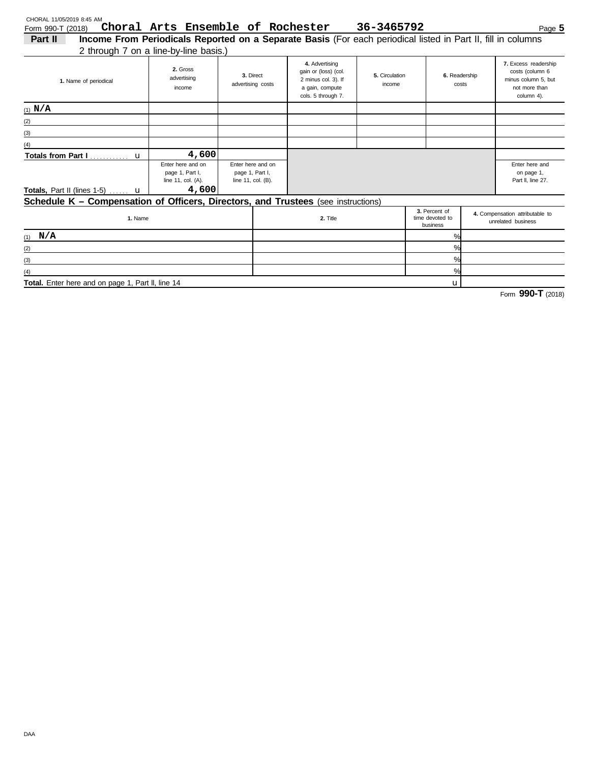| CHORAL 11/05/2019 8:45 AM<br>Form 990-T (2018)                                               | Choral Arts Ensemble of Rochester                                                                            |                                       |                   |                                                                                                        | 36-3465792               |                                              |  | Page 5                                                                                        |
|----------------------------------------------------------------------------------------------|--------------------------------------------------------------------------------------------------------------|---------------------------------------|-------------------|--------------------------------------------------------------------------------------------------------|--------------------------|----------------------------------------------|--|-----------------------------------------------------------------------------------------------|
| Part II                                                                                      | Income From Periodicals Reported on a Separate Basis (For each periodical listed in Part II, fill in columns |                                       |                   |                                                                                                        |                          |                                              |  |                                                                                               |
|                                                                                              | 2 through 7 on a line-by-line basis.)                                                                        |                                       |                   |                                                                                                        |                          |                                              |  |                                                                                               |
| 1. Name of periodical                                                                        | 2. Gross<br>advertising<br>income                                                                            | 3. Direct<br>advertising costs        |                   | 4. Advertising<br>gain or (loss) (col.<br>2 minus col. 3). If<br>a gain, compute<br>cols. 5 through 7. | 5. Circulation<br>income | 6. Readership<br>costs                       |  | 7. Excess readership<br>costs (column 6<br>minus column 5, but<br>not more than<br>column 4). |
| $(1)$ N/A                                                                                    |                                                                                                              |                                       |                   |                                                                                                        |                          |                                              |  |                                                                                               |
| (2)                                                                                          |                                                                                                              |                                       |                   |                                                                                                        |                          |                                              |  |                                                                                               |
| (3)                                                                                          |                                                                                                              |                                       |                   |                                                                                                        |                          |                                              |  |                                                                                               |
| (4)                                                                                          |                                                                                                              |                                       |                   |                                                                                                        |                          |                                              |  |                                                                                               |
| Totals from Part I<br>u                                                                      | 4,600                                                                                                        |                                       |                   |                                                                                                        |                          |                                              |  |                                                                                               |
|                                                                                              | Enter here and on<br>page 1, Part I,<br>line 11, col. (A).<br>4,600                                          | page 1, Part I,<br>line 11, col. (B). | Enter here and on |                                                                                                        |                          |                                              |  | Enter here and<br>on page 1,<br>Part II. line 27.                                             |
| <b>Totals, Part II (lines 1-5) u</b>                                                         |                                                                                                              |                                       |                   |                                                                                                        |                          |                                              |  |                                                                                               |
| Schedule K - Compensation of Officers, Directors, and Trustees (see instructions)<br>1. Name |                                                                                                              |                                       | 2. Title          |                                                                                                        |                          | 3. Percent of<br>time devoted to<br>business |  | 4. Compensation attributable to<br>unrelated business                                         |
| N/A<br>(1)                                                                                   |                                                                                                              |                                       |                   |                                                                                                        |                          | %                                            |  |                                                                                               |
| (2)                                                                                          |                                                                                                              |                                       |                   |                                                                                                        |                          | %                                            |  |                                                                                               |
| (3)                                                                                          |                                                                                                              |                                       |                   |                                                                                                        |                          | %                                            |  |                                                                                               |
| (4)                                                                                          |                                                                                                              |                                       |                   |                                                                                                        |                          | %                                            |  |                                                                                               |
| Total. Enter here and on page 1, Part II, line 14                                            |                                                                                                              |                                       |                   |                                                                                                        |                          | u                                            |  |                                                                                               |

Form **990-T** (2018)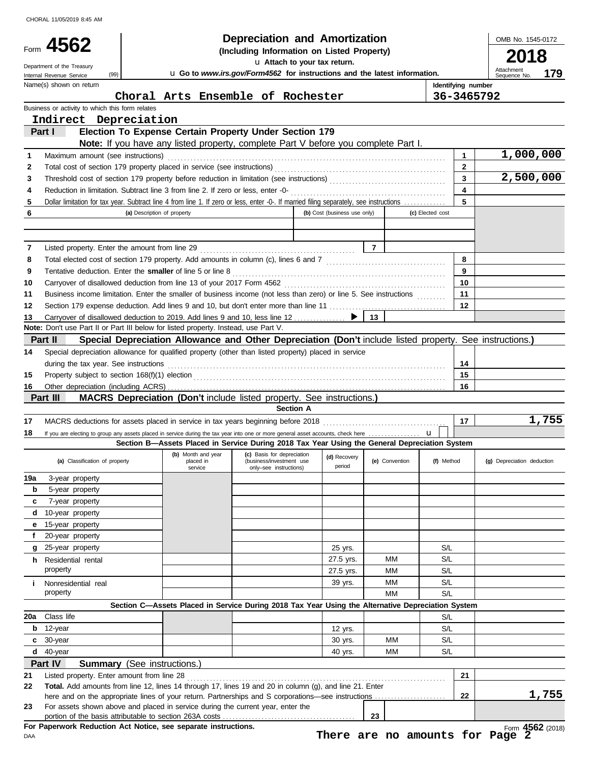| 4562                                                                                      |                                                                                  | <b>Depreciation and Amortization</b>                                                                                                    |                              |                |                    | OMB No. 1545-0172          |
|-------------------------------------------------------------------------------------------|----------------------------------------------------------------------------------|-----------------------------------------------------------------------------------------------------------------------------------------|------------------------------|----------------|--------------------|----------------------------|
| Form                                                                                      |                                                                                  | (Including Information on Listed Property)                                                                                              |                              |                |                    | 2018                       |
| Department of the Treasury                                                                |                                                                                  | u Attach to your tax return.<br>u Go to www.irs.gov/Form4562 for instructions and the latest information.                               |                              |                |                    | Attachment<br>179          |
| (99)<br>Internal Revenue Service<br>Name(s) shown on return                               |                                                                                  |                                                                                                                                         |                              |                | Identifying number | Sequence No.               |
|                                                                                           |                                                                                  | Choral Arts Ensemble of Rochester                                                                                                       |                              |                | 36-3465792         |                            |
| Business or activity to which this form relates                                           |                                                                                  |                                                                                                                                         |                              |                |                    |                            |
| Indirect Depreciation                                                                     |                                                                                  |                                                                                                                                         |                              |                |                    |                            |
| Part I                                                                                    |                                                                                  | Election To Expense Certain Property Under Section 179                                                                                  |                              |                |                    |                            |
|                                                                                           |                                                                                  | Note: If you have any listed property, complete Part V before you complete Part I.                                                      |                              |                |                    |                            |
| Maximum amount (see instructions)<br>1                                                    |                                                                                  |                                                                                                                                         |                              |                | 1                  | 1,000,000                  |
| 2                                                                                         |                                                                                  |                                                                                                                                         |                              |                | $\mathbf{2}$<br>3  | 2,500,000                  |
| 3<br>4                                                                                    | Reduction in limitation. Subtract line 3 from line 2. If zero or less, enter -0- |                                                                                                                                         |                              |                | 4                  |                            |
| 5                                                                                         |                                                                                  | Dollar limitation for tax year. Subtract line 4 from line 1. If zero or less, enter -0-. If married filing separately, see instructions |                              |                | 5                  |                            |
| 6                                                                                         | (a) Description of property                                                      |                                                                                                                                         | (b) Cost (business use only) |                | (c) Elected cost   |                            |
|                                                                                           |                                                                                  |                                                                                                                                         |                              |                |                    |                            |
|                                                                                           |                                                                                  |                                                                                                                                         |                              |                |                    |                            |
| 7                                                                                         | Listed property. Enter the amount from line 29                                   |                                                                                                                                         |                              | $\overline{7}$ |                    |                            |
| 8                                                                                         |                                                                                  |                                                                                                                                         |                              |                | 8                  |                            |
| 9                                                                                         | Tentative deduction. Enter the smaller of line 5 or line 8                       |                                                                                                                                         |                              |                | 9                  |                            |
| 10                                                                                        |                                                                                  |                                                                                                                                         |                              |                | 10                 |                            |
| 11                                                                                        |                                                                                  | Business income limitation. Enter the smaller of business income (not less than zero) or line 5. See instructions                       |                              |                | 11                 |                            |
| 12                                                                                        |                                                                                  |                                                                                                                                         |                              |                | 12                 |                            |
| 13<br>Note: Don't use Part II or Part III below for listed property. Instead, use Part V. |                                                                                  |                                                                                                                                         |                              | 13             |                    |                            |
| Part II                                                                                   |                                                                                  | Special Depreciation Allowance and Other Depreciation (Don't include listed property. See instructions.)                                |                              |                |                    |                            |
| 14                                                                                        |                                                                                  | Special depreciation allowance for qualified property (other than listed property) placed in service                                    |                              |                |                    |                            |
| during the tax year. See instructions                                                     |                                                                                  |                                                                                                                                         |                              |                | 14                 |                            |
| 15                                                                                        |                                                                                  |                                                                                                                                         |                              |                | 15                 |                            |
| 16                                                                                        |                                                                                  |                                                                                                                                         |                              |                | 16                 |                            |
| Part III                                                                                  |                                                                                  | <b>MACRS Depreciation (Don't include listed property. See instructions.)</b>                                                            |                              |                |                    |                            |
|                                                                                           |                                                                                  | <b>Section A</b>                                                                                                                        |                              |                |                    |                            |
| 17                                                                                        |                                                                                  |                                                                                                                                         |                              |                | 17                 | 1,755                      |
| 18                                                                                        |                                                                                  | If you are electing to group any assets placed in service during the tax year into one or more general asset accounts, check here       |                              |                | $\mathbf{u}$       |                            |
|                                                                                           |                                                                                  | Section B—Assets Placed in Service During 2018 Tax Year Using the General Depreciation System                                           |                              |                |                    |                            |
| (a) Classification of property                                                            | placed in<br>service                                                             | (business/investment use<br>only-see instructions)                                                                                      | period                       | (e) Convention | (f) Method         | (g) Depreciation deduction |
| 19a<br>3-year property                                                                    |                                                                                  |                                                                                                                                         |                              |                |                    |                            |
| b<br>5-year property                                                                      |                                                                                  |                                                                                                                                         |                              |                |                    |                            |
| 7-year property<br>c                                                                      |                                                                                  |                                                                                                                                         |                              |                |                    |                            |
| 10-year property<br>d                                                                     |                                                                                  |                                                                                                                                         |                              |                |                    |                            |
| 15-year property<br>е                                                                     |                                                                                  |                                                                                                                                         |                              |                |                    |                            |
| 20-year property<br>f<br>25-year property<br>g                                            |                                                                                  |                                                                                                                                         | 25 yrs.                      |                | S/L                |                            |
| <b>h</b> Residential rental                                                               |                                                                                  |                                                                                                                                         | 27.5 yrs.                    | МM             | S/L                |                            |
| property                                                                                  |                                                                                  |                                                                                                                                         | 27.5 yrs.                    | МM             | S/L                |                            |
| Nonresidential real<br>i.                                                                 |                                                                                  |                                                                                                                                         | 39 yrs.                      | МM             | S/L                |                            |
| property                                                                                  |                                                                                  |                                                                                                                                         |                              | <b>MM</b>      | S/L                |                            |
|                                                                                           |                                                                                  | Section C-Assets Placed in Service During 2018 Tax Year Using the Alternative Depreciation System                                       |                              |                |                    |                            |
| Class life<br>20a                                                                         |                                                                                  |                                                                                                                                         |                              |                | S/L                |                            |
| 12-year<br>b                                                                              |                                                                                  |                                                                                                                                         | 12 yrs.                      |                | S/L                |                            |
|                                                                                           |                                                                                  |                                                                                                                                         | 30 yrs.                      | ΜМ             | S/L                |                            |
| 30-year<br>c                                                                              |                                                                                  |                                                                                                                                         | 40 yrs.                      | MМ             | S/L                |                            |
| $d$ 40-year                                                                               |                                                                                  |                                                                                                                                         |                              |                |                    |                            |
| Part IV                                                                                   | <b>Summary</b> (See instructions.)                                               |                                                                                                                                         |                              |                |                    |                            |
| Listed property. Enter amount from line 28<br>21                                          |                                                                                  |                                                                                                                                         |                              |                | 21                 |                            |
| 22                                                                                        |                                                                                  | Total. Add amounts from line 12, lines 14 through 17, lines 19 and 20 in column (g), and line 21. Enter                                 |                              |                |                    |                            |
|                                                                                           |                                                                                  | here and on the appropriate lines of your return. Partnerships and S corporations—see instructions                                      |                              |                | 22                 | 1,755                      |
| 23                                                                                        |                                                                                  | For assets shown above and placed in service during the current year, enter the                                                         |                              | 23             |                    |                            |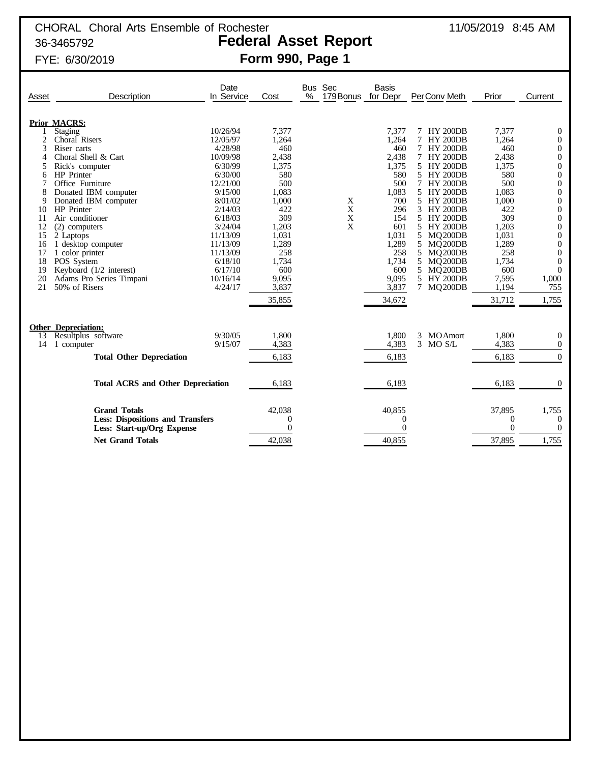## CHORAL Choral Arts Ensemble of Rochester 11/05/2019 8:45 AM 36-3465792 **Federal Asset Report**

## FYE: 6/30/2019 **Form 990, Page 1**

| Asset                                                         | Description                                                                                                                                                                                                                               | Date<br>In Service                                                                                                        | Cost                                                                                  | Bus Sec<br>%<br>179 Bonus              | <b>Basis</b><br>for Depr                                                            | PerConv Meth                                                                                                                                                                              | Prior                                                                                 | Current                                                                                                                                                                                                  |
|---------------------------------------------------------------|-------------------------------------------------------------------------------------------------------------------------------------------------------------------------------------------------------------------------------------------|---------------------------------------------------------------------------------------------------------------------------|---------------------------------------------------------------------------------------|----------------------------------------|-------------------------------------------------------------------------------------|-------------------------------------------------------------------------------------------------------------------------------------------------------------------------------------------|---------------------------------------------------------------------------------------|----------------------------------------------------------------------------------------------------------------------------------------------------------------------------------------------------------|
| $\overline{c}$<br>3<br>4<br>5<br>6<br>7<br>8<br>9<br>10<br>11 | <b>Prior MACRS:</b><br>Staging<br>Choral Risers<br>Riser carts<br>Choral Shell & Cart<br>Rick's computer<br><b>HP</b> Printer<br>Office Furniture<br>Donated IBM computer<br>Donated IBM computer<br><b>HP</b> Printer<br>Air conditioner | 10/26/94<br>12/05/97<br>4/28/98<br>10/09/98<br>6/30/99<br>6/30/00<br>12/21/00<br>9/15/00<br>8/01/02<br>2/14/03<br>6/18/03 | 7,377<br>1,264<br>460<br>2,438<br>1,375<br>580<br>500<br>1,083<br>1,000<br>422<br>309 | X<br>X<br>X                            | 7,377<br>1,264<br>460<br>2,438<br>1,375<br>580<br>500<br>1,083<br>700<br>296<br>154 | 7 HY 200DB<br>7<br><b>HY 200DB</b><br>7<br><b>HY 200DB</b><br>7 HY 200DB<br>5 HY 200DB<br>5 HY 200DB<br><b>HY 200DB</b><br>5 HY 200DB<br>5 HY 200DB<br><b>HY 200DB</b><br>3<br>5 HY 200DB | 7,377<br>1,264<br>460<br>2,438<br>1,375<br>580<br>500<br>1,083<br>1,000<br>422<br>309 | $\boldsymbol{0}$<br>$\boldsymbol{0}$<br>$\boldsymbol{0}$<br>$\boldsymbol{0}$<br>$\boldsymbol{0}$<br>$\theta$<br>$\boldsymbol{0}$<br>$\boldsymbol{0}$<br>$\boldsymbol{0}$<br>$\theta$<br>$\boldsymbol{0}$ |
| 12<br>15<br>16<br>17<br>18<br>19<br>20<br>21                  | (2) computers<br>2 Laptops<br>1 desktop computer<br>1 color printer<br>POS System<br>Keyboard (1/2 interest)<br>Adams Pro Series Timpani<br>50% of Risers<br><b>Other Depreciation:</b>                                                   | 3/24/04<br>11/13/09<br>11/13/09<br>11/13/09<br>6/18/10<br>6/17/10<br>10/16/14<br>4/24/17                                  | 1,203<br>1,031<br>1,289<br>258<br>1,734<br>600<br>9,095<br>3,837<br>35,855            | X                                      | 601<br>1,031<br>1,289<br>258<br>1,734<br>600<br>9,095<br>3,837<br>34,672            | 5 HY 200DB<br>5 MO200DB<br>MQ200DB<br>5<br>5<br>MQ200DB<br>5<br>MO200DB<br>5 MQ200DB<br>5 HY 200DB<br>7<br>MQ200DB                                                                        | 1,203<br>1,031<br>1,289<br>258<br>1,734<br>600<br>7,595<br>1,194<br>31,712            | $\boldsymbol{0}$<br>$\boldsymbol{0}$<br>$\boldsymbol{0}$<br>$\boldsymbol{0}$<br>$\theta$<br>$\theta$<br>1,000<br>755<br>1,755                                                                            |
| 13<br>14                                                      | Resultplus software<br>1 computer<br><b>Total Other Depreciation</b>                                                                                                                                                                      | 9/30/05<br>9/15/07                                                                                                        | 1.800<br>4,383<br>6,183                                                               |                                        | 1.800<br>4,383<br>6,183                                                             | 3 MOAmort<br>3 MO S/L                                                                                                                                                                     | 1.800<br>4,383<br>6,183                                                               | $\mathbf{0}$<br>$\boldsymbol{0}$<br>$\Omega$                                                                                                                                                             |
|                                                               | <b>Total ACRS and Other Depreciation</b>                                                                                                                                                                                                  | 6,183                                                                                                                     |                                                                                       | 6,183                                  |                                                                                     | 6,183                                                                                                                                                                                     | $\theta$                                                                              |                                                                                                                                                                                                          |
|                                                               | <b>Grand Totals</b><br><b>Less: Dispositions and Transfers</b><br>Less: Start-up/Org Expense                                                                                                                                              | 42,038<br>0<br>$\theta$                                                                                                   |                                                                                       | 40,855<br>$\mathbf{0}$<br>$\mathbf{0}$ |                                                                                     | 37,895<br>$\overline{0}$<br>$\Omega$                                                                                                                                                      | 1,755<br>$\overline{0}$<br>$\mathbf{0}$                                               |                                                                                                                                                                                                          |
|                                                               | <b>Net Grand Totals</b>                                                                                                                                                                                                                   |                                                                                                                           | 42,038                                                                                |                                        | 40,855                                                                              |                                                                                                                                                                                           | 37,895                                                                                | 1,755                                                                                                                                                                                                    |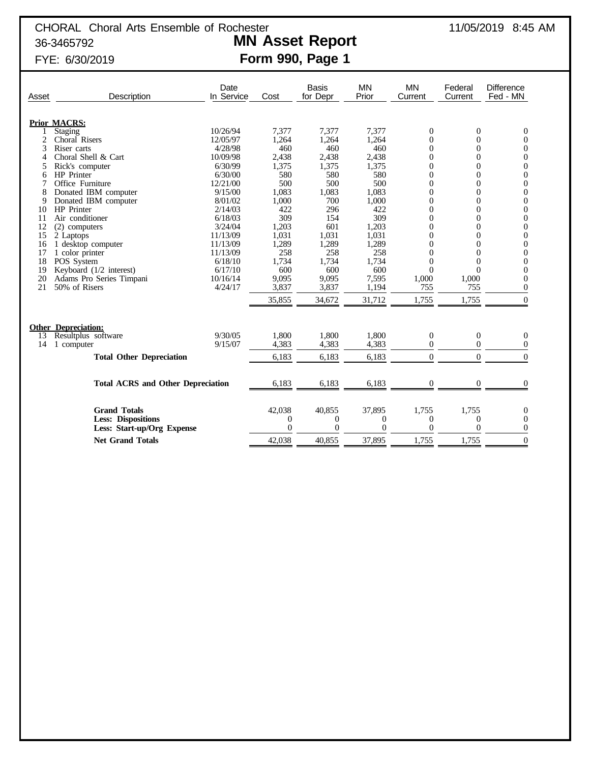## CHORAL Choral Arts Ensemble of Rochester 11/05/2019 8:45 AM 36-3465792 **MN Asset Report**

# FYE: 6/30/2019 **Form 990, Page 1**

### Date Basis MN MN Federal Difference<br>In Service Cost for Depr Prior Current Current Fed - MN Asset Description In Service Cost for Depr Prior Current Current Fed - MN **Prior MACRS:**<br>1 Staging 1 Staging 10/26/94 7,377 7,377 7,377 0 0 0 2 Choral Risers 12/05/97 1,264 1,264 1,264 0 0 0 3 Riser carts 4/28/98 460 460 460 0 0 0 4 Choral Shell & Cart 10/09/98 2,438 2,438 2,438 0 0 0 5 Rick's computer 6/30/99 1,375 1,375 1,375 0 0 0 6 HP Printer 6/30/00 580 580 580 0 0 0 7 Office Furniture 12/21/00 500 500 500 0 0 0 8 Donated IBM computer  $\begin{array}{cccc} 9/15/00 & 1,083 & 1,083 & 0 & 0 \\ 9 & \text{Donated IBM computer} & 8/01/02 & 1,000 & 700 & 1,000 & 0 \end{array}$ 9 Donated IBM computer  $\frac{8}{01/02}$  1,000 700 1,000 0 0 0 0<br>10 HP Printer 2/14/03 422 296 422 0 0 0 10 HP Printer 2/14/03 422 296 422 0 0 0 11 Air conditioner 6/18/03 309 154 309 0 0 0<br>12 (2) computers 3/24/04 1,203 601 1,203 0 0 0 12 (2) computers 3/24/04 1,203 601 1,203 0 0 0 15 2 Laptops 11/13/09 1,031 1,031 1,031 0 0 0 16 1 desktop computer 11/13/09 1,289 1,289 1,289 0 0 0 17 1 color printer 11/13/09 258 258 258 0 0 0 18 POS System 6/18/10 1,734 1,734 0 0 0 19 Keyboard (1/2 interest) 6/17/10 600 600 600 0 0 0 0<br>
20 Adams Pro Series Timpani 10/16/14 9,095 9,095 7,595 1,000 1,000 0 20 Adams Pro Series Timpani 10/16/14 9,095 9,095 7,595 1,000 1,000 0<br>21 50% of Risers  $\frac{4}{24/17}$  9,837 3,837 1,194 755 755 0 21 50% of Risers **21 50% of Risers** 3,837 3,837 3,837 3,837 3,837 3,837 3,837 3,837 3,55 35,855 34,672 31,712 1,755 1,755 0 **Other Depreciation:** 13 Resultplus software  $\begin{array}{cccc} 9/30/05 & 1,800 & 1,800 & 0 & 0 \ 14 & 1 \text{ computer} & 9/15/07 & 4,383 & 4,383 & 4,383 & 0 \end{array}$  0 0 0 0 14 1 computer **Total Other Depreciation** 6,183 6,183 6,183 0 0 0 0 **Total ACRS and Other Depreciation** 6,183 6,183 6,183 0 0 0 0 **Grand Totals** 6 **42,038** 40,855 37,895 1,755 1,755 0 **Less: Dispositions**  $\begin{array}{ccccccc}\n0 & 0 & 0 & 0 & 0 & 0 \\
\text{Less: } \text{Start-up} / \text{Org} & \text{Expense} & & & 0 & 0 & 0 & 0 \\
\end{array}$ **Less: Start-up/Org Expense Net Grand Totals 42,038** 40,855 37,895 1,755 1,755 0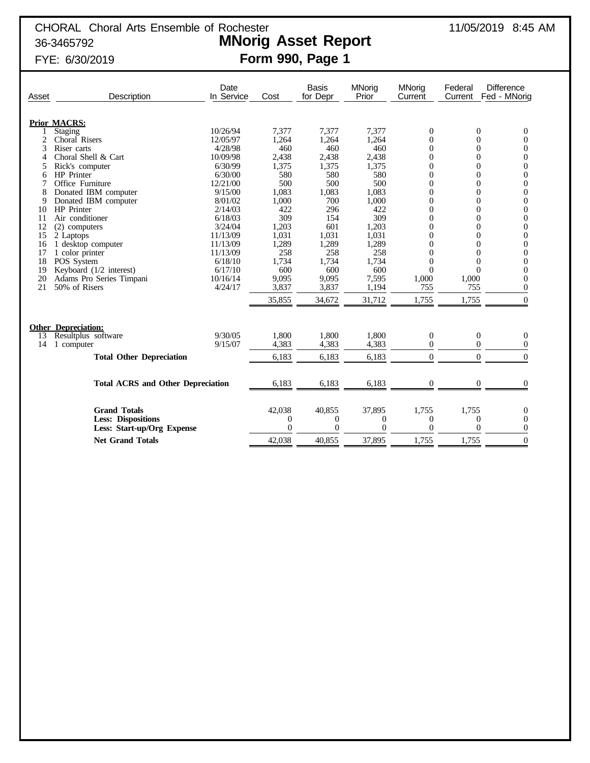## CHORAL Choral Arts Ensemble of Rochester 11/05/2019 8:45 AM 36-3465792 **MNorig Asset Report**

# FYE: 6/30/2019 **Form 990, Page 1**

### Date Basis MNorig MNorig Federal Difference<br>In Service Cost for Depr Prior Current Current Fed - MNorig Asset Description In Service Cost for Depr Prior Current Current Fed - MNorig **Prior MACRS:**<br>1 Staging 1 Staging 10/26/94 7,377 7,377 7,377 0 0 0 2 Choral Risers 12/05/97 1,264 1,264 1,264 0 0 0 3 Riser carts 4/28/98 460 460 460 0 0 0 4 Choral Shell & Cart 10/09/98 2,438 2,438 2,438 0 0 0 5 Rick's computer 6/30/99 1,375 1,375 1,375 0 0 0 6 HP Printer 6/30/00 580 580 580 0 0 0 7 Office Furniture 12/21/00 500 500 500 0 0 0 8 Donated IBM computer  $\begin{array}{cccc} 9/15/00 & 1,083 & 1,083 & 0 & 0 \\ 9 & \text{Donated IBM computer} & 8/01/02 & 1,000 & 700 & 1,000 & 0 \end{array}$  0 0 9 Donated IBM computer  $\frac{8}{01/02}$  1,000 700 1,000 0 0 0 0<br>10 HP Printer 2/14/03 422 296 422 0 0 0 10 HP Printer 2/14/03 422 296 422 0 0 0 11 Air conditioner 6/18/03 309 154 309 0 0 0<br>12 (2) computers 3/24/04 1,203 601 1,203 0 0 0 12 (2) computers 3/24/04 1,203 601 1,203 0 0 0 15 2 Laptops 11/13/09 1,031 1,031 1,031 0 0 0 16 1 desktop computer 11/13/09 1,289 1,289 1,289 0 0 0 17 1 color printer 11/13/09 258 258 258 0 0 0<br>18 POS System 6/18/10 1,734 1,734 1,734 0 0 0 18 POS System 6/18/10 1,734 1,734 0 0 0 19 Keyboard (1/2 interest) 6/17/10 600 600 600 0 0 0 0<br>
20 Adams Pro Series Timpani 10/16/14 9,095 9,095 7,595 1,000 1,000 0 20 Adams Pro Series Timpani 10/16/14 9,095 9,095 7,595 1,000 1,000 0<br>21 50% of Risers  $\frac{4}{24/17}$  3,837 3,837 1,194 755 755 0 21 50% of Risers **21 50% of Risers** 3,837 3,837 3,837 3,837 3,837 3,837 3,837 3,837 3,55 35,855 34,672 31,712 1,755 1,755 0 **Other Depreciation:** 13 Resultplus software  $\begin{array}{cccc} 9/30/05 & 1,800 & 1,800 & 0 & 0 \ 14 & 1 \text{ computer} & 9/15/07 & 4,383 & 4,383 & 4,383 & 0 \end{array}$  0 0 0 0 14 1 computer **Total Other Depreciation** 6,183 6,183 6,183 0 0 0 0 **Total ACRS and Other Depreciation** 6,183 6,183 6,183 0 0 0 0 **Grand Totals** 6 **42,038** 40,855 37,895 1,755 1,755 0 **Less: Dispositions**  $\begin{array}{ccccccc}\n0 & 0 & 0 & 0 & 0 & 0 \\
\text{Less: } \text{Start-up} / \text{Org} & \text{Expense} & & & 0 & 0 & 0 & 0 \\
\end{array}$ **Less: Start-up/Org Expense Net Grand Totals 42,038** 40,855 37,895 1,755 1,755 0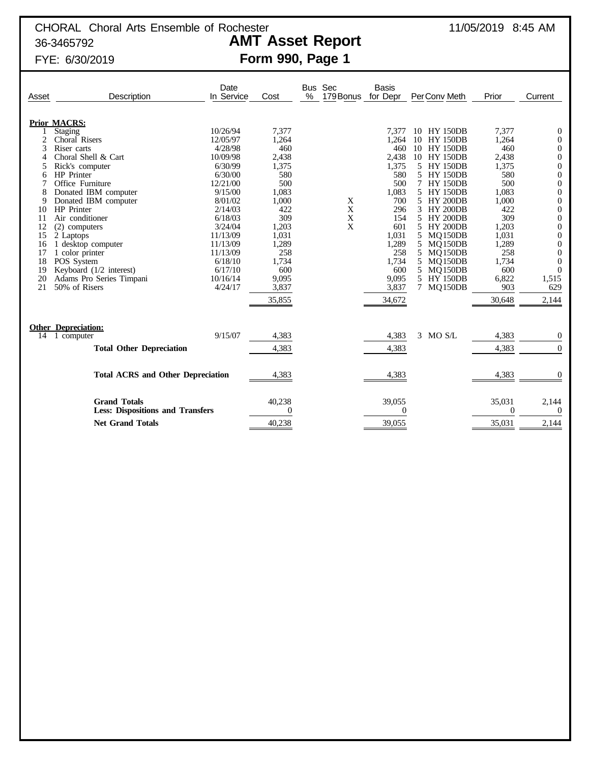# CHORAL Choral Arts Ensemble of Rochester 11/05/2019 8:45 AM 36-3465792 **AMT Asset Report**

# FYE: 6/30/2019 **Form 990, Page 1**

| Asset                                                                                  | Description                                                                                                                                                                                                                                                                                                                                                                                            | Date<br>In Service                                                                                                                                                                                                    | Cost                                                                                                                                                                | % | Bus Sec<br>179 Bonus        | <b>Basis</b><br>for Depr                                                                                                                                        | PerConv Meth                                                                                                                                                                                                                                                                                             | Prior                                                                                                                                                             | Current                                                                                                                                                                                                                                                                                                                                           |
|----------------------------------------------------------------------------------------|--------------------------------------------------------------------------------------------------------------------------------------------------------------------------------------------------------------------------------------------------------------------------------------------------------------------------------------------------------------------------------------------------------|-----------------------------------------------------------------------------------------------------------------------------------------------------------------------------------------------------------------------|---------------------------------------------------------------------------------------------------------------------------------------------------------------------|---|-----------------------------|-----------------------------------------------------------------------------------------------------------------------------------------------------------------|----------------------------------------------------------------------------------------------------------------------------------------------------------------------------------------------------------------------------------------------------------------------------------------------------------|-------------------------------------------------------------------------------------------------------------------------------------------------------------------|---------------------------------------------------------------------------------------------------------------------------------------------------------------------------------------------------------------------------------------------------------------------------------------------------------------------------------------------------|
| 2<br>3<br>5<br>6<br>8<br>9<br>10<br>11<br>12<br>15<br>16<br>17<br>18<br>19<br>20<br>21 | <b>Prior MACRS:</b><br>Staging<br>Choral Risers<br>Riser carts<br>Choral Shell & Cart<br>Rick's computer<br><b>HP</b> Printer<br>Office Furniture<br>Donated IBM computer<br>Donated IBM computer<br><b>HP</b> Printer<br>Air conditioner<br>(2) computers<br>2 Laptops<br>1 desktop computer<br>1 color printer<br>POS System<br>Keyboard (1/2 interest)<br>Adams Pro Series Timpani<br>50% of Risers | 10/26/94<br>12/05/97<br>4/28/98<br>10/09/98<br>6/30/99<br>6/30/00<br>12/21/00<br>9/15/00<br>8/01/02<br>2/14/03<br>6/18/03<br>3/24/04<br>11/13/09<br>11/13/09<br>11/13/09<br>6/18/10<br>6/17/10<br>10/16/14<br>4/24/17 | 7,377<br>1.264<br>460<br>2,438<br>1,375<br>580<br>500<br>1,083<br>1,000<br>422<br>309<br>1,203<br>1,031<br>1,289<br>258<br>1,734<br>600<br>9.095<br>3,837<br>35,855 |   | X<br>X<br>X<br>$\mathbf{X}$ | 7.377<br>1.264<br>460<br>2,438<br>1,375<br>580<br>500<br>1,083<br>700<br>296<br>154<br>601<br>1,031<br>1,289<br>258<br>1,734<br>600<br>9.095<br>3,837<br>34,672 | 10 HY 150DB<br>10 HY 150DB<br>10 HY 150DB<br>10 HY 150DB<br>5 HY 150DB<br>5 HY 150DB<br>7 HY 150DB<br>5 HY 150DB<br><b>HY 200DB</b><br>5<br>3<br><b>HY 200DB</b><br>5<br><b>HY 200DB</b><br>5 HY 200DB<br>5 MO150DB<br>5<br>MO150DB<br>5<br>MQ150DB<br>5 MQ150DB<br>5 MO150DB<br>5 HY 150DB<br>7 MQ150DB | 7,377<br>1.264<br>460<br>2,438<br>1,375<br>580<br>500<br>1,083<br>1,000<br>422<br>309<br>1,203<br>1,031<br>1,289<br>258<br>1,734<br>600<br>6.822<br>903<br>30,648 | $\mathbf{0}$<br>$\boldsymbol{0}$<br>$\theta$<br>$\boldsymbol{0}$<br>$\boldsymbol{0}$<br>$\boldsymbol{0}$<br>$\boldsymbol{0}$<br>$\boldsymbol{0}$<br>$\boldsymbol{0}$<br>$\boldsymbol{0}$<br>$\boldsymbol{0}$<br>$\boldsymbol{0}$<br>$\boldsymbol{0}$<br>$\boldsymbol{0}$<br>$\theta$<br>$\boldsymbol{0}$<br>$\mathbf{0}$<br>1,515<br>629<br>2,144 |
|                                                                                        | <b>Other Depreciation:</b><br>14 1 computer<br><b>Total Other Depreciation</b><br><b>Total ACRS and Other Depreciation</b>                                                                                                                                                                                                                                                                             | 9/15/07                                                                                                                                                                                                               | 4,383<br>4,383<br>4,383                                                                                                                                             |   |                             | 4,383<br>4,383<br>4,383                                                                                                                                         | 3 MO S/L                                                                                                                                                                                                                                                                                                 | 4,383<br>4,383<br>4,383                                                                                                                                           | $\boldsymbol{0}$<br>$\theta$<br>$\theta$                                                                                                                                                                                                                                                                                                          |
|                                                                                        | <b>Grand Totals</b><br><b>Less: Dispositions and Transfers</b><br><b>Net Grand Totals</b>                                                                                                                                                                                                                                                                                                              |                                                                                                                                                                                                                       | 40,238<br>$\Omega$<br>40,238                                                                                                                                        |   |                             | 39,055<br>0<br>39,055                                                                                                                                           |                                                                                                                                                                                                                                                                                                          | 35,031<br>0<br>35,031                                                                                                                                             | 2,144<br>$\theta$<br>2,144                                                                                                                                                                                                                                                                                                                        |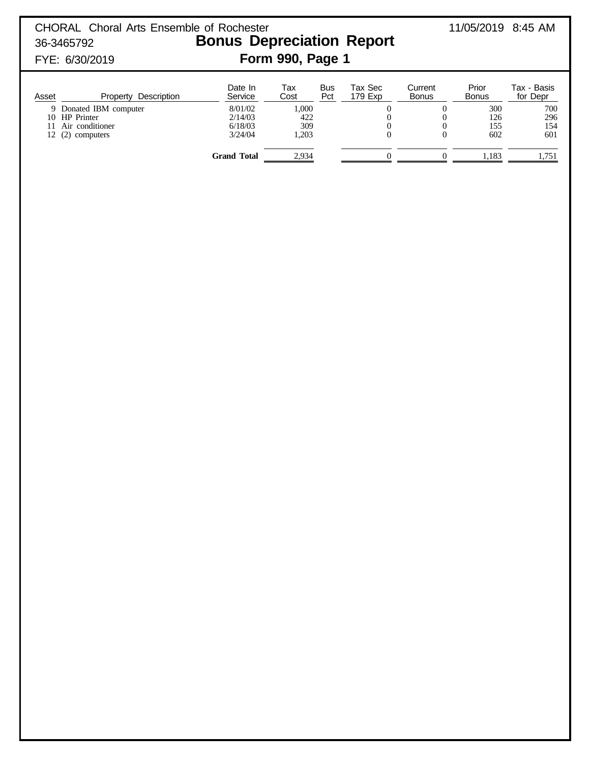# CHORAL Choral Arts Ensemble of Rochester 11/05/2019 8:45 AM 36-3465792 **Bonus Depreciation Report** Form 990, Page 1

|  | FYE: 6/30/2019 |  |
|--|----------------|--|
|--|----------------|--|

| Asset | Description<br>Property | Date In<br>Service | Тах<br>Cost | Bus<br>Pct | Tax Sec<br>179 Exp | Current<br><b>Bonus</b> | Prior<br><b>Bonus</b> | Tax - Basis<br>for Depr |
|-------|-------------------------|--------------------|-------------|------------|--------------------|-------------------------|-----------------------|-------------------------|
| 9.    | Donated IBM computer    | 8/01/02            | 1,000       |            |                    |                         | 300                   | 700                     |
|       | 10 HP Printer           | 2/14/03            | 422         |            |                    |                         | 126                   | 296                     |
|       | Air conditioner         | 6/18/03            | 309         |            |                    |                         | 155                   | 154                     |
|       | 12 (2) computers        | 3/24/04            | 1.203       |            |                    |                         | 602                   | 601                     |
|       |                         |                    |             |            |                    |                         |                       |                         |
|       |                         | <b>Grand Total</b> | 2.934       |            |                    |                         | 1.183                 | 751                     |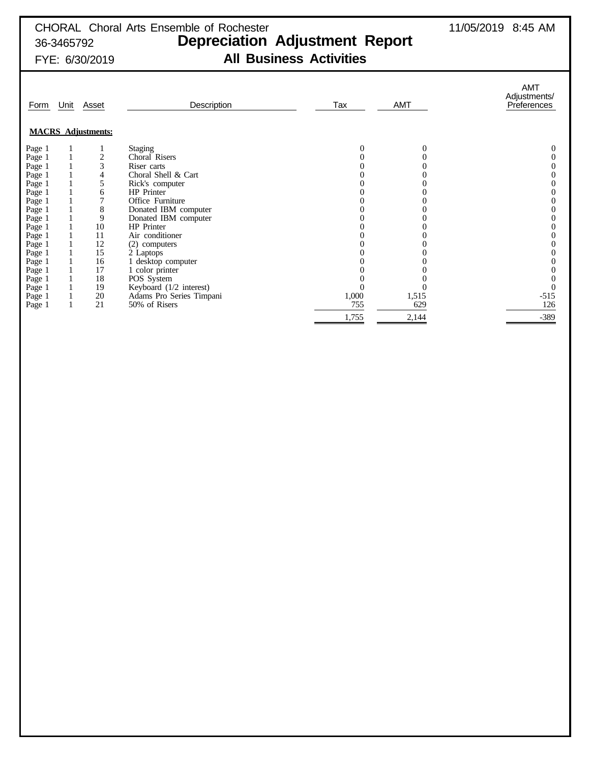|                | <b>CHORAL Choral Arts Ensemble of Rochester</b> |                                       |  |
|----------------|-------------------------------------------------|---------------------------------------|--|
| 36-3465792     |                                                 | <b>Depreciation Adjustment Report</b> |  |
| FYE: 6/30/2019 |                                                 | <b>All Business Activities</b>        |  |

|        |                           |                                                                                                                                                                                                                                                                                                                                                                                                      |       |       | <b>AMT</b><br>Adjustments/ |
|--------|---------------------------|------------------------------------------------------------------------------------------------------------------------------------------------------------------------------------------------------------------------------------------------------------------------------------------------------------------------------------------------------------------------------------------------------|-------|-------|----------------------------|
| Form   | Unit Asset                |                                                                                                                                                                                                                                                                                                                                                                                                      |       |       |                            |
|        |                           | Description<br>Tax<br><b>AMT</b><br>Preferences<br>0<br><b>Staging</b><br>0<br>Choral Risers<br>0<br>Riser carts<br>Choral Shell & Cart<br>Rick's computer<br>HP Printer<br>Office Furniture<br>Donated IBM computer<br>Donated IBM computer<br><b>HP</b> Printer<br>Air conditioner<br>(2) computers<br>2 Laptops<br>1 desktop computer<br>1 color printer<br>POS System<br>Keyboard (1/2 interest) |       |       |                            |
|        | <b>MACRS</b> Adjustments: |                                                                                                                                                                                                                                                                                                                                                                                                      |       |       |                            |
|        |                           |                                                                                                                                                                                                                                                                                                                                                                                                      |       |       |                            |
| Page 1 |                           |                                                                                                                                                                                                                                                                                                                                                                                                      |       |       |                            |
| Page 1 | $\sqrt{2}$                |                                                                                                                                                                                                                                                                                                                                                                                                      |       |       |                            |
| Page 1 | 3                         |                                                                                                                                                                                                                                                                                                                                                                                                      |       |       |                            |
| Page 1 | $\overline{4}$            |                                                                                                                                                                                                                                                                                                                                                                                                      |       |       |                            |
| Page 1 | 5                         |                                                                                                                                                                                                                                                                                                                                                                                                      |       |       |                            |
| Page 1 | 6                         |                                                                                                                                                                                                                                                                                                                                                                                                      |       |       |                            |
| Page 1 | $\mathbf{r}$              |                                                                                                                                                                                                                                                                                                                                                                                                      |       |       |                            |
| Page 1 | 8                         |                                                                                                                                                                                                                                                                                                                                                                                                      |       |       |                            |
| Page 1 | 9                         |                                                                                                                                                                                                                                                                                                                                                                                                      |       |       |                            |
| Page 1 | 10                        |                                                                                                                                                                                                                                                                                                                                                                                                      |       |       |                            |
| Page 1 | 11                        |                                                                                                                                                                                                                                                                                                                                                                                                      |       |       |                            |
| Page 1 | 12                        |                                                                                                                                                                                                                                                                                                                                                                                                      |       |       |                            |
| Page 1 | 15                        |                                                                                                                                                                                                                                                                                                                                                                                                      |       |       |                            |
| Page 1 | 16                        |                                                                                                                                                                                                                                                                                                                                                                                                      |       |       |                            |
| Page 1 | 17                        |                                                                                                                                                                                                                                                                                                                                                                                                      |       |       |                            |
| Page 1 | 18                        |                                                                                                                                                                                                                                                                                                                                                                                                      |       |       |                            |
| Page 1 | 19                        |                                                                                                                                                                                                                                                                                                                                                                                                      |       |       |                            |
| Page 1 | 20                        | Adams Pro Series Timpani                                                                                                                                                                                                                                                                                                                                                                             | 1,000 | 1,515 | $-515$                     |
| Page 1 | 21                        | 50% of Risers                                                                                                                                                                                                                                                                                                                                                                                        | 755   | 629   | 126                        |
|        |                           |                                                                                                                                                                                                                                                                                                                                                                                                      | 1,755 | 2,144 | $-389$                     |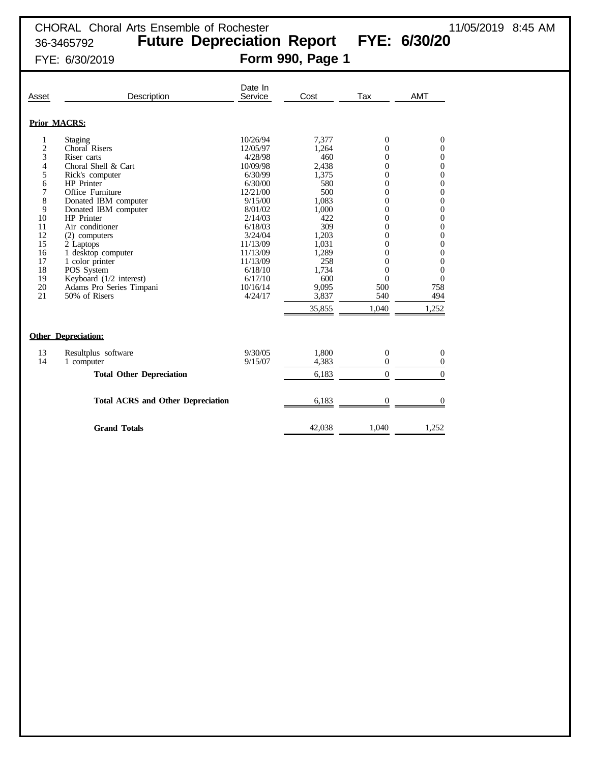# CHORAL Choral Arts Ensemble of Rochester 11/05/2019 8:45 AM 36-3465792 **Future Depreciation Report FYE: 6/30/20** FYE: 6/30/2019 **Form 990, Page 1**

| Asset | Description                                                                                                                                                                                                                                                                                                                                                                                                                                                                                                                                                                                                                                                                                                                                                                                                                                                                                                                                                                                                                                                                                                                                                                                                                                                                                                                                                                                                                                                                                                                                                                                                                                                                                                                                                                                                                                                                                          | Date In<br>Service | Cost   | Tax          | <b>AMT</b> |  |  |
|-------|------------------------------------------------------------------------------------------------------------------------------------------------------------------------------------------------------------------------------------------------------------------------------------------------------------------------------------------------------------------------------------------------------------------------------------------------------------------------------------------------------------------------------------------------------------------------------------------------------------------------------------------------------------------------------------------------------------------------------------------------------------------------------------------------------------------------------------------------------------------------------------------------------------------------------------------------------------------------------------------------------------------------------------------------------------------------------------------------------------------------------------------------------------------------------------------------------------------------------------------------------------------------------------------------------------------------------------------------------------------------------------------------------------------------------------------------------------------------------------------------------------------------------------------------------------------------------------------------------------------------------------------------------------------------------------------------------------------------------------------------------------------------------------------------------------------------------------------------------------------------------------------------------|--------------------|--------|--------------|------------|--|--|
|       | <b>Prior MACRS:</b><br>10/26/94<br>1<br>7,377<br>Staging<br>$\mathbf{0}$<br>$\boldsymbol{0}$<br>$\overline{c}$<br><b>Choral Risers</b><br>$\overline{0}$<br>$\boldsymbol{0}$<br>12/05/97<br>1,264<br>3<br>$\boldsymbol{0}$<br>Riser carts<br>4/28/98<br>460<br>$\overline{0}$<br>4<br>$\boldsymbol{0}$<br>Choral Shell & Cart<br>10/09/98<br>2,438<br>0<br>5<br>$\boldsymbol{0}$<br>$\boldsymbol{0}$<br>6/30/99<br>1,375<br>Rick's computer<br>$\boldsymbol{0}$<br>6<br><b>HP</b> Printer<br>6/30/00<br>580<br>$\overline{0}$<br>7<br>$\boldsymbol{0}$<br>Office Furniture<br>500<br>$\overline{0}$<br>12/21/00<br>8<br>$\boldsymbol{0}$<br>$\overline{0}$<br>Donated IBM computer<br>9/15/00<br>1,083<br>$\boldsymbol{0}$<br>9<br>$\overline{0}$<br>Donated IBM computer<br>8/01/02<br>1,000<br>$\boldsymbol{0}$<br>10<br><b>HP</b> Printer<br>0<br>2/14/03<br>422<br>$\boldsymbol{0}$<br>$\overline{0}$<br>11<br>Air conditioner<br>309<br>6/18/03<br>$\boldsymbol{0}$<br>12<br>1,203<br>$\overline{0}$<br>3/24/04<br>(2) computers<br>$\boldsymbol{0}$<br>15<br>11/13/09<br>1,031<br>$\overline{0}$<br>2 Laptops<br>$\boldsymbol{0}$<br>$\overline{0}$<br>16<br>1 desktop computer<br>11/13/09<br>1,289<br>$\boldsymbol{0}$<br>$\theta$<br>17<br>1 color printer<br>11/13/09<br>258<br>18<br>$\boldsymbol{0}$<br>POS System<br>1,734<br>$\overline{0}$<br>6/18/10<br>$\boldsymbol{0}$<br>$\overline{0}$<br>19<br>Keyboard (1/2 interest)<br>6/17/10<br>600<br>758<br>20<br>Adams Pro Series Timpani<br>10/16/14<br>9,095<br>500<br>50% of Risers<br>21<br>3,837<br>4/24/17<br>540<br>494<br>35,855<br>1,040<br>1,252<br><b>Other Depreciation:</b><br>13<br>9/30/05<br>1.800<br>Resultplus software<br>$\mathbf{0}$<br>$\boldsymbol{0}$<br>14<br>9/15/07<br>4,383<br>$\boldsymbol{0}$<br>$\boldsymbol{0}$<br>1 computer<br>$\overline{0}$<br>$\Omega$<br>6,183<br><b>Total Other Depreciation</b> |                    |        |              |            |  |  |
|       |                                                                                                                                                                                                                                                                                                                                                                                                                                                                                                                                                                                                                                                                                                                                                                                                                                                                                                                                                                                                                                                                                                                                                                                                                                                                                                                                                                                                                                                                                                                                                                                                                                                                                                                                                                                                                                                                                                      |                    |        |              |            |  |  |
|       |                                                                                                                                                                                                                                                                                                                                                                                                                                                                                                                                                                                                                                                                                                                                                                                                                                                                                                                                                                                                                                                                                                                                                                                                                                                                                                                                                                                                                                                                                                                                                                                                                                                                                                                                                                                                                                                                                                      |                    |        |              |            |  |  |
|       |                                                                                                                                                                                                                                                                                                                                                                                                                                                                                                                                                                                                                                                                                                                                                                                                                                                                                                                                                                                                                                                                                                                                                                                                                                                                                                                                                                                                                                                                                                                                                                                                                                                                                                                                                                                                                                                                                                      |                    |        |              |            |  |  |
|       |                                                                                                                                                                                                                                                                                                                                                                                                                                                                                                                                                                                                                                                                                                                                                                                                                                                                                                                                                                                                                                                                                                                                                                                                                                                                                                                                                                                                                                                                                                                                                                                                                                                                                                                                                                                                                                                                                                      |                    |        |              |            |  |  |
|       |                                                                                                                                                                                                                                                                                                                                                                                                                                                                                                                                                                                                                                                                                                                                                                                                                                                                                                                                                                                                                                                                                                                                                                                                                                                                                                                                                                                                                                                                                                                                                                                                                                                                                                                                                                                                                                                                                                      |                    |        |              |            |  |  |
|       |                                                                                                                                                                                                                                                                                                                                                                                                                                                                                                                                                                                                                                                                                                                                                                                                                                                                                                                                                                                                                                                                                                                                                                                                                                                                                                                                                                                                                                                                                                                                                                                                                                                                                                                                                                                                                                                                                                      |                    |        |              |            |  |  |
|       |                                                                                                                                                                                                                                                                                                                                                                                                                                                                                                                                                                                                                                                                                                                                                                                                                                                                                                                                                                                                                                                                                                                                                                                                                                                                                                                                                                                                                                                                                                                                                                                                                                                                                                                                                                                                                                                                                                      |                    |        |              |            |  |  |
|       |                                                                                                                                                                                                                                                                                                                                                                                                                                                                                                                                                                                                                                                                                                                                                                                                                                                                                                                                                                                                                                                                                                                                                                                                                                                                                                                                                                                                                                                                                                                                                                                                                                                                                                                                                                                                                                                                                                      |                    |        |              |            |  |  |
|       |                                                                                                                                                                                                                                                                                                                                                                                                                                                                                                                                                                                                                                                                                                                                                                                                                                                                                                                                                                                                                                                                                                                                                                                                                                                                                                                                                                                                                                                                                                                                                                                                                                                                                                                                                                                                                                                                                                      |                    |        |              |            |  |  |
|       |                                                                                                                                                                                                                                                                                                                                                                                                                                                                                                                                                                                                                                                                                                                                                                                                                                                                                                                                                                                                                                                                                                                                                                                                                                                                                                                                                                                                                                                                                                                                                                                                                                                                                                                                                                                                                                                                                                      |                    |        |              |            |  |  |
|       |                                                                                                                                                                                                                                                                                                                                                                                                                                                                                                                                                                                                                                                                                                                                                                                                                                                                                                                                                                                                                                                                                                                                                                                                                                                                                                                                                                                                                                                                                                                                                                                                                                                                                                                                                                                                                                                                                                      |                    |        |              |            |  |  |
|       |                                                                                                                                                                                                                                                                                                                                                                                                                                                                                                                                                                                                                                                                                                                                                                                                                                                                                                                                                                                                                                                                                                                                                                                                                                                                                                                                                                                                                                                                                                                                                                                                                                                                                                                                                                                                                                                                                                      |                    |        |              |            |  |  |
|       |                                                                                                                                                                                                                                                                                                                                                                                                                                                                                                                                                                                                                                                                                                                                                                                                                                                                                                                                                                                                                                                                                                                                                                                                                                                                                                                                                                                                                                                                                                                                                                                                                                                                                                                                                                                                                                                                                                      |                    |        |              |            |  |  |
|       |                                                                                                                                                                                                                                                                                                                                                                                                                                                                                                                                                                                                                                                                                                                                                                                                                                                                                                                                                                                                                                                                                                                                                                                                                                                                                                                                                                                                                                                                                                                                                                                                                                                                                                                                                                                                                                                                                                      |                    |        |              |            |  |  |
|       |                                                                                                                                                                                                                                                                                                                                                                                                                                                                                                                                                                                                                                                                                                                                                                                                                                                                                                                                                                                                                                                                                                                                                                                                                                                                                                                                                                                                                                                                                                                                                                                                                                                                                                                                                                                                                                                                                                      |                    |        |              |            |  |  |
|       |                                                                                                                                                                                                                                                                                                                                                                                                                                                                                                                                                                                                                                                                                                                                                                                                                                                                                                                                                                                                                                                                                                                                                                                                                                                                                                                                                                                                                                                                                                                                                                                                                                                                                                                                                                                                                                                                                                      |                    |        |              |            |  |  |
|       |                                                                                                                                                                                                                                                                                                                                                                                                                                                                                                                                                                                                                                                                                                                                                                                                                                                                                                                                                                                                                                                                                                                                                                                                                                                                                                                                                                                                                                                                                                                                                                                                                                                                                                                                                                                                                                                                                                      |                    |        |              |            |  |  |
|       |                                                                                                                                                                                                                                                                                                                                                                                                                                                                                                                                                                                                                                                                                                                                                                                                                                                                                                                                                                                                                                                                                                                                                                                                                                                                                                                                                                                                                                                                                                                                                                                                                                                                                                                                                                                                                                                                                                      |                    |        |              |            |  |  |
|       |                                                                                                                                                                                                                                                                                                                                                                                                                                                                                                                                                                                                                                                                                                                                                                                                                                                                                                                                                                                                                                                                                                                                                                                                                                                                                                                                                                                                                                                                                                                                                                                                                                                                                                                                                                                                                                                                                                      |                    |        |              |            |  |  |
|       |                                                                                                                                                                                                                                                                                                                                                                                                                                                                                                                                                                                                                                                                                                                                                                                                                                                                                                                                                                                                                                                                                                                                                                                                                                                                                                                                                                                                                                                                                                                                                                                                                                                                                                                                                                                                                                                                                                      |                    |        |              |            |  |  |
|       |                                                                                                                                                                                                                                                                                                                                                                                                                                                                                                                                                                                                                                                                                                                                                                                                                                                                                                                                                                                                                                                                                                                                                                                                                                                                                                                                                                                                                                                                                                                                                                                                                                                                                                                                                                                                                                                                                                      |                    |        |              |            |  |  |
|       |                                                                                                                                                                                                                                                                                                                                                                                                                                                                                                                                                                                                                                                                                                                                                                                                                                                                                                                                                                                                                                                                                                                                                                                                                                                                                                                                                                                                                                                                                                                                                                                                                                                                                                                                                                                                                                                                                                      |                    |        |              |            |  |  |
|       |                                                                                                                                                                                                                                                                                                                                                                                                                                                                                                                                                                                                                                                                                                                                                                                                                                                                                                                                                                                                                                                                                                                                                                                                                                                                                                                                                                                                                                                                                                                                                                                                                                                                                                                                                                                                                                                                                                      |                    |        |              |            |  |  |
|       |                                                                                                                                                                                                                                                                                                                                                                                                                                                                                                                                                                                                                                                                                                                                                                                                                                                                                                                                                                                                                                                                                                                                                                                                                                                                                                                                                                                                                                                                                                                                                                                                                                                                                                                                                                                                                                                                                                      |                    |        |              |            |  |  |
|       |                                                                                                                                                                                                                                                                                                                                                                                                                                                                                                                                                                                                                                                                                                                                                                                                                                                                                                                                                                                                                                                                                                                                                                                                                                                                                                                                                                                                                                                                                                                                                                                                                                                                                                                                                                                                                                                                                                      |                    |        |              |            |  |  |
|       | <b>Total ACRS and Other Depreciation</b>                                                                                                                                                                                                                                                                                                                                                                                                                                                                                                                                                                                                                                                                                                                                                                                                                                                                                                                                                                                                                                                                                                                                                                                                                                                                                                                                                                                                                                                                                                                                                                                                                                                                                                                                                                                                                                                             |                    | 6,183  | $\mathbf{0}$ | $\theta$   |  |  |
|       | <b>Grand Totals</b>                                                                                                                                                                                                                                                                                                                                                                                                                                                                                                                                                                                                                                                                                                                                                                                                                                                                                                                                                                                                                                                                                                                                                                                                                                                                                                                                                                                                                                                                                                                                                                                                                                                                                                                                                                                                                                                                                  |                    | 42,038 | 1,040        | 1,252      |  |  |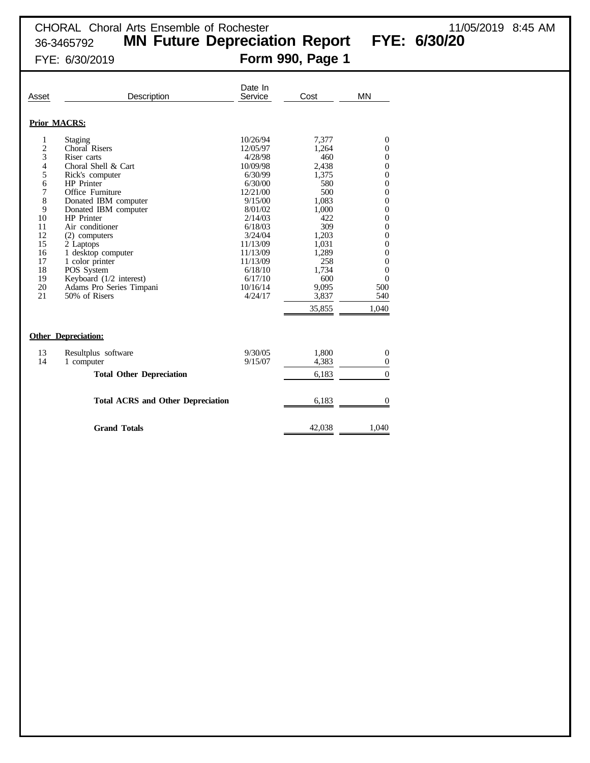# CHORAL Choral Arts Ensemble of Rochester 11/05/2019 8:45 AM 36-3465792 **MN Future Depreciation Report FYE: 6/30/20** FYE: 6/30/2019 **Form 990, Page 1**

| Asset                                                                                                                           | Description                                                                                                                                                                                                                                                                                                                                                                     | Date In<br>Service                                                                                                                                                                                                    | Cost                                                                                                                                                                | <b>MN</b>                                                                                                                                                                                                                                                                                                                           |
|---------------------------------------------------------------------------------------------------------------------------------|---------------------------------------------------------------------------------------------------------------------------------------------------------------------------------------------------------------------------------------------------------------------------------------------------------------------------------------------------------------------------------|-----------------------------------------------------------------------------------------------------------------------------------------------------------------------------------------------------------------------|---------------------------------------------------------------------------------------------------------------------------------------------------------------------|-------------------------------------------------------------------------------------------------------------------------------------------------------------------------------------------------------------------------------------------------------------------------------------------------------------------------------------|
|                                                                                                                                 | <b>Prior MACRS:</b>                                                                                                                                                                                                                                                                                                                                                             |                                                                                                                                                                                                                       |                                                                                                                                                                     |                                                                                                                                                                                                                                                                                                                                     |
| 1<br>$\overline{c}$<br>3<br>$\overline{4}$<br>5<br>6<br>7<br>8<br>9<br>10<br>11<br>12<br>15<br>16<br>17<br>18<br>19<br>20<br>21 | Staging<br>Choral Risers<br>Riser carts<br>Choral Shell & Cart<br>Rick's computer<br><b>HP</b> Printer<br>Office Furniture<br>Donated IBM computer<br>Donated IBM computer<br><b>HP</b> Printer<br>Air conditioner<br>(2) computers<br>2 Laptops<br>1 desktop computer<br>1 color printer<br>POS System<br>Keyboard (1/2 interest)<br>Adams Pro Series Timpani<br>50% of Risers | 10/26/94<br>12/05/97<br>4/28/98<br>10/09/98<br>6/30/99<br>6/30/00<br>12/21/00<br>9/15/00<br>8/01/02<br>2/14/03<br>6/18/03<br>3/24/04<br>11/13/09<br>11/13/09<br>11/13/09<br>6/18/10<br>6/17/10<br>10/16/14<br>4/24/17 | 7,377<br>1,264<br>460<br>2,438<br>1,375<br>580<br>500<br>1,083<br>1,000<br>422<br>309<br>1,203<br>1,031<br>1,289<br>258<br>1,734<br>600<br>9,095<br>3,837<br>35,855 | $\mathbf{0}$<br>$\boldsymbol{0}$<br>$\overline{0}$<br>$\boldsymbol{0}$<br>$\mathbf{0}$<br>$\boldsymbol{0}$<br>$\boldsymbol{0}$<br>$\overline{0}$<br>$\overline{0}$<br>$\boldsymbol{0}$<br>$\mathbf{0}$<br>$\boldsymbol{0}$<br>$\boldsymbol{0}$<br>$\overline{0}$<br>$\theta$<br>$\boldsymbol{0}$<br>$\theta$<br>500<br>540<br>1,040 |
|                                                                                                                                 | <b>Other Depreciation:</b>                                                                                                                                                                                                                                                                                                                                                      |                                                                                                                                                                                                                       |                                                                                                                                                                     |                                                                                                                                                                                                                                                                                                                                     |
| 13<br>14                                                                                                                        | Resultplus software<br>1 computer<br><b>Total Other Depreciation</b>                                                                                                                                                                                                                                                                                                            | 9/30/05<br>9/15/07                                                                                                                                                                                                    | 1,800<br>4,383<br>6,183                                                                                                                                             | $\mathbf 0$<br>$\overline{0}$<br>$\overline{0}$                                                                                                                                                                                                                                                                                     |
|                                                                                                                                 | <b>Total ACRS and Other Depreciation</b>                                                                                                                                                                                                                                                                                                                                        |                                                                                                                                                                                                                       | 6,183                                                                                                                                                               | 0                                                                                                                                                                                                                                                                                                                                   |
|                                                                                                                                 | <b>Grand Totals</b>                                                                                                                                                                                                                                                                                                                                                             |                                                                                                                                                                                                                       | 42,038                                                                                                                                                              | 1,040                                                                                                                                                                                                                                                                                                                               |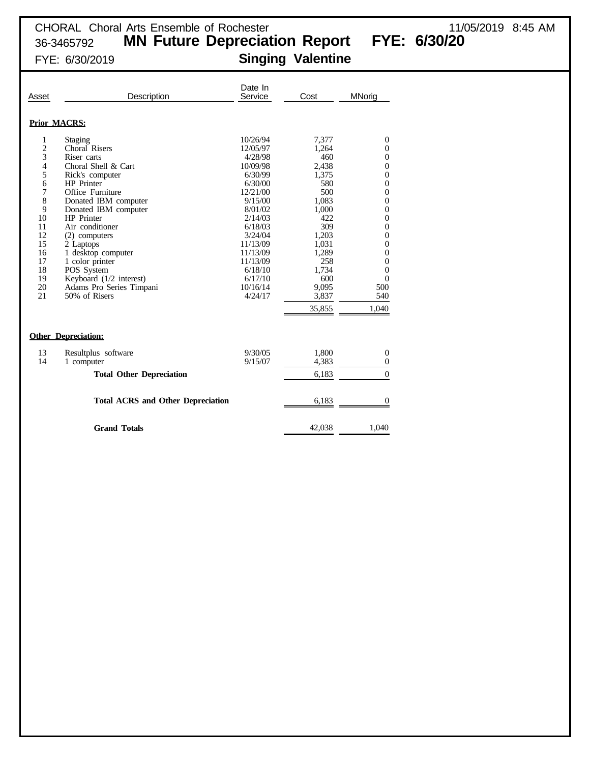# CHORAL Choral Arts Ensemble of Rochester 11/05/2019 8:45 AM 36-3465792 **MN Future Depreciation Report FYE: 6/30/20** FYE: 6/30/2019 **Singing Valentine**

| Service<br>Description<br>Asset<br>Cost<br><b>Prior MACRS:</b><br>10/26/94<br>7,377<br>1<br>Staging<br>$\overline{\mathbf{c}}$<br><b>Choral Risers</b><br>12/05/97<br>1,264<br>3<br>4/28/98<br>460<br>Riser carts<br>4<br>Choral Shell & Cart<br>10/09/98<br>2,438<br>5<br>6/30/99<br>1,375<br>Rick's computer<br>6<br><b>HP</b> Printer<br>6/30/00<br>580<br>7<br>12/21/00<br>500<br>Office Furniture<br>8<br>Donated IBM computer<br>1,083<br>9/15/00<br>9<br>1,000<br>Donated IBM computer<br>8/01/02<br>10<br><b>HP</b> Printer<br>2/14/03<br>422<br>11<br>Air conditioner<br>309<br>6/18/03<br>12<br>1,203<br>3/24/04<br>(2) computers<br>15<br>11/13/09<br>1,031<br>2 Laptops<br>1,289<br>16<br>1 desktop computer<br>11/13/09<br>17<br>1 color printer<br>11/13/09<br>258<br>18<br>POS System<br>1,734<br>6/18/10<br>19<br>Keyboard (1/2 interest)<br>6/17/10<br>600<br>20<br>Adams Pro Series Timpani<br>10/16/14<br>9,095<br>21<br>50% of Risers<br>4/24/17<br>3,837<br>35,855 | MNoria<br>$\overline{0}$<br>$\boldsymbol{0}$<br>$\boldsymbol{0}$<br>$\boldsymbol{0}$<br>$\boldsymbol{0}$<br>$\mathbf{0}$<br>$\mathbf{0}$<br>$\boldsymbol{0}$<br>$\boldsymbol{0}$<br>$\boldsymbol{0}$<br>$\overline{0}$<br>$\boldsymbol{0}$<br>$\overline{0}$ |
|-----------------------------------------------------------------------------------------------------------------------------------------------------------------------------------------------------------------------------------------------------------------------------------------------------------------------------------------------------------------------------------------------------------------------------------------------------------------------------------------------------------------------------------------------------------------------------------------------------------------------------------------------------------------------------------------------------------------------------------------------------------------------------------------------------------------------------------------------------------------------------------------------------------------------------------------------------------------------------------------|--------------------------------------------------------------------------------------------------------------------------------------------------------------------------------------------------------------------------------------------------------------|
|                                                                                                                                                                                                                                                                                                                                                                                                                                                                                                                                                                                                                                                                                                                                                                                                                                                                                                                                                                                         |                                                                                                                                                                                                                                                              |
|                                                                                                                                                                                                                                                                                                                                                                                                                                                                                                                                                                                                                                                                                                                                                                                                                                                                                                                                                                                         |                                                                                                                                                                                                                                                              |
|                                                                                                                                                                                                                                                                                                                                                                                                                                                                                                                                                                                                                                                                                                                                                                                                                                                                                                                                                                                         |                                                                                                                                                                                                                                                              |
|                                                                                                                                                                                                                                                                                                                                                                                                                                                                                                                                                                                                                                                                                                                                                                                                                                                                                                                                                                                         |                                                                                                                                                                                                                                                              |
|                                                                                                                                                                                                                                                                                                                                                                                                                                                                                                                                                                                                                                                                                                                                                                                                                                                                                                                                                                                         |                                                                                                                                                                                                                                                              |
|                                                                                                                                                                                                                                                                                                                                                                                                                                                                                                                                                                                                                                                                                                                                                                                                                                                                                                                                                                                         |                                                                                                                                                                                                                                                              |
|                                                                                                                                                                                                                                                                                                                                                                                                                                                                                                                                                                                                                                                                                                                                                                                                                                                                                                                                                                                         |                                                                                                                                                                                                                                                              |
|                                                                                                                                                                                                                                                                                                                                                                                                                                                                                                                                                                                                                                                                                                                                                                                                                                                                                                                                                                                         |                                                                                                                                                                                                                                                              |
|                                                                                                                                                                                                                                                                                                                                                                                                                                                                                                                                                                                                                                                                                                                                                                                                                                                                                                                                                                                         |                                                                                                                                                                                                                                                              |
|                                                                                                                                                                                                                                                                                                                                                                                                                                                                                                                                                                                                                                                                                                                                                                                                                                                                                                                                                                                         |                                                                                                                                                                                                                                                              |
|                                                                                                                                                                                                                                                                                                                                                                                                                                                                                                                                                                                                                                                                                                                                                                                                                                                                                                                                                                                         |                                                                                                                                                                                                                                                              |
|                                                                                                                                                                                                                                                                                                                                                                                                                                                                                                                                                                                                                                                                                                                                                                                                                                                                                                                                                                                         |                                                                                                                                                                                                                                                              |
|                                                                                                                                                                                                                                                                                                                                                                                                                                                                                                                                                                                                                                                                                                                                                                                                                                                                                                                                                                                         |                                                                                                                                                                                                                                                              |
|                                                                                                                                                                                                                                                                                                                                                                                                                                                                                                                                                                                                                                                                                                                                                                                                                                                                                                                                                                                         |                                                                                                                                                                                                                                                              |
|                                                                                                                                                                                                                                                                                                                                                                                                                                                                                                                                                                                                                                                                                                                                                                                                                                                                                                                                                                                         |                                                                                                                                                                                                                                                              |
|                                                                                                                                                                                                                                                                                                                                                                                                                                                                                                                                                                                                                                                                                                                                                                                                                                                                                                                                                                                         | $\mathbf{0}$                                                                                                                                                                                                                                                 |
|                                                                                                                                                                                                                                                                                                                                                                                                                                                                                                                                                                                                                                                                                                                                                                                                                                                                                                                                                                                         | $\boldsymbol{0}$                                                                                                                                                                                                                                             |
|                                                                                                                                                                                                                                                                                                                                                                                                                                                                                                                                                                                                                                                                                                                                                                                                                                                                                                                                                                                         | $\overline{0}$                                                                                                                                                                                                                                               |
|                                                                                                                                                                                                                                                                                                                                                                                                                                                                                                                                                                                                                                                                                                                                                                                                                                                                                                                                                                                         | $\overline{0}$                                                                                                                                                                                                                                               |
|                                                                                                                                                                                                                                                                                                                                                                                                                                                                                                                                                                                                                                                                                                                                                                                                                                                                                                                                                                                         | 500                                                                                                                                                                                                                                                          |
|                                                                                                                                                                                                                                                                                                                                                                                                                                                                                                                                                                                                                                                                                                                                                                                                                                                                                                                                                                                         | 540                                                                                                                                                                                                                                                          |
|                                                                                                                                                                                                                                                                                                                                                                                                                                                                                                                                                                                                                                                                                                                                                                                                                                                                                                                                                                                         | 1,040                                                                                                                                                                                                                                                        |
|                                                                                                                                                                                                                                                                                                                                                                                                                                                                                                                                                                                                                                                                                                                                                                                                                                                                                                                                                                                         |                                                                                                                                                                                                                                                              |
| <b>Other Depreciation:</b>                                                                                                                                                                                                                                                                                                                                                                                                                                                                                                                                                                                                                                                                                                                                                                                                                                                                                                                                                              |                                                                                                                                                                                                                                                              |
| 13<br>Resultplus software<br>9/30/05<br>1,800                                                                                                                                                                                                                                                                                                                                                                                                                                                                                                                                                                                                                                                                                                                                                                                                                                                                                                                                           | $\mathbf{0}$                                                                                                                                                                                                                                                 |
| 14<br>9/15/07<br>4,383<br>1 computer                                                                                                                                                                                                                                                                                                                                                                                                                                                                                                                                                                                                                                                                                                                                                                                                                                                                                                                                                    | $\overline{0}$                                                                                                                                                                                                                                               |
| <b>Total Other Depreciation</b><br>6,183                                                                                                                                                                                                                                                                                                                                                                                                                                                                                                                                                                                                                                                                                                                                                                                                                                                                                                                                                | $\theta$                                                                                                                                                                                                                                                     |
|                                                                                                                                                                                                                                                                                                                                                                                                                                                                                                                                                                                                                                                                                                                                                                                                                                                                                                                                                                                         |                                                                                                                                                                                                                                                              |
| 6,183<br><b>Total ACRS and Other Depreciation</b>                                                                                                                                                                                                                                                                                                                                                                                                                                                                                                                                                                                                                                                                                                                                                                                                                                                                                                                                       | $\mathbf{0}$                                                                                                                                                                                                                                                 |
| <b>Grand Totals</b><br>42,038                                                                                                                                                                                                                                                                                                                                                                                                                                                                                                                                                                                                                                                                                                                                                                                                                                                                                                                                                           | 1,040                                                                                                                                                                                                                                                        |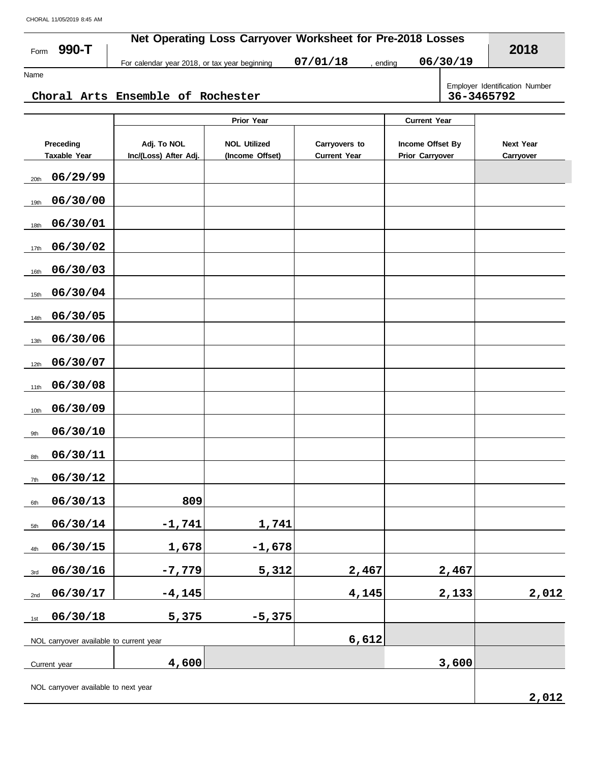| $F_{\text{O}}$ rm | 990-T | Net Operating Loss Carryover Worksheet for Pre-2018 Losses |          |        |          | 2018 |
|-------------------|-------|------------------------------------------------------------|----------|--------|----------|------|
|                   |       | For calendar year 2018, or tax year beginning              | 07/01/18 | endina | 06/30/19 |      |
| Name              |       |                                                            |          |        |          |      |

## **Choral Arts Ensemble of Rochester 36-3465792**

Employer Identification Number<br>36-3465792

|                                         |                                      | <b>Prior Year</b>                      |                                      | <b>Current Year</b>                 |                               |  |  |  |  |
|-----------------------------------------|--------------------------------------|----------------------------------------|--------------------------------------|-------------------------------------|-------------------------------|--|--|--|--|
| Preceding<br>Taxable Year               | Adj. To NOL<br>Inc/(Loss) After Adj. | <b>NOL Utilized</b><br>(Income Offset) | Carryovers to<br><b>Current Year</b> | Income Offset By<br>Prior Carryover | <b>Next Year</b><br>Carryover |  |  |  |  |
| 06/29/99<br>20th                        |                                      |                                        |                                      |                                     |                               |  |  |  |  |
| 06/30/00<br>19th                        |                                      |                                        |                                      |                                     |                               |  |  |  |  |
| 06/30/01<br>18th                        |                                      |                                        |                                      |                                     |                               |  |  |  |  |
| 06/30/02<br>17th                        |                                      |                                        |                                      |                                     |                               |  |  |  |  |
| 06/30/03<br>16th                        |                                      |                                        |                                      |                                     |                               |  |  |  |  |
| 06/30/04<br>15th                        |                                      |                                        |                                      |                                     |                               |  |  |  |  |
| 06/30/05<br>14th                        |                                      |                                        |                                      |                                     |                               |  |  |  |  |
| 06/30/06<br>13th                        |                                      |                                        |                                      |                                     |                               |  |  |  |  |
| 06/30/07<br>12th                        |                                      |                                        |                                      |                                     |                               |  |  |  |  |
| 06/30/08<br>11th                        |                                      |                                        |                                      |                                     |                               |  |  |  |  |
| 06/30/09<br>10th                        |                                      |                                        |                                      |                                     |                               |  |  |  |  |
| 06/30/10<br>9th                         |                                      |                                        |                                      |                                     |                               |  |  |  |  |
| 06/30/11<br>8th                         |                                      |                                        |                                      |                                     |                               |  |  |  |  |
| 06/30/12<br>7th                         |                                      |                                        |                                      |                                     |                               |  |  |  |  |
| 06/30/13<br>6th                         | 809                                  |                                        |                                      |                                     |                               |  |  |  |  |
| 06/30/14<br>5th                         | $-1,741$                             | 1,741                                  |                                      |                                     |                               |  |  |  |  |
| 06/30/15<br>4th                         | 1,678                                | $-1,678$                               |                                      |                                     |                               |  |  |  |  |
| 06/30/16<br>3rd                         | $-7,779$                             | 5,312                                  | 2,467                                | 2,467                               |                               |  |  |  |  |
| 06/30/17<br>2nd                         | $-4,145$                             |                                        | 4,145                                | 2,133                               | 2,012                         |  |  |  |  |
| 06/30/18<br>1st                         | 5,375                                | $-5,375$                               |                                      |                                     |                               |  |  |  |  |
| NOL carryover available to current year |                                      |                                        | 6,612                                |                                     |                               |  |  |  |  |
| Current year                            | 4,600                                |                                        |                                      | 3,600                               |                               |  |  |  |  |
| NOL carryover available to next year    |                                      |                                        |                                      |                                     |                               |  |  |  |  |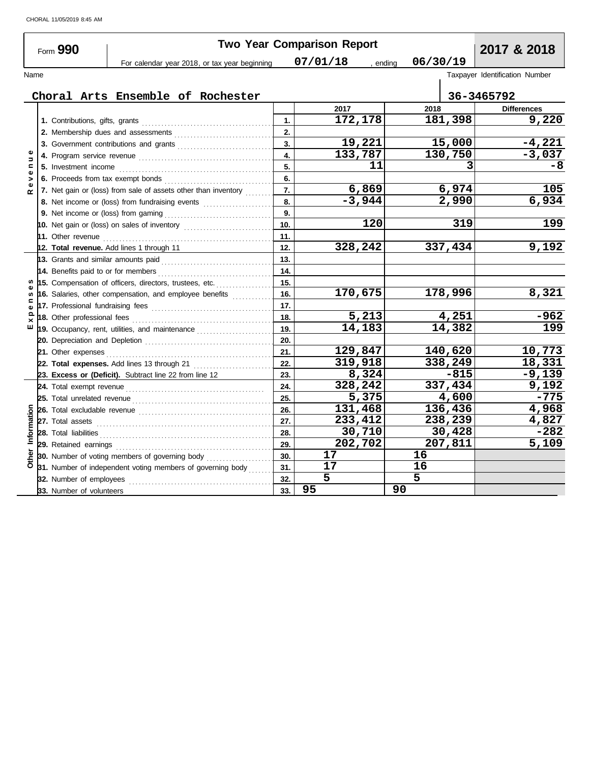|                                              |                                   | Form 990                            |                                                                                                                                                                                                                                     |     | <b>Two Year Comparison Report</b> |          | 2017 & 2018                    |  |
|----------------------------------------------|-----------------------------------|-------------------------------------|-------------------------------------------------------------------------------------------------------------------------------------------------------------------------------------------------------------------------------------|-----|-----------------------------------|----------|--------------------------------|--|
|                                              |                                   |                                     | For calendar year 2018, or tax year beginning                                                                                                                                                                                       |     | 07/01/18<br>, ending              | 06/30/19 |                                |  |
| Name                                         |                                   |                                     |                                                                                                                                                                                                                                     |     |                                   |          | Taxpayer Identification Number |  |
|                                              | Choral Arts Ensemble of Rochester |                                     |                                                                                                                                                                                                                                     |     |                                   |          | 36-3465792                     |  |
|                                              |                                   |                                     |                                                                                                                                                                                                                                     |     | 2017                              | 2018     | <b>Differences</b>             |  |
|                                              |                                   |                                     |                                                                                                                                                                                                                                     | 1.  | 172,178                           | 181,398  | 9,220                          |  |
|                                              |                                   |                                     |                                                                                                                                                                                                                                     | 2.  |                                   |          |                                |  |
|                                              |                                   |                                     | 3. Government contributions and grants                                                                                                                                                                                              | 3.  | 19,221                            | 15,000   | $-4,221$                       |  |
|                                              |                                   |                                     |                                                                                                                                                                                                                                     | 4.  | 133,787                           | 130,750  | $-3,037$                       |  |
| $\qquad \qquad \blacksquare$<br>$\mathbf{C}$ |                                   |                                     |                                                                                                                                                                                                                                     | 5.  | 11                                | 3        | -8                             |  |
| $\bullet$<br>>                               |                                   | 6. Proceeds from tax exempt bonds   |                                                                                                                                                                                                                                     | 6.  |                                   |          |                                |  |
| $\bullet$<br>œ                               |                                   |                                     | 7. Net gain or (loss) from sale of assets other than inventory                                                                                                                                                                      | 7.  | 6,869                             | 6,974    | 105                            |  |
|                                              |                                   |                                     | 8. Net income or (loss) from fundraising events                                                                                                                                                                                     | 8.  | $-3,944$                          | 2,990    | 6,934                          |  |
|                                              |                                   |                                     |                                                                                                                                                                                                                                     | 9.  |                                   |          |                                |  |
|                                              |                                   |                                     | 10. Net gain or (loss) on sales of inventory $\ldots$                                                                                                                                                                               | 10. | 120                               | 319      | 199                            |  |
|                                              |                                   |                                     | 11. Other revenue <i>communication</i> and the communication of the communication of the communication of the communication of the communication of the communication of the communication of the communication of the communicatio | 11. |                                   |          |                                |  |
|                                              |                                   |                                     | 12. Total revenue. Add lines 1 through 11                                                                                                                                                                                           | 12. | 328,242                           | 337,434  | 9,192                          |  |
|                                              |                                   | 13. Grants and similar amounts paid |                                                                                                                                                                                                                                     | 13. |                                   |          |                                |  |
|                                              |                                   | 14. Benefits paid to or for members |                                                                                                                                                                                                                                     | 14. |                                   |          |                                |  |
|                                              |                                   |                                     | 15. Compensation of officers, directors, trustees, etc.                                                                                                                                                                             | 15. |                                   |          |                                |  |
|                                              |                                   |                                     | 16. Salaries, other compensation, and employee benefits                                                                                                                                                                             | 16. | 170,675                           | 178,996  | 8,321                          |  |
| ⋍<br>Φ                                       |                                   |                                     |                                                                                                                                                                                                                                     | 17. |                                   |          |                                |  |
| Q                                            |                                   |                                     |                                                                                                                                                                                                                                     | 18. | 5,213                             | 4,251    | $-962$                         |  |
| ш                                            |                                   |                                     | 19. Occupancy, rent, utilities, and maintenance <i>[[[[[[[[[[[[[[[[[[[[[[]]]]]</i>                                                                                                                                                  | 19. | 14,183                            | 14,382   | 199                            |  |
|                                              |                                   |                                     |                                                                                                                                                                                                                                     | 20. |                                   |          |                                |  |
|                                              |                                   |                                     | 21. Other expenses <b>constants</b> and a constant of the constant of the constant of the constant of the constant of the constant of the constant of the constant of the constant of the constant of the constant of the constant  | 21. | 129,847                           | 140,620  | 10,773                         |  |
|                                              |                                   |                                     | 22. Total expenses. Add lines 13 through 21                                                                                                                                                                                         | 22. | 319,918                           | 338,249  | 18,331                         |  |
|                                              |                                   |                                     | 23. Excess or (Deficit). Subtract line 22 from line 12                                                                                                                                                                              | 23. | 8,324                             | -815     | $-9,139$                       |  |
|                                              |                                   |                                     |                                                                                                                                                                                                                                     | 24. | 328,242                           | 337,434  | 9,192                          |  |
|                                              |                                   |                                     |                                                                                                                                                                                                                                     | 25. | 5,375                             | 4,600    | $-775$                         |  |
|                                              |                                   |                                     | 26. Total excludable revenue                                                                                                                                                                                                        | 26. | 131,468                           | 136,436  | 4,968                          |  |
|                                              |                                   |                                     |                                                                                                                                                                                                                                     | 27. | 233,412                           | 238,239  | 4,827                          |  |
| Information                                  |                                   | 28. Total liabilities               |                                                                                                                                                                                                                                     | 28. | 30,710                            | 30,428   | $-282$                         |  |
|                                              |                                   |                                     |                                                                                                                                                                                                                                     | 29. | 202,702                           | 207,811  | 5,109                          |  |
| Other                                        |                                   |                                     | 30. Number of voting members of governing body                                                                                                                                                                                      | 30. | 17                                | 16       |                                |  |
|                                              |                                   |                                     | 31. Number of independent voting members of governing body                                                                                                                                                                          | 31. | 17<br>5                           | 16<br>5  |                                |  |
|                                              |                                   | 32. Number of employees             |                                                                                                                                                                                                                                     | 32. |                                   |          |                                |  |
|                                              |                                   | 33. Number of volunteers            |                                                                                                                                                                                                                                     | 33. | 95                                | 90       |                                |  |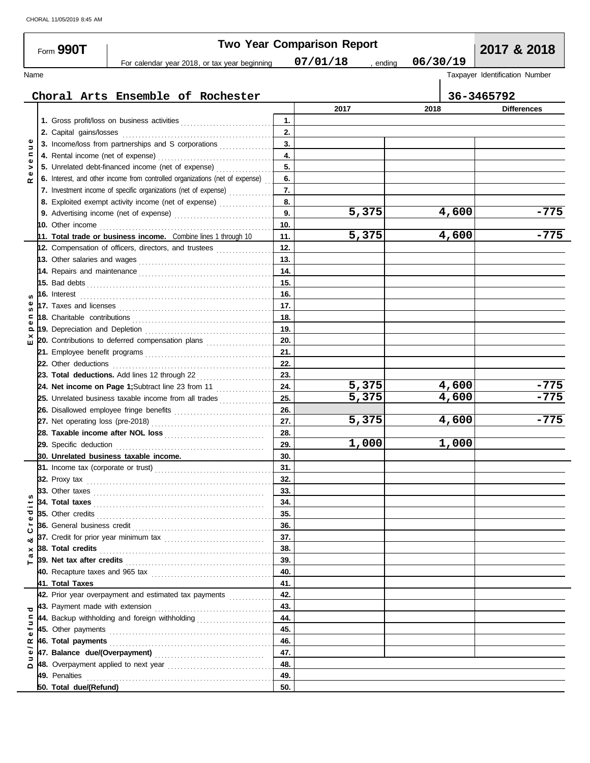$\overline{a}$ 

|                       |  |                         | Form $990T$                            |                                                                                                                     |     | <b>Two Year Comparison Report</b> |          |          |       | 2017 & 2018                    |
|-----------------------|--|-------------------------|----------------------------------------|---------------------------------------------------------------------------------------------------------------------|-----|-----------------------------------|----------|----------|-------|--------------------------------|
|                       |  |                         |                                        | For calendar year 2018, or tax year beginning                                                                       |     | 07/01/18                          | , ending | 06/30/19 |       |                                |
| Name                  |  |                         |                                        |                                                                                                                     |     |                                   |          |          |       | Taxpayer Identification Number |
|                       |  |                         |                                        |                                                                                                                     |     |                                   |          |          |       |                                |
|                       |  |                         |                                        | Choral Arts Ensemble of Rochester                                                                                   |     |                                   |          |          |       | 36-3465792                     |
|                       |  |                         |                                        |                                                                                                                     |     | 2017                              |          | 2018     |       | <b>Differences</b>             |
|                       |  |                         |                                        |                                                                                                                     | 1.  |                                   |          |          |       |                                |
|                       |  | 2. Capital gains/losses |                                        | 2.                                                                                                                  |     |                                   |          |          |       |                                |
| Ξ                     |  |                         |                                        | 3. Income/loss from partnerships and S corporations                                                                 | 3.  |                                   |          |          |       |                                |
| Ξ                     |  |                         |                                        |                                                                                                                     | 4.  |                                   |          |          |       |                                |
| >                     |  |                         |                                        | 5. Unrelated debt-financed income (net of expense)                                                                  | 5.  |                                   |          |          |       |                                |
| œ                     |  |                         |                                        | 6. Interest, and other income from controlled organizations (net of expense)                                        | 6.  |                                   |          |          |       |                                |
|                       |  |                         |                                        | 7. Investment income of specific organizations (net of expense)                                                     | 7.  |                                   |          |          |       |                                |
|                       |  |                         |                                        | 8. Exploited exempt activity income (net of expense)                                                                | 8.  |                                   |          |          |       |                                |
|                       |  |                         |                                        |                                                                                                                     | 9.  | 5,375                             |          |          | 4,600 | $-775$                         |
|                       |  |                         |                                        |                                                                                                                     | 10. |                                   |          |          |       |                                |
|                       |  |                         |                                        | 11. Total trade or business income. Combine lines 1 through 10                                                      | 11. | 5,375                             |          |          | 4,600 | $-775$                         |
|                       |  |                         |                                        | 12. Compensation of officers, directors, and trustees                                                               | 12. |                                   |          |          |       |                                |
|                       |  |                         |                                        | 13. Other salaries and wages $\frac{1}{1}$                                                                          | 13. |                                   |          |          |       |                                |
| w<br>⋍<br>௨<br>×<br>ш |  |                         |                                        |                                                                                                                     | 14. |                                   |          |          |       |                                |
|                       |  |                         |                                        |                                                                                                                     | 15. |                                   |          |          |       |                                |
|                       |  |                         |                                        |                                                                                                                     | 16. |                                   |          |          |       |                                |
|                       |  |                         |                                        |                                                                                                                     | 17. |                                   |          |          |       |                                |
|                       |  |                         |                                        |                                                                                                                     | 18. |                                   |          |          |       |                                |
|                       |  |                         |                                        |                                                                                                                     | 19. |                                   |          |          |       |                                |
|                       |  |                         |                                        | 20. Contributions to deferred compensation plans <i>[11]</i> [11] [12] Contributions to deferred compensation plans | 20. |                                   |          |          |       |                                |
|                       |  |                         |                                        |                                                                                                                     | 21. |                                   |          |          |       |                                |
|                       |  |                         |                                        |                                                                                                                     | 22. |                                   |          |          |       |                                |
|                       |  |                         |                                        |                                                                                                                     | 23. |                                   |          |          |       |                                |
|                       |  |                         |                                        | 24. Net income on Page 1;Subtract line 23 from 11                                                                   | 24. | 5,375                             |          |          | 4,600 | -775                           |
|                       |  |                         |                                        | 25. Unrelated business taxable income from all trades <i>conservation</i>                                           | 25. | 5,375                             |          |          | 4,600 | $-775$                         |
|                       |  |                         |                                        | 26. Disallowed employee fringe benefits                                                                             | 26. |                                   |          |          |       |                                |
|                       |  |                         |                                        |                                                                                                                     | 27. | 5,375                             |          |          | 4,600 | $-775$                         |
|                       |  |                         |                                        |                                                                                                                     | 28. |                                   |          |          |       |                                |
|                       |  | 29. Specific deduction  |                                        |                                                                                                                     | 29. | 1,000                             |          |          | 1,000 |                                |
|                       |  |                         | 30. Unrelated business taxable income. |                                                                                                                     | 30. |                                   |          |          |       |                                |
|                       |  |                         |                                        |                                                                                                                     | 31. |                                   |          |          |       |                                |
|                       |  |                         |                                        |                                                                                                                     | 32. |                                   |          |          |       |                                |
|                       |  |                         |                                        |                                                                                                                     | 33. |                                   |          |          |       |                                |
|                       |  |                         |                                        |                                                                                                                     | 34. |                                   |          |          |       |                                |
| ਹ<br>Φ                |  |                         |                                        |                                                                                                                     | 35. |                                   |          |          |       |                                |
| L<br>ပ                |  |                         |                                        |                                                                                                                     | 36. |                                   |          |          |       |                                |
| య                     |  |                         |                                        |                                                                                                                     | 37. |                                   |          |          |       |                                |
| ×                     |  |                         |                                        |                                                                                                                     | 38. |                                   |          |          |       |                                |
| ℼ<br>⊢                |  |                         |                                        |                                                                                                                     | 39. |                                   |          |          |       |                                |
|                       |  |                         |                                        |                                                                                                                     | 40. |                                   |          |          |       |                                |
|                       |  | 41. Total Taxes         |                                        |                                                                                                                     | 41. |                                   |          |          |       |                                |
|                       |  |                         |                                        | 42. Prior year overpayment and estimated tax payments <i>minimizer</i>                                              | 42. |                                   |          |          |       |                                |
| ಕ                     |  |                         |                                        |                                                                                                                     | 43. |                                   |          |          |       |                                |
| Ξ<br>Ξ                |  |                         |                                        | 44. Backup withholding and foreign withholding                                                                      | 44. |                                   |          |          |       |                                |
| ⊷<br>ω                |  |                         |                                        |                                                                                                                     | 45. |                                   |          |          |       |                                |
| ≃                     |  |                         |                                        |                                                                                                                     | 46. |                                   |          |          |       |                                |
| Ф<br>∍                |  |                         |                                        |                                                                                                                     | 47. |                                   |          |          |       |                                |
| $\Omega$              |  |                         |                                        |                                                                                                                     | 48. |                                   |          |          |       |                                |
|                       |  |                         |                                        |                                                                                                                     | 49. |                                   |          |          |       |                                |
|                       |  | 50. Total due/(Refund)  |                                        |                                                                                                                     | 50. |                                   |          |          |       |                                |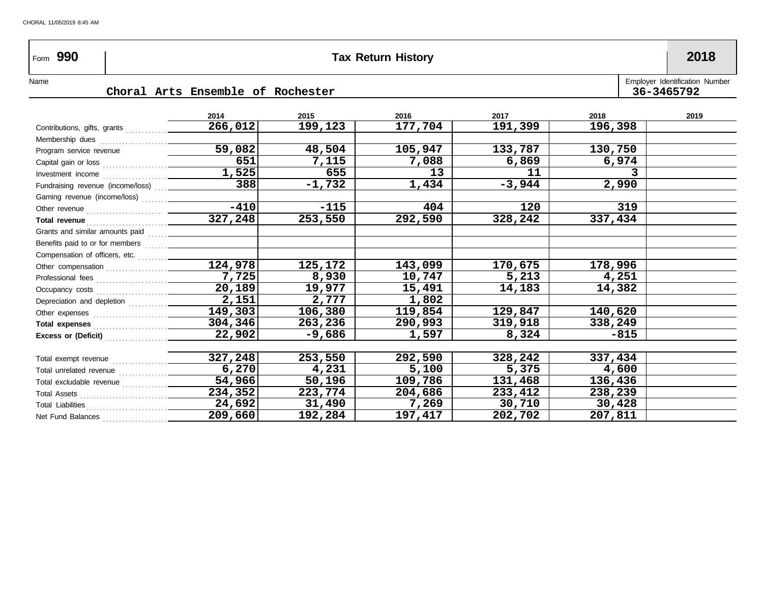# Form **990 Tax Return History 2018**

## Name Choral Arts Ensemble of Rochester Figure 1988 and Employer Identification Number **Choral Arts Ensemble of Rochester 36-3465792**

|                                                                                                                                                                                                                                      | 2014     | 2015     | 2016    | 2017     | 2018    | 2019 |
|--------------------------------------------------------------------------------------------------------------------------------------------------------------------------------------------------------------------------------------|----------|----------|---------|----------|---------|------|
| Contributions, gifts, grants                                                                                                                                                                                                         | 266,012  | 199,123  | 177,704 | 191,399  | 196,398 |      |
| Membership dues                                                                                                                                                                                                                      |          |          |         |          |         |      |
| Program service revenue                                                                                                                                                                                                              | 59,082   | 48,504   | 105,947 | 133,787  | 130,750 |      |
| Capital gain or loss                                                                                                                                                                                                                 | 651      | 7,115    | 7,088   | 6,869    | 6,974   |      |
|                                                                                                                                                                                                                                      | 1,525    | 655      | 13      | 11       | 3       |      |
| Fundraising revenue (income/loss)                                                                                                                                                                                                    | 388      | $-1,732$ | 1,434   | $-3,944$ | 2,990   |      |
| Gaming revenue (income/loss)                                                                                                                                                                                                         |          |          |         |          |         |      |
|                                                                                                                                                                                                                                      | $-410$   | $-115$   | 404     | 120      | 319     |      |
| Total revenue <b>contract and the contract of the contract of the contract of the contract of the contract of the contract of the contract of the contract of the contract of the contract of the contract of the contract of th</b> | 327, 248 | 253,550  | 292,590 | 328,242  | 337,434 |      |
| Grants and similar amounts paid [1111] [1211] [1211] [1211] [131] [131] [131] [131] [131] [131] [131] [131] [1                                                                                                                       |          |          |         |          |         |      |
|                                                                                                                                                                                                                                      |          |          |         |          |         |      |
| Compensation of officers, etc.                                                                                                                                                                                                       |          |          |         |          |         |      |
|                                                                                                                                                                                                                                      | 124,978  | 125,172  | 143,099 | 170,675  | 178,996 |      |
|                                                                                                                                                                                                                                      | 7,725    | 8,930    | 10,747  | 5,213    | 4,251   |      |
|                                                                                                                                                                                                                                      | 20,189   | 19,977   | 15,491  | 14,183   | 14,382  |      |
| Depreciation and depletion                                                                                                                                                                                                           | 2,151    | 2,777    | 1,802   |          |         |      |
|                                                                                                                                                                                                                                      | 149,303  | 106,380  | 119,854 | 129,847  | 140,620 |      |
|                                                                                                                                                                                                                                      | 304, 346 | 263,236  | 290,993 | 319,918  | 338,249 |      |
|                                                                                                                                                                                                                                      | 22,902   | -9,686   | 1,597   | 8,324    | $-815$  |      |
|                                                                                                                                                                                                                                      |          |          |         |          |         |      |
| Total exempt revenue                                                                                                                                                                                                                 | 327,248  | 253,550  | 292,590 | 328,242  | 337,434 |      |
| Total unrelated revenue                                                                                                                                                                                                              | 6,270    | 4,231    | 5,100   | 5,375    | 4,600   |      |
|                                                                                                                                                                                                                                      | 54,966   | 50,196   | 109,786 | 131,468  | 136,436 |      |
|                                                                                                                                                                                                                                      | 234,352  | 223,774  | 204,686 | 233,412  | 238,239 |      |
| Total Liabilities                                                                                                                                                                                                                    | 24,692   | 31,490   | 7,269   | 30,710   | 30,428  |      |
| Net Fund Balances                                                                                                                                                                                                                    | 209,660  | 192,284  | 197,417 | 202,702  | 207,811 |      |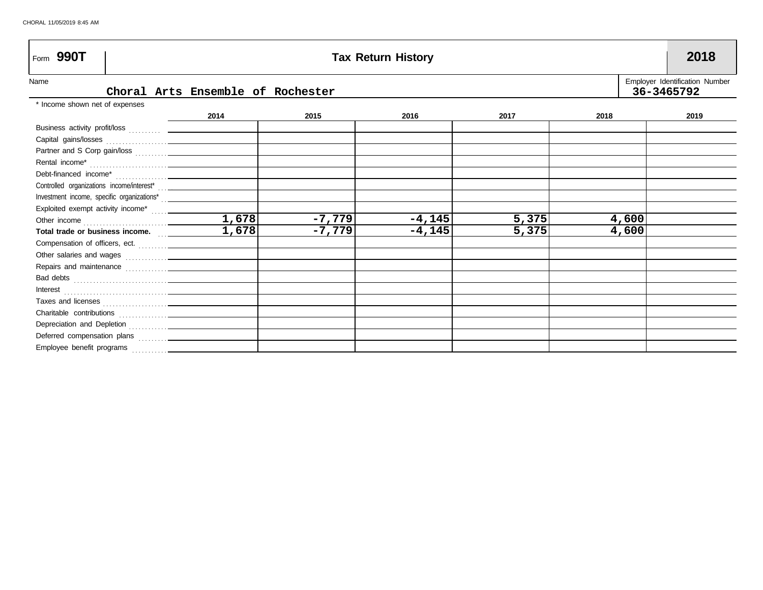| Form 990T                                |                                   |          | <b>Tax Return History</b> |       |       | 2018                           |
|------------------------------------------|-----------------------------------|----------|---------------------------|-------|-------|--------------------------------|
| Name                                     |                                   |          |                           |       |       | Employer Identification Number |
|                                          | Choral Arts Ensemble of Rochester |          |                           |       |       | 36-3465792                     |
| * Income shown net of expenses           |                                   |          |                           |       |       |                                |
|                                          | 2014                              | 2015     | 2016                      | 2017  | 2018  | 2019                           |
| Business activity profit/loss  _________ |                                   |          |                           |       |       |                                |
|                                          |                                   |          |                           |       |       |                                |
|                                          |                                   |          |                           |       |       |                                |
|                                          |                                   |          |                           |       |       |                                |
|                                          |                                   |          |                           |       |       |                                |
|                                          |                                   |          |                           |       |       |                                |
|                                          |                                   |          |                           |       |       |                                |
|                                          |                                   |          |                           |       |       |                                |
|                                          | 1,678                             | $-7,779$ | $-4,145$                  | 5,375 | 4,600 |                                |
| Total trade or business income.          | 1,678                             | -7,779   | $-4, 145$                 | 5,375 | 4,600 |                                |
|                                          |                                   |          |                           |       |       |                                |
|                                          |                                   |          |                           |       |       |                                |
|                                          |                                   |          |                           |       |       |                                |
|                                          |                                   |          |                           |       |       |                                |
|                                          |                                   |          |                           |       |       |                                |
|                                          |                                   |          |                           |       |       |                                |
|                                          |                                   |          |                           |       |       |                                |
|                                          |                                   |          |                           |       |       |                                |
|                                          |                                   |          |                           |       |       |                                |
|                                          |                                   |          |                           |       |       |                                |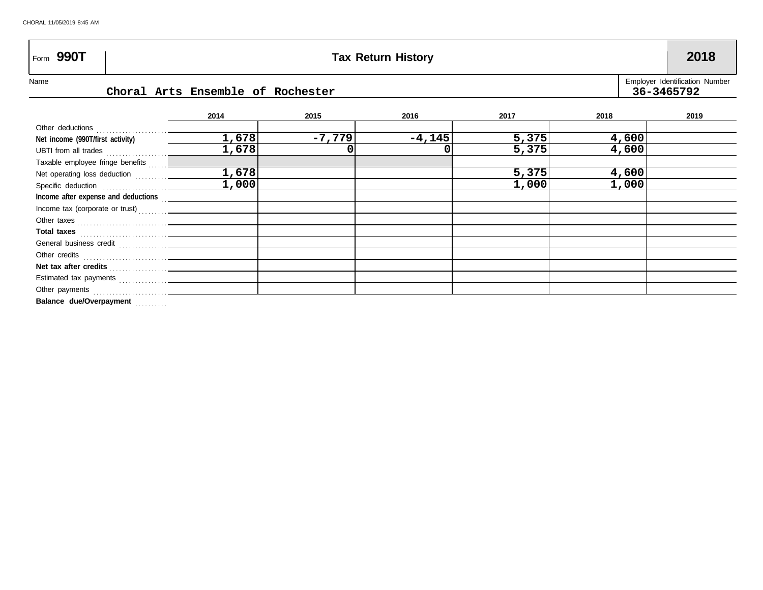| Form 990T<br><b>Tax Return History</b> |                                   |          |          |       |       | 2018                                         |
|----------------------------------------|-----------------------------------|----------|----------|-------|-------|----------------------------------------------|
| Name                                   | Choral Arts Ensemble of Rochester |          |          |       |       | Employer Identification Number<br>36-3465792 |
|                                        | 2014                              | 2015     | 2016     | 2017  | 2018  | 2019                                         |
|                                        |                                   |          |          |       |       |                                              |
| Net income (990T/first activity)       | 1,678                             | $-7,779$ | $-4,145$ | 5,375 | 4,600 |                                              |
| UBTI from all trades                   | 1,678                             |          |          | 5,375 | 4,600 |                                              |
|                                        |                                   |          |          |       |       |                                              |
|                                        | 1,678                             |          |          | 5,375 | 4,600 |                                              |
|                                        | 1,000                             |          |          | 1,000 | 1,000 |                                              |
|                                        |                                   |          |          |       |       |                                              |
|                                        |                                   |          |          |       |       |                                              |
|                                        |                                   |          |          |       |       |                                              |
|                                        |                                   |          |          |       |       |                                              |
|                                        |                                   |          |          |       |       |                                              |
|                                        |                                   |          |          |       |       |                                              |
|                                        |                                   |          |          |       |       |                                              |
|                                        |                                   |          |          |       |       |                                              |
|                                        |                                   |          |          |       |       |                                              |
|                                        |                                   |          |          |       |       |                                              |

**Balance due/Overpayment** . . . . . . . . . .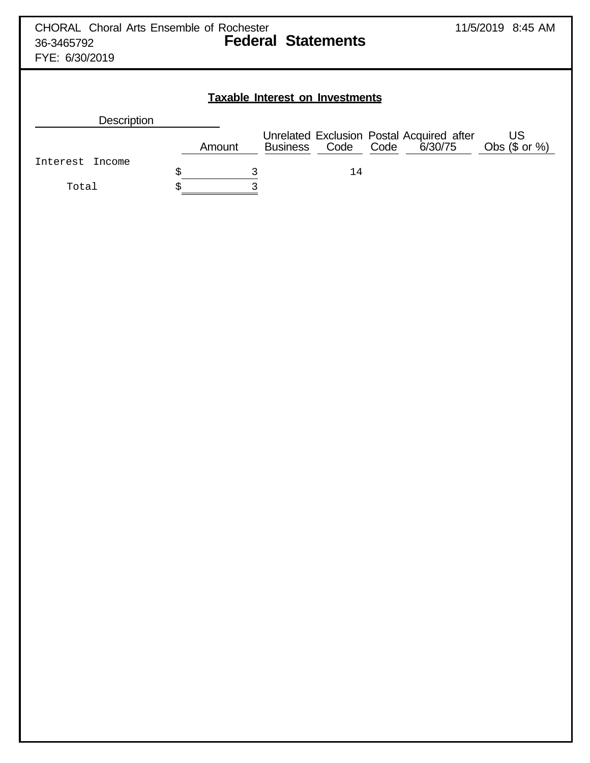| CHORAL Choral Arts Ensemble of Rochester<br><b>Federal Statements</b><br>36-3465792<br>FYE: 6/30/2019 | 11/5/2019 8:45 AM            |
|-------------------------------------------------------------------------------------------------------|------------------------------|
| <b>Taxable Interest on Investments</b>                                                                |                              |
| Description                                                                                           |                              |
| Unrelated Exclusion Postal Acquired after<br>Business Code Code 6/30/75<br>Amount                     | <b>US</b><br>Obs $($ or  %)$ |
| Interest Income<br>14<br>\$                                                                           |                              |
| $\frac{3}{3}$<br>Total<br>\$                                                                          |                              |
|                                                                                                       |                              |
|                                                                                                       |                              |
|                                                                                                       |                              |
|                                                                                                       |                              |
|                                                                                                       |                              |
|                                                                                                       |                              |
|                                                                                                       |                              |
|                                                                                                       |                              |
|                                                                                                       |                              |
|                                                                                                       |                              |
|                                                                                                       |                              |
|                                                                                                       |                              |
|                                                                                                       |                              |
|                                                                                                       |                              |
|                                                                                                       |                              |
|                                                                                                       |                              |
|                                                                                                       |                              |
|                                                                                                       |                              |
|                                                                                                       |                              |
|                                                                                                       |                              |
|                                                                                                       |                              |
|                                                                                                       |                              |
|                                                                                                       |                              |
|                                                                                                       |                              |
|                                                                                                       |                              |
|                                                                                                       |                              |
|                                                                                                       |                              |
|                                                                                                       |                              |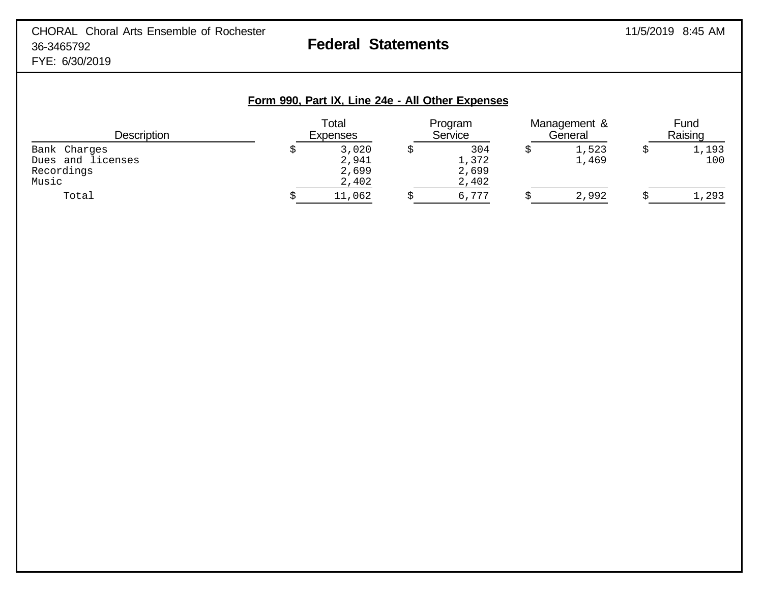| Form 990, Part IX, Line 24e - All Other Expenses |  |
|--------------------------------------------------|--|
|--------------------------------------------------|--|

| <b>Description</b>                                       | Total<br><b>Expenses</b>         | Program<br>Service             | Management &<br>General | Fund<br>Raising |
|----------------------------------------------------------|----------------------------------|--------------------------------|-------------------------|-----------------|
| Bank Charges<br>Dues and licenses<br>Recordings<br>Music | 3,020<br>2,941<br>2,699<br>2,402 | 304<br>1,372<br>2,699<br>2,402 | 1,523<br>⊥,469          | 1,193<br>100    |
| Total                                                    | 11,062                           | 6,777                          | 2,992                   | 1,293           |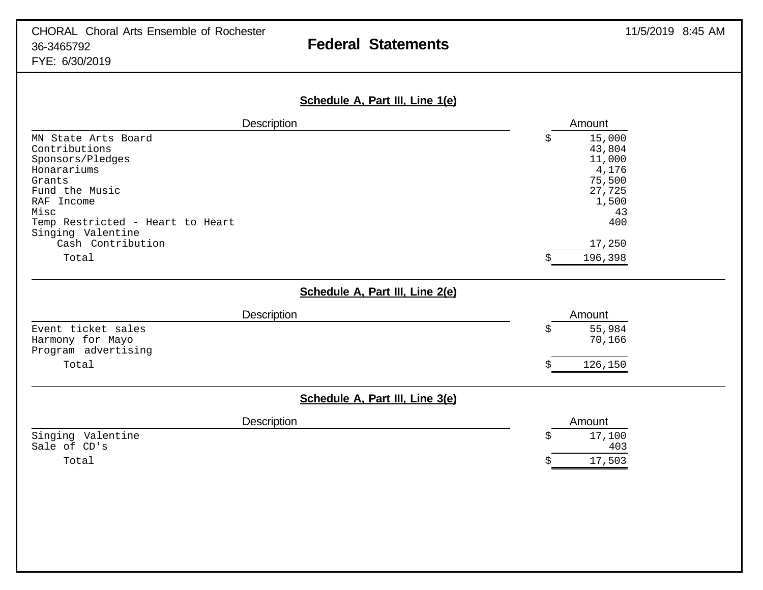| Description                                                                                                                                                   | Amount                                                                              |
|---------------------------------------------------------------------------------------------------------------------------------------------------------------|-------------------------------------------------------------------------------------|
| MN State Arts Board<br>Contributions<br>Sponsors/Pledges<br>Honarariums<br>Grants<br>Fund the Music<br>RAF Income<br>Misc<br>Temp Restricted - Heart to Heart | 15,000<br>\$<br>43,804<br>11,000<br>4,176<br>75,500<br>27,725<br>1,500<br>43<br>400 |
| Singing Valentine<br>Cash Contribution<br>Total                                                                                                               | 17,250<br>196,398                                                                   |
|                                                                                                                                                               | Schedule A, Part III, Line 2(e)                                                     |
| Description                                                                                                                                                   | Amount                                                                              |
| Event ticket sales<br>Harmony for Mayo<br>Program advertising                                                                                                 | 55,984<br>\$<br>70,166                                                              |
| Total                                                                                                                                                         | 126,150                                                                             |
|                                                                                                                                                               | Schedule A, Part III, Line 3(e)                                                     |
| Description                                                                                                                                                   | Amount                                                                              |
| Singing Valentine<br>Sale of CD's                                                                                                                             | 17,100<br>\$<br>403                                                                 |
| Total                                                                                                                                                         | 17,503                                                                              |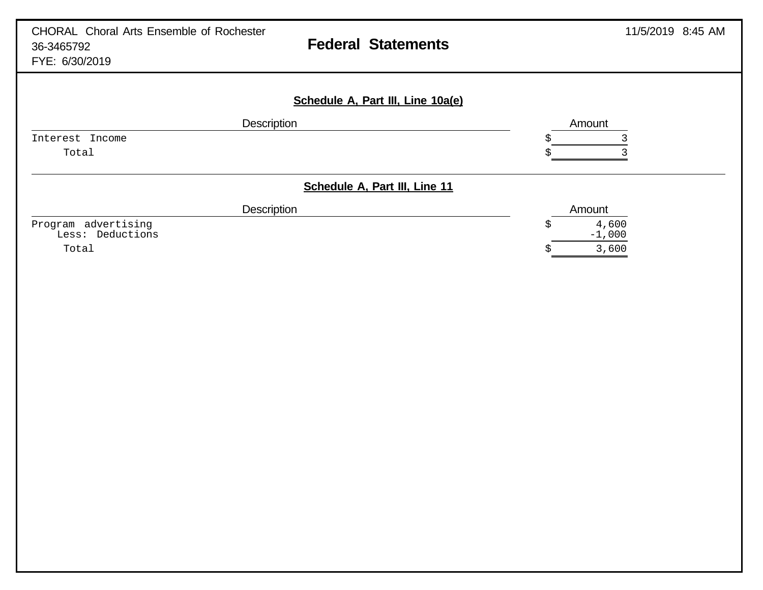| <b>CHORAL Choral Arts Ensemble of Rochester</b><br>36-3465792<br>FYE: 6/30/2019 | <b>Federal Statements</b>         | 11/5/2019 8:45 AM |
|---------------------------------------------------------------------------------|-----------------------------------|-------------------|
|                                                                                 | Schedule A, Part III, Line 10a(e) |                   |
| Description                                                                     |                                   | Amount            |
| Interest Income                                                                 |                                   |                   |
| Total                                                                           |                                   |                   |
|                                                                                 | Schedule A, Part III, Line 11     |                   |
| Description                                                                     |                                   | Amount            |
| Program advertising                                                             |                                   | 4,600<br>Š.       |
| Less: Deductions                                                                |                                   | $-1,000$          |
| Total                                                                           |                                   | 3,600             |